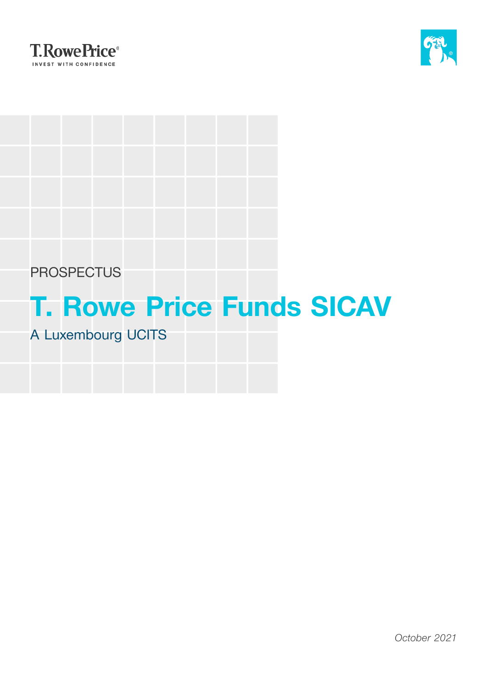



# **PROSPECTUS**

# **T. Rowe Price Funds SICAV**

# A Luxembourg UCITS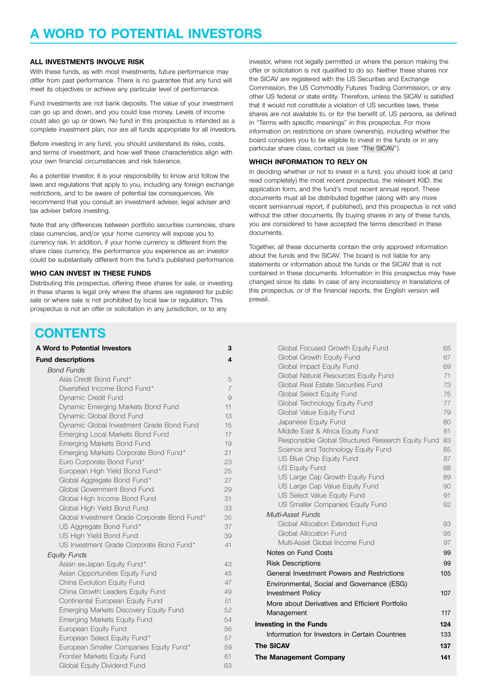# **A WORD TO POTENTIAL INVESTORS**

#### **ALL INVESTMENTS INVOLVE RISK**

With these funds, as with most investments, future performance may differ from past performance. There is no guarantee that any fund will meet its objectives or achieve any particular level of performance.

Fund investments are not bank deposits. The value of your investment can go up and down, and you could lose money. Levels of income could also go up or down. No fund in this prospectus is intended as a complete investment plan, nor are all funds appropriate for all investors.

Before investing in any fund, you should understand its risks, costs, and terms of investment, and how well these characteristics align with your own financial circumstances and risk tolerance.

As a potential investor, it is your responsibility to know and follow the laws and regulations that apply to you, including any foreign exchange restrictions, and to be aware of potential tax consequences. We recommend that you consult an investment adviser, legal adviser and tax adviser before investing.

Note that any differences between portfolio securities currencies, share class currencies, and/or your home currency will expose you to currency risk. In addition, if your home currency is different from the share class currency, the performance you experience as an investor could be substantially different from the fund's published performance.

#### **WHO CAN INVEST IN THESE FUNDS**

Distributing this prospectus, offering these shares for sale, or investing in these shares is legal only where the shares are registered for public sale or where sale is not prohibited by local law or regulation. This prospectus is not an offer or solicitation in any jurisdiction, or to any

investor, where not legally permitted or where the person making the offer or solicitation is not qualified to do so. Neither these shares nor the SICAV are registered with the US Securities and Exchange Commission, the US Commodity Futures Trading Commission, or any other US federal or state entity. Therefore, unless the SICAV is satisfied that it would not constitute a violation of US securities laws, these shares are not available to, or for the benefit of, US persons, as defined in "Terms with specific meanings" in this prospectus. For more information on restrictions on share ownership, including whether the board considers you to be eligible to invest in the funds or in any particular share class, contact us (see "The [SICAV](#page-136-0)").

#### **WHICH INFORMATION TO RELY ON**

In deciding whether or not to invest in a fund, you should look at (and read completely) the most recent prospectus, the relevant KIID, the application form, and the fund's most recent annual report. These documents must all be distributed together (along with any more recent semi-annual report, if published), and this prospectus is not valid without the other documents. By buying shares in any of these funds, you are considered to have accepted the terms described in these documents.

Together, all these documents contain the only approved information about the funds and the SICAV. The board is not liable for any statements or information about the funds or the SICAV that is not contained in these documents. Information in this prospectus may have changed since its date. In case of any inconsistency in translations of this prospectus, or of the financial reports, the English version will prevail.

# **CONTENTS**

| A Word to Potential Investors                | 3                       |
|----------------------------------------------|-------------------------|
| <b>Fund descriptions</b>                     | $\overline{\mathbf{4}}$ |
| <b>Bond Funds</b>                            |                         |
| Asia Credit Bond Fund*                       | 5                       |
| Diversified Income Bond Fund*                | $\overline{7}$          |
| Dynamic Credit Fund                          | $\overline{9}$          |
| Dynamic Emerging Markets Bond Fund           | 11                      |
| Dynamic Global Bond Fund                     | 13                      |
| Dynamic Global Investment Grade Bond Fund    | 15                      |
| Emerging Local Markets Bond Fund             | 17                      |
| Emerging Markets Bond Fund                   | 19                      |
| Emerging Markets Corporate Bond Fund*        | 21                      |
| Euro Corporate Bond Fund*                    | 23                      |
| European High Yield Bond Fund*               | 25                      |
| Global Aggregate Bond Fund*                  | 27                      |
| Global Government Bond Fund                  | 29                      |
| Global High Income Bond Fund                 | 31                      |
| Global High Yield Bond Fund                  | 33                      |
| Global Investment Grade Corporate Bond Fund* | 35                      |
| US Aggregate Bond Fund*                      | 37                      |
| US High Yield Bond Fund                      | 39                      |
| US Investment Grade Corporate Bond Fund*     | 41                      |
| <b>Equity Funds</b>                          |                         |
| Asian ex-Japan Equity Fund*                  | 43                      |
| Asian Opportunities Equity Fund              | 45                      |
| China Evolution Equity Fund                  | 47                      |
| China Growth Leaders Equity Fund             | 49                      |
| Continental European Equity Fund             | 51                      |
| Emerging Markets Discovery Equity Fund       | 52                      |
| Emerging Markets Equity Fund                 | 54                      |
| European Equity Fund                         | 56                      |
| European Select Equity Fund*                 | 57                      |
| European Smaller Companies Equity Fund*      | 59                      |
| Frontier Markets Equity Fund                 | 61                      |
| Global Equity Dividend Fund                  | 63                      |

| Global Focused Growth Equity Fund                              | 65       |
|----------------------------------------------------------------|----------|
| Global Growth Equity Fund                                      | 67       |
| Global Impact Equity Fund                                      | 69       |
| Global Natural Resources Equity Fund                           | 71       |
| Global Real Estate Securities Fund                             | 73       |
| Global Select Equity Fund                                      | 75       |
| Global Technology Equity Fund                                  | 77       |
| Global Value Equity Fund                                       | 79       |
| Japanese Equity Fund                                           | 80       |
| Middle East & Africa Equity Fund                               | 81       |
| Responsible Global Structured Research Equity Fund             | 83<br>85 |
| Science and Technology Equity Fund<br>US Blue Chip Equity Fund | 87       |
| <b>US Equity Fund</b>                                          | 88       |
| US Large Cap Growth Equity Fund                                | 89       |
| US Large Cap Value Equity Fund                                 | 90       |
| US Select Value Equity Fund                                    | 91       |
| US Smaller Companies Equity Fund                               | 92       |
| Multi-Asset Funds                                              |          |
| Global Allocation Extended Fund                                | 93       |
| Global Allocation Fund                                         | 95       |
| Multi-Asset Global Income Fund                                 | 97       |
| Notes on Fund Costs                                            | 99       |
| <b>Risk Descriptions</b>                                       | 99       |
| General Investment Powers and Restrictions                     | 105      |
| Environmental, Social and Governance (ESG)                     |          |
| <b>Investment Policy</b>                                       | 107      |
| More about Derivatives and Efficient Portfolio                 |          |
| Management                                                     | 117      |
| <b>Investing in the Funds</b>                                  | 124      |
| Information for Investors in Certain Countries                 | 133      |
| The SICAV                                                      | 137      |
| The Management Company                                         | 141      |
|                                                                |          |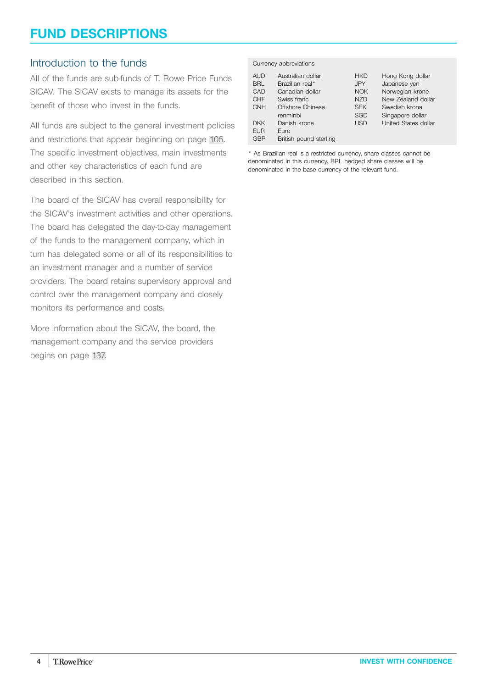# <span id="page-3-0"></span>**FUND DESCRIPTIONS**

# Introduction to the funds

All of the funds are sub-funds of T. Rowe Price Funds SICAV. The SICAV exists to manage its assets for the benefit of those who invest in the funds.

All funds are subject to the general investment policies and restrictions that appear beginning on page [105](#page-104-0). The specific investment objectives, main investments and other key characteristics of each fund are described in this section.

The board of the SICAV has overall responsibility for the SICAV's investment activities and other operations. The board has delegated the day-to-day management of the funds to the management company, which in turn has delegated some or all of its responsibilities to an investment manager and a number of service providers. The board retains supervisory approval and control over the management company and closely monitors its performance and costs.

More information about the SICAV, the board, the management company and the service providers begins on page [137.](#page-136-0)

#### Currency abbreviations

| <b>AUD</b> | Australian dollar      | <b>HKD</b> | Hong Kong dollar            |
|------------|------------------------|------------|-----------------------------|
| <b>BRL</b> | Brazilian real*        | <b>JPY</b> | Japanese yen                |
| CAD        | Canadian dollar        | <b>NOK</b> | Norwegian krone             |
| <b>CHF</b> | Swiss franc            | <b>NZD</b> | New Zealand dollar          |
| <b>CNH</b> | Offshore Chinese       | <b>SEK</b> | Swedish krona               |
|            | renminbi               | SGD        | Singapore dollar            |
| <b>DKK</b> | Danish krone           | <b>USD</b> | <b>United States dollar</b> |
| <b>EUR</b> | Euro                   |            |                             |
| <b>GBP</b> | British pound sterling |            |                             |

\* As Brazilian real is a restricted currency, share classes cannot be denominated in this currency. BRL hedged share classes will be denominated in the base currency of the relevant fund.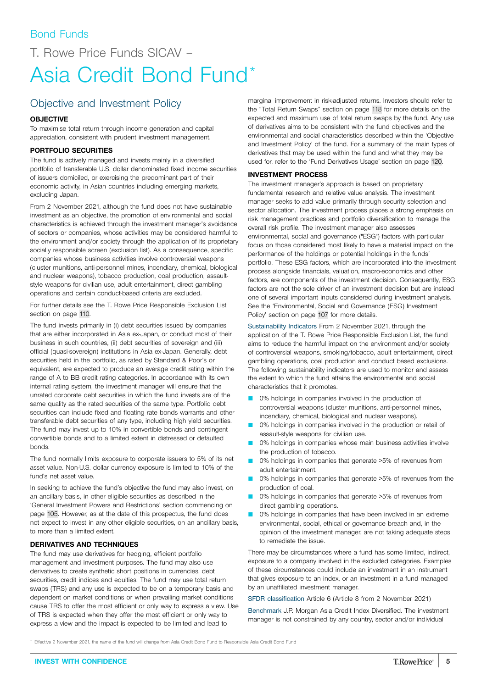# <span id="page-4-0"></span>T. Rowe Price Funds SICAV – Asia Credit Bond Fund\*

# Objective and Investment Policy

# **OBJECTIVE**

To maximise total return through income generation and capital appreciation, consistent with prudent investment management.

## **PORTFOLIO SECURITIES**

The fund is actively managed and invests mainly in a diversified portfolio of transferable U.S. dollar denominated fixed income securities of issuers domiciled, or exercising the predominant part of their economic activity, in Asian countries including emerging markets, excluding Japan.

From 2 November 2021, although the fund does not have sustainable investment as an objective, the promotion of environmental and social characteristics is achieved through the investment manager's avoidance of sectors or companies, whose activities may be considered harmful to the environment and/or society through the application of its proprietary socially responsible screen (exclusion list). As a consequence, specific companies whose business activities involve controversial weapons (cluster munitions, anti-personnel mines, incendiary, chemical, biological and nuclear weapons), tobacco production, coal production, assaultstyle weapons for civilian use, adult entertainment, direct gambling operations and certain conduct-based criteria are excluded.

For further details see the T. Rowe Price Responsible Exclusion List section on page [110](#page-109-0).

The fund invests primarily in (i) debt securities issued by companies that are either incorporated in Asia ex-Japan, or conduct most of their business in such countries, (ii) debt securities of sovereign and (iii) official (quasi-sovereign) institutions in Asia ex-Japan. Generally, debt securities held in the portfolio, as rated by Standard & Poor's or equivalent, are expected to produce an average credit rating within the range of A to BB credit rating categories. In accordance with its own internal rating system, the investment manager will ensure that the unrated corporate debt securities in which the fund invests are of the same quality as the rated securities of the same type. Portfolio debt securities can include fixed and floating rate bonds warrants and other transferable debt securities of any type, including high yield securities. The fund may invest up to 10% in convertible bonds and contingent convertible bonds and to a limited extent in distressed or defaulted bonds.

The fund normally limits exposure to corporate issuers to 5% of its net asset value. Non-U.S. dollar currency exposure is limited to 10% of the fund's net asset value.

In seeking to achieve the fund's objective the fund may also invest, on an ancillary basis, in other eligible securities as described in the 'General Investment Powers and Restrictions' section commencing on page [105.](#page-104-0) However, as at the date of this prospectus, the fund does not expect to invest in any other eligible securities, on an ancillary basis, to more than a limited extent.

## **DERIVATIVES AND TECHNIQUES**

The fund may use derivatives for hedging, efficient portfolio management and investment purposes. The fund may also use derivatives to create synthetic short positions in currencies, debt securities, credit indices and equities. The fund may use total return swaps (TRS) and any use is expected to be on a temporary basis and dependent on market conditions or when prevailing market conditions cause TRS to offer the most efficient or only way to express a view. Use of TRS is expected when they offer the most efficient or only way to express a view and the impact is expected to be limited and lead to

marginal improvement in risk-adjusted returns. Investors should refer to the "Total Return Swaps" section on page [118](#page-117-0) for more details on the expected and maximum use of total return swaps by the fund. Any use of derivatives aims to be consistent with the fund objectives and the environmental and social characteristics described within the 'Objective and Investment Policy' of the fund. For a summary of the main types of derivatives that may be used within the fund and what they may be used for, refer to the 'Fund Derivatives Usage' section on page [120](#page-119-0).

## **INVESTMENT PROCESS**

The investment manager's approach is based on proprietary fundamental research and relative value analysis. The investment manager seeks to add value primarily through security selection and sector allocation. The investment process places a strong emphasis on risk management practices and portfolio diversification to manage the overall risk profile. The investment manager also assesses environmental, social and governance ("ESG") factors with particular focus on those considered most likely to have a material impact on the performance of the holdings or potential holdings in the funds' portfolio. These ESG factors, which are incorporated into the investment process alongside financials, valuation, macro-economics and other factors, are components of the investment decision. Consequently, ESG factors are not the sole driver of an investment decision but are instead one of several important inputs considered during investment analysis. See the 'Environmental, Social and Governance (ESG) Investment Policy' section on page [107](#page-106-0) for more details.

Sustainability Indicators From 2 November 2021, through the application of the T. Rowe Price Responsible Exclusion List, the fund aims to reduce the harmful impact on the environment and/or society of controversial weapons, smoking/tobacco, adult entertainment, direct gambling operations, coal production and conduct based exclusions. The following sustainability indicators are used to monitor and assess the extent to which the fund attains the environmental and social characteristics that it promotes.

- 0% holdings in companies involved in the production of controversial weapons (cluster munitions, anti-personnel mines, incendiary, chemical, biological and nuclear weapons).
- 0% holdings in companies involved in the production or retail of assault-style weapons for civilian use.
- 0% holdings in companies whose main business activities involve the production of tobacco.
- 0% holdings in companies that generate >5% of revenues from adult entertainment.
- 0% holdings in companies that generate >5% of revenues from the production of coal.
- 0% holdings in companies that generate >5% of revenues from direct gambling operations.
- 0% holdings in companies that have been involved in an extreme environmental, social, ethical or governance breach and, in the opinion of the investment manager, are not taking adequate steps to remediate the issue.

There may be circumstances where a fund has some limited, indirect, exposure to a company involved in the excluded categories. Examples of these circumstances could include an investment in an instrument that gives exposure to an index, or an investment in a fund managed by an unaffiliated investment manager.

SFDR classification Article 6 (Article 8 from 2 November 2021)

Benchmark J.P. Morgan Asia Credit Index Diversified. The investment manager is not constrained by any country, sector and/or individual

Effective 2 November 2021, the name of the fund will change from Asia Credit Bond Fund to Responsible Asia Credit Bond Fund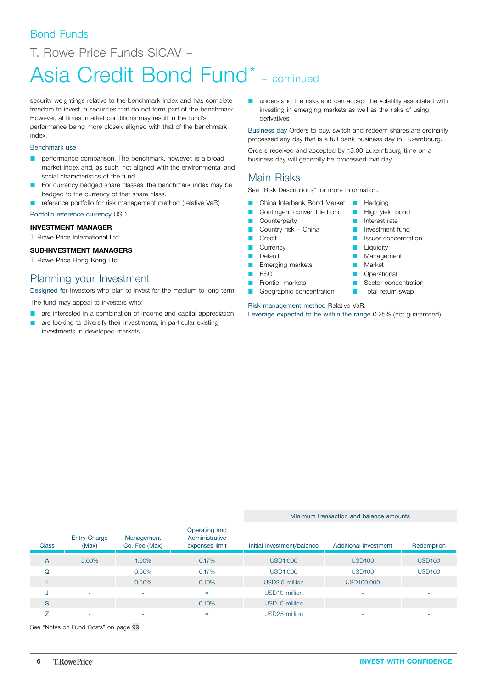# Bond Funds

T. Rowe Price Funds SICAV –

# Asia Credit Bond Fund<sup>\*</sup> - continued

security weightings relative to the benchmark index and has complete freedom to invest in securities that do not form part of the benchmark. However, at times, market conditions may result in the fund's performance being more closely aligned with that of the benchmark index.

# Benchmark use

- **Q performance comparison. The benchmark, however, is a broad** market index and, as such, not aligned with the environmental and social characteristics of the fund.
- For currency hedged share classes, the benchmark index may be hedged to the currency of that share class.
- reference portfolio for risk management method (relative VaR)

# Portfolio reference currency USD.

# **INVESTMENT MANAGER**

T. Rowe Price International Ltd

# **SUB-INVESTMENT MANAGERS**

T. Rowe Price Hong Kong Ltd

# Planning your Investment

Designed for Investors who plan to invest for the medium to long term.

The fund may appeal to investors who:

- are interested in a combination of income and capital appreciation
- are looking to diversify their investments, in particular existing investments in developed markets

**Q** understand the risks and can accept the volatility associated with investing in emerging markets as well as the risks of using derivatives

Business day Orders to buy, switch and redeem shares are ordinarily processed any day that is a full bank business day in Luxembourg.

Orders received and accepted by 13:00 Luxembourg time on a business day will generally be processed that day.

# Main Risks

See "Risk Descriptions" for more information.

- **Q China Interbank Bond Market Company** Hedging
- **Q Contingent convertible bond C** High yield bond

**Q** Interest rate **D** Investment fund **D** Issuer concentration

**Liquidity Management Market D** Operational Sector concentration **T** Total return swap

- Counterparty
- Country risk China
- **Credit**
- **Currency**
- **Default**
- **E** Emerging markets
- $E$  ESG
- **D** Frontier markets
- Geographic concentration
- Risk management method Relative VaR.

Leverage expected to be within the range 0-25% (not guaranteed).

Minimum transaction and balance amounts

| <b>Class</b> | <b>Entry Charge</b><br>(Max) | Management<br>Co. Fee (Max) | Operating and<br>Administrative<br>expenses limit | Initial investment/balance | Additional investment    | Redemption               |
|--------------|------------------------------|-----------------------------|---------------------------------------------------|----------------------------|--------------------------|--------------------------|
| A            | 5.00%                        | 1.00%                       | 0.17%                                             | <b>USD1,000</b>            | <b>USD100</b>            | <b>USD100</b>            |
| $\Omega$     | $\sim$                       | 0.50%                       | 0.17%                                             | <b>USD1,000</b>            | <b>USD100</b>            | <b>USD100</b>            |
|              | $\sim$                       | 0.50%                       | 0.10%                                             | USD2.5 million             | USD100,000               |                          |
| IJ           | $\sim$                       |                             | $=$                                               | USD <sub>10</sub> million  |                          |                          |
| <sub>S</sub> | ۰.                           | $\overline{\phantom{0}}$    | 0.10%                                             | USD <sub>10</sub> million  | $\overline{\phantom{a}}$ | $\overline{\phantom{a}}$ |
|              | -                            |                             | =                                                 | USD25 million              |                          |                          |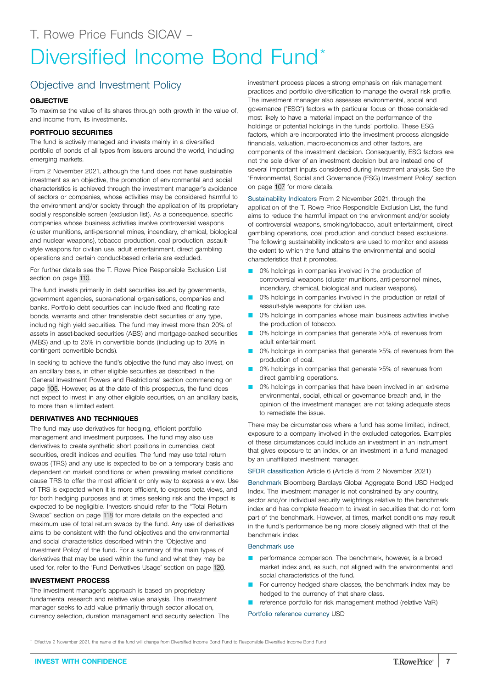# <span id="page-6-0"></span>Objective and Investment Policy

## **OBJECTIVE**

To maximise the value of its shares through both growth in the value of, and income from, its investments.

## **PORTFOLIO SECURITIES**

The fund is actively managed and invests mainly in a diversified portfolio of bonds of all types from issuers around the world, including emerging markets.

From 2 November 2021, although the fund does not have sustainable investment as an objective, the promotion of environmental and social characteristics is achieved through the investment manager's avoidance of sectors or companies, whose activities may be considered harmful to the environment and/or society through the application of its proprietary socially responsible screen (exclusion list). As a consequence, specific companies whose business activities involve controversial weapons (cluster munitions, anti-personnel mines, incendiary, chemical, biological and nuclear weapons), tobacco production, coal production, assaultstyle weapons for civilian use, adult entertainment, direct gambling operations and certain conduct-based criteria are excluded.

For further details see the T. Rowe Price Responsible Exclusion List section on page [110](#page-109-0).

The fund invests primarily in debt securities issued by governments, government agencies, supra-national organisations, companies and banks. Portfolio debt securities can include fixed and floating rate bonds, warrants and other transferable debt securities of any type, including high yield securities. The fund may invest more than 20% of assets in asset-backed securities (ABS) and mortgage-backed securities (MBS) and up to 25% in convertible bonds (including up to 20% in contingent convertible bonds).

In seeking to achieve the fund's objective the fund may also invest, on an ancillary basis, in other eligible securities as described in the 'General Investment Powers and Restrictions' section commencing on page [105.](#page-104-0) However, as at the date of this prospectus, the fund does not expect to invest in any other eligible securities, on an ancillary basis, to more than a limited extent.

## **DERIVATIVES AND TECHNIQUES**

The fund may use derivatives for hedging, efficient portfolio management and investment purposes. The fund may also use derivatives to create synthetic short positions in currencies, debt securities, credit indices and equities. The fund may use total return swaps (TRS) and any use is expected to be on a temporary basis and dependent on market conditions or when prevailing market conditions cause TRS to offer the most efficient or only way to express a view. Use of TRS is expected when it is more efficient, to express beta views, and for both hedging purposes and at times seeking risk and the impact is expected to be negligible. Investors should refer to the "Total Return Swaps" section on page [118](#page-117-0) for more details on the expected and maximum use of total return swaps by the fund. Any use of derivatives aims to be consistent with the fund objectives and the environmental and social characteristics described within the 'Objective and Investment Policy' of the fund. For a summary of the main types of derivatives that may be used within the fund and what they may be used for, refer to the 'Fund Derivatives Usage' section on page [120.](#page-119-0)

### **INVESTMENT PROCESS**

The investment manager's approach is based on proprietary fundamental research and relative value analysis. The investment manager seeks to add value primarily through sector allocation, currency selection, duration management and security selection. The

investment process places a strong emphasis on risk management practices and portfolio diversification to manage the overall risk profile. The investment manager also assesses environmental, social and governance ("ESG") factors with particular focus on those considered most likely to have a material impact on the performance of the holdings or potential holdings in the funds' portfolio. These ESG factors, which are incorporated into the investment process alongside financials, valuation, macro-economics and other factors, are components of the investment decision. Consequently, ESG factors are not the sole driver of an investment decision but are instead one of several important inputs considered during investment analysis. See the 'Environmental, Social and Governance (ESG) Investment Policy' section on page [107](#page-106-0) for more details.

Sustainability Indicators From 2 November 2021, through the application of the T. Rowe Price Responsible Exclusion List, the fund aims to reduce the harmful impact on the environment and/or society of controversial weapons, smoking/tobacco, adult entertainment, direct gambling operations, coal production and conduct based exclusions. The following sustainability indicators are used to monitor and assess the extent to which the fund attains the environmental and social characteristics that it promotes.

- 0% holdings in companies involved in the production of controversial weapons (cluster munitions, anti-personnel mines, incendiary, chemical, biological and nuclear weapons).
- 0% holdings in companies involved in the production or retail of assault-style weapons for civilian use.
- 0% holdings in companies whose main business activities involve the production of tobacco.
- 0% holdings in companies that generate >5% of revenues from adult entertainment.
- 0% holdings in companies that generate >5% of revenues from the production of coal.
- 0% holdings in companies that generate >5% of revenues from direct gambling operations.
- 0% holdings in companies that have been involved in an extreme environmental, social, ethical or governance breach and, in the opinion of the investment manager, are not taking adequate steps to remediate the issue.

There may be circumstances where a fund has some limited, indirect, exposure to a company involved in the excluded categories. Examples of these circumstances could include an investment in an instrument that gives exposure to an index, or an investment in a fund managed by an unaffiliated investment manager.

SFDR classification Article 6 (Article 8 from 2 November 2021)

Benchmark Bloomberg Barclays Global Aggregate Bond USD Hedged Index. The investment manager is not constrained by any country, sector and/or individual security weightings relative to the benchmark index and has complete freedom to invest in securities that do not form part of the benchmark. However, at times, market conditions may result in the fund's performance being more closely aligned with that of the benchmark index.

## Benchmark use

- performance comparison. The benchmark, however, is a broad market index and, as such, not aligned with the environmental and social characteristics of the fund.
- For currency hedged share classes, the benchmark index may be hedged to the currency of that share class.
- reference portfolio for risk management method (relative VaR)
- Portfolio reference currency USD

\* Effective 2 November 2021, the name of the fund will change from Diversified Income Bond Fund to Responsible Diversified Income Bond Fund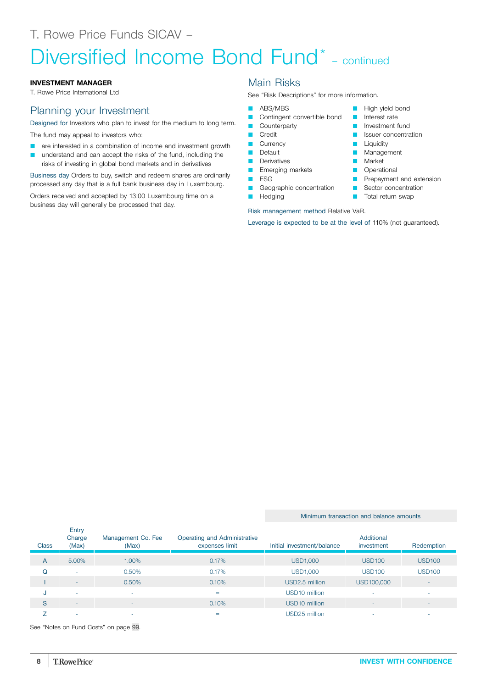# Diversified Income Bond Fund<sup>\*</sup> - continued

## **INVESTMENT MANAGER**

T. Rowe Price International Ltd

# Planning your Investment

Designed for Investors who plan to invest for the medium to long term.

The fund may appeal to investors who:

- **Q** are interested in a combination of income and investment growth
- understand and can accept the risks of the fund, including the risks of investing in global bond markets and in derivatives

Business day Orders to buy, switch and redeem shares are ordinarily processed any day that is a full bank business day in Luxembourg.

Orders received and accepted by 13:00 Luxembourg time on a business day will generally be processed that day.

# Main Risks

See "Risk Descriptions" for more information.

### **ABS/MBS**

- Contingent convertible bond
- **Counterparty**
- **Credit**
- **Currency**
- **D** Default
- **Derivatives**
- **Emerging markets**
- **D** ESG
- Geographic concentration
- **D** Hedging

Risk management method Relative VaR.

Leverage is expected to be at the level of 110% (not guaranteed).

**D** High yield bond **D** Interest rate **D** Investment fund **D** Issuer concentration

**P** Prepayment and extension **B** Sector concentration **T** Total return swap

**Liquidity Management Market D** Operational

#### Minimum transaction and balance amounts

| <b>Class</b> | Entry<br>Charge<br>(Max) | Management Co. Fee<br>(Max) | Operating and Administrative<br>expenses limit | Initial investment/balance | Additional<br>investment | Redemption               |
|--------------|--------------------------|-----------------------------|------------------------------------------------|----------------------------|--------------------------|--------------------------|
| A            | 5.00%                    | 1.00%                       | 0.17%                                          | <b>USD1,000</b>            | <b>USD100</b>            | <b>USD100</b>            |
| Q            | -                        | 0.50%                       | 0.17%                                          | USD1,000                   | <b>USD100</b>            | <b>USD100</b>            |
|              |                          | 0.50%                       | 0.10%                                          | USD2.5 million             | USD100,000               |                          |
|              |                          | -                           | $=$                                            | USD10 million              |                          |                          |
| S            | ۰                        | ۰                           | 0.10%                                          | USD <sub>10</sub> million  | ۰                        | $\overline{\phantom{a}}$ |
|              |                          |                             | $=$                                            | USD25 million              |                          |                          |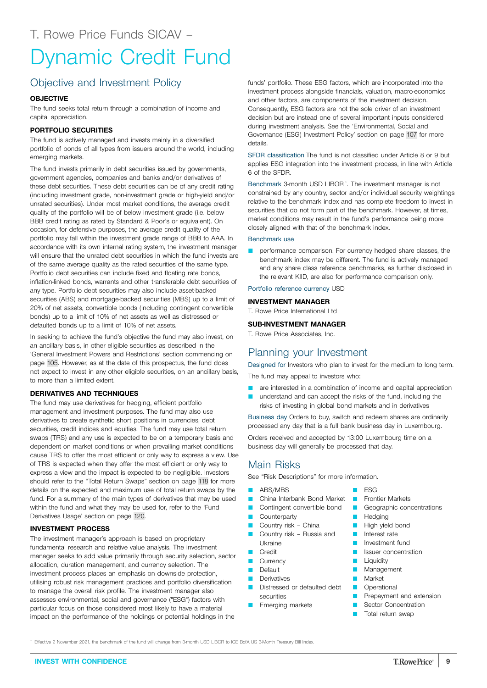# <span id="page-8-0"></span>Objective and Investment Policy

## **OBJECTIVE**

The fund seeks total return through a combination of income and capital appreciation.

## **PORTFOLIO SECURITIES**

The fund is actively managed and invests mainly in a diversified portfolio of bonds of all types from issuers around the world, including emerging markets.

The fund invests primarily in debt securities issued by governments, government agencies, companies and banks and/or derivatives of these debt securities. These debt securities can be of any credit rating (including investment grade, non-investment grade or high-yield and/or unrated securities). Under most market conditions, the average credit quality of the portfolio will be of below investment grade (i.e. below BBB credit rating as rated by Standard & Poor's or equivalent). On occasion, for defensive purposes, the average credit quality of the portfolio may fall within the investment grade range of BBB to AAA. In accordance with its own internal rating system, the investment manager will ensure that the unrated debt securities in which the fund invests are of the same average quality as the rated securities of the same type. Portfolio debt securities can include fixed and floating rate bonds, inflation-linked bonds, warrants and other transferable debt securities of any type. Portfolio debt securities may also include asset-backed securities (ABS) and mortgage-backed securities (MBS) up to a limit of 20% of net assets, convertible bonds (including contingent convertible bonds) up to a limit of 10% of net assets as well as distressed or defaulted bonds up to a limit of 10% of net assets.

In seeking to achieve the fund's objective the fund may also invest, on an ancillary basis, in other eligible securities as described in the 'General Investment Powers and Restrictions' section commencing on page [105.](#page-104-0) However, as at the date of this prospectus, the fund does not expect to invest in any other eligible securities, on an ancillary basis, to more than a limited extent.

## **DERIVATIVES AND TECHNIQUES**

The fund may use derivatives for hedging, efficient portfolio management and investment purposes. The fund may also use derivatives to create synthetic short positions in currencies, debt securities, credit indices and equities. The fund may use total return swaps (TRS) and any use is expected to be on a temporary basis and dependent on market conditions or when prevailing market conditions cause TRS to offer the most efficient or only way to express a view. Use of TRS is expected when they offer the most efficient or only way to express a view and the impact is expected to be negligible. Investors should refer to the "Total Return Swaps" section on page [118](#page-117-0) for more details on the expected and maximum use of total return swaps by the fund. For a summary of the main types of derivatives that may be used within the fund and what they may be used for, refer to the 'Fund Derivatives Usage' section on page [120.](#page-119-0)

### **INVESTMENT PROCESS**

The investment manager's approach is based on proprietary fundamental research and relative value analysis. The investment manager seeks to add value primarily through security selection, sector allocation, duration management, and currency selection. The investment process places an emphasis on downside protection, utilising robust risk management practices and portfolio diversification to manage the overall risk profile. The investment manager also assesses environmental, social and governance ("ESG") factors with particular focus on those considered most likely to have a material impact on the performance of the holdings or potential holdings in the

funds' portfolio. These ESG factors, which are incorporated into the investment process alongside financials, valuation, macro-economics and other factors, are components of the investment decision. Consequently, ESG factors are not the sole driver of an investment decision but are instead one of several important inputs considered during investment analysis. See the 'Environmental, Social and Governance (ESG) Investment Policy' section on page [107](#page-106-0) for more details.

SFDR classification The fund is not classified under Article 8 or 9 but applies ESG integration into the investment process, in line with Article 6 of the SFDR.

Benchmark 3-month USD LIBOR<sup>\*</sup>. The investment manager is not constrained by any country, sector and/or individual security weightings relative to the benchmark index and has complete freedom to invest in securities that do not form part of the benchmark. However, at times, market conditions may result in the fund's performance being more closely aligned with that of the benchmark index.

#### Benchmark use

performance comparison. For currency hedged share classes, the benchmark index may be different. The fund is actively managed and any share class reference benchmarks, as further disclosed in the relevant KIID, are also for performance comparison only.

#### Portfolio reference currency USD

#### **INVESTMENT MANAGER**

T. Rowe Price International Ltd

#### **SUB-INVESTMENT MANAGER**

T. Rowe Price Associates, Inc.

# Planning your Investment

Designed for Investors who plan to invest for the medium to long term.

The fund may appeal to investors who:

- **Q** are interested in a combination of income and capital appreciation
- **Q** understand and can accept the risks of the fund, including the risks of investing in global bond markets and in derivatives

Business day Orders to buy, switch and redeem shares are ordinarily processed any day that is a full bank business day in Luxembourg.

Orders received and accepted by 13:00 Luxembourg time on a business day will generally be processed that day.

# Main Risks

See "Risk Descriptions" for more information.

- **ABS/MBS**
- China Interbank Bond Market
- **Contingent convertible bond**
- **Counterparty**
- Q Country risk China
- Country risk Russia and Ukraine
- Credit
- **Q** Currency
- **Default**
- Derivatives
- Distressed or defaulted debt securities
- **E** Emerging markets
- Q ESG
- **D** Frontier Markets
- **C** Geographic concentrations
- **Hedging**
- **D** High yield bond
- **D** Interest rate
- **D** Investment fund
- **D** Issuer concentration
- **D** Liquidity
- **Management**
- **Narket**
- **D** Operational
- **P** Prepayment and extension
- Sector Concentration
- **T** Total return swap

Effective 2 November 2021, the benchmark of the fund will change from 3-month USD LIBOR to ICE BofA US 3-Month Treasury Bill Index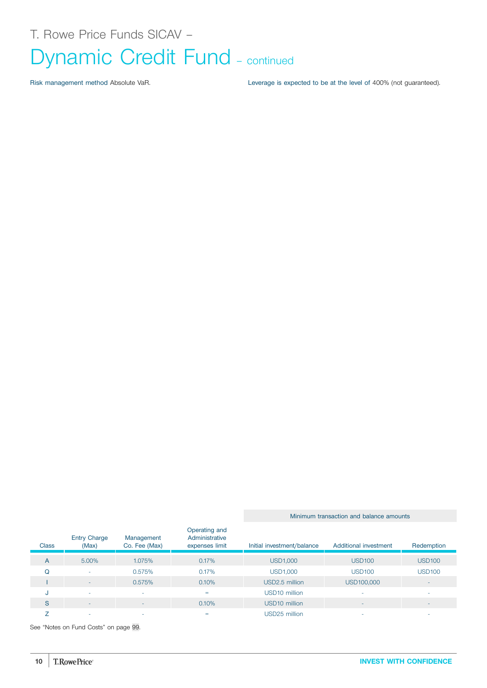Risk management method Absolute VaR. Leverage is expected to be at the level of 400% (not guaranteed).

Minimum transaction and balance amounts

| <b>Class</b> | <b>Entry Charge</b><br>(Max) | Management<br>Co. Fee (Max) | Operating and<br>Administrative<br>expenses limit | Initial investment/balance | Additional investment | Redemption               |
|--------------|------------------------------|-----------------------------|---------------------------------------------------|----------------------------|-----------------------|--------------------------|
| A            | 5.00%                        | 1.075%                      | 0.17%                                             | <b>USD1,000</b>            | <b>USD100</b>         | <b>USD100</b>            |
| Q            | ۰                            | 0.575%                      | 0.17%                                             | <b>USD1,000</b>            | <b>USD100</b>         | <b>USD100</b>            |
|              | $\sim$                       | 0.575%                      | 0.10%                                             | USD2.5 million             | USD100,000            | $\overline{\phantom{a}}$ |
| J            | ۰                            |                             | $=$                                               | USD <sub>10</sub> million  | ۰                     |                          |
| S            | $\overline{\phantom{a}}$     |                             | 0.10%                                             | USD <sub>10</sub> million  |                       |                          |
|              | -                            | <b>.</b>                    | $=$                                               | USD25 million              |                       |                          |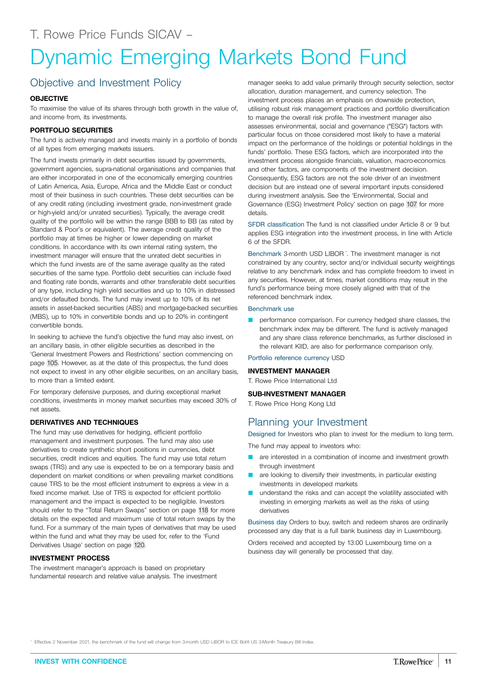# <span id="page-10-0"></span>Dynamic Emerging Markets Bond Fund

# Objective and Investment Policy

## **OBJECTIVE**

To maximise the value of its shares through both growth in the value of, and income from, its investments.

## **PORTFOLIO SECURITIES**

The fund is actively managed and invests mainly in a portfolio of bonds of all types from emerging markets issuers.

The fund invests primarily in debt securities issued by governments, government agencies, supra-national organisations and companies that are either incorporated in one of the economically emerging countries of Latin America, Asia, Europe, Africa and the Middle East or conduct most of their business in such countries. These debt securities can be of any credit rating (including investment grade, non-investment grade or high-yield and/or unrated securities). Typically, the average credit quality of the portfolio will be within the range BBB to BB (as rated by Standard & Poor's or equivalent). The average credit quality of the portfolio may at times be higher or lower depending on market conditions. In accordance with its own internal rating system, the investment manager will ensure that the unrated debt securities in which the fund invests are of the same average quality as the rated securities of the same type. Portfolio debt securities can include fixed and floating rate bonds, warrants and other transferable debt securities of any type, including high yield securities and up to 10% in distressed and/or defaulted bonds. The fund may invest up to 10% of its net assets in asset-backed securities (ABS) and mortgage-backed securities (MBS), up to 10% in convertible bonds and up to 20% in contingent convertible bonds.

In seeking to achieve the fund's objective the fund may also invest, on an ancillary basis, in other eligible securities as described in the 'General Investment Powers and Restrictions' section commencing on page [105.](#page-104-0) However, as at the date of this prospectus, the fund does not expect to invest in any other eligible securities, on an ancillary basis, to more than a limited extent.

For temporary defensive purposes, and during exceptional market conditions, investments in money market securities may exceed 30% of net assets.

## **DERIVATIVES AND TECHNIQUES**

The fund may use derivatives for hedging, efficient portfolio management and investment purposes. The fund may also use derivatives to create synthetic short positions in currencies, debt securities, credit indices and equities. The fund may use total return swaps (TRS) and any use is expected to be on a temporary basis and dependent on market conditions or when prevailing market conditions cause TRS to be the most efficient instrument to express a view in a fixed income market. Use of TRS is expected for efficient portfolio management and the impact is expected to be negligible. Investors should refer to the "Total Return Swaps" section on page [118](#page-117-0) for more details on the expected and maximum use of total return swaps by the fund. For a summary of the main types of derivatives that may be used within the fund and what they may be used for, refer to the 'Fund Derivatives Usage' section on page [120.](#page-119-0)

# **INVESTMENT PROCESS**

The investment manager's approach is based on proprietary fundamental research and relative value analysis. The investment

manager seeks to add value primarily through security selection, sector allocation, duration management, and currency selection. The investment process places an emphasis on downside protection, utilising robust risk management practices and portfolio diversification to manage the overall risk profile. The investment manager also assesses environmental, social and governance ("ESG") factors with particular focus on those considered most likely to have a material impact on the performance of the holdings or potential holdings in the funds' portfolio. These ESG factors, which are incorporated into the investment process alongside financials, valuation, macro-economics and other factors, are components of the investment decision. Consequently, ESG factors are not the sole driver of an investment decision but are instead one of several important inputs considered during investment analysis. See the 'Environmental, Social and Governance (ESG) Investment Policy' section on page [107](#page-106-0) for more details.

SFDR classification The fund is not classified under Article 8 or 9 but applies ESG integration into the investment process, in line with Article 6 of the SFDR.

Benchmark 3-month USD LIBOR<sup>\*</sup>. The investment manager is not constrained by any country, sector and/or individual security weightings relative to any benchmark index and has complete freedom to invest in any securities. However, at times, market conditions may result in the fund's performance being more closely aligned with that of the referenced benchmark index.

#### Benchmark use

performance comparison. For currency hedged share classes, the benchmark index may be different. The fund is actively managed and any share class reference benchmarks, as further disclosed in the relevant KIID, are also for performance comparison only.

Portfolio reference currency USD

### **INVESTMENT MANAGER**

T. Rowe Price International Ltd

### **SUB-INVESTMENT MANAGER**

T. Rowe Price Hong Kong Ltd

# Planning your Investment

Designed for Investors who plan to invest for the medium to long term. The fund may appeal to investors who:

- are interested in a combination of income and investment growth through investment
- **Q** are looking to diversify their investments, in particular existing investments in developed markets
- understand the risks and can accept the volatility associated with investing in emerging markets as well as the risks of using derivatives

Business day Orders to buy, switch and redeem shares are ordinarily processed any day that is a full bank business day in Luxembourg.

Orders received and accepted by 13:00 Luxembourg time on a business day will generally be processed that day.

Effective 2 November 2021, the benchmark of the fund will change from 3-month USD LIBOR to ICE BofA US 3-Month Treasury Bill Index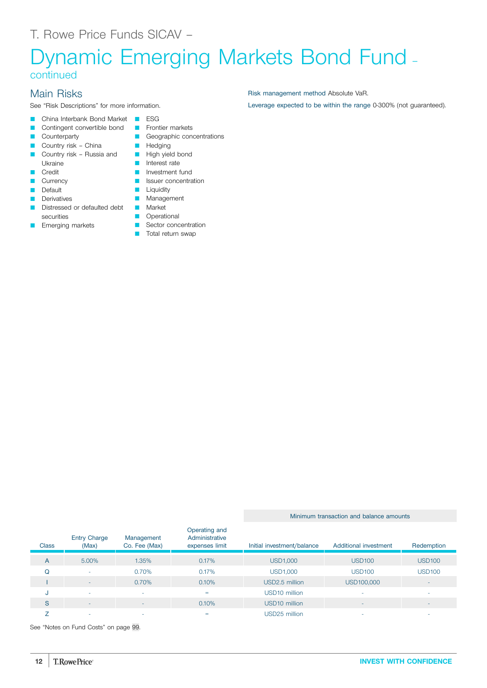# Dynamic Emerging Markets Bond Fund – continued

# Main Risks

**Counterparty** 

See "Risk Descriptions" for more information.

- **Q China Interbank Bond Market COLLA ESG**
- **Q Contingent convertible bond C** Frontier markets
	- **Q** Geographic concentrations
- Country risk China
- **Q Country risk Russia and Country risk Russia and Country risk Russia and Company** Ukraine
- Credit
- **Currency**
- **D** Default
- Derivatives
- **Q Distressed or defaulted debt Q** Market securities
- Emerging markets
- 
- **D** Hedging
	-
- **D** Interest rate
	- **D** Investment fund
	- **Q** Issuer concentration
	- **Liquidity**
	- **Management** 
		-
- **D** Operational Sector concentration
- **T** Total return swap

Minimum transaction and balance amounts

| <b>Class</b> | <b>Entry Charge</b><br>(Max) | Management<br>Co. Fee (Max) | Operating and<br>Administrative<br>expenses limit | Initial investment/balance | Additional investment | Redemption    |
|--------------|------------------------------|-----------------------------|---------------------------------------------------|----------------------------|-----------------------|---------------|
| A            | 5.00%                        | 1.35%                       | 0.17%                                             | USD1,000                   | <b>USD100</b>         | <b>USD100</b> |
| Q            | $\overline{\phantom{a}}$     | 0.70%                       | 0.17%                                             | <b>USD1,000</b>            | <b>USD100</b>         | <b>USD100</b> |
|              | -                            | 0.70%                       | 0.10%                                             | USD2.5 million             | USD100,000            |               |
| J            |                              | ۰                           | $=$                                               | USD <sub>10</sub> million  |                       |               |
| S            | -                            | $\overline{\phantom{a}}$    | 0.10%                                             | USD <sub>10</sub> million  | ٠                     |               |
|              | ۰                            | -                           | $=$                                               | USD25 million              |                       |               |

See "Notes on Fund Costs" on page [99](#page-98-0).

Risk management method Absolute VaR.

Leverage expected to be within the range 0-300% (not guaranteed).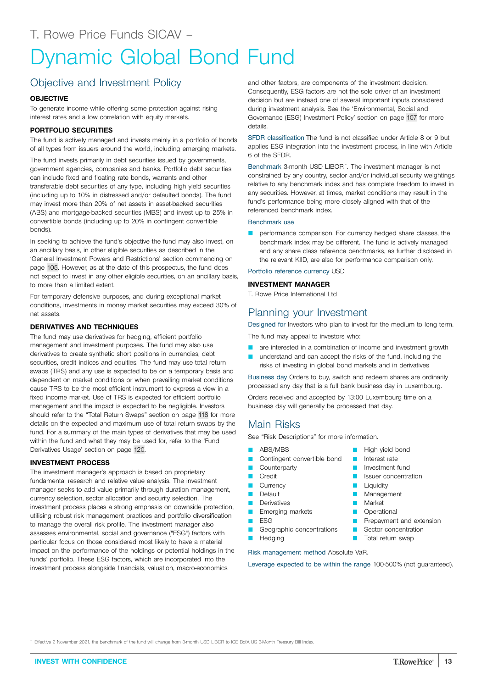# <span id="page-12-0"></span>Dynamic Global Bond Fund

# Objective and Investment Policy

# **OBJECTIVE**

To generate income while offering some protection against rising interest rates and a low correlation with equity markets.

# **PORTFOLIO SECURITIES**

The fund is actively managed and invests mainly in a portfolio of bonds of all types from issuers around the world, including emerging markets.

The fund invests primarily in debt securities issued by governments, government agencies, companies and banks. Portfolio debt securities can include fixed and floating rate bonds, warrants and other transferable debt securities of any type, including high yield securities (including up to 10% in distressed and/or defaulted bonds). The fund may invest more than 20% of net assets in asset-backed securities (ABS) and mortgage-backed securities (MBS) and invest up to 25% in convertible bonds (including up to 20% in contingent convertible bonds).

In seeking to achieve the fund's objective the fund may also invest, on an ancillary basis, in other eligible securities as described in the 'General Investment Powers and Restrictions' section commencing on page [105.](#page-104-0) However, as at the date of this prospectus, the fund does not expect to invest in any other eligible securities, on an ancillary basis, to more than a limited extent.

For temporary defensive purposes, and during exceptional market conditions, investments in money market securities may exceed 30% of net assets.

# **DERIVATIVES AND TECHNIQUES**

The fund may use derivatives for hedging, efficient portfolio management and investment purposes. The fund may also use derivatives to create synthetic short positions in currencies, debt securities, credit indices and equities. The fund may use total return swaps (TRS) and any use is expected to be on a temporary basis and dependent on market conditions or when prevailing market conditions cause TRS to be the most efficient instrument to express a view in a fixed income market. Use of TRS is expected for efficient portfolio management and the impact is expected to be negligible. Investors should refer to the "Total Return Swaps" section on page [118](#page-117-0) for more details on the expected and maximum use of total return swaps by the fund. For a summary of the main types of derivatives that may be used within the fund and what they may be used for, refer to the 'Fund Derivatives Usage' section on page [120.](#page-119-0)

# **INVESTMENT PROCESS**

The investment manager's approach is based on proprietary fundamental research and relative value analysis. The investment manager seeks to add value primarily through duration management, currency selection, sector allocation and security selection. The investment process places a strong emphasis on downside protection, utilising robust risk management practices and portfolio diversification to manage the overall risk profile. The investment manager also assesses environmental, social and governance ("ESG") factors with particular focus on those considered most likely to have a material impact on the performance of the holdings or potential holdings in the funds' portfolio. These ESG factors, which are incorporated into the investment process alongside financials, valuation, macro-economics

and other factors, are components of the investment decision. Consequently, ESG factors are not the sole driver of an investment decision but are instead one of several important inputs considered during investment analysis. See the 'Environmental, Social and Governance (ESG) Investment Policy' section on page [107](#page-106-0) for more details.

SFDR classification The fund is not classified under Article 8 or 9 but applies ESG integration into the investment process, in line with Article 6 of the SFDR.

Benchmark 3-month USD LIBOR<sup>\*</sup>. The investment manager is not constrained by any country, sector and/or individual security weightings relative to any benchmark index and has complete freedom to invest in any securities. However, at times, market conditions may result in the fund's performance being more closely aligned with that of the referenced benchmark index.

### Benchmark use

performance comparison. For currency hedged share classes, the benchmark index may be different. The fund is actively managed and any share class reference benchmarks, as further disclosed in the relevant KIID, are also for performance comparison only.

Portfolio reference currency USD

# **INVESTMENT MANAGER**

T. Rowe Price International Ltd

# Planning your Investment

Designed for Investors who plan to invest for the medium to long term.

The fund may appeal to investors who:

- **Q** are interested in a combination of income and investment growth
- understand and can accept the risks of the fund, including the risks of investing in global bond markets and in derivatives

Business day Orders to buy, switch and redeem shares are ordinarily processed any day that is a full bank business day in Luxembourg.

> **No. High yield bond D** Interest rate Investment fund Issuer concentration

**Prepayment and extension B** Sector concentration **T** Total return swap

**Liquidity Management Market Operational** 

Orders received and accepted by 13:00 Luxembourg time on a business day will generally be processed that day.

# Main Risks

See "Risk Descriptions" for more information.

- ABS/MBS
- Contingent convertible bond
	- **Counterparty**
- **D** Credit
- **Currency**
- **Default**
- **Derivatives**
- **E** Emerging markets
- **D** ESG
- Geographic concentrations
- **D** Hedging

Risk management method Absolute VaR.

Leverage expected to be within the range 100-500% (not guaranteed).

Effective 2 November 2021, the benchmark of the fund will change from 3-month USD LIBOR to ICE BofA US 3-Month Treasury Bill Index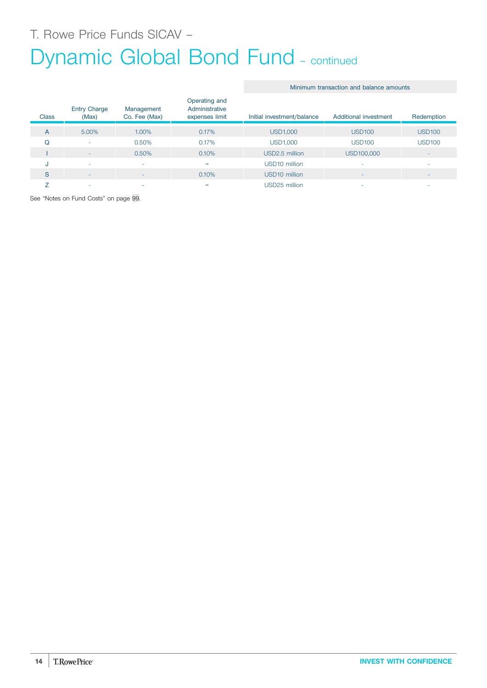# Dynamic Global Bond Fund - continued

Minimum transaction and balance amounts

| <b>Class</b> | <b>Entry Charge</b><br>(Max) | Management<br>Co. Fee (Max) | Operating and<br>Administrative<br>expenses limit | Initial investment/balance | Additional investment | Redemption    |
|--------------|------------------------------|-----------------------------|---------------------------------------------------|----------------------------|-----------------------|---------------|
| A            | 5.00%                        | 1.00%                       | 0.17%                                             | <b>USD1,000</b>            | <b>USD100</b>         | <b>USD100</b> |
| Q            | ٠                            | 0.50%                       | 0.17%                                             | <b>USD1,000</b>            | <b>USD100</b>         | <b>USD100</b> |
|              | ۰                            | 0.50%                       | 0.10%                                             | USD2.5 million             | USD100,000            | ۰             |
| u            | ۰                            | <b>.</b>                    | $=$                                               | USD <sub>10</sub> million  |                       | ۰             |
| S            | ۰                            | $\overline{\phantom{0}}$    | 0.10%                                             | USD <sub>10</sub> million  |                       | ۰             |
|              | -                            |                             | =                                                 | USD25 million              |                       | -             |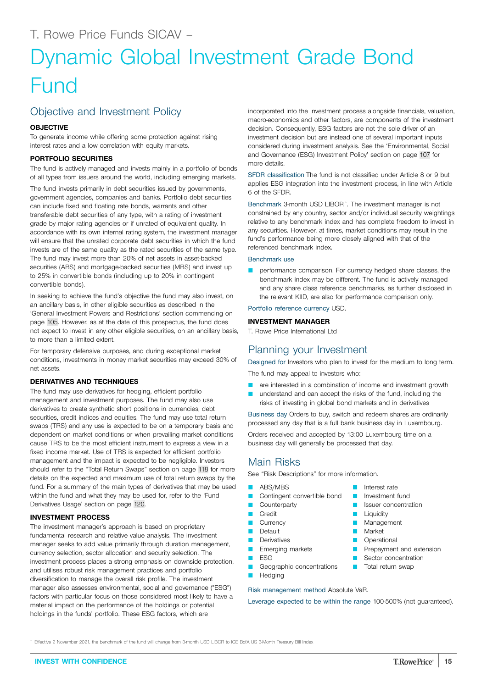# <span id="page-14-0"></span>Dynamic Global Investment Grade Bond Fund

# Objective and Investment Policy

# **OBJECTIVE**

To generate income while offering some protection against rising interest rates and a low correlation with equity markets.

# **PORTFOLIO SECURITIES**

The fund is actively managed and invests mainly in a portfolio of bonds of all types from issuers around the world, including emerging markets.

The fund invests primarily in debt securities issued by governments, government agencies, companies and banks. Portfolio debt securities can include fixed and floating rate bonds, warrants and other transferable debt securities of any type, with a rating of investment grade by major rating agencies or if unrated of equivalent quality. In accordance with its own internal rating system, the investment manager will ensure that the unrated corporate debt securities in which the fund invests are of the same quality as the rated securities of the same type. The fund may invest more than 20% of net assets in asset-backed securities (ABS) and mortgage-backed securities (MBS) and invest up to 25% in convertible bonds (including up to 20% in contingent convertible bonds).

In seeking to achieve the fund's objective the fund may also invest, on an ancillary basis, in other eligible securities as described in the 'General Investment Powers and Restrictions' section commencing on page [105.](#page-104-0) However, as at the date of this prospectus, the fund does not expect to invest in any other eligible securities, on an ancillary basis, to more than a limited extent.

For temporary defensive purposes, and during exceptional market conditions, investments in money market securities may exceed 30% of net assets.

# **DERIVATIVES AND TECHNIQUES**

The fund may use derivatives for hedging, efficient portfolio management and investment purposes. The fund may also use derivatives to create synthetic short positions in currencies, debt securities, credit indices and equities. The fund may use total return swaps (TRS) and any use is expected to be on a temporary basis and dependent on market conditions or when prevailing market conditions cause TRS to be the most efficient instrument to express a view in a fixed income market. Use of TRS is expected for efficient portfolio management and the impact is expected to be negligible. Investors should refer to the "Total Return Swaps" section on page [118](#page-117-0) for more details on the expected and maximum use of total return swaps by the fund. For a summary of the main types of derivatives that may be used within the fund and what they may be used for, refer to the 'Fund Derivatives Usage' section on page [120.](#page-119-0)

# **INVESTMENT PROCESS**

The investment manager's approach is based on proprietary fundamental research and relative value analysis. The investment manager seeks to add value primarily through duration management, currency selection, sector allocation and security selection. The investment process places a strong emphasis on downside protection, and utilises robust risk management practices and portfolio diversification to manage the overall risk profile. The investment manager also assesses environmental, social and governance ("ESG") factors with particular focus on those considered most likely to have a material impact on the performance of the holdings or potential holdings in the funds' portfolio. These ESG factors, which are

incorporated into the investment process alongside financials, valuation, macro-economics and other factors, are components of the investment decision. Consequently, ESG factors are not the sole driver of an investment decision but are instead one of several important inputs considered during investment analysis. See the 'Environmental, Social and Governance (ESG) Investment Policy' section on page [107](#page-106-0) for more details.

SFDR classification The fund is not classified under Article 8 or 9 but applies ESG integration into the investment process, in line with Article 6 of the SFDR.

Benchmark 3-month USD LIBOR<sup>\*</sup>. The investment manager is not constrained by any country, sector and/or individual security weightings relative to any benchmark index and has complete freedom to invest in any securities. However, at times, market conditions may result in the fund's performance being more closely aligned with that of the referenced benchmark index.

## Benchmark use

**Q** performance comparison. For currency hedged share classes, the benchmark index may be different. The fund is actively managed and any share class reference benchmarks, as further disclosed in the relevant KIID, are also for performance comparison only.

Portfolio reference currency USD.

# **INVESTMENT MANAGER**

T. Rowe Price International Ltd

# Planning your Investment

Designed for Investors who plan to invest for the medium to long term. The fund may appeal to investors who:

- are interested in a combination of income and investment growth
- understand and can accept the risks of the fund, including the risks of investing in global bond markets and in derivatives

Business day Orders to buy, switch and redeem shares are ordinarily processed any day that is a full bank business day in Luxembourg.

> **D** Interest rate **D** Investment fund **D** Issuer concentration Liquidity **Nanagement** Market **D** Operational

**P** Prepayment and extension **C** Sector concentration **T** Total return swap

Orders received and accepted by 13:00 Luxembourg time on a business day will generally be processed that day.

# Main Risks

See "Risk Descriptions" for more information.

- **ABS/MBS**
- Contingent convertible bond
- Counterparty
- **Credit**
- **Currency**
- **Default**
- **Derivatives**
- **E** Emerging markets  $ESG$
- Geographic concentrations
- Hedging

Risk management method Absolute VaR.

Leverage expected to be within the range 100-500% (not guaranteed).

Effective 2 November 2021, the benchmark of the fund will change from 3-month USD LIBOR to ICE BofA US 3-Month Treasury Bill Index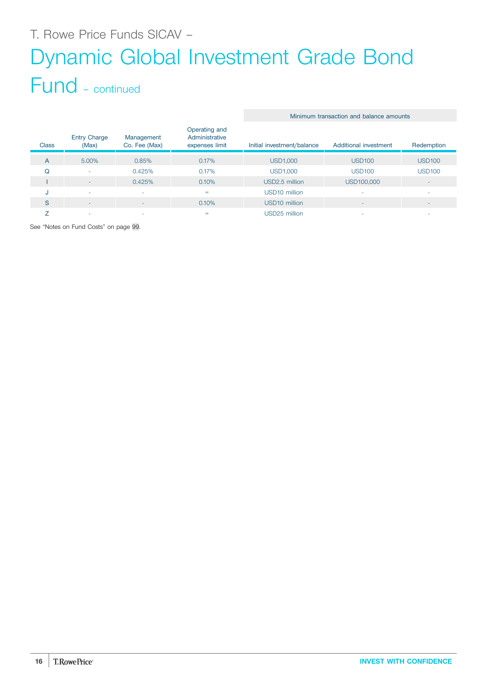# T. Rowe Price Funds SICAV – Dynamic Global Investment Grade Bond

# Fund – continued

|              |                              |                             |                                                   | <u>Millillulli ualisacuoli aliu balalice allioulits</u> |                          |                          |
|--------------|------------------------------|-----------------------------|---------------------------------------------------|---------------------------------------------------------|--------------------------|--------------------------|
| <b>Class</b> | <b>Entry Charge</b><br>(Max) | Management<br>Co. Fee (Max) | Operating and<br>Administrative<br>expenses limit | Initial investment/balance                              | Additional investment    | Redemption               |
| A            | 5.00%                        | 0.85%                       | 0.17%                                             | USD1,000                                                | <b>USD100</b>            | <b>USD100</b>            |
| Q            | ۰                            | 0.425%                      | 0.17%                                             | <b>USD1,000</b>                                         | <b>USD100</b>            | <b>USD100</b>            |
|              | -                            | 0.425%                      | 0.10%                                             | USD2.5 million                                          | USD100,000               | $\sim$                   |
| u            | ٠                            | ۰                           | $=$                                               | USD <sub>10</sub> million                               |                          | $\sim$                   |
| S            | ۰                            | ۰                           | 0.10%                                             | USD <sub>10</sub> million                               | $\overline{\phantom{a}}$ | $\overline{\phantom{a}}$ |
|              | ۰                            |                             | $=$                                               | USD25 million                                           |                          | ۰                        |

Minimum transaction and balance amounts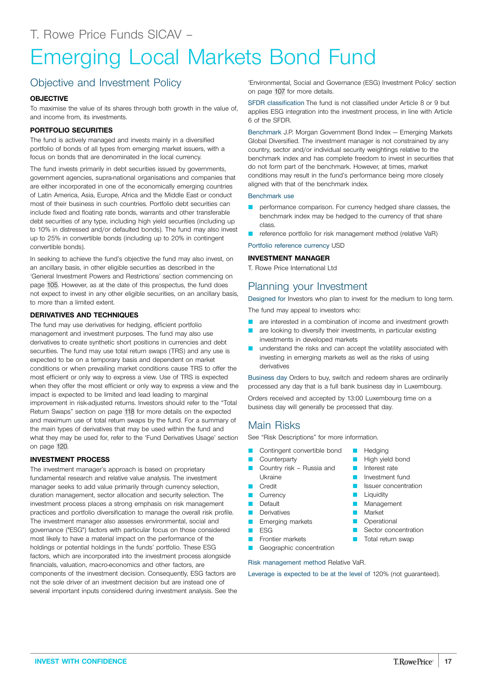# <span id="page-16-0"></span>Emerging Local Markets Bond Fund

# Objective and Investment Policy

## **OBJECTIVE**

To maximise the value of its shares through both growth in the value of, and income from, its investments.

## **PORTFOLIO SECURITIES**

The fund is actively managed and invests mainly in a diversified portfolio of bonds of all types from emerging market issuers, with a focus on bonds that are denominated in the local currency.

The fund invests primarily in debt securities issued by governments, government agencies, supra-national organisations and companies that are either incorporated in one of the economically emerging countries of Latin America, Asia, Europe, Africa and the Middle East or conduct most of their business in such countries. Portfolio debt securities can include fixed and floating rate bonds, warrants and other transferable debt securities of any type, including high yield securities (including up to 10% in distressed and/or defaulted bonds). The fund may also invest up to 25% in convertible bonds (including up to 20% in contingent convertible bonds).

In seeking to achieve the fund's objective the fund may also invest, on an ancillary basis, in other eligible securities as described in the 'General Investment Powers and Restrictions' section commencing on page [105.](#page-104-0) However, as at the date of this prospectus, the fund does not expect to invest in any other eligible securities, on an ancillary basis, to more than a limited extent.

## **DERIVATIVES AND TECHNIQUES**

The fund may use derivatives for hedging, efficient portfolio management and investment purposes. The fund may also use derivatives to create synthetic short positions in currencies and debt securities. The fund may use total return swaps (TRS) and any use is expected to be on a temporary basis and dependent on market conditions or when prevailing market conditions cause TRS to offer the most efficient or only way to express a view. Use of TRS is expected when they offer the most efficient or only way to express a view and the impact is expected to be limited and lead leading to marginal improvement in risk-adjusted returns. Investors should refer to the "Total Return Swaps" section on page [118](#page-117-0) for more details on the expected and maximum use of total return swaps by the fund. For a summary of the main types of derivatives that may be used within the fund and what they may be used for, refer to the 'Fund Derivatives Usage' section on page [120](#page-119-0).

## **INVESTMENT PROCESS**

The investment manager's approach is based on proprietary fundamental research and relative value analysis. The investment manager seeks to add value primarily through currency selection, duration management, sector allocation and security selection. The investment process places a strong emphasis on risk management practices and portfolio diversification to manage the overall risk profile. The investment manager also assesses environmental, social and governance ("ESG") factors with particular focus on those considered most likely to have a material impact on the performance of the holdings or potential holdings in the funds' portfolio. These ESG factors, which are incorporated into the investment process alongside financials, valuation, macro-economics and other factors, are components of the investment decision. Consequently, ESG factors are not the sole driver of an investment decision but are instead one of several important inputs considered during investment analysis. See the 'Environmental, Social and Governance (ESG) Investment Policy' section on page [107](#page-106-0) for more details.

SFDR classification The fund is not classified under Article 8 or 9 but applies ESG integration into the investment process, in line with Article 6 of the SFDR.

Benchmark J.P. Morgan Government Bond Index — Emerging Markets Global Diversified. The investment manager is not constrained by any country, sector and/or individual security weightings relative to the benchmark index and has complete freedom to invest in securities that do not form part of the benchmark. However, at times, market conditions may result in the fund's performance being more closely aligned with that of the benchmark index.

### Benchmark use

- performance comparison. For currency hedged share classes, the benchmark index may be hedged to the currency of that share class.
- reference portfolio for risk management method (relative VaR)

Portfolio reference currency USD

### **INVESTMENT MANAGER**

T. Rowe Price International Ltd

# Planning your Investment

Designed for Investors who plan to invest for the medium to long term.

The fund may appeal to investors who:

- are interested in a combination of income and investment growth
- are looking to diversify their investments, in particular existing investments in developed markets
- understand the risks and can accept the volatility associated with investing in emerging markets as well as the risks of using derivatives

Business day Orders to buy, switch and redeem shares are ordinarily processed any day that is a full bank business day in Luxembourg.

> **D** Hedging **High yield bond D** Interest rate Investment fund Issuer concentration

Liquidity **Management Market D** Operational

**B** Sector concentration Total return swap

Orders received and accepted by 13:00 Luxembourg time on a business day will generally be processed that day.

# Main Risks

See "Risk Descriptions" for more information.

- Contingent convertible bond
- **Counterparty**
- Country risk Russia and Ukraine
- **D** Credit
- **Currency**
- **D** Default
- **Derivatives**
- **E** Emerging markets
- $E$  ESG
- **D** Frontier markets

Geographic concentration Risk management method Relative VaR.

Leverage is expected to be at the level of 120% (not guaranteed).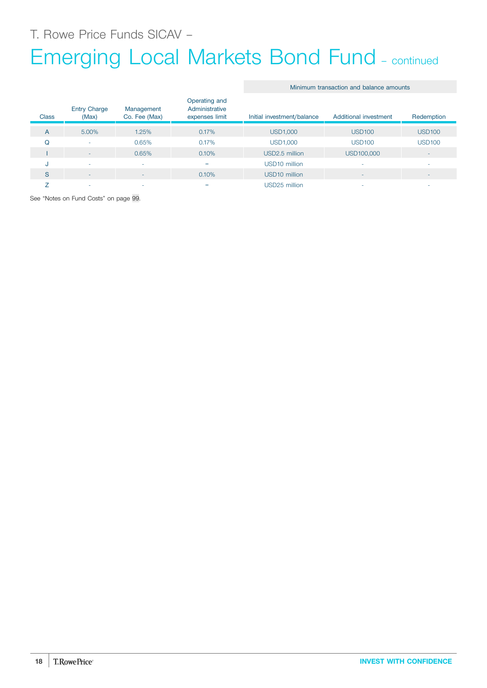# Emerging Local Markets Bond Fund – continued

|  |  | Minimum transaction and balance amounts |  |  |  |
|--|--|-----------------------------------------|--|--|--|
|--|--|-----------------------------------------|--|--|--|

| <b>Class</b> | <b>Entry Charge</b><br>(Max) | Management<br>Co. Fee (Max) | Operating and<br>Administrative<br>expenses limit | Initial investment/balance | Additional investment | Redemption               |
|--------------|------------------------------|-----------------------------|---------------------------------------------------|----------------------------|-----------------------|--------------------------|
| A            | 5.00%                        | 1.25%                       | 0.17%                                             | <b>USD1,000</b>            | <b>USD100</b>         | <b>USD100</b>            |
| Q            | ۰                            | 0.65%                       | 0.17%                                             | <b>USD1,000</b>            | <b>USD100</b>         | <b>USD100</b>            |
|              | $-$                          | 0.65%                       | 0.10%                                             | USD2.5 million             | USD100,000            | $\overline{\phantom{a}}$ |
| u            | ٠                            | $\sim$                      | $=$                                               | USD <sub>10</sub> million  |                       | ۰                        |
| S            | ٠                            | $\overline{\phantom{a}}$    | 0.10%                                             | USD <sub>10</sub> million  | -                     | $\overline{\phantom{a}}$ |
|              | ۰                            | ۰.                          | $=$                                               | USD25 million              |                       | -                        |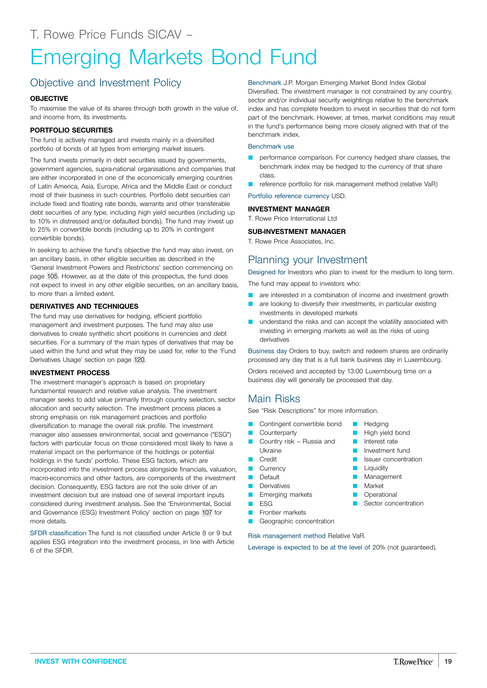# <span id="page-18-0"></span>Emerging Markets Bond Fund

# Objective and Investment Policy

## **OBJECTIVE**

To maximise the value of its shares through both growth in the value of, and income from, its investments.

## **PORTFOLIO SECURITIES**

The fund is actively managed and invests mainly in a diversified portfolio of bonds of all types from emerging market issuers.

The fund invests primarily in debt securities issued by governments, government agencies, supra-national organisations and companies that are either incorporated in one of the economically emerging countries of Latin America, Asia, Europe, Africa and the Middle East or conduct most of their business in such countries. Portfolio debt securities can include fixed and floating rate bonds, warrants and other transferable debt securities of any type, including high yield securities (including up to 10% in distressed and/or defaulted bonds). The fund may invest up to 25% in convertible bonds (including up to 20% in contingent convertible bonds).

In seeking to achieve the fund's objective the fund may also invest, on an ancillary basis, in other eligible securities as described in the 'General Investment Powers and Restrictions' section commencing on page [105.](#page-104-0) However, as at the date of this prospectus, the fund does not expect to invest in any other eligible securities, on an ancillary basis, to more than a limited extent.

## **DERIVATIVES AND TECHNIQUES**

The fund may use derivatives for hedging, efficient portfolio management and investment purposes. The fund may also use derivatives to create synthetic short positions in currencies and debt securities. For a summary of the main types of derivatives that may be used within the fund and what they may be used for, refer to the 'Fund Derivatives Usage' section on page [120.](#page-119-0)

### **INVESTMENT PROCESS**

The investment manager's approach is based on proprietary fundamental research and relative value analysis. The investment manager seeks to add value primarily through country selection, sector allocation and security selection. The investment process places a strong emphasis on risk management practices and portfolio diversification to manage the overall risk profile. The investment manager also assesses environmental, social and governance ("ESG") factors with particular focus on those considered most likely to have a material impact on the performance of the holdings or potential holdings in the funds' portfolio. These ESG factors, which are incorporated into the investment process alongside financials, valuation, macro-economics and other factors, are components of the investment decision. Consequently, ESG factors are not the sole driver of an investment decision but are instead one of several important inputs considered during investment analysis. See the 'Environmental, Social and Governance (ESG) Investment Policy' section on page [107](#page-106-0) for more details.

SFDR classification The fund is not classified under Article 8 or 9 but applies ESG integration into the investment process, in line with Article 6 of the SFDR.

Benchmark J.P. Morgan Emerging Market Bond Index Global Diversified. The investment manager is not constrained by any country, sector and/or individual security weightings relative to the benchmark index and has complete freedom to invest in securities that do not form part of the benchmark. However, at times, market conditions may result in the fund's performance being more closely aligned with that of the benchmark index.

## Benchmark use

- performance comparison. For currency hedged share classes, the benchmark index may be hedged to the currency of that share class.
- reference portfolio for risk management method (relative VaR)

Portfolio reference currency USD.

### **INVESTMENT MANAGER**

T. Rowe Price International Ltd

### **SUB-INVESTMENT MANAGER**

T. Rowe Price Associates, Inc.

# Planning your Investment

Designed for Investors who plan to invest for the medium to long term.

The fund may appeal to investors who:

- **Q** are interested in a combination of income and investment growth
- are looking to diversify their investments, in particular existing investments in developed markets
- **Q** understand the risks and can accept the volatility associated with investing in emerging markets as well as the risks of using derivatives

Business day Orders to buy, switch and redeem shares are ordinarily processed any day that is a full bank business day in Luxembourg.

Orders received and accepted by 13:00 Luxembourg time on a business day will generally be processed that day.

# Main Risks

See "Risk Descriptions" for more information.

- Contingent convertible bond
- **Counterparty**
- Country risk Russia and Ukraine
- **D** Credit
- **Currency**
- Default
- **Derivatives**
- **D** Emerging markets
- $ESG$
- **Exercise** markets
- Geographic concentration

Risk management method Relative VaR.

Leverage is expected to be at the level of 20% (not guaranteed).

- **D** Hedging
- **High yield bond D** Interest rate
- **D** Investment fund
	- Issuer concentration
- Liquidity
- **Management**
- **Narket**
- **Operational**
- **B** Sector concentration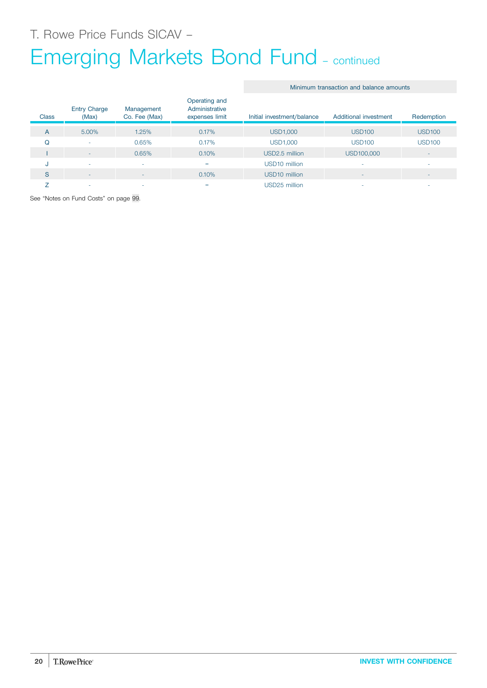# Emerging Markets Bond Fund – continued

## Minimum transaction and balance amounts

| <b>Class</b> | <b>Entry Charge</b><br>(Max) | Management<br>Co. Fee (Max) | Operating and<br>Administrative<br>expenses limit | Initial investment/balance | Additional investment | Redemption               |
|--------------|------------------------------|-----------------------------|---------------------------------------------------|----------------------------|-----------------------|--------------------------|
| A            | 5.00%                        | 1.25%                       | 0.17%                                             | <b>USD1,000</b>            | <b>USD100</b>         | <b>USD100</b>            |
| Q            | ٠                            | 0.65%                       | 0.17%                                             | <b>USD1,000</b>            | <b>USD100</b>         | <b>USD100</b>            |
|              | $\overline{\phantom{a}}$     | 0.65%                       | 0.10%                                             | USD2.5 million             | USD100,000            | $\overline{\phantom{a}}$ |
| u            | ۰                            |                             | $=$                                               | USD <sub>10</sub> million  |                       | ۰                        |
| S            | ٠                            | <b>.</b>                    | 0.10%                                             | USD <sub>10</sub> million  |                       | $\overline{\phantom{a}}$ |
|              | ۰                            |                             | $=$                                               | USD25 million              |                       | -                        |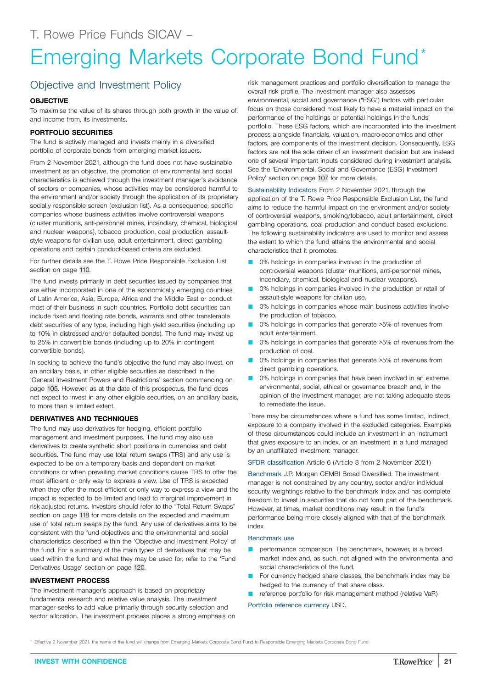# <span id="page-20-0"></span>Emerging Markets Corporate Bond Fund\*

# Objective and Investment Policy

## **OBJECTIVE**

To maximise the value of its shares through both growth in the value of, and income from, its investments.

## **PORTFOLIO SECURITIES**

The fund is actively managed and invests mainly in a diversified portfolio of corporate bonds from emerging market issuers.

From 2 November 2021, although the fund does not have sustainable investment as an objective, the promotion of environmental and social characteristics is achieved through the investment manager's avoidance of sectors or companies, whose activities may be considered harmful to the environment and/or society through the application of its proprietary socially responsible screen (exclusion list). As a consequence, specific companies whose business activities involve controversial weapons (cluster munitions, anti-personnel mines, incendiary, chemical, biological and nuclear weapons), tobacco production, coal production, assaultstyle weapons for civilian use, adult entertainment, direct gambling operations and certain conduct-based criteria are excluded.

For further details see the T. Rowe Price Responsible Exclusion List section on page [110](#page-109-0).

The fund invests primarily in debt securities issued by companies that are either incorporated in one of the economically emerging countries of Latin America, Asia, Europe, Africa and the Middle East or conduct most of their business in such countries. Portfolio debt securities can include fixed and floating rate bonds, warrants and other transferable debt securities of any type, including high yield securities (including up to 10% in distressed and/or defaulted bonds). The fund may invest up to 25% in convertible bonds (including up to 20% in contingent convertible bonds).

In seeking to achieve the fund's objective the fund may also invest, on an ancillary basis, in other eligible securities as described in the 'General Investment Powers and Restrictions' section commencing on page [105.](#page-104-0) However, as at the date of this prospectus, the fund does not expect to invest in any other eligible securities, on an ancillary basis, to more than a limited extent.

## **DERIVATIVES AND TECHNIQUES**

The fund may use derivatives for hedging, efficient portfolio management and investment purposes. The fund may also use derivatives to create synthetic short positions in currencies and debt securities. The fund may use total return swaps (TRS) and any use is expected to be on a temporary basis and dependent on market conditions or when prevailing market conditions cause TRS to offer the most efficient or only way to express a view. Use of TRS is expected when they offer the most efficient or only way to express a view and the impact is expected to be limited and lead to marginal improvement in risk-adjusted returns. Investors should refer to the "Total Return Swaps" section on page [118](#page-117-0) for more details on the expected and maximum use of total return swaps by the fund. Any use of derivatives aims to be consistent with the fund objectives and the environmental and social characteristics described within the 'Objective and Investment Policy' of the fund. For a summary of the main types of derivatives that may be used within the fund and what they may be used for, refer to the 'Fund Derivatives Usage' section on page [120.](#page-119-0)

## **INVESTMENT PROCESS**

The investment manager's approach is based on proprietary fundamental research and relative value analysis. The investment manager seeks to add value primarily through security selection and sector allocation. The investment process places a strong emphasis on

risk management practices and portfolio diversification to manage the overall risk profile. The investment manager also assesses environmental, social and governance ("ESG") factors with particular focus on those considered most likely to have a material impact on the performance of the holdings or potential holdings in the funds' portfolio. These ESG factors, which are incorporated into the investment process alongside financials, valuation, macro-economics and other factors, are components of the investment decision. Consequently, ESG factors are not the sole driver of an investment decision but are instead one of several important inputs considered during investment analysis. See the 'Environmental, Social and Governance (ESG) Investment Policy' section on page [107](#page-106-0) for more details.

Sustainability Indicators From 2 November 2021, through the application of the T. Rowe Price Responsible Exclusion List, the fund aims to reduce the harmful impact on the environment and/or society of controversial weapons, smoking/tobacco, adult entertainment, direct gambling operations, coal production and conduct based exclusions. The following sustainability indicators are used to monitor and assess the extent to which the fund attains the environmental and social characteristics that it promotes.

- 0% holdings in companies involved in the production of controversial weapons (cluster munitions, anti-personnel mines, incendiary, chemical, biological and nuclear weapons).
- 0% holdings in companies involved in the production or retail of assault-style weapons for civilian use.
- 0% holdings in companies whose main business activities involve the production of tobacco.
- 0% holdings in companies that generate >5% of revenues from adult entertainment.
- 0% holdings in companies that generate >5% of revenues from the production of coal.
- 0% holdings in companies that generate >5% of revenues from direct gambling operations.
- 0% holdings in companies that have been involved in an extreme environmental, social, ethical or governance breach and, in the opinion of the investment manager, are not taking adequate steps to remediate the issue.

There may be circumstances where a fund has some limited, indirect, exposure to a company involved in the excluded categories. Examples of these circumstances could include an investment in an instrument that gives exposure to an index, or an investment in a fund managed by an unaffiliated investment manager.

SFDR classification Article 6 (Article 8 from 2 November 2021)

Benchmark J.P. Morgan CEMBI Broad Diversified. The investment manager is not constrained by any country, sector and/or individual security weightings relative to the benchmark index and has complete freedom to invest in securities that do not form part of the benchmark. However, at times, market conditions may result in the fund's performance being more closely aligned with that of the benchmark index.

#### Benchmark use

- performance comparison. The benchmark, however, is a broad market index and, as such, not aligned with the environmental and social characteristics of the fund.
- For currency hedged share classes, the benchmark index may be hedged to the currency of that share class.
- reference portfolio for risk management method (relative VaR)

#### Portfolio reference currency USD.

Effective 2 November 2021, the name of the fund will change from Emerging Markets Corporate Bond Fund to Responsible Emerging Markets Corporate Bond Fund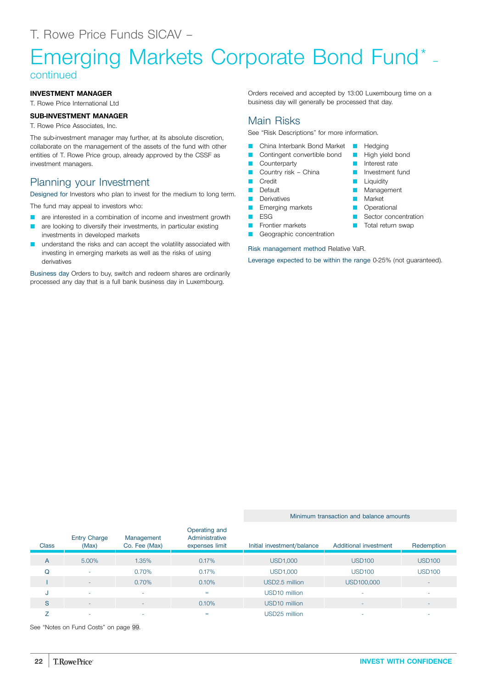# Emerging Markets Corporate Bond Fund\* – continued

## **INVESTMENT MANAGER**

T. Rowe Price International Ltd

## **SUB-INVESTMENT MANAGER**

T. Rowe Price Associates, Inc.

The sub-investment manager may further, at its absolute discretion, collaborate on the management of the assets of the fund with other entities of T. Rowe Price group, already approved by the CSSF as investment managers.

# Planning your Investment

Designed for Investors who plan to invest for the medium to long term.

The fund may appeal to investors who:

- are interested in a combination of income and investment growth
- are looking to diversify their investments, in particular existing investments in developed markets
- understand the risks and can accept the volatility associated with investing in emerging markets as well as the risks of using derivatives

Business day Orders to buy, switch and redeem shares are ordinarily processed any day that is a full bank business day in Luxembourg.

Orders received and accepted by 13:00 Luxembourg time on a business day will generally be processed that day.

> **D** Hedging **High yield bond D** Interest rate **D** Investment fund **Liquidity Management Market D** Operational **B** Sector concentration Total return swap

# Main Risks

See "Risk Descriptions" for more information.

- Q China Interbank Bond Market
- Contingent convertible bond
- **Counterparty**
- Country risk China
- **Credit**
- **D** Default
- **Derivatives**
- **E** Emerging markets
- $ESG$
- **D** Frontier markets
- Geographic concentration
- Risk management method Relative VaR.

Leverage expected to be within the range 0-25% (not guaranteed).

#### **Class** Entry Charge (Max) Management Co. Fee (Max) Operating and Administrative expenses limit Initial investment/balance Additional investment Redemption A 5.00% 1.35% 0.17% USD1,000 USD100 USD100 Q - 0.70% 0.17% USD1,000 USD100 USD100 I - 0.70% 0.10% USD2.5 million USD100,000 - J - - = USD10 million - - S - - 0.10% USD10 million - -  $Z$  , and the set of the set of the set of the set of the set of the set of the set of the set of the set of the set of the set of the set of the set of the set of the set of the set of the set of the set of the set of th

See "Notes on Fund Costs" on page [99](#page-98-0).

Minimum transaction and balance amounts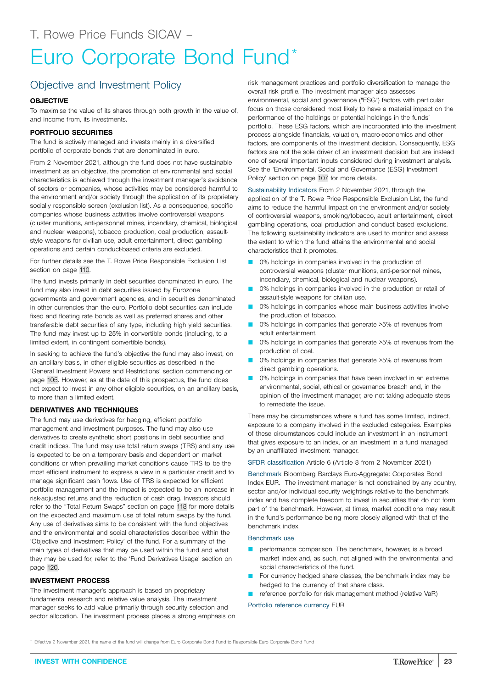# <span id="page-22-0"></span>Euro Corporate Bond Fund\*

# Objective and Investment Policy

## **OBJECTIVE**

To maximise the value of its shares through both growth in the value of, and income from, its investments.

## **PORTFOLIO SECURITIES**

The fund is actively managed and invests mainly in a diversified portfolio of corporate bonds that are denominated in euro.

From 2 November 2021, although the fund does not have sustainable investment as an objective, the promotion of environmental and social characteristics is achieved through the investment manager's avoidance of sectors or companies, whose activities may be considered harmful to the environment and/or society through the application of its proprietary socially responsible screen (exclusion list). As a consequence, specific companies whose business activities involve controversial weapons (cluster munitions, anti-personnel mines, incendiary, chemical, biological and nuclear weapons), tobacco production, coal production, assaultstyle weapons for civilian use, adult entertainment, direct gambling operations and certain conduct-based criteria are excluded.

For further details see the T. Rowe Price Responsible Exclusion List section on page [110](#page-109-0).

The fund invests primarily in debt securities denominated in euro. The fund may also invest in debt securities issued by Eurozone governments and government agencies, and in securities denominated in other currencies than the euro. Portfolio debt securities can include fixed and floating rate bonds as well as preferred shares and other transferable debt securities of any type, including high yield securities. The fund may invest up to 25% in convertible bonds (including, to a limited extent, in contingent convertible bonds).

In seeking to achieve the fund's objective the fund may also invest, on an ancillary basis, in other eligible securities as described in the 'General Investment Powers and Restrictions' section commencing on page [105.](#page-104-0) However, as at the date of this prospectus, the fund does not expect to invest in any other eligible securities, on an ancillary basis, to more than a limited extent.

## **DERIVATIVES AND TECHNIQUES**

The fund may use derivatives for hedging, efficient portfolio management and investment purposes. The fund may also use derivatives to create synthetic short positions in debt securities and credit indices. The fund may use total return swaps (TRS) and any use is expected to be on a temporary basis and dependent on market conditions or when prevailing market conditions cause TRS to be the most efficient instrument to express a view in a particular credit and to manage significant cash flows. Use of TRS is expected for efficient portfolio management and the impact is expected to be an increase in risk-adjusted returns and the reduction of cash drag. Investors should refer to the "Total Return Swaps" section on page [118](#page-117-0) for more details on the expected and maximum use of total return swaps by the fund. Any use of derivatives aims to be consistent with the fund objectives and the environmental and social characteristics described within the 'Objective and Investment Policy' of the fund. For a summary of the main types of derivatives that may be used within the fund and what they may be used for, refer to the 'Fund Derivatives Usage' section on page [120](#page-119-0).

### **INVESTMENT PROCESS**

The investment manager's approach is based on proprietary fundamental research and relative value analysis. The investment manager seeks to add value primarily through security selection and sector allocation. The investment process places a strong emphasis on

risk management practices and portfolio diversification to manage the overall risk profile. The investment manager also assesses environmental, social and governance ("ESG") factors with particular focus on those considered most likely to have a material impact on the performance of the holdings or potential holdings in the funds' portfolio. These ESG factors, which are incorporated into the investment process alongside financials, valuation, macro-economics and other factors, are components of the investment decision. Consequently, ESG factors are not the sole driver of an investment decision but are instead one of several important inputs considered during investment analysis. See the 'Environmental, Social and Governance (ESG) Investment Policy' section on page [107](#page-106-0) for more details.

Sustainability Indicators From 2 November 2021, through the application of the T. Rowe Price Responsible Exclusion List, the fund aims to reduce the harmful impact on the environment and/or society of controversial weapons, smoking/tobacco, adult entertainment, direct gambling operations, coal production and conduct based exclusions. The following sustainability indicators are used to monitor and assess the extent to which the fund attains the environmental and social characteristics that it promotes.

- 0% holdings in companies involved in the production of controversial weapons (cluster munitions, anti-personnel mines, incendiary, chemical, biological and nuclear weapons).
- 0% holdings in companies involved in the production or retail of assault-style weapons for civilian use.
- 0% holdings in companies whose main business activities involve the production of tobacco.
- 0% holdings in companies that generate >5% of revenues from adult entertainment.
- 0% holdings in companies that generate >5% of revenues from the production of coal.
- 0% holdings in companies that generate >5% of revenues from direct gambling operations.
- 0% holdings in companies that have been involved in an extreme environmental, social, ethical or governance breach and, in the opinion of the investment manager, are not taking adequate steps to remediate the issue.

There may be circumstances where a fund has some limited, indirect, exposure to a company involved in the excluded categories. Examples of these circumstances could include an investment in an instrument that gives exposure to an index, or an investment in a fund managed by an unaffiliated investment manager.

SFDR classification Article 6 (Article 8 from 2 November 2021)

Benchmark Bloomberg Barclays Euro-Aggregate: Corporates Bond Index EUR. The investment manager is not constrained by any country, sector and/or individual security weightings relative to the benchmark index and has complete freedom to invest in securities that do not form part of the benchmark. However, at times, market conditions may result in the fund's performance being more closely aligned with that of the benchmark index.

#### Benchmark use

- performance comparison. The benchmark, however, is a broad market index and, as such, not aligned with the environmental and social characteristics of the fund.
- For currency hedged share classes, the benchmark index may be hedged to the currency of that share class.
- reference portfolio for risk management method (relative VaR)

#### Portfolio reference currency EUR

\* Effective 2 November 2021, the name of the fund will change from Euro Corporate Bond Fund to Responsible Euro Corporate Bond Fund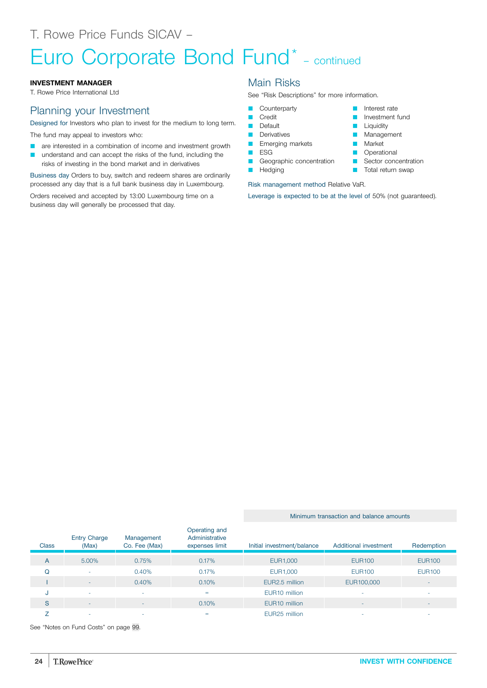# Euro Corporate Bond Fund\* – continued

## **INVESTMENT MANAGER**

T. Rowe Price International Ltd

# Planning your Investment

Designed for Investors who plan to invest for the medium to long term.

The fund may appeal to investors who:

- **Q** are interested in a combination of income and investment growth
- understand and can accept the risks of the fund, including the risks of investing in the bond market and in derivatives

Business day Orders to buy, switch and redeem shares are ordinarily processed any day that is a full bank business day in Luxembourg.

Orders received and accepted by 13:00 Luxembourg time on a business day will generally be processed that day.

# Main Risks

See "Risk Descriptions" for more information.

- **Counterparty**
- **Credit**
- **D** Default
- **Derivatives**
- **Emerging markets**
- **D** ESG
- Geographic concentration
- **N** Hedging

#### $\blacksquare$  Liquidity **Management**

**Market** 

**Q** Interest rate **D** Investment fund

- **D** Operational
- **B** Sector concentration
- **T** Total return swap

## Risk management method Relative VaR.

Leverage is expected to be at the level of 50% (not guaranteed).

Minimum transaction and balance amounts

| <b>Class</b> | <b>Entry Charge</b><br>(Max) | Management<br>Co. Fee (Max) | Operating and<br>Administrative<br>expenses limit | Initial investment/balance | Additional investment    | Redemption    |
|--------------|------------------------------|-----------------------------|---------------------------------------------------|----------------------------|--------------------------|---------------|
| A            | 5.00%                        | 0.75%                       | 0.17%                                             | EUR1,000                   | <b>EUR100</b>            | <b>EUR100</b> |
| Q            | $\overline{\phantom{a}}$     | 0.40%                       | 0.17%                                             | EUR1,000                   | <b>EUR100</b>            | <b>EUR100</b> |
|              | $\overline{\phantom{a}}$     | 0.40%                       | 0.10%                                             | EUR2.5 million             | EUR100,000               |               |
| -U           | ۰                            |                             | =                                                 | EUR <sub>10</sub> million  | ۰                        |               |
| S            | $\overline{\phantom{a}}$     |                             | 0.10%                                             | EUR <sub>10</sub> million  | $\overline{\phantom{a}}$ |               |
|              | ۰                            |                             | =                                                 | EUR <sub>25</sub> million  |                          |               |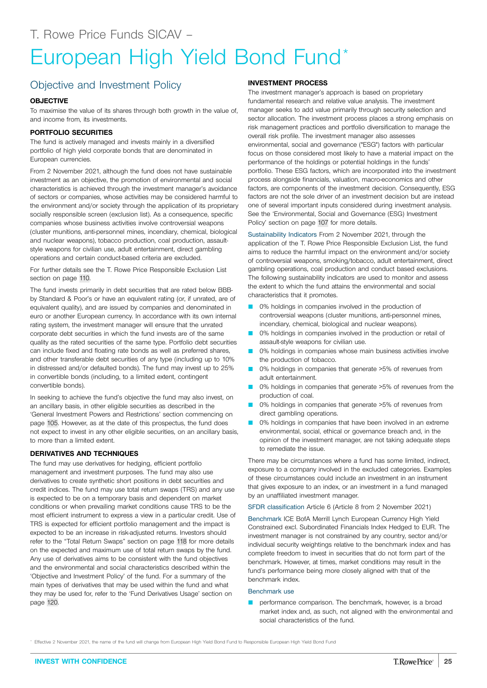# <span id="page-24-0"></span>Objective and Investment Policy

## **OBJECTIVE**

To maximise the value of its shares through both growth in the value of, and income from, its investments.

## **PORTFOLIO SECURITIES**

The fund is actively managed and invests mainly in a diversified portfolio of high yield corporate bonds that are denominated in European currencies.

From 2 November 2021, although the fund does not have sustainable investment as an objective, the promotion of environmental and social characteristics is achieved through the investment manager's avoidance of sectors or companies, whose activities may be considered harmful to the environment and/or society through the application of its proprietary socially responsible screen (exclusion list). As a consequence, specific companies whose business activities involve controversial weapons (cluster munitions, anti-personnel mines, incendiary, chemical, biological and nuclear weapons), tobacco production, coal production, assaultstyle weapons for civilian use, adult entertainment, direct gambling operations and certain conduct-based criteria are excluded.

For further details see the T. Rowe Price Responsible Exclusion List section on page [110](#page-109-0).

The fund invests primarily in debt securities that are rated below BBBby Standard & Poor's or have an equivalent rating (or, if unrated, are of equivalent quality), and are issued by companies and denominated in euro or another European currency. In accordance with its own internal rating system, the investment manager will ensure that the unrated corporate debt securities in which the fund invests are of the same quality as the rated securities of the same type. Portfolio debt securities can include fixed and floating rate bonds as well as preferred shares, and other transferable debt securities of any type (including up to 10% in distressed and/or defaulted bonds). The fund may invest up to 25% in convertible bonds (including, to a limited extent, contingent convertible bonds).

In seeking to achieve the fund's objective the fund may also invest, on an ancillary basis, in other eligible securities as described in the 'General Investment Powers and Restrictions' section commencing on page [105.](#page-104-0) However, as at the date of this prospectus, the fund does not expect to invest in any other eligible securities, on an ancillary basis, to more than a limited extent.

## **DERIVATIVES AND TECHNIQUES**

The fund may use derivatives for hedging, efficient portfolio management and investment purposes. The fund may also use derivatives to create synthetic short positions in debt securities and credit indices. The fund may use total return swaps (TRS) and any use is expected to be on a temporary basis and dependent on market conditions or when prevailing market conditions cause TRS to be the most efficient instrument to express a view in a particular credit. Use of TRS is expected for efficient portfolio management and the impact is expected to be an increase in risk-adjusted returns. Investors should refer to the "Total Return Swaps" section on page [118](#page-117-0) for more details on the expected and maximum use of total return swaps by the fund. Any use of derivatives aims to be consistent with the fund objectives and the environmental and social characteristics described within the 'Objective and Investment Policy' of the fund. For a summary of the main types of derivatives that may be used within the fund and what they may be used for, refer to the 'Fund Derivatives Usage' section on page [120](#page-119-0).

## **INVESTMENT PROCESS**

The investment manager's approach is based on proprietary fundamental research and relative value analysis. The investment manager seeks to add value primarily through security selection and sector allocation. The investment process places a strong emphasis on risk management practices and portfolio diversification to manage the overall risk profile. The investment manager also assesses environmental, social and governance ("ESG") factors with particular focus on those considered most likely to have a material impact on the performance of the holdings or potential holdings in the funds' portfolio. These ESG factors, which are incorporated into the investment process alongside financials, valuation, macro-economics and other factors, are components of the investment decision. Consequently, ESG factors are not the sole driver of an investment decision but are instead one of several important inputs considered during investment analysis. See the 'Environmental, Social and Governance (ESG) Investment Policy' section on page [107](#page-106-0) for more details.

Sustainability Indicators From 2 November 2021, through the application of the T. Rowe Price Responsible Exclusion List, the fund aims to reduce the harmful impact on the environment and/or society of controversial weapons, smoking/tobacco, adult entertainment, direct gambling operations, coal production and conduct based exclusions. The following sustainability indicators are used to monitor and assess the extent to which the fund attains the environmental and social characteristics that it promotes.

- 0% holdings in companies involved in the production of controversial weapons (cluster munitions, anti-personnel mines, incendiary, chemical, biological and nuclear weapons).
- 0% holdings in companies involved in the production or retail of assault-style weapons for civilian use.
- 0% holdings in companies whose main business activities involve the production of tobacco.
- 0% holdings in companies that generate >5% of revenues from adult entertainment.
- 0% holdings in companies that generate >5% of revenues from the production of coal.
- 0% holdings in companies that generate >5% of revenues from direct gambling operations.
- **O** 0% holdings in companies that have been involved in an extreme environmental, social, ethical or governance breach and, in the opinion of the investment manager, are not taking adequate steps to remediate the issue.

There may be circumstances where a fund has some limited, indirect, exposure to a company involved in the excluded categories. Examples of these circumstances could include an investment in an instrument that gives exposure to an index, or an investment in a fund managed by an unaffiliated investment manager.

SFDR classification Article 6 (Article 8 from 2 November 2021)

Benchmark ICE BofA Merrill Lynch European Currency High Yield Constrained excl. Subordinated Financials Index Hedged to EUR. The investment manager is not constrained by any country, sector and/or individual security weightings relative to the benchmark index and has complete freedom to invest in securities that do not form part of the benchmark. However, at times, market conditions may result in the fund's performance being more closely aligned with that of the benchmark index.

#### Benchmark use

**P** performance comparison. The benchmark, however, is a broad market index and, as such, not aligned with the environmental and social characteristics of the fund.

Effective 2 November 2021, the name of the fund will change from European High Yield Bond Fund to Responsible European High Yield Bond Fund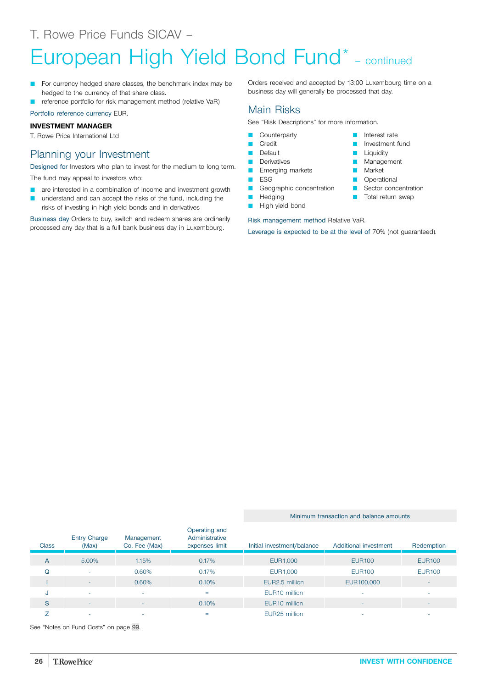# European High Yield Bond Fund\* – continued

- For currency hedged share classes, the benchmark index may be hedged to the currency of that share class.
- reference portfolio for risk management method (relative VaR)

Portfolio reference currency EUR.

#### **INVESTMENT MANAGER**

T. Rowe Price International Ltd

# Planning your Investment

Designed for Investors who plan to invest for the medium to long term. The fund may appeal to investors who:

- **Q** are interested in a combination of income and investment growth
- understand and can accept the risks of the fund, including the risks of investing in high yield bonds and in derivatives

Business day Orders to buy, switch and redeem shares are ordinarily processed any day that is a full bank business day in Luxembourg.

Orders received and accepted by 13:00 Luxembourg time on a business day will generally be processed that day.

> **D** Interest rate **D** Investment fund **D** Liquidity **D** Management **Market D** Operational **B** Sector concentration **T** Total return swap

# Main Risks

See "Risk Descriptions" for more information.

- **Counterparty**
- **Credit**
- **Default**
- **Derivatives E** Emerging markets
- **D** ESG
- Geographic concentration
- **N** Hedging
- **High yield bond**

Risk management method Relative VaR.

Leverage is expected to be at the level of 70% (not guaranteed).

#### Minimum transaction and balance amounts

| <b>Class</b> | <b>Entry Charge</b><br>(Max) | Management<br>Co. Fee (Max) | Operating and<br>Administrative<br>expenses limit | Initial investment/balance | Additional investment    | Redemption    |
|--------------|------------------------------|-----------------------------|---------------------------------------------------|----------------------------|--------------------------|---------------|
| A            | 5.00%                        | 1.15%                       | 0.17%                                             | EUR1,000                   | <b>EUR100</b>            | <b>EUR100</b> |
| Q            | ۰                            | 0.60%                       | 0.17%                                             | EUR1,000                   | <b>EUR100</b>            | <b>EUR100</b> |
|              | ۰                            | 0.60%                       | 0.10%                                             | EUR2.5 million             | EUR100,000               | $-$           |
| J            | ۰                            | $\overline{\phantom{a}}$    | $=$                                               | EUR <sub>10</sub> million  |                          | ۰             |
| S            | ۰                            | $\overline{\phantom{0}}$    | 0.10%                                             | EUR <sub>10</sub> million  | $\overline{\phantom{a}}$ |               |
|              | -                            | <b>.</b>                    | $=$                                               | EUR <sub>25</sub> million  |                          |               |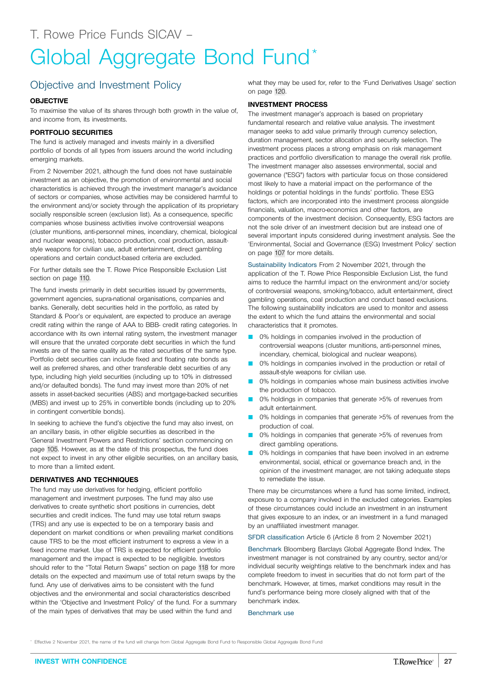# <span id="page-26-0"></span>Objective and Investment Policy

### **OBJECTIVE**

To maximise the value of its shares through both growth in the value of, and income from, its investments.

## **PORTFOLIO SECURITIES**

The fund is actively managed and invests mainly in a diversified portfolio of bonds of all types from issuers around the world including emerging markets.

From 2 November 2021, although the fund does not have sustainable investment as an objective, the promotion of environmental and social characteristics is achieved through the investment manager's avoidance of sectors or companies, whose activities may be considered harmful to the environment and/or society through the application of its proprietary socially responsible screen (exclusion list). As a consequence, specific companies whose business activities involve controversial weapons (cluster munitions, anti-personnel mines, incendiary, chemical, biological and nuclear weapons), tobacco production, coal production, assaultstyle weapons for civilian use, adult entertainment, direct gambling operations and certain conduct-based criteria are excluded.

For further details see the T. Rowe Price Responsible Exclusion List section on page [110](#page-109-0).

The fund invests primarily in debt securities issued by governments, government agencies, supra-national organisations, companies and banks. Generally, debt securities held in the portfolio, as rated by Standard & Poor's or equivalent, are expected to produce an average credit rating within the range of AAA to BBB- credit rating categories. In accordance with its own internal rating system, the investment manager will ensure that the unrated corporate debt securities in which the fund invests are of the same quality as the rated securities of the same type. Portfolio debt securities can include fixed and floating rate bonds as well as preferred shares, and other transferable debt securities of any type, including high yield securities (including up to 10% in distressed and/or defaulted bonds). The fund may invest more than 20% of net assets in asset-backed securities (ABS) and mortgage-backed securities (MBS) and invest up to 25% in convertible bonds (including up to 20% in contingent convertible bonds).

In seeking to achieve the fund's objective the fund may also invest, on an ancillary basis, in other eligible securities as described in the 'General Investment Powers and Restrictions' section commencing on page [105.](#page-104-0) However, as at the date of this prospectus, the fund does not expect to invest in any other eligible securities, on an ancillary basis, to more than a limited extent.

### **DERIVATIVES AND TECHNIQUES**

The fund may use derivatives for hedging, efficient portfolio management and investment purposes. The fund may also use derivatives to create synthetic short positions in currencies, debt securities and credit indices. The fund may use total return swaps (TRS) and any use is expected to be on a temporary basis and dependent on market conditions or when prevailing market conditions cause TRS to be the most efficient instrument to express a view in a fixed income market. Use of TRS is expected for efficient portfolio management and the impact is expected to be negligible. Investors should refer to the "Total Return Swaps" section on page [118](#page-117-0) for more details on the expected and maximum use of total return swaps by the fund. Any use of derivatives aims to be consistent with the fund objectives and the environmental and social characteristics described within the 'Objective and Investment Policy' of the fund. For a summary of the main types of derivatives that may be used within the fund and

what they may be used for, refer to the 'Fund Derivatives Usage' section on page [120.](#page-119-0)

### **INVESTMENT PROCESS**

The investment manager's approach is based on proprietary fundamental research and relative value analysis. The investment manager seeks to add value primarily through currency selection, duration management, sector allocation and security selection. The investment process places a strong emphasis on risk management practices and portfolio diversification to manage the overall risk profile. The investment manager also assesses environmental, social and governance ("ESG") factors with particular focus on those considered most likely to have a material impact on the performance of the holdings or potential holdings in the funds' portfolio. These ESG factors, which are incorporated into the investment process alongside financials, valuation, macro-economics and other factors, are components of the investment decision. Consequently, ESG factors are not the sole driver of an investment decision but are instead one of several important inputs considered during investment analysis. See the 'Environmental, Social and Governance (ESG) Investment Policy' section on page [107](#page-106-0) for more details.

Sustainability Indicators From 2 November 2021, through the application of the T. Rowe Price Responsible Exclusion List, the fund aims to reduce the harmful impact on the environment and/or society of controversial weapons, smoking/tobacco, adult entertainment, direct gambling operations, coal production and conduct based exclusions. The following sustainability indicators are used to monitor and assess the extent to which the fund attains the environmental and social characteristics that it promotes.

- 0% holdings in companies involved in the production of controversial weapons (cluster munitions, anti-personnel mines, incendiary, chemical, biological and nuclear weapons).
- 0% holdings in companies involved in the production or retail of assault-style weapons for civilian use.
- 0% holdings in companies whose main business activities involve the production of tobacco.
- 0% holdings in companies that generate >5% of revenues from adult entertainment.
- 0% holdings in companies that generate >5% of revenues from the production of coal.
- 0% holdings in companies that generate >5% of revenues from direct gambling operations.
- 0% holdings in companies that have been involved in an extreme environmental, social, ethical or governance breach and, in the opinion of the investment manager, are not taking adequate steps to remediate the issue.

There may be circumstances where a fund has some limited, indirect, exposure to a company involved in the excluded categories. Examples of these circumstances could include an investment in an instrument that gives exposure to an index, or an investment in a fund managed by an unaffiliated investment manager.

SFDR classification Article 6 (Article 8 from 2 November 2021)

Benchmark Bloomberg Barclays Global Aggregate Bond Index. The investment manager is not constrained by any country, sector and/or individual security weightings relative to the benchmark index and has complete freedom to invest in securities that do not form part of the benchmark. However, at times, market conditions may result in the fund's performance being more closely aligned with that of the benchmark index.

Benchmark use

\* Effective 2 November 2021, the name of the fund will change from Global Aggregate Bond Fund to Responsible Global Aggregate Bond Fund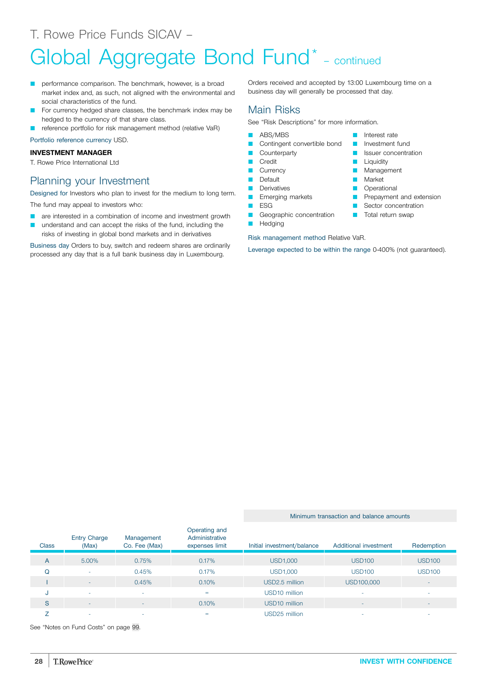# Global Aggregate Bond Fund<sup>\*</sup> - continued

- performance comparison. The benchmark, however, is a broad market index and, as such, not aligned with the environmental and social characteristics of the fund.
- For currency hedged share classes, the benchmark index may be hedged to the currency of that share class.
- reference portfolio for risk management method (relative VaR)

Portfolio reference currency USD.

## **INVESTMENT MANAGER**

T. Rowe Price International Ltd

# Planning your Investment

Designed for Investors who plan to invest for the medium to long term.

The fund may appeal to investors who:

- **Q** are interested in a combination of income and investment growth
- understand and can accept the risks of the fund, including the risks of investing in global bond markets and in derivatives

Business day Orders to buy, switch and redeem shares are ordinarily processed any day that is a full bank business day in Luxembourg.

Orders received and accepted by 13:00 Luxembourg time on a business day will generally be processed that day.

**D** Interest rate

**Liquidity Management Market Operational** 

**Q** Issuer concentration

**P** Prepayment and extension **B** Sector concentration **T** Total return swap

# Main Risks

See "Risk Descriptions" for more information.

- **ABS/MBS**
- **Q Contingent convertible bond Q** Investment fund
- **Counterparty**
- **D** Credit
- **Currency**
- **D** Default
- Derivatives
- **Exerging markets**
- $ESG$
- Geographic concentration
- **D** Hedging

Risk management method Relative VaR.

Leverage expected to be within the range 0-400% (not guaranteed).

#### Minimum transaction and balance amounts

| <b>Class</b> | <b>Entry Charge</b><br>(Max) | Management<br>Co. Fee (Max) | Operating and<br>Administrative<br>expenses limit | Initial investment/balance | Additional investment | Redemption               |
|--------------|------------------------------|-----------------------------|---------------------------------------------------|----------------------------|-----------------------|--------------------------|
| A            | 5.00%                        | 0.75%                       | 0.17%                                             | <b>USD1,000</b>            | <b>USD100</b>         | <b>USD100</b>            |
| Q            | $\sim$                       | 0.45%                       | 0.17%                                             | <b>USD1,000</b>            | <b>USD100</b>         | <b>USD100</b>            |
|              | $\sim$                       | 0.45%                       | 0.10%                                             | USD2.5 million             | USD100,000            | $\overline{\phantom{a}}$ |
| IJ           | $\overline{\phantom{a}}$     | ٠                           | $=$                                               | USD <sub>10</sub> million  | ٠                     |                          |
| S            | $\overline{\phantom{a}}$     | <b>.</b>                    | 0.10%                                             | USD <sub>10</sub> million  |                       |                          |
|              | <b>.</b>                     | -                           | $=$                                               | USD25 million              |                       |                          |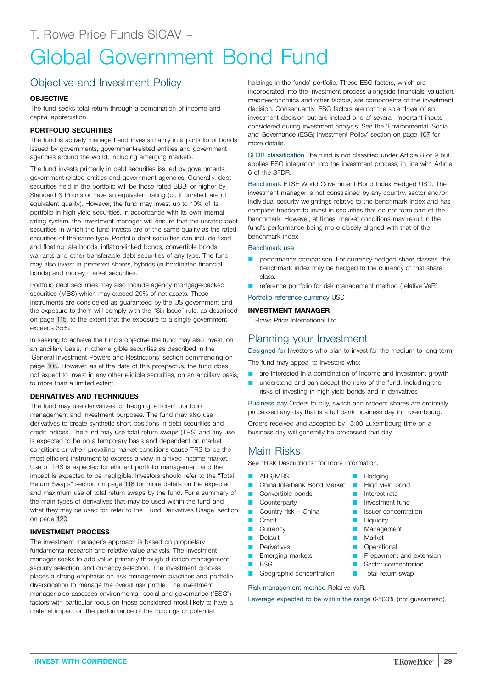# <span id="page-28-0"></span>Objective and Investment Policy

## **OBJECTIVE**

The fund seeks total return through a combination of income and capital appreciation.

## **PORTFOLIO SECURITIES**

The fund is actively managed and invests mainly in a portfolio of bonds issued by governments, government-related entities and government agencies around the world, including emerging markets.

The fund invests primarily in debt securities issued by governments, government-related entities and government agencies. Generally, debt securities held in the portfolio will be those rated BBB- or higher by Standard & Poor's or have an equivalent rating (or, if unrated, are of equivalent quality). However, the fund may invest up to 10% of its portfolio in high yield securities. In accordance with its own internal rating system, the investment manager will ensure that the unrated debt securities in which the fund invests are of the same quality as the rated securities of the same type. Portfolio debt securities can include fixed and floating rate bonds, inflation-linked bonds, convertible bonds, warrants and other transferable debt securities of any type. The fund may also invest in preferred shares, hybrids (subordinated financial bonds) and money market securities.

Portfolio debt securities may also include agency mortgage-backed securities (MBS) which may exceed 20% of net assets. These instruments are considered as guaranteed by the US government and the exposure to them will comply with the "Six Issue" rule, as described on page [115](#page-114-0), to the extent that the exposure to a single government exceeds 35%.

In seeking to achieve the fund's objective the fund may also invest, on an ancillary basis, in other eligible securities as described in the 'General Investment Powers and Restrictions' section commencing on page [105.](#page-104-0) However, as at the date of this prospectus, the fund does not expect to invest in any other eligible securities, on an ancillary basis, to more than a limited extent.

### **DERIVATIVES AND TECHNIQUES**

The fund may use derivatives for hedging, efficient portfolio management and investment purposes. The fund may also use derivatives to create synthetic short positions in debt securities and credit indices. The fund may use total return swaps (TRS) and any use is expected to be on a temporary basis and dependent on market conditions or when prevailing market conditions cause TRS to be the most efficient instrument to express a view in a fixed income market. Use of TRS is expected for efficient portfolio management and the impact is expected to be negligible. Investors should refer to the "Total Return Swaps" section on page [118](#page-117-0) for more details on the expected and maximum use of total return swaps by the fund. For a summary of the main types of derivatives that may be used within the fund and what they may be used for, refer to the 'Fund Derivatives Usage' section on page [120](#page-119-0).

## **INVESTMENT PROCESS**

The investment manager's approach is based on proprietary fundamental research and relative value analysis. The investment manager seeks to add value primarily through duration management, security selection, and currency selection. The investment process places a strong emphasis on risk management practices and portfolio diversification to manage the overall risk profile. The investment manager also assesses environmental, social and governance ("ESG") factors with particular focus on those considered most likely to have a material impact on the performance of the holdings or potential

holdings in the funds' portfolio. These ESG factors, which are incorporated into the investment process alongside financials, valuation, macro-economics and other factors, are components of the investment decision. Consequently, ESG factors are not the sole driver of an investment decision but are instead one of several important inputs considered during investment analysis. See the 'Environmental, Social and Governance (ESG) Investment Policy' section on page [107](#page-106-0) for more details.

SFDR classification The fund is not classified under Article 8 or 9 but applies ESG integration into the investment process, in line with Article 6 of the SFDR.

Benchmark FTSE World Government Bond Index Hedged USD. The investment manager is not constrained by any country, sector and/or individual security weightings relative to the benchmark index and has complete freedom to invest in securities that do not form part of the benchmark. However, at times, market conditions may result in the fund's performance being more closely aligned with that of the benchmark index.

#### Benchmark use

- performance comparison. For currency hedged share classes, the benchmark index may be hedged to the currency of that share class.
- reference portfolio for risk management method (relative VaR)

Portfolio reference currency USD

#### **INVESTMENT MANAGER**

T. Rowe Price International Ltd

# Planning your Investment

Designed for Investors who plan to invest for the medium to long term.

The fund may appeal to investors who:

- **Q** are interested in a combination of income and investment growth
- **Q** understand and can accept the risks of the fund, including the risks of investing in high yield bonds and in derivatives

Business day Orders to buy, switch and redeem shares are ordinarily processed any day that is a full bank business day in Luxembourg.

Orders received and accepted by 13:00 Luxembourg time on a business day will generally be processed that day.

# Main Risks

See "Risk Descriptions" for more information.

- **ABS/MBS**
- China Interbank Bond Market
- **Convertible bonds**
- **Counterparty**
- Country risk China
- **Credit**
- **Currency**
- **Default**
- **Derivatives**
- **Emerging markets ESG**
- 
- Geographic concentration

Risk management method Relative VaR.

Leverage expected to be within the range 0-500% (not guaranteed).

- **D** Investment fund **D** Issuer concentration
	- **Liquidity**
	- **D** Management

Hedging **High yield bond Q** Interest rate

- **Market**
- **D** Operational
- **Prepayment and extension**
- Sector concentration **T** Total return swap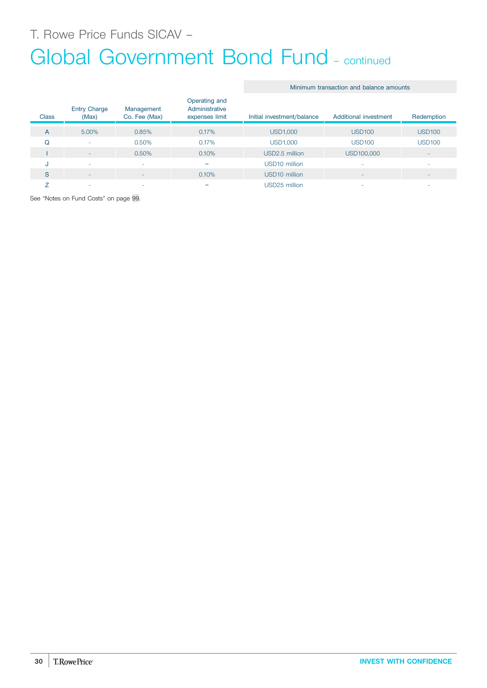T. Rowe Price Funds SICAV –

# Global Government Bond Fund - continued

## Minimum transaction and balance amounts

| <b>Class</b> | <b>Entry Charge</b><br>(Max) | Management<br>Co. Fee (Max) | Operating and<br>Administrative<br>expenses limit | Initial investment/balance | Additional investment | Redemption               |
|--------------|------------------------------|-----------------------------|---------------------------------------------------|----------------------------|-----------------------|--------------------------|
| A            | 5.00%                        | 0.85%                       | 0.17%                                             | <b>USD1,000</b>            | <b>USD100</b>         | <b>USD100</b>            |
| Q            | ۰                            | 0.50%                       | 0.17%                                             | <b>USD1,000</b>            | <b>USD100</b>         | <b>USD100</b>            |
|              | ۰                            | 0.50%                       | 0.10%                                             | USD2.5 million             | USD100,000            | $\overline{\phantom{a}}$ |
| u            | ۰                            |                             | $=$                                               | USD <sub>10</sub> million  |                       | ۰                        |
| S            | ۰                            | -                           | 0.10%                                             | USD <sub>10</sub> million  |                       | ۰                        |
|              | ۰                            |                             | =                                                 | USD25 million              |                       | ۰                        |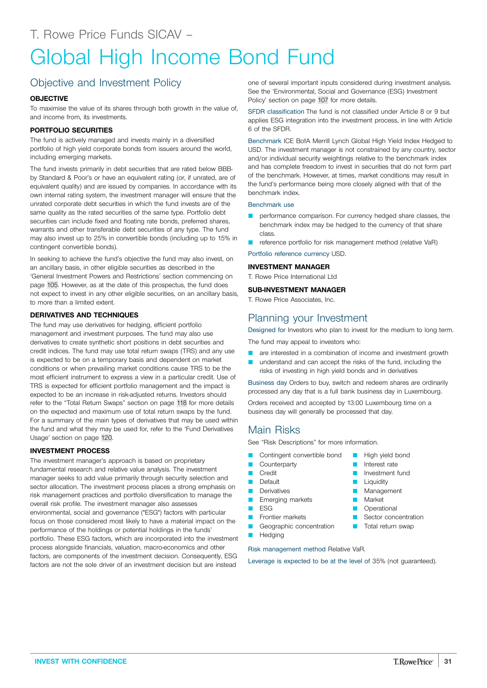# <span id="page-30-0"></span>Global High Income Bond Fund

# Objective and Investment Policy

## **OBJECTIVE**

To maximise the value of its shares through both growth in the value of, and income from, its investments.

## **PORTFOLIO SECURITIES**

The fund is actively managed and invests mainly in a diversified portfolio of high yield corporate bonds from issuers around the world, including emerging markets.

The fund invests primarily in debt securities that are rated below BBBby Standard & Poor's or have an equivalent rating (or, if unrated, are of equivalent quality) and are issued by companies. In accordance with its own internal rating system, the investment manager will ensure that the unrated corporate debt securities in which the fund invests are of the same quality as the rated securities of the same type. Portfolio debt securities can include fixed and floating rate bonds, preferred shares, warrants and other transferable debt securities of any type. The fund may also invest up to 25% in convertible bonds (including up to 15% in contingent convertible bonds).

In seeking to achieve the fund's objective the fund may also invest, on an ancillary basis, in other eligible securities as described in the 'General Investment Powers and Restrictions' section commencing on page [105.](#page-104-0) However, as at the date of this prospectus, the fund does not expect to invest in any other eligible securities, on an ancillary basis, to more than a limited extent.

## **DERIVATIVES AND TECHNIQUES**

The fund may use derivatives for hedging, efficient portfolio management and investment purposes. The fund may also use derivatives to create synthetic short positions in debt securities and credit indices. The fund may use total return swaps (TRS) and any use is expected to be on a temporary basis and dependent on market conditions or when prevailing market conditions cause TRS to be the most efficient instrument to express a view in a particular credit. Use of TRS is expected for efficient portfolio management and the impact is expected to be an increase in risk-adjusted returns. Investors should refer to the "Total Return Swaps" section on page [118](#page-117-0) for more details on the expected and maximum use of total return swaps by the fund. For a summary of the main types of derivatives that may be used within the fund and what they may be used for, refer to the 'Fund Derivatives Usage' section on page [120.](#page-119-0)

## **INVESTMENT PROCESS**

The investment manager's approach is based on proprietary fundamental research and relative value analysis. The investment manager seeks to add value primarily through security selection and sector allocation. The investment process places a strong emphasis on risk management practices and portfolio diversification to manage the overall risk profile. The investment manager also assesses environmental, social and governance ("ESG") factors with particular focus on those considered most likely to have a material impact on the performance of the holdings or potential holdings in the funds' portfolio. These ESG factors, which are incorporated into the investment process alongside financials, valuation, macro-economics and other factors, are components of the investment decision. Consequently, ESG factors are not the sole driver of an investment decision but are instead

one of several important inputs considered during investment analysis. See the 'Environmental, Social and Governance (ESG) Investment Policy' section on page [107](#page-106-0) for more details.

SFDR classification The fund is not classified under Article 8 or 9 but applies ESG integration into the investment process, in line with Article 6 of the SFDR.

Benchmark ICE BofA Merrill Lynch Global High Yield Index Hedged to USD. The investment manager is not constrained by any country, sector and/or individual security weightings relative to the benchmark index and has complete freedom to invest in securities that do not form part of the benchmark. However, at times, market conditions may result in the fund's performance being more closely aligned with that of the benchmark index.

#### Benchmark use

- performance comparison. For currency hedged share classes, the benchmark index may be hedged to the currency of that share class.
- reference portfolio for risk management method (relative VaR)

Portfolio reference currency USD.

## **INVESTMENT MANAGER**

T. Rowe Price International Ltd

# **SUB-INVESTMENT MANAGER**

T. Rowe Price Associates, Inc.

# Planning your Investment

Designed for Investors who plan to invest for the medium to long term.

The fund may appeal to investors who:

- are interested in a combination of income and investment growth
- understand and can accept the risks of the fund, including the risks of investing in high yield bonds and in derivatives

Business day Orders to buy, switch and redeem shares are ordinarily processed any day that is a full bank business day in Luxembourg.

> **High yield bond** Interest rate **D** Investment fund **Liquidity Management Market D** Operational **C** Sector concentration **T** Total return swap

Orders received and accepted by 13:00 Luxembourg time on a business day will generally be processed that day.

# Main Risks

See "Risk Descriptions" for more information.

- Contingent convertible bond
- Counterparty
- Credit
- **Default**
- Derivatives
- **Emerging markets** Q ESG
- **D** Frontier markets
- Geographic concentration
- **Hedging**

Risk management method Relative VaR.

Leverage is expected to be at the level of 35% (not guaranteed).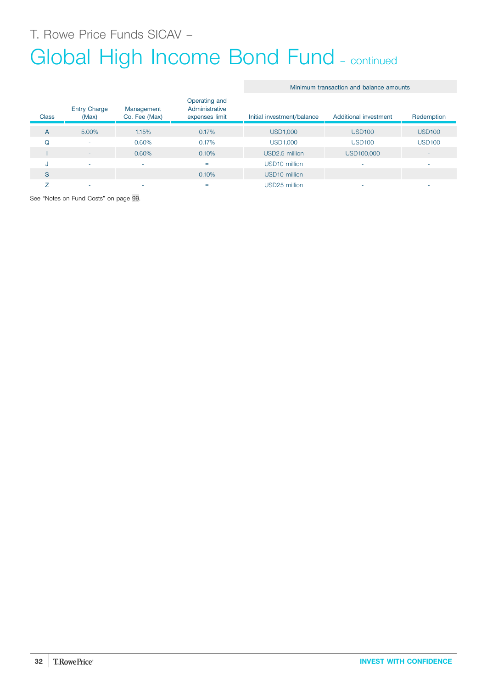T. Rowe Price Funds SICAV –

# Global High Income Bond Fund – continued

#### Minimum transaction and balance amounts

| <b>Class</b> | <b>Entry Charge</b><br>(Max) | Management<br>Co. Fee (Max) | Operating and<br>Administrative<br>expenses limit | Initial investment/balance | Additional investment | Redemption               |
|--------------|------------------------------|-----------------------------|---------------------------------------------------|----------------------------|-----------------------|--------------------------|
| A            | 5.00%                        | 1.15%                       | 0.17%                                             | <b>USD1,000</b>            | <b>USD100</b>         | <b>USD100</b>            |
| Q            | ٠                            | 0.60%                       | 0.17%                                             | <b>USD1,000</b>            | <b>USD100</b>         | <b>USD100</b>            |
|              | ۰                            | 0.60%                       | 0.10%                                             | USD2.5 million             | USD100,000            | ٠                        |
| u            | $\overline{\phantom{a}}$     |                             | $=$                                               | USD <sub>10</sub> million  |                       | ۰                        |
| S            | ٠                            | ۰                           | 0.10%                                             | USD <sub>10</sub> million  |                       | $\overline{\phantom{a}}$ |
|              | ۰                            |                             | $=$                                               | USD25 million              |                       | ۰                        |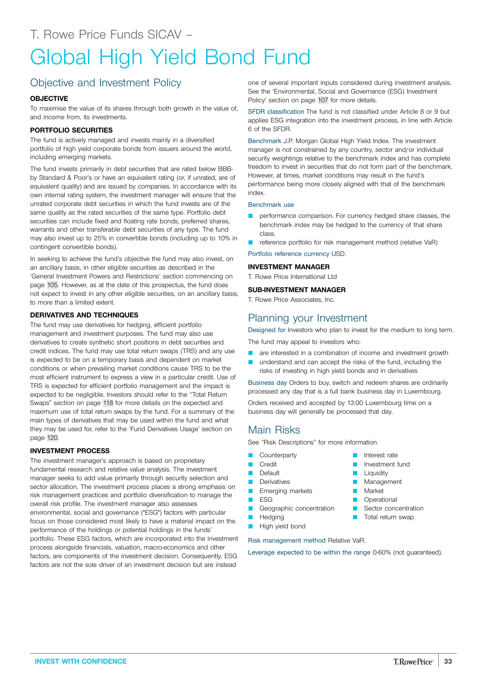# <span id="page-32-0"></span>Objective and Investment Policy

## **OBJECTIVE**

To maximise the value of its shares through both growth in the value of, and income from, its investments.

## **PORTFOLIO SECURITIES**

The fund is actively managed and invests mainly in a diversified portfolio of high yield corporate bonds from issuers around the world, including emerging markets.

The fund invests primarily in debt securities that are rated below BBBby Standard & Poor's or have an equivalent rating (or, if unrated, are of equivalent quality) and are issued by companies. In accordance with its own internal rating system, the investment manager will ensure that the unrated corporate debt securities in which the fund invests are of the same quality as the rated securities of the same type. Portfolio debt securities can include fixed and floating rate bonds, preferred shares, warrants and other transferable debt securities of any type. The fund may also invest up to 25% in convertible bonds (including up to 10% in contingent convertible bonds).

In seeking to achieve the fund's objective the fund may also invest, on an ancillary basis, in other eligible securities as described in the 'General Investment Powers and Restrictions' section commencing on page [105.](#page-104-0) However, as at the date of this prospectus, the fund does not expect to invest in any other eligible securities, on an ancillary basis, to more than a limited extent.

## **DERIVATIVES AND TECHNIQUES**

The fund may use derivatives for hedging, efficient portfolio management and investment purposes. The fund may also use derivatives to create synthetic short positions in debt securities and credit indices. The fund may use total return swaps (TRS) and any use is expected to be on a temporary basis and dependent on market conditions or when prevailing market conditions cause TRS to be the most efficient instrument to express a view in a particular credit. Use of TRS is expected for efficient portfolio management and the impact is expected to be negligible. Investors should refer to the "Total Return Swaps" section on page [118](#page-117-0) for more details on the expected and maximum use of total return swaps by the fund. For a summary of the main types of derivatives that may be used within the fund and what they may be used for, refer to the 'Fund Derivatives Usage' section on page [120](#page-119-0).

## **INVESTMENT PROCESS**

The investment manager's approach is based on proprietary fundamental research and relative value analysis. The investment manager seeks to add value primarily through security selection and sector allocation. The investment process places a strong emphasis on risk management practices and portfolio diversification to manage the overall risk profile. The investment manager also assesses environmental, social and governance ("ESG") factors with particular focus on those considered most likely to have a material impact on the performance of the holdings or potential holdings in the funds' portfolio. These ESG factors, which are incorporated into the investment process alongside financials, valuation, macro-economics and other factors, are components of the investment decision. Consequently, ESG factors are not the sole driver of an investment decision but are instead

one of several important inputs considered during investment analysis. See the 'Environmental, Social and Governance (ESG) Investment Policy' section on page [107](#page-106-0) for more details.

SFDR classification The fund is not classified under Article 8 or 9 but applies ESG integration into the investment process, in line with Article 6 of the SFDR.

Benchmark J.P. Morgan Global High Yield Index. The investment manager is not constrained by any country, sector and/or individual security weightings relative to the benchmark index and has complete freedom to invest in securities that do not form part of the benchmark. However, at times, market conditions may result in the fund's performance being more closely aligned with that of the benchmark index.

#### Benchmark use

- performance comparison. For currency hedged share classes, the benchmark index may be hedged to the currency of that share class.
- reference portfolio for risk management method (relative VaR)

Portfolio reference currency USD.

### **INVESTMENT MANAGER**

T. Rowe Price International Ltd

## **SUB-INVESTMENT MANAGER**

T. Rowe Price Associates, Inc.

# Planning your Investment

Designed for Investors who plan to invest for the medium to long term.

The fund may appeal to investors who:

- are interested in a combination of income and investment growth
- understand and can accept the risks of the fund, including the risks of investing in high yield bonds and in derivatives

Business day Orders to buy, switch and redeem shares are ordinarily processed any day that is a full bank business day in Luxembourg.

> Q Interest rate Investment fund

**D** Liquidity **Management Market D** Operational G Sector concentration **T** Total return swap

Orders received and accepted by 13:00 Luxembourg time on a business day will generally be processed that day.

# Main Risks

See "Risk Descriptions" for more information.

- **Counterparty**
- **D** Credit
- Default
- **Derivatives**
- Emerging markets
- $ESG$
- Geographic concentration
- Hedging **High yield bond**
- 

Risk management method Relative VaR.

Leverage expected to be within the range 0-60% (not guaranteed).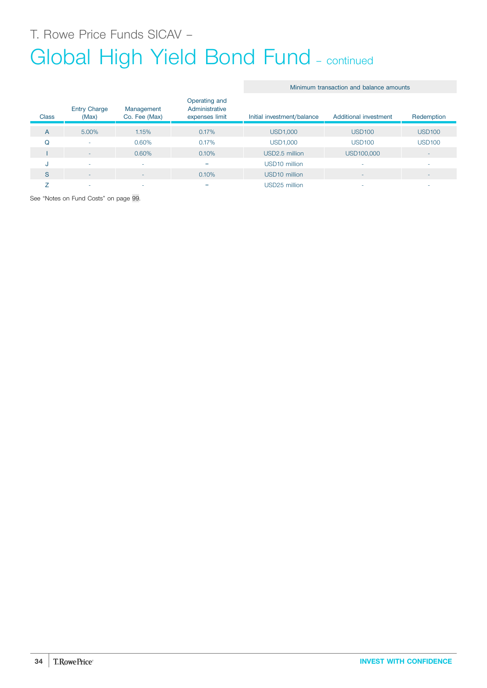# Global High Yield Bond Fund – continued

I - 0.60% 0.10% USD2.5 million USD100,000

J - - = USD10 million - - S - - 0.10% USD10 million - - Z - - = USD25 million - -

#### Entry Charge (Max) Management Co. Fee (Max) Operating and Administrative expenses limit Initial investment/balance Additional investment Redemption A 5.00% 1.15% 0.17% USD1,000 USD100 USD100 Q - 0.60% 0.17% USD1,000 USD100 USD100

Minimum transaction and balance amounts

See "Notes on Fund Costs" on page [99](#page-98-0).

**Class**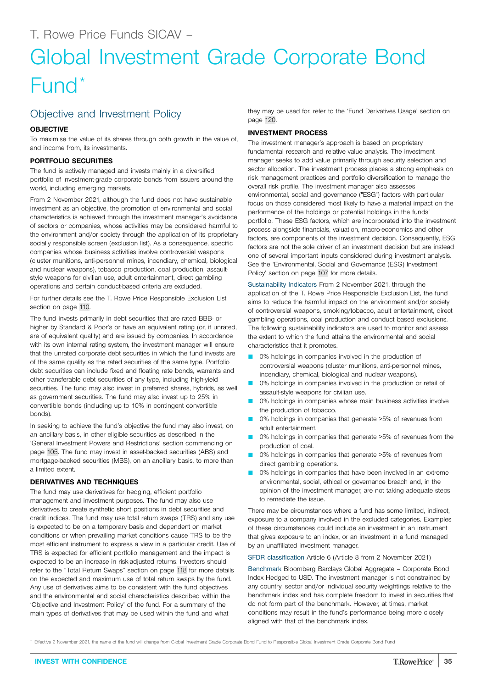# <span id="page-34-0"></span>Global Investment Grade Corporate Bond Fund\*

# Objective and Investment Policy

## **OBJECTIVE**

To maximise the value of its shares through both growth in the value of, and income from, its investments.

## **PORTFOLIO SECURITIES**

The fund is actively managed and invests mainly in a diversified portfolio of investment-grade corporate bonds from issuers around the world, including emerging markets.

From 2 November 2021, although the fund does not have sustainable investment as an objective, the promotion of environmental and social characteristics is achieved through the investment manager's avoidance of sectors or companies, whose activities may be considered harmful to the environment and/or society through the application of its proprietary socially responsible screen (exclusion list). As a consequence, specific companies whose business activities involve controversial weapons (cluster munitions, anti-personnel mines, incendiary, chemical, biological and nuclear weapons), tobacco production, coal production, assaultstyle weapons for civilian use, adult entertainment, direct gambling operations and certain conduct-based criteria are excluded.

For further details see the T. Rowe Price Responsible Exclusion List section on page [110](#page-109-0).

The fund invests primarily in debt securities that are rated BBB- or higher by Standard & Poor's or have an equivalent rating (or, if unrated, are of equivalent quality) and are issued by companies. In accordance with its own internal rating system, the investment manager will ensure that the unrated corporate debt securities in which the fund invests are of the same quality as the rated securities of the same type. Portfolio debt securities can include fixed and floating rate bonds, warrants and other transferable debt securities of any type, including high-yield securities. The fund may also invest in preferred shares, hybrids, as well as government securities. The fund may also invest up to 25% in convertible bonds (including up to 10% in contingent convertible bonds).

In seeking to achieve the fund's objective the fund may also invest, on an ancillary basis, in other eligible securities as described in the 'General Investment Powers and Restrictions' section commencing on page [105.](#page-104-0) The fund may invest in asset-backed securities (ABS) and mortgage-backed securities (MBS), on an ancillary basis, to more than a limited extent.

## **DERIVATIVES AND TECHNIQUES**

The fund may use derivatives for hedging, efficient portfolio management and investment purposes. The fund may also use derivatives to create synthetic short positions in debt securities and credit indices. The fund may use total return swaps (TRS) and any use is expected to be on a temporary basis and dependent on market conditions or when prevailing market conditions cause TRS to be the most efficient instrument to express a view in a particular credit. Use of TRS is expected for efficient portfolio management and the impact is expected to be an increase in risk-adjusted returns. Investors should refer to the "Total Return Swaps" section on page [118](#page-117-0) for more details on the expected and maximum use of total return swaps by the fund. Any use of derivatives aims to be consistent with the fund objectives and the environmental and social characteristics described within the 'Objective and Investment Policy' of the fund. For a summary of the main types of derivatives that may be used within the fund and what

they may be used for, refer to the 'Fund Derivatives Usage' section on page [120.](#page-119-0)

## **INVESTMENT PROCESS**

The investment manager's approach is based on proprietary fundamental research and relative value analysis. The investment manager seeks to add value primarily through security selection and sector allocation. The investment process places a strong emphasis on risk management practices and portfolio diversification to manage the overall risk profile. The investment manager also assesses environmental, social and governance ("ESG") factors with particular focus on those considered most likely to have a material impact on the performance of the holdings or potential holdings in the funds' portfolio. These ESG factors, which are incorporated into the investment process alongside financials, valuation, macro-economics and other factors, are components of the investment decision. Consequently, ESG factors are not the sole driver of an investment decision but are instead one of several important inputs considered during investment analysis. See the 'Environmental, Social and Governance (ESG) Investment Policy' section on page [107](#page-106-0) for more details.

Sustainability Indicators From 2 November 2021, through the application of the T. Rowe Price Responsible Exclusion List, the fund aims to reduce the harmful impact on the environment and/or society of controversial weapons, smoking/tobacco, adult entertainment, direct gambling operations, coal production and conduct based exclusions. The following sustainability indicators are used to monitor and assess the extent to which the fund attains the environmental and social characteristics that it promotes.

- 0% holdings in companies involved in the production of controversial weapons (cluster munitions, anti-personnel mines, incendiary, chemical, biological and nuclear weapons).
- 0% holdings in companies involved in the production or retail of assault-style weapons for civilian use.
- 0% holdings in companies whose main business activities involve the production of tobacco.
- 0% holdings in companies that generate >5% of revenues from adult entertainment.
- 0% holdings in companies that generate >5% of revenues from the production of coal.
- 0% holdings in companies that generate >5% of revenues from direct gambling operations.
- 0% holdings in companies that have been involved in an extreme environmental, social, ethical or governance breach and, in the opinion of the investment manager, are not taking adequate steps to remediate the issue.

There may be circumstances where a fund has some limited, indirect, exposure to a company involved in the excluded categories. Examples of these circumstances could include an investment in an instrument that gives exposure to an index, or an investment in a fund managed by an unaffiliated investment manager.

SFDR classification Article 6 (Article 8 from 2 November 2021)

Benchmark Bloomberg Barclays Global Aggregate – Corporate Bond Index Hedged to USD. The investment manager is not constrained by any country, sector and/or individual security weightings relative to the benchmark index and has complete freedom to invest in securities that do not form part of the benchmark. However, at times, market conditions may result in the fund's performance being more closely aligned with that of the benchmark index.

Effective 2 November 2021, the name of the fund will change from Global Investment Grade Corporate Bond Fund to Responsible Global Investment Grade Corporate Bond Fund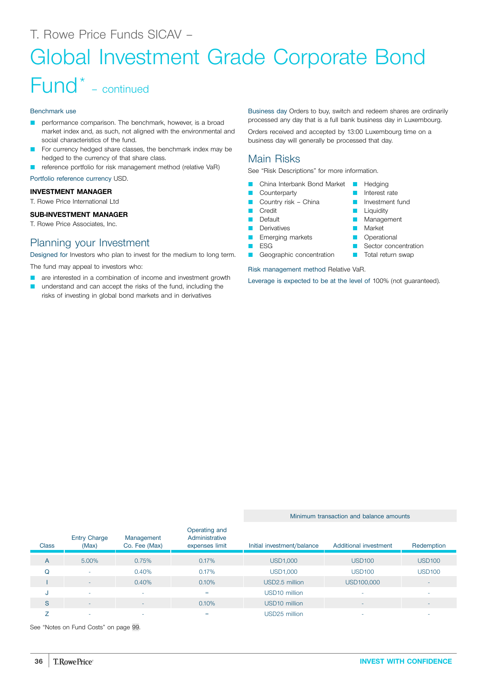# Global Investment Grade Corporate Bond

# Fund\* – continued

#### Benchmark use

- **Q performance comparison. The benchmark, however, is a broad** market index and, as such, not aligned with the environmental and social characteristics of the fund.
- For currency hedged share classes, the benchmark index may be hedged to the currency of that share class.
- reference portfolio for risk management method (relative VaR)

Portfolio reference currency USD.

### **INVESTMENT MANAGER**

T. Rowe Price International Ltd

## **SUB-INVESTMENT MANAGER**

T. Rowe Price Associates, Inc.

# Planning your Investment

Designed for Investors who plan to invest for the medium to long term.

The fund may appeal to investors who:

- are interested in a combination of income and investment growth
- understand and can accept the risks of the fund, including the risks of investing in global bond markets and in derivatives

Business day Orders to buy, switch and redeem shares are ordinarily processed any day that is a full bank business day in Luxembourg.

> Hedging **D** Interest rate **D** Investment fund **Liquidity** Management

**Market D** Operational **C** Sector concentration **T** Total return swap

Orders received and accepted by 13:00 Luxembourg time on a business day will generally be processed that day.

# Main Risks

See "Risk Descriptions" for more information.

- China Interbank Bond Market
- Counterparty
- Country risk China
- **Credit**
- Default
- **Derivatives** 
	- **E** Emerging markets
	- $ESG$
	- Geographic concentration

Risk management method Relative VaR.

Leverage is expected to be at the level of 100% (not guaranteed).

Minimum transaction and balance amounts

#### **Class** Entry Charge (Max) Management Co. Fee (Max) Operating and Administrative expenses limit Initial investment/balance Additional investment Redemption A 5.00% 0.75% 0.17% USD1,000 USD100 USD100 Q - 0.40% 0.17% USD1,000 USD100 USD100 I - 0.40% 0.10% USD2.5 million USD100,000 - J - - = USD10 million - - S - - 0.10% USD10 million - -  $Z$  , and the set of the set of the set of the set of the set of the set of the set of the set of the set of the set of the set of the set of the set of the set of the set of the set of the set of the set of the set of th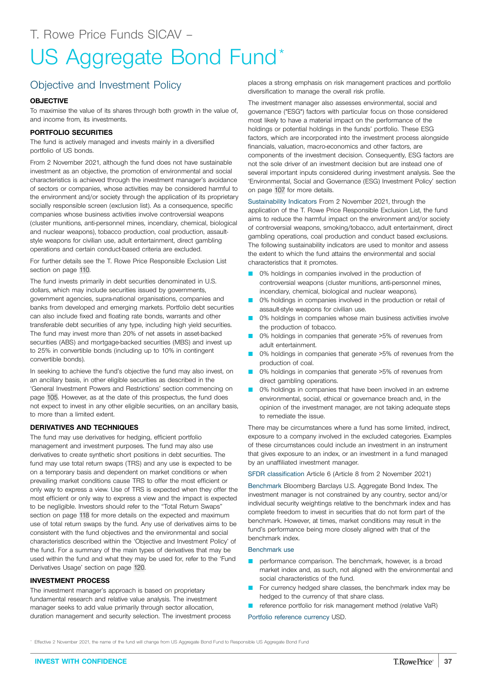# US Aggregate Bond Fund\*

### Objective and Investment Policy

#### **OBJECTIVE**

To maximise the value of its shares through both growth in the value of, and income from, its investments.

#### **PORTFOLIO SECURITIES**

The fund is actively managed and invests mainly in a diversified portfolio of US bonds.

From 2 November 2021, although the fund does not have sustainable investment as an objective, the promotion of environmental and social characteristics is achieved through the investment manager's avoidance of sectors or companies, whose activities may be considered harmful to the environment and/or society through the application of its proprietary socially responsible screen (exclusion list). As a consequence, specific companies whose business activities involve controversial weapons (cluster munitions, anti-personnel mines, incendiary, chemical, biological and nuclear weapons), tobacco production, coal production, assaultstyle weapons for civilian use, adult entertainment, direct gambling operations and certain conduct-based criteria are excluded.

For further details see the T. Rowe Price Responsible Exclusion List section on page [110](#page-109-0).

The fund invests primarily in debt securities denominated in U.S. dollars, which may include securities issued by governments, government agencies, supra-national organisations, companies and banks from developed and emerging markets. Portfolio debt securities can also include fixed and floating rate bonds, warrants and other transferable debt securities of any type, including high yield securities. The fund may invest more than 20% of net assets in asset-backed securities (ABS) and mortgage-backed securities (MBS) and invest up to 25% in convertible bonds (including up to 10% in contingent convertible bonds).

In seeking to achieve the fund's objective the fund may also invest, on an ancillary basis, in other eligible securities as described in the 'General Investment Powers and Restrictions' section commencing on page [105.](#page-104-0) However, as at the date of this prospectus, the fund does not expect to invest in any other eligible securities, on an ancillary basis, to more than a limited extent.

#### **DERIVATIVES AND TECHNIQUES**

The fund may use derivatives for hedging, efficient portfolio management and investment purposes. The fund may also use derivatives to create synthetic short positions in debt securities. The fund may use total return swaps (TRS) and any use is expected to be on a temporary basis and dependent on market conditions or when prevailing market conditions cause TRS to offer the most efficient or only way to express a view. Use of TRS is expected when they offer the most efficient or only way to express a view and the impact is expected to be negligible. Investors should refer to the "Total Return Swaps" section on page [118](#page-117-0) for more details on the expected and maximum use of total return swaps by the fund. Any use of derivatives aims to be consistent with the fund objectives and the environmental and social characteristics described within the 'Objective and Investment Policy' of the fund. For a summary of the main types of derivatives that may be used within the fund and what they may be used for, refer to the 'Fund Derivatives Usage' section on page [120.](#page-119-0)

#### **INVESTMENT PROCESS**

The investment manager's approach is based on proprietary fundamental research and relative value analysis. The investment manager seeks to add value primarily through sector allocation, duration management and security selection. The investment process places a strong emphasis on risk management practices and portfolio diversification to manage the overall risk profile.

The investment manager also assesses environmental, social and governance ("ESG") factors with particular focus on those considered most likely to have a material impact on the performance of the holdings or potential holdings in the funds' portfolio. These ESG factors, which are incorporated into the investment process alongside financials, valuation, macro-economics and other factors, are components of the investment decision. Consequently, ESG factors are not the sole driver of an investment decision but are instead one of several important inputs considered during investment analysis. See the 'Environmental, Social and Governance (ESG) Investment Policy' section on page [107](#page-106-0) for more details.

Sustainability Indicators From 2 November 2021, through the application of the T. Rowe Price Responsible Exclusion List, the fund aims to reduce the harmful impact on the environment and/or society of controversial weapons, smoking/tobacco, adult entertainment, direct gambling operations, coal production and conduct based exclusions. The following sustainability indicators are used to monitor and assess the extent to which the fund attains the environmental and social characteristics that it promotes.

- 0% holdings in companies involved in the production of controversial weapons (cluster munitions, anti-personnel mines, incendiary, chemical, biological and nuclear weapons).
- 0% holdings in companies involved in the production or retail of assault-style weapons for civilian use.
- 0% holdings in companies whose main business activities involve the production of tobacco.
- 0% holdings in companies that generate >5% of revenues from adult entertainment.
- 0% holdings in companies that generate >5% of revenues from the production of coal.
- 0% holdings in companies that generate >5% of revenues from direct gambling operations.
- 0% holdings in companies that have been involved in an extreme environmental, social, ethical or governance breach and, in the opinion of the investment manager, are not taking adequate steps to remediate the issue.

There may be circumstances where a fund has some limited, indirect, exposure to a company involved in the excluded categories. Examples of these circumstances could include an investment in an instrument that gives exposure to an index, or an investment in a fund managed by an unaffiliated investment manager.

SFDR classification Article 6 (Article 8 from 2 November 2021)

Benchmark Bloomberg Barclays U.S. Aggregate Bond Index. The investment manager is not constrained by any country, sector and/or individual security weightings relative to the benchmark index and has complete freedom to invest in securities that do not form part of the benchmark. However, at times, market conditions may result in the fund's performance being more closely aligned with that of the benchmark index.

#### Benchmark use

- **D** performance comparison. The benchmark, however, is a broad market index and, as such, not aligned with the environmental and social characteristics of the fund.
- For currency hedged share classes, the benchmark index may be hedged to the currency of that share class.
- reference portfolio for risk management method (relative VaR)

#### Portfolio reference currency USD.

Effective 2 November 2021, the name of the fund will change from US Aggregate Bond Fund to Responsible US Aggregate Bond Fund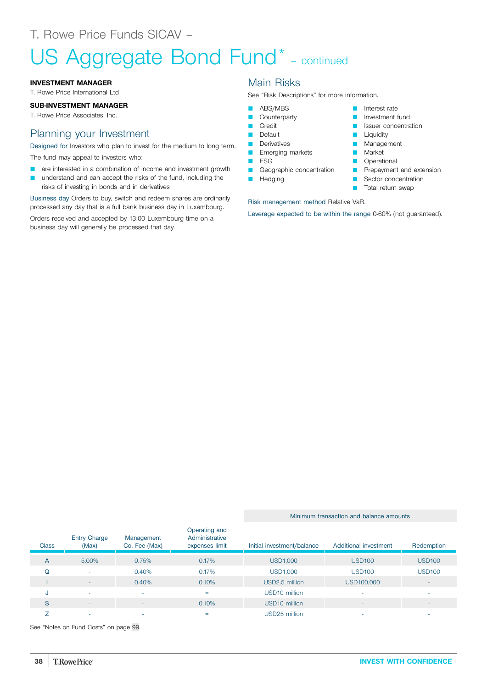# US Aggregate Bond Fund<sup>\*</sup> - continued

#### **INVESTMENT MANAGER**

T. Rowe Price International Ltd

#### **SUB-INVESTMENT MANAGER**

T. Rowe Price Associates, Inc.

### Planning your Investment

Designed for Investors who plan to invest for the medium to long term. The fund may appeal to investors who:

- **Q** are interested in a combination of income and investment growth
- **Q** understand and can accept the risks of the fund, including the risks of investing in bonds and in derivatives

Business day Orders to buy, switch and redeem shares are ordinarily processed any day that is a full bank business day in Luxembourg.

Orders received and accepted by 13:00 Luxembourg time on a business day will generally be processed that day.

### Main Risks

See "Risk Descriptions" for more information.

- **ABS/MBS**
- Counterparty
- **Credit**
- **D** Default
- **Derivatives**
- **Emerging markets**
- $E$  ESG
- Geographic concentration
- **Hedging**

Risk management method Relative VaR.

Leverage expected to be within the range 0-60% (not guaranteed).

**D** Interest rate **D** Investment fund **D** Issuer concentration

**Liquidity Management Narket D** Operational

**P** Prepayment and extension **B** Sector concentration **T** Total return swap

#### Minimum transaction and balance amounts

| <b>Class</b> | <b>Entry Charge</b><br>(Max) | Management<br>Co. Fee (Max) | Operating and<br>Administrative<br>expenses limit | Initial investment/balance | Additional investment | Redemption    |
|--------------|------------------------------|-----------------------------|---------------------------------------------------|----------------------------|-----------------------|---------------|
| A            | 5.00%                        | 0.75%                       | 0.17%                                             | <b>USD1,000</b>            | <b>USD100</b>         | <b>USD100</b> |
| Q            | ۰                            | 0.40%                       | 0.17%                                             | <b>USD1,000</b>            | <b>USD100</b>         | <b>USD100</b> |
|              | $\sim$                       | 0.40%                       | 0.10%                                             | USD2.5 million             | USD100,000            |               |
| J            | ۰                            | ٠                           | $=$                                               | USD <sub>10</sub> million  | ۰                     |               |
| S            | $\overline{\phantom{a}}$     | $\overline{\phantom{0}}$    | 0.10%                                             | USD <sub>10</sub> million  |                       |               |
|              | -                            | <b>.</b>                    | $=$                                               | USD25 million              |                       |               |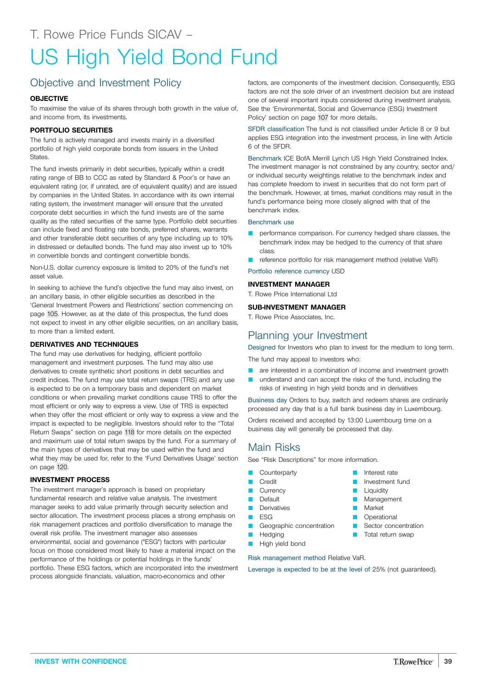# US High Yield Bond Fund

# Objective and Investment Policy

#### **OBJECTIVE**

To maximise the value of its shares through both growth in the value of, and income from, its investments.

#### **PORTFOLIO SECURITIES**

The fund is actively managed and invests mainly in a diversified portfolio of high yield corporate bonds from issuers in the United States.

The fund invests primarily in debt securities, typically within a credit rating range of BB to CCC as rated by Standard & Poor's or have an equivalent rating (or, if unrated, are of equivalent quality) and are issued by companies in the United States. In accordance with its own internal rating system, the investment manager will ensure that the unrated corporate debt securities in which the fund invests are of the same quality as the rated securities of the same type. Portfolio debt securities can include fixed and floating rate bonds, preferred shares, warrants and other transferable debt securities of any type including up to 10% in distressed or defaulted bonds. The fund may also invest up to 10% in convertible bonds and contingent convertible bonds.

Non-U.S. dollar currency exposure is limited to 20% of the fund's net asset value.

In seeking to achieve the fund's objective the fund may also invest, on an ancillary basis, in other eligible securities as described in the 'General Investment Powers and Restrictions' section commencing on page [105.](#page-104-0) However, as at the date of this prospectus, the fund does not expect to invest in any other eligible securities, on an ancillary basis, to more than a limited extent.

#### **DERIVATIVES AND TECHNIQUES**

The fund may use derivatives for hedging, efficient portfolio management and investment purposes. The fund may also use derivatives to create synthetic short positions in debt securities and credit indices. The fund may use total return swaps (TRS) and any use is expected to be on a temporary basis and dependent on market conditions or when prevailing market conditions cause TRS to offer the most efficient or only way to express a view. Use of TRS is expected when they offer the most efficient or only way to express a view and the impact is expected to be negligible. Investors should refer to the "Total Return Swaps" section on page [118](#page-117-0) for more details on the expected and maximum use of total return swaps by the fund. For a summary of the main types of derivatives that may be used within the fund and what they may be used for, refer to the 'Fund Derivatives Usage' section on page [120](#page-119-0).

#### **INVESTMENT PROCESS**

The investment manager's approach is based on proprietary fundamental research and relative value analysis. The investment manager seeks to add value primarily through security selection and sector allocation. The investment process places a strong emphasis on risk management practices and portfolio diversification to manage the overall risk profile. The investment manager also assesses environmental, social and governance ("ESG") factors with particular focus on those considered most likely to have a material impact on the performance of the holdings or potential holdings in the funds' portfolio. These ESG factors, which are incorporated into the investment process alongside financials, valuation, macro-economics and other

factors, are components of the investment decision. Consequently, ESG factors are not the sole driver of an investment decision but are instead one of several important inputs considered during investment analysis. See the 'Environmental, Social and Governance (ESG) Investment Policy' section on page [107](#page-106-0) for more details.

SFDR classification The fund is not classified under Article 8 or 9 but applies ESG integration into the investment process, in line with Article 6 of the SFDR.

Benchmark ICE BofA Merrill Lynch US High Yield Constrained Index. The investment manager is not constrained by any country, sector and/ or individual security weightings relative to the benchmark index and has complete freedom to invest in securities that do not form part of the benchmark. However, at times, market conditions may result in the fund's performance being more closely aligned with that of the benchmark index.

#### Benchmark use

- performance comparison. For currency hedged share classes, the benchmark index may be hedged to the currency of that share class.
- reference portfolio for risk management method (relative VaR)

#### Portfolio reference currency USD

#### **INVESTMENT MANAGER**

T. Rowe Price International Ltd

#### **SUB-INVESTMENT MANAGER**

T. Rowe Price Associates, Inc.

## Planning your Investment

Designed for Investors who plan to invest for the medium to long term. The fund may appeal to investors who:

- are interested in a combination of income and investment growth
- **Q** understand and can accept the risks of the fund, including the risks of investing in high yield bonds and in derivatives

Business day Orders to buy, switch and redeem shares are ordinarily processed any day that is a full bank business day in Luxembourg.

Orders received and accepted by 13:00 Luxembourg time on a business day will generally be processed that day.

## Main Risks

See "Risk Descriptions" for more information.

- Counterparty
- **Credit**
- **Currency**
- **Default**
- **D** Derivatives
- $ESG$
- **Geographic concentration** Hedging
- **High yield bond**
- Interest rate Investment fund
	- Liquidity
	- Management
	- **Market**
	- **D** Operational
	- **C** Sector concentration
	- Total return swap
- 
- Risk management method Relative VaR.

Leverage is expected to be at the level of 25% (not guaranteed).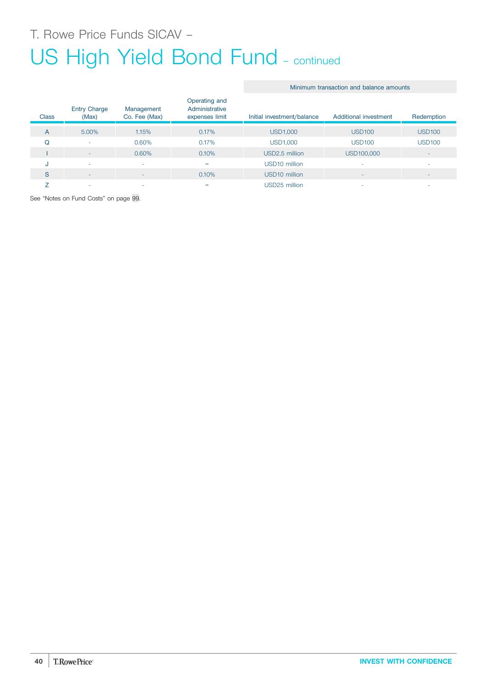# US High Yield Bond Fund - continued

#### Minimum transaction and balance amounts

| <b>Class</b> | <b>Entry Charge</b><br>(Max) | Management<br>Co. Fee (Max) | Operating and<br>Administrative<br>expenses limit | Initial investment/balance | Additional investment | Redemption               |
|--------------|------------------------------|-----------------------------|---------------------------------------------------|----------------------------|-----------------------|--------------------------|
| A            | 5.00%                        | 1.15%                       | 0.17%                                             | <b>USD1,000</b>            | <b>USD100</b>         | <b>USD100</b>            |
| Q            | ۰                            | 0.60%                       | 0.17%                                             | <b>USD1,000</b>            | <b>USD100</b>         | <b>USD100</b>            |
|              | $\overline{\phantom{a}}$     | 0.60%                       | 0.10%                                             | USD2.5 million             | USD100,000            | $\overline{\phantom{a}}$ |
| u            | ۰                            | ۰                           | $=$                                               | USD <sub>10</sub> million  |                       | ۰                        |
| S            | ۰                            | -                           | 0.10%                                             | USD <sub>10</sub> million  |                       | $\overline{\phantom{a}}$ |
|              | -                            |                             | =                                                 | USD25 million              |                       | ۰                        |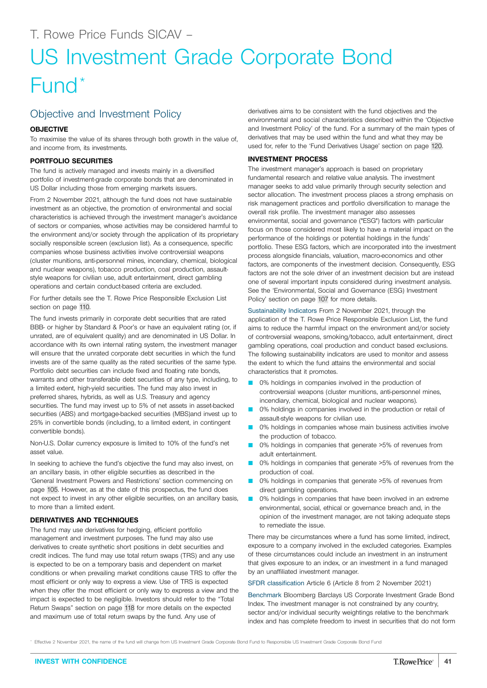# US Investment Grade Corporate Bond Fund\*

# Objective and Investment Policy

#### **OBJECTIVE**

To maximise the value of its shares through both growth in the value of, and income from, its investments.

#### **PORTFOLIO SECURITIES**

The fund is actively managed and invests mainly in a diversified portfolio of investment-grade corporate bonds that are denominated in US Dollar including those from emerging markets issuers.

From 2 November 2021, although the fund does not have sustainable investment as an objective, the promotion of environmental and social characteristics is achieved through the investment manager's avoidance of sectors or companies, whose activities may be considered harmful to the environment and/or society through the application of its proprietary socially responsible screen (exclusion list). As a consequence, specific companies whose business activities involve controversial weapons (cluster munitions, anti-personnel mines, incendiary, chemical, biological and nuclear weapons), tobacco production, coal production, assaultstyle weapons for civilian use, adult entertainment, direct gambling operations and certain conduct-based criteria are excluded.

For further details see the T. Rowe Price Responsible Exclusion List section on page [110](#page-109-0).

The fund invests primarily in corporate debt securities that are rated BBB- or higher by Standard & Poor's or have an equivalent rating (or, if unrated, are of equivalent quality) and are denominated in US Dollar. In accordance with its own internal rating system, the investment manager will ensure that the unrated corporate debt securities in which the fund invests are of the same quality as the rated securities of the same type. Portfolio debt securities can include fixed and floating rate bonds, warrants and other transferable debt securities of any type, including, to a limited extent, high-yield securities. The fund may also invest in preferred shares, hybrids, as well as U.S. Treasury and agency securities. The fund may invest up to 5% of net assets in asset-backed securities (ABS) and mortgage-backed securities (MBS)and invest up to 25% in convertible bonds (including, to a limited extent, in contingent convertible bonds).

Non-U.S. Dollar currency exposure is limited to 10% of the fund's net asset value.

In seeking to achieve the fund's objective the fund may also invest, on an ancillary basis, in other eligible securities as described in the 'General Investment Powers and Restrictions' section commencing on page [105.](#page-104-0) However, as at the date of this prospectus, the fund does not expect to invest in any other eligible securities, on an ancillary basis, to more than a limited extent.

#### **DERIVATIVES AND TECHNIQUES**

The fund may use derivatives for hedging, efficient portfolio management and investment purposes. The fund may also use derivatives to create synthetic short positions in debt securities and credit indices. The fund may use total return swaps (TRS) and any use is expected to be on a temporary basis and dependent on market conditions or when prevailing market conditions cause TRS to offer the most efficient or only way to express a view. Use of TRS is expected when they offer the most efficient or only way to express a view and the impact is expected to be negligible. Investors should refer to the "Total Return Swaps" section on page [118](#page-117-0) for more details on the expected and maximum use of total return swaps by the fund. Any use of

derivatives aims to be consistent with the fund objectives and the environmental and social characteristics described within the 'Objective and Investment Policy' of the fund. For a summary of the main types of derivatives that may be used within the fund and what they may be used for, refer to the 'Fund Derivatives Usage' section on page [120](#page-119-0).

#### **INVESTMENT PROCESS**

The investment manager's approach is based on proprietary fundamental research and relative value analysis. The investment manager seeks to add value primarily through security selection and sector allocation. The investment process places a strong emphasis on risk management practices and portfolio diversification to manage the overall risk profile. The investment manager also assesses environmental, social and governance ("ESG") factors with particular focus on those considered most likely to have a material impact on the performance of the holdings or potential holdings in the funds' portfolio. These ESG factors, which are incorporated into the investment process alongside financials, valuation, macro-economics and other factors, are components of the investment decision. Consequently, ESG factors are not the sole driver of an investment decision but are instead one of several important inputs considered during investment analysis. See the 'Environmental, Social and Governance (ESG) Investment Policy' section on page [107](#page-106-0) for more details.

Sustainability Indicators From 2 November 2021, through the application of the T. Rowe Price Responsible Exclusion List, the fund aims to reduce the harmful impact on the environment and/or society of controversial weapons, smoking/tobacco, adult entertainment, direct gambling operations, coal production and conduct based exclusions. The following sustainability indicators are used to monitor and assess the extent to which the fund attains the environmental and social characteristics that it promotes.

- 0% holdings in companies involved in the production of controversial weapons (cluster munitions, anti-personnel mines, incendiary, chemical, biological and nuclear weapons).
- 0% holdings in companies involved in the production or retail of assault-style weapons for civilian use.
- 0% holdings in companies whose main business activities involve the production of tobacco.
- 0% holdings in companies that generate >5% of revenues from adult entertainment.
- 0% holdings in companies that generate >5% of revenues from the production of coal.
- 0% holdings in companies that generate >5% of revenues from direct gambling operations.
- 0% holdings in companies that have been involved in an extreme environmental, social, ethical or governance breach and, in the opinion of the investment manager, are not taking adequate steps to remediate the issue.

There may be circumstances where a fund has some limited, indirect, exposure to a company involved in the excluded categories. Examples of these circumstances could include an investment in an instrument that gives exposure to an index, or an investment in a fund managed by an unaffiliated investment manager.

SFDR classification Article 6 (Article 8 from 2 November 2021)

Benchmark Bloomberg Barclays US Corporate Investment Grade Bond Index. The investment manager is not constrained by any country, sector and/or individual security weightings relative to the benchmark index and has complete freedom to invest in securities that do not form

Effective 2 November 2021, the name of the fund will change from US Investment Grade Corporate Bond Fund to Responsible US Investment Grade Corporate Bond Fund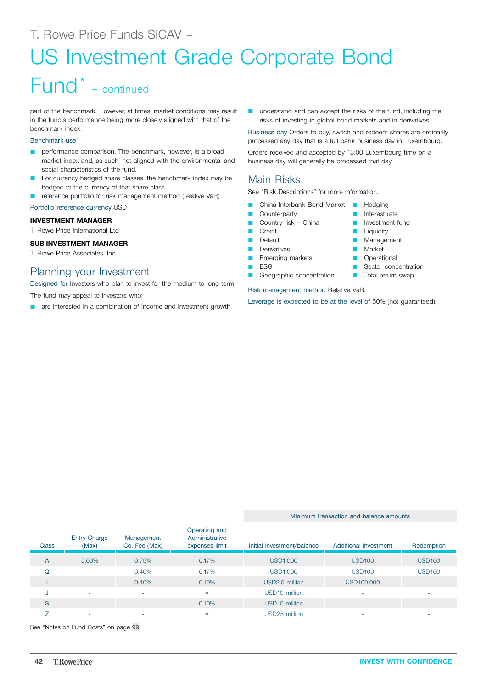# US Investment Grade Corporate Bond

# Fund\* – continued

part of the benchmark. However, at times, market conditions may result in the fund's performance being more closely aligned with that of the benchmark index.

#### Benchmark use

- performance comparison. The benchmark, however, is a broad market index and, as such, not aligned with the environmental and social characteristics of the fund.
- For currency hedged share classes, the benchmark index may be hedged to the currency of that share class.
- reference portfolio for risk management method (relative VaR)

Portfolio reference currency USD

#### **INVESTMENT MANAGER**

T. Rowe Price International Ltd

#### **SUB-INVESTMENT MANAGER**

T. Rowe Price Associates, Inc.

### Planning your Investment

Designed for Investors who plan to invest for the medium to long term.

The fund may appeal to investors who:

are interested in a combination of income and investment growth

**Q** understand and can accept the risks of the fund, including the risks of investing in global bond markets and in derivatives

Business day Orders to buy, switch and redeem shares are ordinarily processed any day that is a full bank business day in Luxembourg.

> Hedging **D** Interest rate **D** Investment fund Liquidity **Management Narket Operational** Sector concentration **T** Total return swap

Orders received and accepted by 13:00 Luxembourg time on a business day will generally be processed that day.

## Main Risks

See "Risk Descriptions" for more information.

- China Interbank Bond Market
- Counterparty
	- Country risk China
- **Credit**
- **Default**
- **Derivatives**
- Emerging markets
- ESG
- Geographic concentration

Risk management method Relative VaR.

Leverage is expected to be at the level of 50% (not guaranteed).

Minimum transaction and balance amounts

#### **Class** Entry Charge (Max) Management Co. Fee (Max) Operating and Administrative expenses limit Initial investment/balance Additional investment Redemption A 5.00% 0.75% 0.17% USD1,000 USD100 USD100 Q - 0.40% 0.17% USD1,000 USD100 USD100 I - 0.40% 0.10% USD2.5 million USD100,000 - J - - = USD10 million - - S - - 0.10% USD10 million - -  $Z$  , and the set of the set of the set of the set of the set of the set of the set of the set of the set of the set of the set of the set of the set of the set of the set of the set of the set of the set of the set of th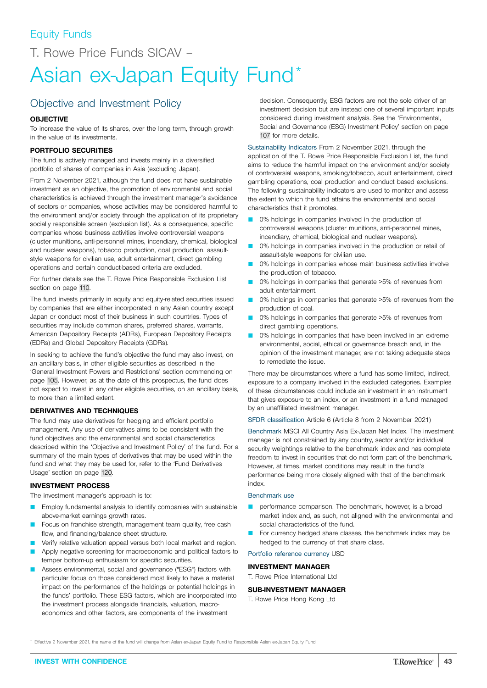T. Rowe Price Funds SICAV –

# Asian ex-Japan Equity Fund<sup>\*</sup>

# Objective and Investment Policy

#### **OBJECTIVE**

To increase the value of its shares, over the long term, through growth in the value of its investments.

#### **PORTFOLIO SECURITIES**

The fund is actively managed and invests mainly in a diversified portfolio of shares of companies in Asia (excluding Japan).

From 2 November 2021, although the fund does not have sustainable investment as an objective, the promotion of environmental and social characteristics is achieved through the investment manager's avoidance of sectors or companies, whose activities may be considered harmful to the environment and/or society through the application of its proprietary socially responsible screen (exclusion list). As a consequence, specific companies whose business activities involve controversial weapons (cluster munitions, anti-personnel mines, incendiary, chemical, biological and nuclear weapons), tobacco production, coal production, assaultstyle weapons for civilian use, adult entertainment, direct gambling operations and certain conduct-based criteria are excluded.

For further details see the T. Rowe Price Responsible Exclusion List section on page [110](#page-109-0).

The fund invests primarily in equity and equity-related securities issued by companies that are either incorporated in any Asian country except Japan or conduct most of their business in such countries. Types of securities may include common shares, preferred shares, warrants, American Depository Receipts (ADRs), European Depository Receipts (EDRs) and Global Depository Receipts (GDRs).

In seeking to achieve the fund's objective the fund may also invest, on an ancillary basis, in other eligible securities as described in the 'General Investment Powers and Restrictions' section commencing on page [105.](#page-104-0) However, as at the date of this prospectus, the fund does not expect to invest in any other eligible securities, on an ancillary basis, to more than a limited extent.

#### **DERIVATIVES AND TECHNIQUES**

The fund may use derivatives for hedging and efficient portfolio management. Any use of derivatives aims to be consistent with the fund objectives and the environmental and social characteristics described within the 'Objective and Investment Policy' of the fund. For a summary of the main types of derivatives that may be used within the fund and what they may be used for, refer to the 'Fund Derivatives Usage' section on page [120.](#page-119-0)

#### **INVESTMENT PROCESS**

The investment manager's approach is to:

- Employ fundamental analysis to identify companies with sustainable above-market earnings growth rates.
- Focus on franchise strength, management team quality, free cash flow, and financing/balance sheet structure.
- Verify relative valuation appeal versus both local market and region.
- Apply negative screening for macroeconomic and political factors to temper bottom-up enthusiasm for specific securities.
- Assess environmental, social and governance ("ESG") factors with particular focus on those considered most likely to have a material impact on the performance of the holdings or potential holdings in the funds' portfolio. These ESG factors, which are incorporated into the investment process alongside financials, valuation, macroeconomics and other factors, are components of the investment

decision. Consequently, ESG factors are not the sole driver of an investment decision but are instead one of several important inputs considered during investment analysis. See the 'Environmental, Social and Governance (ESG) Investment Policy' section on page [107](#page-106-0) for more details.

Sustainability Indicators From 2 November 2021, through the application of the T. Rowe Price Responsible Exclusion List, the fund aims to reduce the harmful impact on the environment and/or society of controversial weapons, smoking/tobacco, adult entertainment, direct gambling operations, coal production and conduct based exclusions. The following sustainability indicators are used to monitor and assess the extent to which the fund attains the environmental and social characteristics that it promotes.

- 0% holdings in companies involved in the production of controversial weapons (cluster munitions, anti-personnel mines, incendiary, chemical, biological and nuclear weapons).
- 0% holdings in companies involved in the production or retail of assault-style weapons for civilian use.
- 0% holdings in companies whose main business activities involve the production of tobacco.
- 0% holdings in companies that generate >5% of revenues from adult entertainment.
- 0% holdings in companies that generate >5% of revenues from the production of coal.
- 0% holdings in companies that generate >5% of revenues from direct gambling operations.
- 0% holdings in companies that have been involved in an extreme environmental, social, ethical or governance breach and, in the opinion of the investment manager, are not taking adequate steps to remediate the issue.

There may be circumstances where a fund has some limited, indirect, exposure to a company involved in the excluded categories. Examples of these circumstances could include an investment in an instrument that gives exposure to an index, or an investment in a fund managed by an unaffiliated investment manager.

SFDR classification Article 6 (Article 8 from 2 November 2021)

Benchmark MSCI All Country Asia Ex-Japan Net Index. The investment manager is not constrained by any country, sector and/or individual security weightings relative to the benchmark index and has complete freedom to invest in securities that do not form part of the benchmark. However, at times, market conditions may result in the fund's performance being more closely aligned with that of the benchmark index.

#### Benchmark use

- performance comparison. The benchmark, however, is a broad market index and, as such, not aligned with the environmental and social characteristics of the fund.
- For currency hedged share classes, the benchmark index may be hedged to the currency of that share class.

Portfolio reference currency USD

#### **INVESTMENT MANAGER**

## T. Rowe Price International Ltd

#### **SUB-INVESTMENT MANAGER**

T. Rowe Price Hong Kong Ltd

Effective 2 November 2021, the name of the fund will change from Asian ex-Japan Equity Fund to Responsible Asian ex-Japan Equity Fund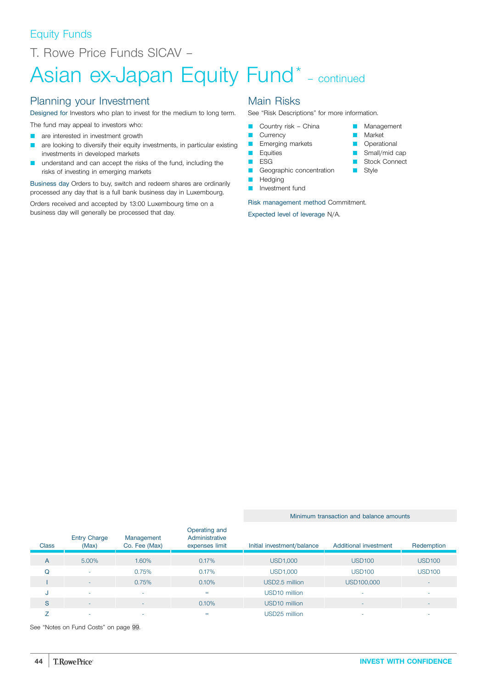# Equity Funds

T. Rowe Price Funds SICAV –

# Asian ex-Japan Equity Fund\* - continued

### Planning your Investment

Designed for Investors who plan to invest for the medium to long term.

- The fund may appeal to investors who:
- **Q** are interested in investment growth
- are looking to diversify their equity investments, in particular existing investments in developed markets
- understand and can accept the risks of the fund, including the risks of investing in emerging markets

Business day Orders to buy, switch and redeem shares are ordinarily processed any day that is a full bank business day in Luxembourg.

Orders received and accepted by 13:00 Luxembourg time on a business day will generally be processed that day.

### Main Risks

See "Risk Descriptions" for more information.

**Management Market Operational**  $\blacksquare$  Small/mid cap **B** Stock Connect

**B** Style

- Country risk China
- **Currency**
- **Emerging markets**
- **D** Equities **D** ESG
- Geographic concentration
- **D** Hedging
- **D** Investment fund

Risk management method Commitment.

Expected level of leverage N/A.

#### Minimum transaction and balance amounts

| <b>Class</b> | <b>Entry Charge</b><br>(Max) | Management<br>Co. Fee (Max) | Operating and<br>Administrative<br>expenses limit | Initial investment/balance | Additional investment | Redemption    |
|--------------|------------------------------|-----------------------------|---------------------------------------------------|----------------------------|-----------------------|---------------|
| A            | 5.00%                        | 1.60%                       | 0.17%                                             | <b>USD1,000</b>            | <b>USD100</b>         | <b>USD100</b> |
| Q            | ۰                            | 0.75%                       | 0.17%                                             | USD1,000                   | <b>USD100</b>         | <b>USD100</b> |
|              | ٠                            | 0.75%                       | 0.10%                                             | USD2.5 million             | USD100,000            |               |
| J            | ٠                            | $\overline{\phantom{a}}$    | $=$                                               | USD <sub>10</sub> million  | -                     |               |
| S            | $\overline{\phantom{a}}$     | $\overline{\phantom{0}}$    | 0.10%                                             | USD <sub>10</sub> million  | ٠                     |               |
|              | -                            |                             | =                                                 | USD25 million              |                       |               |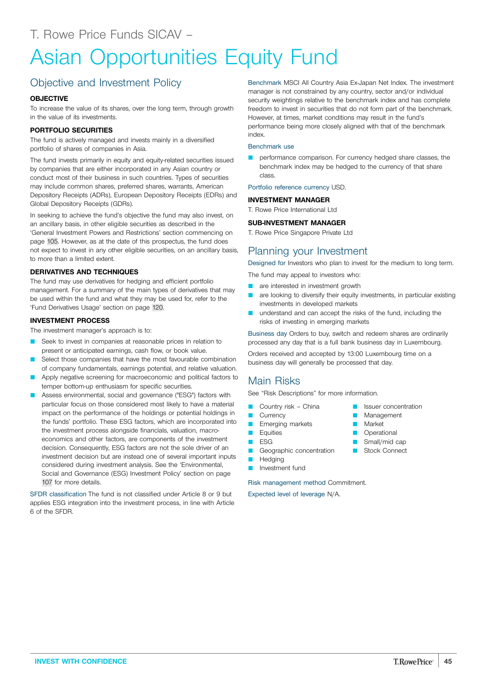# Asian Opportunities Equity Fund

# Objective and Investment Policy

### **OBJECTIVE**

To increase the value of its shares, over the long term, through growth in the value of its investments.

### **PORTFOLIO SECURITIES**

The fund is actively managed and invests mainly in a diversified portfolio of shares of companies in Asia.

The fund invests primarily in equity and equity-related securities issued by companies that are either incorporated in any Asian country or conduct most of their business in such countries. Types of securities may include common shares, preferred shares, warrants, American Depository Receipts (ADRs), European Depository Receipts (EDRs) and Global Depository Receipts (GDRs).

In seeking to achieve the fund's objective the fund may also invest, on an ancillary basis, in other eligible securities as described in the 'General Investment Powers and Restrictions' section commencing on page [105.](#page-104-0) However, as at the date of this prospectus, the fund does not expect to invest in any other eligible securities, on an ancillary basis, to more than a limited extent.

### **DERIVATIVES AND TECHNIQUES**

The fund may use derivatives for hedging and efficient portfolio management. For a summary of the main types of derivatives that may be used within the fund and what they may be used for, refer to the 'Fund Derivatives Usage' section on page [120](#page-119-0).

#### **INVESTMENT PROCESS**

The investment manager's approach is to:

- Seek to invest in companies at reasonable prices in relation to present or anticipated earnings, cash flow, or book value.
- Select those companies that have the most favourable combination of company fundamentals, earnings potential, and relative valuation.
- Apply negative screening for macroeconomic and political factors to temper bottom-up enthusiasm for specific securities.
- Assess environmental, social and governance ("ESG") factors with particular focus on those considered most likely to have a material impact on the performance of the holdings or potential holdings in the funds' portfolio. These ESG factors, which are incorporated into the investment process alongside financials, valuation, macroeconomics and other factors, are components of the investment decision. Consequently, ESG factors are not the sole driver of an investment decision but are instead one of several important inputs considered during investment analysis. See the 'Environmental, Social and Governance (ESG) Investment Policy' section on page [107](#page-106-0) for more details.

SFDR classification The fund is not classified under Article 8 or 9 but applies ESG integration into the investment process, in line with Article 6 of the SFDR.

Benchmark MSCI All Country Asia Ex-Japan Net Index. The investment manager is not constrained by any country, sector and/or individual security weightings relative to the benchmark index and has complete freedom to invest in securities that do not form part of the benchmark. However, at times, market conditions may result in the fund's performance being more closely aligned with that of the benchmark index.

#### Benchmark use

**Q performance comparison.** For currency hedged share classes, the benchmark index may be hedged to the currency of that share class.

#### Portfolio reference currency USD.

#### **INVESTMENT MANAGER**

T. Rowe Price International Ltd

#### **SUB-INVESTMENT MANAGER**

T. Rowe Price Singapore Private Ltd

# Planning your Investment

Designed for Investors who plan to invest for the medium to long term.

The fund may appeal to investors who:

- **Q** are interested in investment growth
- **Q are looking to diversify their equity investments, in particular existing** investments in developed markets
- **Q** understand and can accept the risks of the fund, including the risks of investing in emerging markets

Business day Orders to buy, switch and redeem shares are ordinarily processed any day that is a full bank business day in Luxembourg.

Orders received and accepted by 13:00 Luxembourg time on a business day will generally be processed that day.

## Main Risks

See "Risk Descriptions" for more information.

- Country risk China
- **Currency**
- **E** Emerging markets
- **D** Equities
- $ESG$
- Geographic concentration
- **N** Hedging
- **D** Investment fund

Risk management method Commitment. Expected level of leverage N/A.

- **D** Issuer concentration
- **Management**
- **Narket**
- **D** Operational
- Small/mid cap
- **B** Stock Connect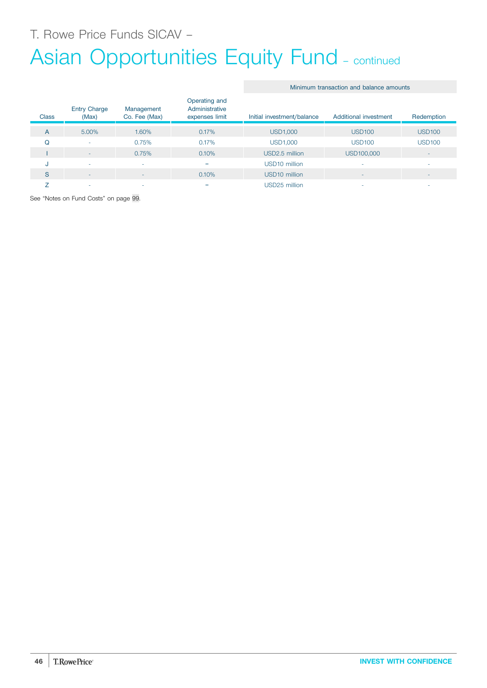T. Rowe Price Funds SICAV –

# Asian Opportunities Equity Fund - continued

#### Minimum transaction and balance amounts

| <b>Class</b> | <b>Entry Charge</b><br>(Max) | Management<br>Co. Fee (Max) | Operating and<br>Administrative<br>expenses limit | Initial investment/balance | Additional investment | Redemption    |
|--------------|------------------------------|-----------------------------|---------------------------------------------------|----------------------------|-----------------------|---------------|
| A            | 5.00%                        | 1.60%                       | 0.17%                                             | <b>USD1,000</b>            | <b>USD100</b>         | <b>USD100</b> |
| Q            | ٠                            | 0.75%                       | 0.17%                                             | <b>USD1,000</b>            | <b>USD100</b>         | <b>USD100</b> |
|              | ۰                            | 0.75%                       | 0.10%                                             | USD2.5 million             | USD100,000            | ۰             |
| u            | $\overline{\phantom{a}}$     |                             | $=$                                               | USD <sub>10</sub> million  |                       | ۰             |
| S            | ۰                            | $\overline{\phantom{0}}$    | 0.10%                                             | USD <sub>10</sub> million  |                       | ۰             |
|              | ۰                            |                             | $=$                                               | USD25 million              |                       | -             |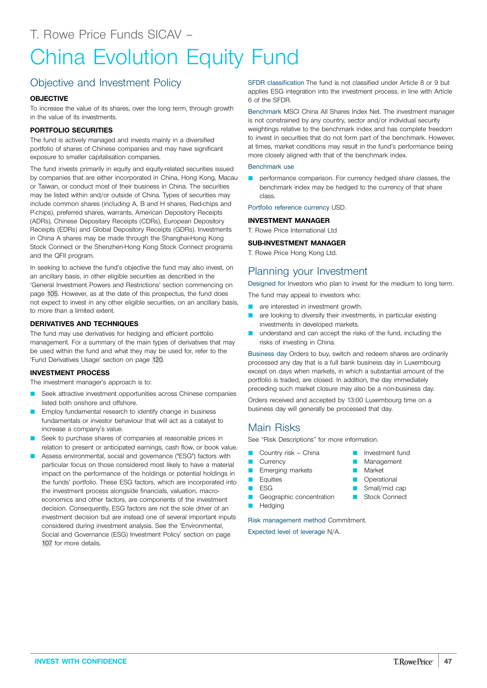# China Evolution Equity Fund

# Objective and Investment Policy

#### **OBJECTIVE**

To increase the value of its shares, over the long term, through growth in the value of its investments.

#### **PORTFOLIO SECURITIES**

The fund is actively managed and invests mainly in a diversified portfolio of shares of Chinese companies and may have significant exposure to smaller capitalisation companies.

The fund invests primarily in equity and equity-related securities issued by companies that are either incorporated in China, Hong Kong, Macau or Taiwan, or conduct most of their business in China. The securities may be listed within and/or outside of China. Types of securities may include common shares (including A, B and H shares, Red-chips and P-chips), preferred shares, warrants, American Depository Receipts (ADRs), Chinese Depositary Receipts (CDRs), European Depository Receipts (EDRs) and Global Depository Receipts (GDRs). Investments in China A shares may be made through the Shanghai-Hong Kong Stock Connect or the Shenzhen-Hong Kong Stock Connect programs and the QFII program.

In seeking to achieve the fund's objective the fund may also invest, on an ancillary basis, in other eligible securities as described in the 'General Investment Powers and Restrictions' section commencing on page [105.](#page-104-0) However, as at the date of this prospectus, the fund does not expect to invest in any other eligible securities, on an ancillary basis, to more than a limited extent.

#### **DERIVATIVES AND TECHNIQUES**

The fund may use derivatives for hedging and efficient portfolio management. For a summary of the main types of derivatives that may be used within the fund and what they may be used for, refer to the 'Fund Derivatives Usage' section on page [120](#page-119-0).

#### **INVESTMENT PROCESS**

The investment manager's approach is to:

- Seek attractive investment opportunities across Chinese companies listed both onshore and offshore.
- Employ fundamental research to identify change in business fundamentals or investor behaviour that will act as a catalyst to increase a company's value.
- Seek to purchase shares of companies at reasonable prices in relation to present or anticipated earnings, cash flow, or book value.
- Assess environmental, social and governance ("ESG") factors with particular focus on those considered most likely to have a material impact on the performance of the holdings or potential holdings in the funds' portfolio. These ESG factors, which are incorporated into the investment process alongside financials, valuation, macroeconomics and other factors, are components of the investment decision. Consequently, ESG factors are not the sole driver of an investment decision but are instead one of several important inputs considered during investment analysis. See the 'Environmental, Social and Governance (ESG) Investment Policy' section on page [107](#page-106-0) for more details.

SFDR classification The fund is not classified under Article 8 or 9 but applies ESG integration into the investment process, in line with Article 6 of the SFDR.

Benchmark MSCI China All Shares Index Net. The investment manager is not constrained by any country, sector and/or individual security weightings relative to the benchmark index and has complete freedom to invest in securities that do not form part of the benchmark. However, at times, market conditions may result in the fund's performance being more closely aligned with that of the benchmark index.

#### Benchmark use

performance comparison. For currency hedged share classes, the benchmark index may be hedged to the currency of that share class.

Portfolio reference currency USD.

#### **INVESTMENT MANAGER**

T. Rowe Price International Ltd

#### **SUB-INVESTMENT MANAGER**

T. Rowe Price Hong Kong Ltd.

# Planning your Investment

Designed for Investors who plan to invest for the medium to long term.

The fund may appeal to investors who:

- are interested in investment growth.
- are looking to diversify their investments, in particular existing investments in developed markets.
- **Q** understand and can accept the risks of the fund, including the risks of investing in China.

Business day Orders to buy, switch and redeem shares are ordinarily processed any day that is a full bank business day in Luxembourg except on days when markets, in which a substantial amount of the portfolio is traded, are closed. In addition, the day immediately preceding such market closure may also be a non-business day.

Orders received and accepted by 13:00 Luxembourg time on a business day will generally be processed that day.

## Main Risks

See "Risk Descriptions" for more information.

- Country risk China
- **Currency**
- **E** Emerging markets
- **E** Equities
- **D** ESG
- Geographic concentration **Hedging**

Risk management method Commitment.

- **D** Investment fund
- Management
- **Narket**
- **D** Operational
- Small/mid cap
- Stock Connect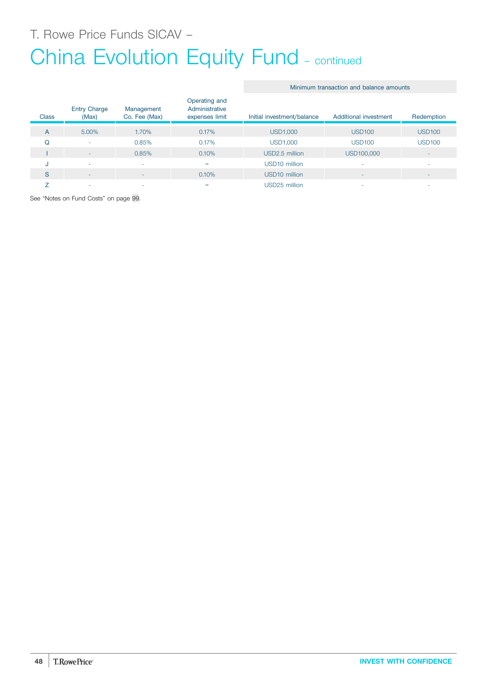T. Rowe Price Funds SICAV –

# China Evolution Equity Fund - continued

#### Minimum transaction and balance amounts

| <b>Class</b> | <b>Entry Charge</b><br>(Max) | Management<br>Co. Fee (Max) | Operating and<br>Administrative<br>expenses limit | Initial investment/balance | Additional investment | Redemption               |
|--------------|------------------------------|-----------------------------|---------------------------------------------------|----------------------------|-----------------------|--------------------------|
| A            | 5.00%                        | 1.70%                       | 0.17%                                             | <b>USD1,000</b>            | <b>USD100</b>         | <b>USD100</b>            |
| Q            | ۰                            | 0.85%                       | 0.17%                                             | <b>USD1,000</b>            | <b>USD100</b>         | <b>USD100</b>            |
|              | ۰                            | 0.85%                       | 0.10%                                             | USD2.5 million             | USD100,000            | $\overline{\phantom{a}}$ |
| u            | ۰                            | -                           | $=$                                               | USD <sub>10</sub> million  |                       | ۰                        |
| S            | ۰                            | -                           | 0.10%                                             | USD <sub>10</sub> million  |                       | $\overline{\phantom{a}}$ |
|              | -                            |                             | =                                                 | USD25 million              |                       | ۰                        |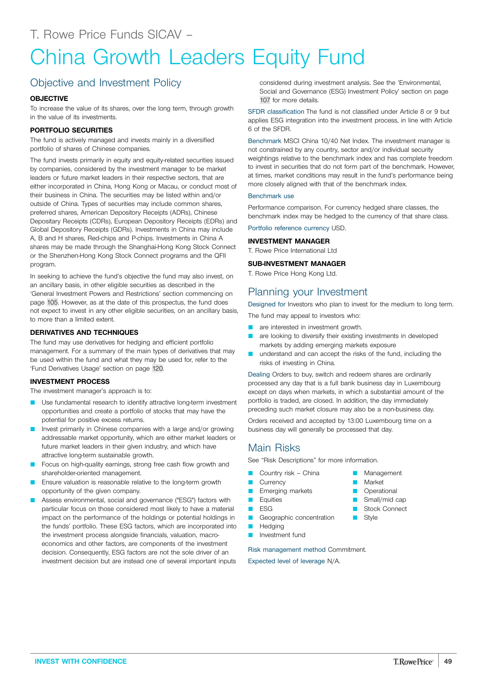# China Growth Leaders Equity Fund

# Objective and Investment Policy

#### **OBJECTIVE**

To increase the value of its shares, over the long term, through growth in the value of its investments.

#### **PORTFOLIO SECURITIES**

The fund is actively managed and invests mainly in a diversified portfolio of shares of Chinese companies.

The fund invests primarily in equity and equity-related securities issued by companies, considered by the investment manager to be market leaders or future market leaders in their respective sectors, that are either incorporated in China, Hong Kong or Macau, or conduct most of their business in China. The securities may be listed within and/or outside of China. Types of securities may include common shares, preferred shares, American Depository Receipts (ADRs), Chinese Depositary Receipts (CDRs), European Depository Receipts (EDRs) and Global Depository Receipts (GDRs). Investments in China may include A, B and H shares, Red-chips and P-chips. Investments in China A shares may be made through the Shanghai-Hong Kong Stock Connect or the Shenzhen-Hong Kong Stock Connect programs and the QFII program.

In seeking to achieve the fund's objective the fund may also invest, on an ancillary basis, in other eligible securities as described in the 'General Investment Powers and Restrictions' section commencing on page [105.](#page-104-0) However, as at the date of this prospectus, the fund does not expect to invest in any other eligible securities, on an ancillary basis, to more than a limited extent.

#### **DERIVATIVES AND TECHNIQUES**

The fund may use derivatives for hedging and efficient portfolio management. For a summary of the main types of derivatives that may be used within the fund and what they may be used for, refer to the 'Fund Derivatives Usage' section on page [120](#page-119-0).

#### **INVESTMENT PROCESS**

The investment manager's approach is to:

- Use fundamental research to identify attractive long-term investment opportunities and create a portfolio of stocks that may have the potential for positive excess returns.
- Invest primarily in Chinese companies with a large and/or growing addressable market opportunity, which are either market leaders or future market leaders in their given industry, and which have attractive long-term sustainable growth.
- Focus on high-quality earnings, strong free cash flow growth and shareholder-oriented management.
- Ensure valuation is reasonable relative to the long-term growth opportunity of the given company.
- Assess environmental, social and governance ("ESG") factors with particular focus on those considered most likely to have a material impact on the performance of the holdings or potential holdings in the funds' portfolio. These ESG factors, which are incorporated into the investment process alongside financials, valuation, macroeconomics and other factors, are components of the investment decision. Consequently, ESG factors are not the sole driver of an investment decision but are instead one of several important inputs

considered during investment analysis. See the 'Environmental, Social and Governance (ESG) Investment Policy' section on page [107](#page-106-0) for more details.

SFDR classification The fund is not classified under Article 8 or 9 but applies ESG integration into the investment process, in line with Article 6 of the SFDR.

Benchmark MSCI China 10/40 Net Index. The investment manager is not constrained by any country, sector and/or individual security weightings relative to the benchmark index and has complete freedom to invest in securities that do not form part of the benchmark. However, at times, market conditions may result in the fund's performance being more closely aligned with that of the benchmark index.

#### Benchmark use

Performance comparison. For currency hedged share classes, the benchmark index may be hedged to the currency of that share class.

Portfolio reference currency USD.

#### **INVESTMENT MANAGER**

T. Rowe Price International Ltd

#### **SUB-INVESTMENT MANAGER**

T. Rowe Price Hong Kong Ltd.

## Planning your Investment

Designed for Investors who plan to invest for the medium to long term. The fund may appeal to investors who:

- **Q** are interested in investment growth.
- are looking to diversify their existing investments in developed markets by adding emerging markets exposure
- understand and can accept the risks of the fund, including the risks of investing in China.

Dealing Orders to buy, switch and redeem shares are ordinarily processed any day that is a full bank business day in Luxembourg except on days when markets, in which a substantial amount of the portfolio is traded, are closed. In addition, the day immediately preceding such market closure may also be a non-business day.

Orders received and accepted by 13:00 Luxembourg time on a business day will generally be processed that day.

> **Management** Market **Operational** Small/mid cap Stock Connect

**B** Style

## Main Risks

See "Risk Descriptions" for more information.

- Country risk China
- **Currency**
- Emerging markets
- **D** Equities
- $ESG$
- **Q** Geographic concentration
- **Hedging**
- Q Investment fund

Risk management method Commitment.

Expected level of leverage N/A.

**INVEST WITH CONFIDENCE 49**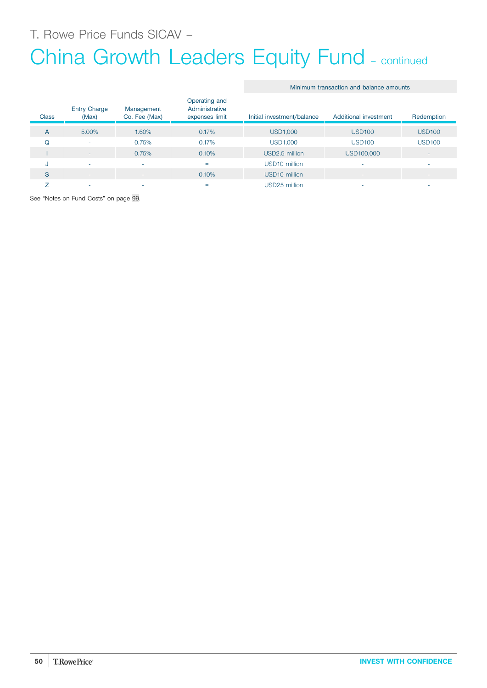T. Rowe Price Funds SICAV –

# China Growth Leaders Equity Fund – continued

#### Minimum transaction and balance amounts

| <b>Class</b> | <b>Entry Charge</b><br>(Max) | Management<br>Co. Fee (Max) | Operating and<br>Administrative<br>expenses limit | Initial investment/balance | Additional investment | Redemption               |
|--------------|------------------------------|-----------------------------|---------------------------------------------------|----------------------------|-----------------------|--------------------------|
| A            | 5.00%                        | 1.60%                       | 0.17%                                             | <b>USD1,000</b>            | <b>USD100</b>         | <b>USD100</b>            |
| Q            | ٠                            | 0.75%                       | 0.17%                                             | <b>USD1,000</b>            | <b>USD100</b>         | <b>USD100</b>            |
|              | $\overline{\phantom{a}}$     | 0.75%                       | 0.10%                                             | USD2.5 million             | USD100,000            | ٠                        |
| u            | $\overline{\phantom{a}}$     |                             | $=$                                               | USD <sub>10</sub> million  |                       | ۰                        |
| S            | ۰                            | ۰                           | 0.10%                                             | USD <sub>10</sub> million  |                       | $\overline{\phantom{a}}$ |
|              | ۰                            |                             | $=$                                               | USD25 million              |                       | ۰                        |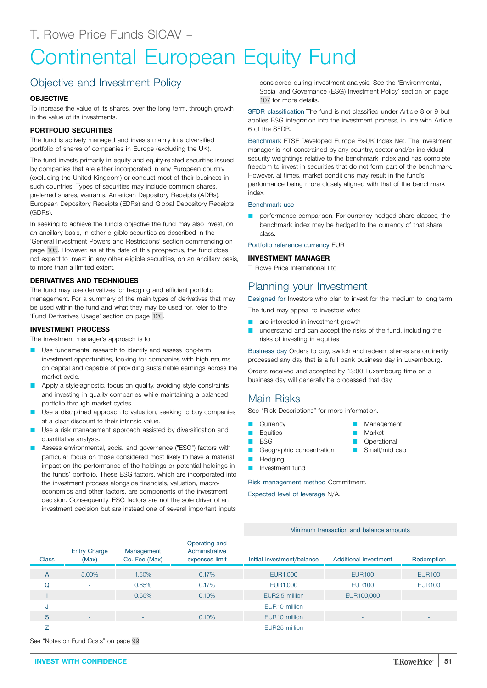# Continental European Equity Fund

# Objective and Investment Policy

### **OBJECTIVE**

To increase the value of its shares, over the long term, through growth in the value of its investments.

### **PORTFOLIO SECURITIES**

The fund is actively managed and invests mainly in a diversified portfolio of shares of companies in Europe (excluding the UK).

The fund invests primarily in equity and equity-related securities issued by companies that are either incorporated in any European country (excluding the United Kingdom) or conduct most of their business in such countries. Types of securities may include common shares, preferred shares, warrants, American Depository Receipts (ADRs), European Depository Receipts (EDRs) and Global Depository Receipts (GDRs).

In seeking to achieve the fund's objective the fund may also invest, on an ancillary basis, in other eligible securities as described in the 'General Investment Powers and Restrictions' section commencing on page [105.](#page-104-0) However, as at the date of this prospectus, the fund does not expect to invest in any other eligible securities, on an ancillary basis, to more than a limited extent.

### **DERIVATIVES AND TECHNIQUES**

The fund may use derivatives for hedging and efficient portfolio management. For a summary of the main types of derivatives that may be used within the fund and what they may be used for, refer to the 'Fund Derivatives Usage' section on page [120](#page-119-0).

#### **INVESTMENT PROCESS**

The investment manager's approach is to:

- Use fundamental research to identify and assess long-term investment opportunities, looking for companies with high returns on capital and capable of providing sustainable earnings across the market cycle.
- Apply a style-agnostic, focus on quality, avoiding style constraints and investing in quality companies while maintaining a balanced portfolio through market cycles.
- Use a disciplined approach to valuation, seeking to buy companies at a clear discount to their intrinsic value.
- Use a risk management approach assisted by diversification and quantitative analysis.
- Assess environmental, social and governance ("ESG") factors with particular focus on those considered most likely to have a material impact on the performance of the holdings or potential holdings in the funds' portfolio. These ESG factors, which are incorporated into the investment process alongside financials, valuation, macroeconomics and other factors, are components of the investment decision. Consequently, ESG factors are not the sole driver of an investment decision but are instead one of several important inputs

considered during investment analysis. See the 'Environmental, Social and Governance (ESG) Investment Policy' section on page [107](#page-106-0) for more details.

SFDR classification The fund is not classified under Article 8 or 9 but applies ESG integration into the investment process, in line with Article 6 of the SFDR.

Benchmark FTSE Developed Europe Ex-UK Index Net. The investment manager is not constrained by any country, sector and/or individual security weightings relative to the benchmark index and has complete freedom to invest in securities that do not form part of the benchmark. However, at times, market conditions may result in the fund's performance being more closely aligned with that of the benchmark index.

#### Benchmark use

performance comparison. For currency hedged share classes, the benchmark index may be hedged to the currency of that share class.

Portfolio reference currency EUR

#### **INVESTMENT MANAGER**

T. Rowe Price International Ltd

### Planning your Investment

Designed for Investors who plan to invest for the medium to long term.

The fund may appeal to investors who:

- are interested in investment growth
- understand and can accept the risks of the fund, including the risks of investing in equities

Business day Orders to buy, switch and redeem shares are ordinarily processed any day that is a full bank business day in Luxembourg.

> **Management** Market **Operational** Small/mid cap

Orders received and accepted by 13:00 Luxembourg time on a business day will generally be processed that day.

### Main Risks

See "Risk Descriptions" for more information.

- **Currency**
- **Equities**
- $ESG$
- Geographic concentration
- Hedging
- **D** Investment fund

Risk management method Commitment.

Expected level of leverage N/A.

#### Minimum transaction and balance amounts

| <b>Class</b> | <b>Entry Charge</b><br>(Max) | Management<br>Co. Fee (Max) | Operating and<br>Administrative<br>expenses limit | Initial investment/balance | Additional investment | Redemption               |
|--------------|------------------------------|-----------------------------|---------------------------------------------------|----------------------------|-----------------------|--------------------------|
| A            | 5.00%                        | 1.50%                       | 0.17%                                             | EUR1,000                   | <b>EUR100</b>         | <b>EUR100</b>            |
| Q            |                              | 0.65%                       | 0.17%                                             | EUR1,000                   | <b>EUR100</b>         | <b>EUR100</b>            |
|              | ۰.                           | 0.65%                       | 0.10%                                             | EUR2.5 million             | EUR100,000            | $\overline{\phantom{a}}$ |
| J            | $\sim$                       | $\sim$                      | $=$                                               | EUR <sub>10</sub> million  | $\sim$                | ۰                        |
| S            | $\sim$                       | <b>.</b>                    | 0.10%                                             | EUR <sub>10</sub> million  | $-$                   | $\overline{\phantom{a}}$ |
|              |                              |                             | $=$                                               | EUR <sub>25</sub> million  |                       |                          |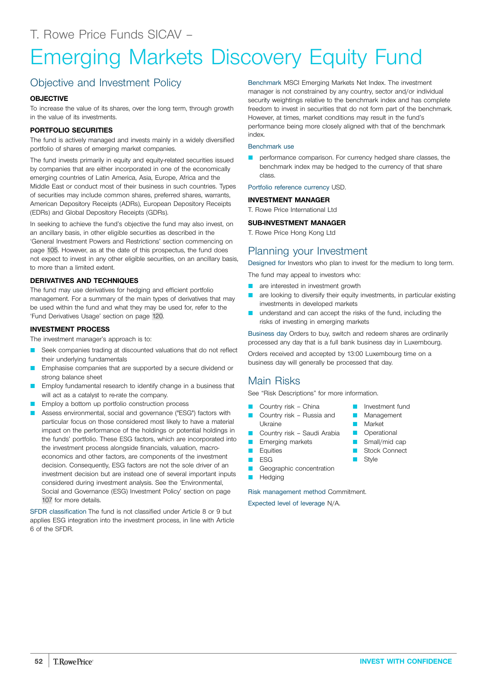# Emerging Markets Discovery Equity Fund

# Objective and Investment Policy

#### **OBJECTIVE**

To increase the value of its shares, over the long term, through growth in the value of its investments.

#### **PORTFOLIO SECURITIES**

The fund is actively managed and invests mainly in a widely diversified portfolio of shares of emerging market companies.

The fund invests primarily in equity and equity-related securities issued by companies that are either incorporated in one of the economically emerging countries of Latin America, Asia, Europe, Africa and the Middle East or conduct most of their business in such countries. Types of securities may include common shares, preferred shares, warrants, American Depository Receipts (ADRs), European Depository Receipts (EDRs) and Global Depository Receipts (GDRs).

In seeking to achieve the fund's objective the fund may also invest, on an ancillary basis, in other eligible securities as described in the 'General Investment Powers and Restrictions' section commencing on page [105.](#page-104-0) However, as at the date of this prospectus, the fund does not expect to invest in any other eligible securities, on an ancillary basis, to more than a limited extent.

#### **DERIVATIVES AND TECHNIQUES**

The fund may use derivatives for hedging and efficient portfolio management. For a summary of the main types of derivatives that may be used within the fund and what they may be used for, refer to the 'Fund Derivatives Usage' section on page [120](#page-119-0).

#### **INVESTMENT PROCESS**

The investment manager's approach is to:

- Seek companies trading at discounted valuations that do not reflect their underlying fundamentals
- Emphasise companies that are supported by a secure dividend or strong balance sheet
- Employ fundamental research to identify change in a business that will act as a catalyst to re-rate the company.
- Employ a bottom up portfolio construction process
- Assess environmental, social and governance ("ESG") factors with particular focus on those considered most likely to have a material impact on the performance of the holdings or potential holdings in the funds' portfolio. These ESG factors, which are incorporated into the investment process alongside financials, valuation, macroeconomics and other factors, are components of the investment decision. Consequently, ESG factors are not the sole driver of an investment decision but are instead one of several important inputs considered during investment analysis. See the 'Environmental, Social and Governance (ESG) Investment Policy' section on page [107](#page-106-0) for more details.

SFDR classification The fund is not classified under Article 8 or 9 but applies ESG integration into the investment process, in line with Article 6 of the SFDR.

Benchmark MSCI Emerging Markets Net Index. The investment manager is not constrained by any country, sector and/or individual security weightings relative to the benchmark index and has complete freedom to invest in securities that do not form part of the benchmark. However, at times, market conditions may result in the fund's performance being more closely aligned with that of the benchmark index.

#### Benchmark use

**Q performance comparison.** For currency hedged share classes, the benchmark index may be hedged to the currency of that share class.

Portfolio reference currency USD.

#### **INVESTMENT MANAGER**

T. Rowe Price International Ltd

#### **SUB-INVESTMENT MANAGER**

T. Rowe Price Hong Kong Ltd

### Planning your Investment

Designed for Investors who plan to invest for the medium to long term.

The fund may appeal to investors who:

- **Q** are interested in investment growth
- **Q are looking to diversify their equity investments, in particular existing** investments in developed markets
- understand and can accept the risks of the fund, including the risks of investing in emerging markets

Business day Orders to buy, switch and redeem shares are ordinarily processed any day that is a full bank business day in Luxembourg.

Orders received and accepted by 13:00 Luxembourg time on a business day will generally be processed that day.

## Main Risks

See "Risk Descriptions" for more information.

- Country risk China
- Country risk Russia and Ukraine
- **Country risk Saudi Arabia**
- **Emerging markets**
- **D** Equities
- $ESG$
- Geographic concentration
- **Hedging**

Risk management method Commitment.

- **D** Investment fund
- **Management**
- **Narket**
- **D** Operational
- $\blacksquare$  Small/mid cap
- Stock Connect
- **Style**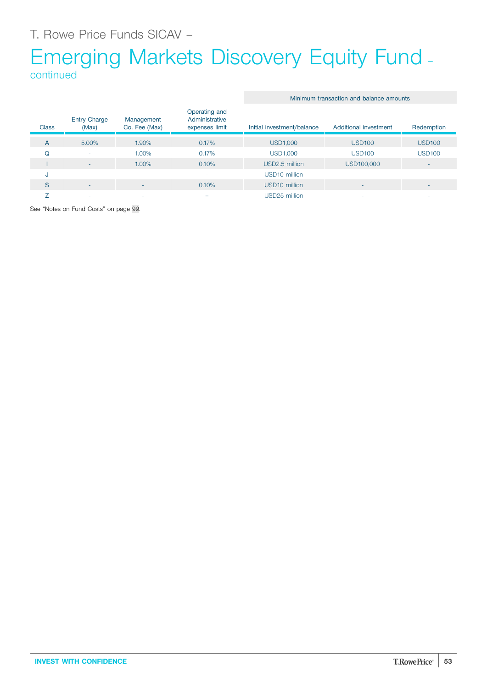# Emerging Markets Discovery Equity Fund – continued

| <b>Class</b> | <b>Entry Charge</b><br>(Max) | Management<br>Co. Fee (Max) | Operating and<br>Administrative<br>expenses limit | Initial investment/balance | Additional investment | Redemption               |
|--------------|------------------------------|-----------------------------|---------------------------------------------------|----------------------------|-----------------------|--------------------------|
| A            | 5.00%                        | 1.90%                       | 0.17%                                             | <b>USD1,000</b>            | <b>USD100</b>         | <b>USD100</b>            |
| Q            | ٠                            | 1.00%                       | 0.17%                                             | <b>USD1,000</b>            | <b>USD100</b>         | <b>USD100</b>            |
|              | $\sim$                       | 1.00%                       | 0.10%                                             | USD2.5 million             | USD100,000            | $\overline{\phantom{a}}$ |
| u            | ۰                            | ٠                           | $=$                                               | USD <sub>10</sub> million  | ٠                     | $\overline{\phantom{a}}$ |
| S            | $\overline{\phantom{a}}$     |                             | 0.10%                                             | USD <sub>10</sub> million  |                       | $\overline{\phantom{a}}$ |
|              | ۰                            |                             | =                                                 | USD25 million              |                       | $\overline{\phantom{a}}$ |

Minimum transaction and balance amounts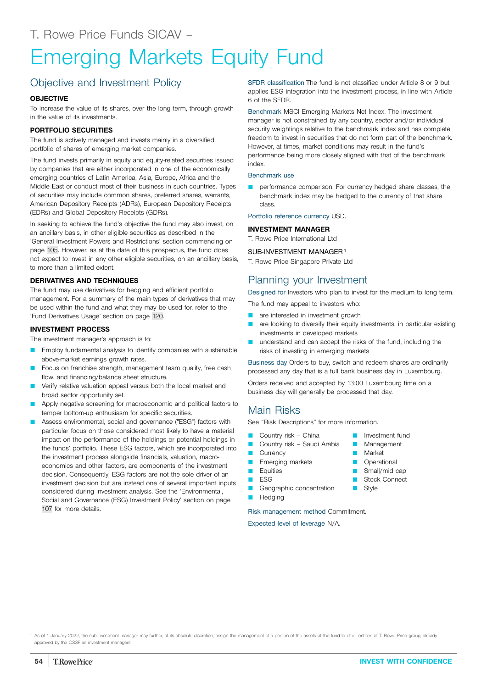# Emerging Markets Equity Fund

# Objective and Investment Policy

#### **OBJECTIVE**

To increase the value of its shares, over the long term, through growth in the value of its investments.

#### **PORTFOLIO SECURITIES**

The fund is actively managed and invests mainly in a diversified portfolio of shares of emerging market companies.

The fund invests primarily in equity and equity-related securities issued by companies that are either incorporated in one of the economically emerging countries of Latin America, Asia, Europe, Africa and the Middle East or conduct most of their business in such countries. Types of securities may include common shares, preferred shares, warrants, American Depository Receipts (ADRs), European Depository Receipts (EDRs) and Global Depository Receipts (GDRs).

In seeking to achieve the fund's objective the fund may also invest, on an ancillary basis, in other eligible securities as described in the 'General Investment Powers and Restrictions' section commencing on page [105.](#page-104-0) However, as at the date of this prospectus, the fund does not expect to invest in any other eligible securities, on an ancillary basis, to more than a limited extent.

#### **DERIVATIVES AND TECHNIQUES**

The fund may use derivatives for hedging and efficient portfolio management. For a summary of the main types of derivatives that may be used within the fund and what they may be used for, refer to the 'Fund Derivatives Usage' section on page [120](#page-119-0).

#### **INVESTMENT PROCESS**

The investment manager's approach is to:

- Employ fundamental analysis to identify companies with sustainable above-market earnings growth rates.
- Focus on franchise strength, management team quality, free cash flow, and financing/balance sheet structure.
- Verify relative valuation appeal versus both the local market and broad sector opportunity set.
- Apply negative screening for macroeconomic and political factors to temper bottom-up enthusiasm for specific securities.
- Assess environmental, social and governance ("ESG") factors with particular focus on those considered most likely to have a material impact on the performance of the holdings or potential holdings in the funds' portfolio. These ESG factors, which are incorporated into the investment process alongside financials, valuation, macroeconomics and other factors, are components of the investment decision. Consequently, ESG factors are not the sole driver of an investment decision but are instead one of several important inputs considered during investment analysis. See the 'Environmental, Social and Governance (ESG) Investment Policy' section on page [107](#page-106-0) for more details.

SFDR classification The fund is not classified under Article 8 or 9 but applies ESG integration into the investment process, in line with Article 6 of the SFDR.

Benchmark MSCI Emerging Markets Net Index. The investment manager is not constrained by any country, sector and/or individual security weightings relative to the benchmark index and has complete freedom to invest in securities that do not form part of the benchmark. However, at times, market conditions may result in the fund's performance being more closely aligned with that of the benchmark index.

#### Benchmark use

performance comparison. For currency hedged share classes, the benchmark index may be hedged to the currency of that share class.

Portfolio reference currency USD.

#### **INVESTMENT MANAGER**

T. Rowe Price International Ltd

#### SUB-INVESTMENT MANAGER**<sup>1</sup>**

T. Rowe Price Singapore Private Ltd

## Planning your Investment

Designed for Investors who plan to invest for the medium to long term.

The fund may appeal to investors who:

- **Q** are interested in investment growth
- are looking to diversify their equity investments, in particular existing investments in developed markets
- understand and can accept the risks of the fund, including the risks of investing in emerging markets

Business day Orders to buy, switch and redeem shares are ordinarily processed any day that is a full bank business day in Luxembourg.

Orders received and accepted by 13:00 Luxembourg time on a business day will generally be processed that day.

### Main Risks

See "Risk Descriptions" for more information.

- Country risk China
- Country risk Saudi Arabia
- **Currency**
- **Emerging markets**
- **D** Equities
- $E$  ESG
- Geographic concentration
- **D** Hedging

Risk management method Commitment.

- **D** Investment fund **Management**
- **Market**
- **D** Operational
- $\Box$  Small/mid cap
- **B** Stock Connect
- **B** Style
-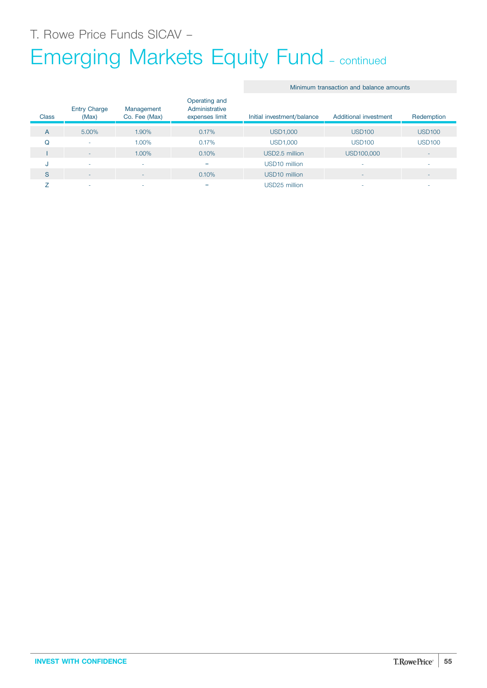# Emerging Markets Equity Fund – continued

#### Minimum transaction and balance amounts

| <b>Class</b> | <b>Entry Charge</b><br>(Max) | Management<br>Co. Fee (Max) | Operating and<br>Administrative<br>expenses limit | Initial investment/balance | Additional investment    | Redemption               |
|--------------|------------------------------|-----------------------------|---------------------------------------------------|----------------------------|--------------------------|--------------------------|
| A            | 5.00%                        | 1.90%                       | 0.17%                                             | <b>USD1,000</b>            | <b>USD100</b>            | <b>USD100</b>            |
| Q            | ٠                            | 1.00%                       | 0.17%                                             | <b>USD1,000</b>            | <b>USD100</b>            | <b>USD100</b>            |
|              | $\overline{a}$               | 1.00%                       | 0.10%                                             | USD2.5 million             | USD100,000               | $\sim$                   |
| u            | ۰                            |                             | $=$                                               | USD <sub>10</sub> million  |                          | $\overline{\phantom{a}}$ |
| S            | $\sim$                       | $\sim$                      | 0.10%                                             | USD <sub>10</sub> million  | $\overline{\phantom{a}}$ | $\overline{\phantom{a}}$ |
|              | ۰                            | $\overline{\phantom{a}}$    | $=$                                               | USD25 million              | ۰                        | $\overline{\phantom{a}}$ |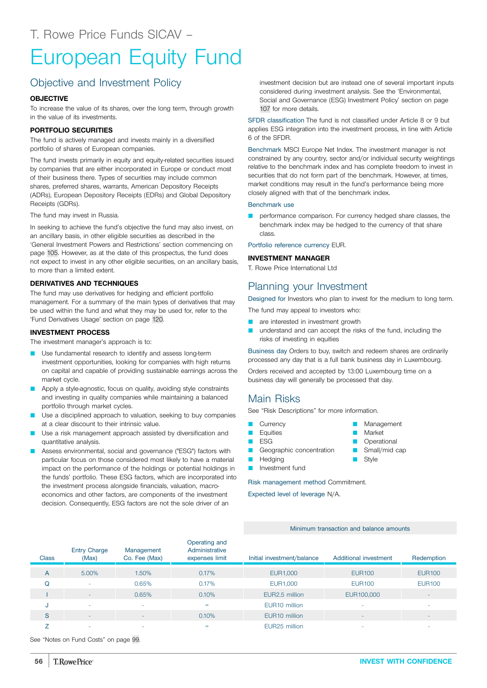# European Equity Fund

# Objective and Investment Policy

#### **OBJECTIVE**

To increase the value of its shares, over the long term, through growth in the value of its investments.

#### **PORTFOLIO SECURITIES**

The fund is actively managed and invests mainly in a diversified portfolio of shares of European companies.

The fund invests primarily in equity and equity-related securities issued by companies that are either incorporated in Europe or conduct most of their business there. Types of securities may include common shares, preferred shares, warrants, American Depository Receipts (ADRs), European Depository Receipts (EDRs) and Global Depository Receipts (GDRs).

The fund may invest in Russia.

In seeking to achieve the fund's objective the fund may also invest, on an ancillary basis, in other eligible securities as described in the 'General Investment Powers and Restrictions' section commencing on page [105.](#page-104-0) However, as at the date of this prospectus, the fund does not expect to invest in any other eligible securities, on an ancillary basis, to more than a limited extent.

#### **DERIVATIVES AND TECHNIQUES**

The fund may use derivatives for hedging and efficient portfolio management. For a summary of the main types of derivatives that may be used within the fund and what they may be used for, refer to the 'Fund Derivatives Usage' section on page [120](#page-119-0).

#### **INVESTMENT PROCESS**

The investment manager's approach is to:

- Use fundamental research to identify and assess long-term investment opportunities, looking for companies with high returns on capital and capable of providing sustainable earnings across the market cycle.
- **Q** Apply a style-agnostic, focus on quality, avoiding style constraints and investing in quality companies while maintaining a balanced portfolio through market cycles.
- Use a disciplined approach to valuation, seeking to buy companies at a clear discount to their intrinsic value.
- Use a risk management approach assisted by diversification and quantitative analysis.
- Assess environmental, social and governance ("ESG") factors with particular focus on those considered most likely to have a material impact on the performance of the holdings or potential holdings in the funds' portfolio. These ESG factors, which are incorporated into the investment process alongside financials, valuation, macroeconomics and other factors, are components of the investment decision. Consequently, ESG factors are not the sole driver of an

investment decision but are instead one of several important inputs considered during investment analysis. See the 'Environmental, Social and Governance (ESG) Investment Policy' section on page [107](#page-106-0) for more details.

SFDR classification The fund is not classified under Article 8 or 9 but applies ESG integration into the investment process, in line with Article 6 of the SFDR.

Benchmark MSCI Europe Net Index. The investment manager is not constrained by any country, sector and/or individual security weightings relative to the benchmark index and has complete freedom to invest in securities that do not form part of the benchmark. However, at times, market conditions may result in the fund's performance being more closely aligned with that of the benchmark index.

#### Benchmark use

performance comparison. For currency hedged share classes, the benchmark index may be hedged to the currency of that share class.

Portfolio reference currency EUR.

#### **INVESTMENT MANAGER**

T. Rowe Price International Ltd

#### Planning your Investment

Designed for Investors who plan to invest for the medium to long term.

The fund may appeal to investors who:

- are interested in investment growth
- understand and can accept the risks of the fund, including the risks of investing in equities

Business day Orders to buy, switch and redeem shares are ordinarily processed any day that is a full bank business day in Luxembourg.

Orders received and accepted by 13:00 Luxembourg time on a business day will generally be processed that day.

### Main Risks

See "Risk Descriptions" for more information.

- **Currency**
- **D** Equities
- $ESG$
- Geographic concentration
- **D** Hedging
- **D** Investment fund

Risk management method Commitment.

Expected level of leverage N/A.

Minimum transaction and balance amounts

| <b>Class</b> | <b>Entry Charge</b><br>(Max) | Management<br>Co. Fee (Max) | Operating and<br>Administrative<br>expenses limit | Initial investment/balance | Additional investment    | Redemption    |
|--------------|------------------------------|-----------------------------|---------------------------------------------------|----------------------------|--------------------------|---------------|
| A            | 5.00%                        | 1.50%                       | 0.17%                                             | EUR1,000                   | <b>EUR100</b>            | <b>EUR100</b> |
| O            | ۰                            | 0.65%                       | 0.17%                                             | EUR1,000                   | <b>EUR100</b>            | <b>EUR100</b> |
|              | $\overline{\phantom{a}}$     | 0.65%                       | 0.10%                                             | EUR2.5 million             | EUR100,000               |               |
| -J.          | ۰                            |                             | $=$                                               | EUR <sub>10</sub> million  | -                        | ۰             |
| S            | ۰                            | $\overline{\phantom{0}}$    | 0.10%                                             | EUR <sub>10</sub> million  | $\overline{\phantom{a}}$ |               |
|              | ۰                            | -                           | $=$                                               | EUR <sub>25</sub> million  | ۰                        |               |

- **Management** Market
- **Operational**
- Small/mid cap
- Style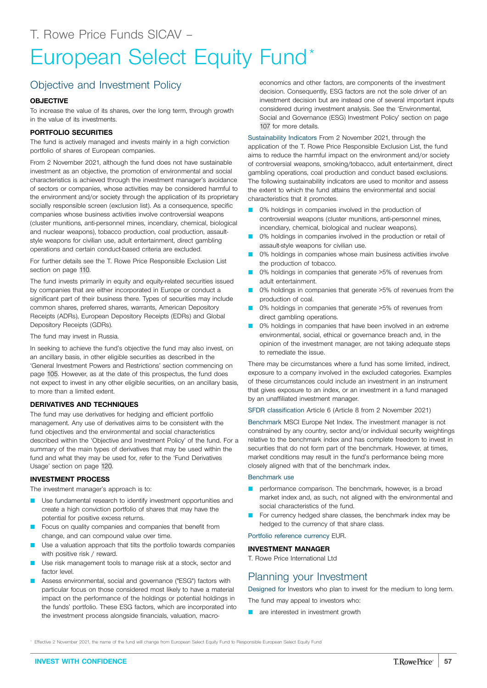# European Select Equity Fund\*

## Objective and Investment Policy

#### **OBJECTIVE**

To increase the value of its shares, over the long term, through growth in the value of its investments.

#### **PORTFOLIO SECURITIES**

The fund is actively managed and invests mainly in a high conviction portfolio of shares of European companies.

From 2 November 2021, although the fund does not have sustainable investment as an objective, the promotion of environmental and social characteristics is achieved through the investment manager's avoidance of sectors or companies, whose activities may be considered harmful to the environment and/or society through the application of its proprietary socially responsible screen (exclusion list). As a consequence, specific companies whose business activities involve controversial weapons (cluster munitions, anti-personnel mines, incendiary, chemical, biological and nuclear weapons), tobacco production, coal production, assaultstyle weapons for civilian use, adult entertainment, direct gambling operations and certain conduct-based criteria are excluded.

For further details see the T. Rowe Price Responsible Exclusion List section on page [110](#page-109-0).

The fund invests primarily in equity and equity-related securities issued by companies that are either incorporated in Europe or conduct a significant part of their business there. Types of securities may include common shares, preferred shares, warrants, American Depository Receipts (ADRs), European Depository Receipts (EDRs) and Global Depository Receipts (GDRs).

The fund may invest in Russia.

In seeking to achieve the fund's objective the fund may also invest, on an ancillary basis, in other eligible securities as described in the 'General Investment Powers and Restrictions' section commencing on page [105.](#page-104-0) However, as at the date of this prospectus, the fund does not expect to invest in any other eligible securities, on an ancillary basis, to more than a limited extent.

#### **DERIVATIVES AND TECHNIQUES**

The fund may use derivatives for hedging and efficient portfolio management. Any use of derivatives aims to be consistent with the fund objectives and the environmental and social characteristics described within the 'Objective and Investment Policy' of the fund. For a summary of the main types of derivatives that may be used within the fund and what they may be used for, refer to the 'Fund Derivatives Usage' section on page [120.](#page-119-0)

#### **INVESTMENT PROCESS**

The investment manager's approach is to:

- Use fundamental research to identify investment opportunities and create a high conviction portfolio of shares that may have the potential for positive excess returns.
- Focus on quality companies and companies that benefit from change, and can compound value over time.
- Use a valuation approach that tilts the portfolio towards companies with positive risk / reward.
- Use risk management tools to manage risk at a stock, sector and factor level
- Assess environmental, social and governance ("ESG") factors with particular focus on those considered most likely to have a material impact on the performance of the holdings or potential holdings in the funds' portfolio. These ESG factors, which are incorporated into the investment process alongside financials, valuation, macro-

economics and other factors, are components of the investment decision. Consequently, ESG factors are not the sole driver of an investment decision but are instead one of several important inputs considered during investment analysis. See the 'Environmental, Social and Governance (ESG) Investment Policy' section on page [107](#page-106-0) for more details.

Sustainability Indicators From 2 November 2021, through the application of the T. Rowe Price Responsible Exclusion List, the fund aims to reduce the harmful impact on the environment and/or society of controversial weapons, smoking/tobacco, adult entertainment, direct gambling operations, coal production and conduct based exclusions. The following sustainability indicators are used to monitor and assess the extent to which the fund attains the environmental and social characteristics that it promotes.

- 0% holdings in companies involved in the production of controversial weapons (cluster munitions, anti-personnel mines, incendiary, chemical, biological and nuclear weapons).
- 0% holdings in companies involved in the production or retail of assault-style weapons for civilian use.
- 0% holdings in companies whose main business activities involve the production of tobacco.
- 0% holdings in companies that generate >5% of revenues from adult entertainment.
- 0% holdings in companies that generate >5% of revenues from the production of coal.
- 0% holdings in companies that generate >5% of revenues from direct gambling operations.
- 0% holdings in companies that have been involved in an extreme environmental, social, ethical or governance breach and, in the opinion of the investment manager, are not taking adequate steps to remediate the issue.

There may be circumstances where a fund has some limited, indirect, exposure to a company involved in the excluded categories. Examples of these circumstances could include an investment in an instrument that gives exposure to an index, or an investment in a fund managed by an unaffiliated investment manager.

SFDR classification Article 6 (Article 8 from 2 November 2021)

Benchmark MSCI Europe Net Index. The investment manager is not constrained by any country, sector and/or individual security weightings relative to the benchmark index and has complete freedom to invest in securities that do not form part of the benchmark. However, at times, market conditions may result in the fund's performance being more closely aligned with that of the benchmark index.

#### Benchmark use

- performance comparison. The benchmark, however, is a broad market index and, as such, not aligned with the environmental and social characteristics of the fund.
- For currency hedged share classes, the benchmark index may be hedged to the currency of that share class.

Portfolio reference currency EUR.

#### **INVESTMENT MANAGER**

T. Rowe Price International Ltd

# Planning your Investment

Designed for Investors who plan to invest for the medium to long term.

The fund may appeal to investors who:

**Q** are interested in investment growth

\* Effective 2 November 2021, the name of the fund will change from European Select Equity Fund to Responsible European Select Equity Fund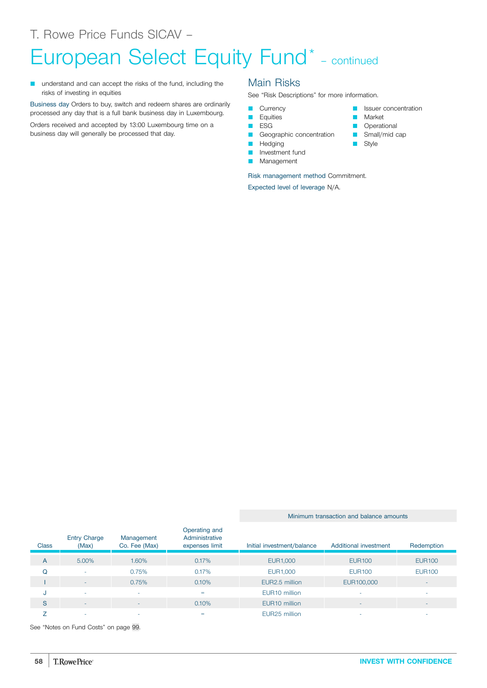# European Select Equity Fund<sup>\*</sup> - continued

understand and can accept the risks of the fund, including the risks of investing in equities

Business day Orders to buy, switch and redeem shares are ordinarily processed any day that is a full bank business day in Luxembourg.

Orders received and accepted by 13:00 Luxembourg time on a business day will generally be processed that day.

### Main Risks

See "Risk Descriptions" for more information.

- **Currency**
- **D** Equities
- **D** ESG
- Geographic concentration
- **D** Hedging
- **D** Investment fund
- **Management**

Risk management method Commitment.

Expected level of leverage N/A.

- Issuer concentration
- Market
- **D** Operational
- Small/mid cap
- Style

Minimum transaction and balance amounts

#### **Class** Entry Charge (Max) Management Co. Fee (Max) Operating and Administrative expenses limit Initial investment/balance Additional investment Redemption A 5.00% 1.60% 0.17% EUR1,000 EUR100 EUR100 Q - 0.75% 0.17% EUR1,000 EUR100 EUR100 I - 0.75% 0.75% 0.10% EUR2.5 million EUR100,000 J - - = EUR10 million - - S - - 0.10% EUR10 million - - Z - - = EUR25 million - -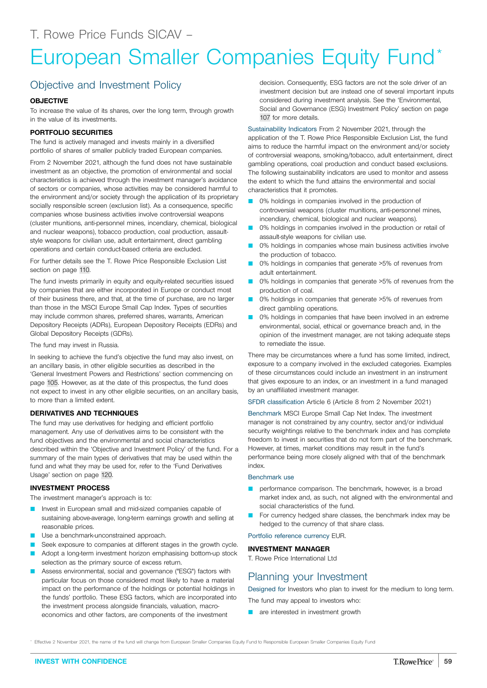# European Smaller Companies Equity Fund\*

# Objective and Investment Policy

#### **OBJECTIVE**

To increase the value of its shares, over the long term, through growth in the value of its investments.

#### **PORTFOLIO SECURITIES**

The fund is actively managed and invests mainly in a diversified portfolio of shares of smaller publicly traded European companies.

From 2 November 2021, although the fund does not have sustainable investment as an objective, the promotion of environmental and social characteristics is achieved through the investment manager's avoidance of sectors or companies, whose activities may be considered harmful to the environment and/or society through the application of its proprietary socially responsible screen (exclusion list). As a consequence, specific companies whose business activities involve controversial weapons (cluster munitions, anti-personnel mines, incendiary, chemical, biological and nuclear weapons), tobacco production, coal production, assaultstyle weapons for civilian use, adult entertainment, direct gambling operations and certain conduct-based criteria are excluded.

For further details see the T. Rowe Price Responsible Exclusion List section on page [110](#page-109-0).

The fund invests primarily in equity and equity-related securities issued by companies that are either incorporated in Europe or conduct most of their business there, and that, at the time of purchase, are no larger than those in the MSCI Europe Small Cap Index. Types of securities may include common shares, preferred shares, warrants, American Depository Receipts (ADRs), European Depository Receipts (EDRs) and Global Depository Receipts (GDRs).

The fund may invest in Russia.

In seeking to achieve the fund's objective the fund may also invest, on an ancillary basis, in other eligible securities as described in the 'General Investment Powers and Restrictions' section commencing on page [105.](#page-104-0) However, as at the date of this prospectus, the fund does not expect to invest in any other eligible securities, on an ancillary basis, to more than a limited extent.

#### **DERIVATIVES AND TECHNIQUES**

The fund may use derivatives for hedging and efficient portfolio management. Any use of derivatives aims to be consistent with the fund objectives and the environmental and social characteristics described within the 'Objective and Investment Policy' of the fund. For a summary of the main types of derivatives that may be used within the fund and what they may be used for, refer to the 'Fund Derivatives Usage' section on page [120.](#page-119-0)

#### **INVESTMENT PROCESS**

The investment manager's approach is to:

- Invest in European small and mid-sized companies capable of sustaining above-average, long-term earnings growth and selling at reasonable prices.
- Use a benchmark-unconstrained approach.
- Seek exposure to companies at different stages in the growth cycle.
- Adopt a long-term investment horizon emphasising bottom-up stock selection as the primary source of excess return.
- Assess environmental, social and governance ("ESG") factors with particular focus on those considered most likely to have a material impact on the performance of the holdings or potential holdings in the funds' portfolio. These ESG factors, which are incorporated into the investment process alongside financials, valuation, macroeconomics and other factors, are components of the investment

decision. Consequently, ESG factors are not the sole driver of an investment decision but are instead one of several important inputs considered during investment analysis. See the 'Environmental, Social and Governance (ESG) Investment Policy' section on page [107](#page-106-0) for more details.

Sustainability Indicators From 2 November 2021, through the application of the T. Rowe Price Responsible Exclusion List, the fund aims to reduce the harmful impact on the environment and/or society of controversial weapons, smoking/tobacco, adult entertainment, direct gambling operations, coal production and conduct based exclusions. The following sustainability indicators are used to monitor and assess the extent to which the fund attains the environmental and social characteristics that it promotes.

- 0% holdings in companies involved in the production of controversial weapons (cluster munitions, anti-personnel mines, incendiary, chemical, biological and nuclear weapons).
- 0% holdings in companies involved in the production or retail of assault-style weapons for civilian use.
- 0% holdings in companies whose main business activities involve the production of tobacco.
- 0% holdings in companies that generate >5% of revenues from adult entertainment.
- 0% holdings in companies that generate >5% of revenues from the production of coal.
- 0% holdings in companies that generate >5% of revenues from direct gambling operations.
- 0% holdings in companies that have been involved in an extreme environmental, social, ethical or governance breach and, in the opinion of the investment manager, are not taking adequate steps to remediate the issue.

There may be circumstances where a fund has some limited, indirect, exposure to a company involved in the excluded categories. Examples of these circumstances could include an investment in an instrument that gives exposure to an index, or an investment in a fund managed by an unaffiliated investment manager.

SFDR classification Article 6 (Article 8 from 2 November 2021)

Benchmark MSCI Europe Small Cap Net Index. The investment manager is not constrained by any country, sector and/or individual security weightings relative to the benchmark index and has complete freedom to invest in securities that do not form part of the benchmark. However, at times, market conditions may result in the fund's performance being more closely aligned with that of the benchmark index.

#### Benchmark use

- **P** performance comparison. The benchmark, however, is a broad market index and, as such, not aligned with the environmental and social characteristics of the fund.
- For currency hedged share classes, the benchmark index may be hedged to the currency of that share class.

Portfolio reference currency EUR.

#### **INVESTMENT MANAGER**

T. Rowe Price International Ltd

# Planning your Investment

Designed for Investors who plan to invest for the medium to long term.

- The fund may appeal to investors who:
- **Q** are interested in investment growth

\* Effective 2 November 2021, the name of the fund will change from European Smaller Companies Equity Fund to Responsible European Smaller Companies Equity Fund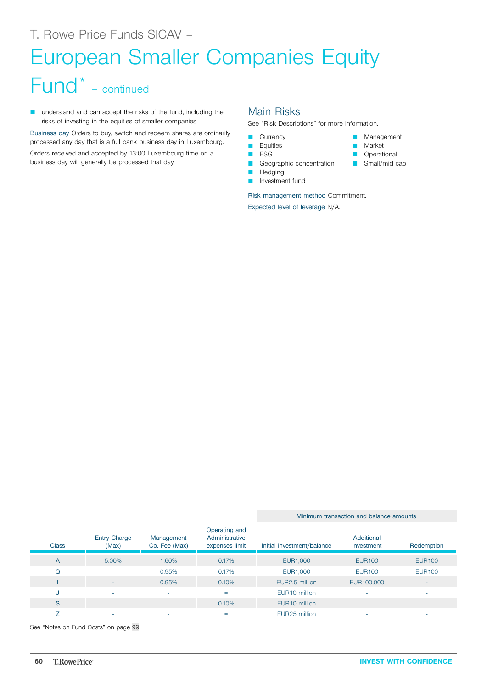# European Smaller Companies Equity

# Fund\* – continued

**Q** understand and can accept the risks of the fund, including the risks of investing in the equities of smaller companies

Business day Orders to buy, switch and redeem shares are ordinarily processed any day that is a full bank business day in Luxembourg.

Orders received and accepted by 13:00 Luxembourg time on a business day will generally be processed that day.

### Main Risks

See "Risk Descriptions" for more information.

**Management Market D** Operational Small/mid cap

- **Currency**
- **D** Equities
- **D** ESG
- Geographic concentration
- **Hedging D** Investment fund

Risk management method Commitment.

Expected level of leverage N/A.

| <b>Class</b> | <b>Entry Charge</b><br>(Max) | Management<br>Co. Fee (Max) | Operating and<br>Administrative<br>expenses limit | Initial investment/balance | Additional<br>investment | Redemption               |
|--------------|------------------------------|-----------------------------|---------------------------------------------------|----------------------------|--------------------------|--------------------------|
| A            | 5.00%                        | 1.60%                       | 0.17%                                             | EUR1,000                   | <b>EUR100</b>            | <b>EUR100</b>            |
| Q            | ۰.                           | 0.95%                       | 0.17%                                             | EUR1,000                   | <b>EUR100</b>            | <b>EUR100</b>            |
|              |                              | 0.95%                       | 0.10%                                             | EUR2.5 million             | EUR100,000               | $\overline{\phantom{a}}$ |
| J.           | $\sim$                       | $\overline{\phantom{a}}$    | $=$                                               | EUR <sub>10</sub> million  | ۰                        |                          |
| S            | $-$                          | $\overline{\phantom{a}}$    | 0.10%                                             | EUR <sub>10</sub> million  | $\overline{\phantom{a}}$ | -                        |
|              |                              |                             |                                                   |                            |                          |                          |

Z in the set of the set of the set of the set of the set of the set of the set of the set of the set of the set of the set of the set of the set of the set of the set of the set of the set of the set of the set of the set

See "Notes on Fund Costs" on page [99](#page-98-0).

Minimum transaction and balance amounts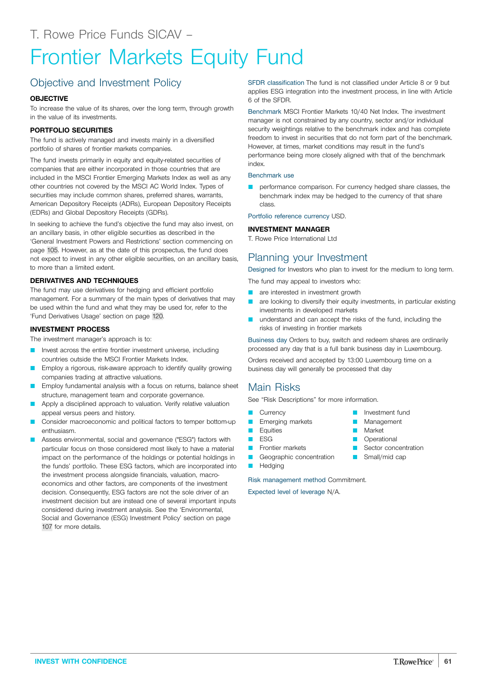# Frontier Markets Equity Fund

# Objective and Investment Policy

### **OBJECTIVE**

To increase the value of its shares, over the long term, through growth in the value of its investments.

### **PORTFOLIO SECURITIES**

The fund is actively managed and invests mainly in a diversified portfolio of shares of frontier markets companies.

The fund invests primarily in equity and equity-related securities of companies that are either incorporated in those countries that are included in the MSCI Frontier Emerging Markets Index as well as any other countries not covered by the MSCI AC World Index. Types of securities may include common shares, preferred shares, warrants, American Depository Receipts (ADRs), European Depository Receipts (EDRs) and Global Depository Receipts (GDRs).

In seeking to achieve the fund's objective the fund may also invest, on an ancillary basis, in other eligible securities as described in the 'General Investment Powers and Restrictions' section commencing on page [105.](#page-104-0) However, as at the date of this prospectus, the fund does not expect to invest in any other eligible securities, on an ancillary basis, to more than a limited extent.

### **DERIVATIVES AND TECHNIQUES**

The fund may use derivatives for hedging and efficient portfolio management. For a summary of the main types of derivatives that may be used within the fund and what they may be used for, refer to the 'Fund Derivatives Usage' section on page [120](#page-119-0).

#### **INVESTMENT PROCESS**

The investment manager's approach is to:

- Invest across the entire frontier investment universe, including countries outside the MSCI Frontier Markets Index.
- Employ a rigorous, risk-aware approach to identify quality growing companies trading at attractive valuations.
- Employ fundamental analysis with a focus on returns, balance sheet structure, management team and corporate governance.
- Apply a disciplined approach to valuation. Verify relative valuation appeal versus peers and history.
- Q Consider macroeconomic and political factors to temper bottom-up enthusiasm.
- Assess environmental, social and governance ("ESG") factors with particular focus on those considered most likely to have a material impact on the performance of the holdings or potential holdings in the funds' portfolio. These ESG factors, which are incorporated into the investment process alongside financials, valuation, macroeconomics and other factors, are components of the investment decision. Consequently, ESG factors are not the sole driver of an investment decision but are instead one of several important inputs considered during investment analysis. See the 'Environmental, Social and Governance (ESG) Investment Policy' section on page [107](#page-106-0) for more details.

SFDR classification The fund is not classified under Article 8 or 9 but applies ESG integration into the investment process, in line with Article 6 of the SFDR.

Benchmark MSCI Frontier Markets 10/40 Net Index. The investment manager is not constrained by any country, sector and/or individual security weightings relative to the benchmark index and has complete freedom to invest in securities that do not form part of the benchmark. However, at times, market conditions may result in the fund's performance being more closely aligned with that of the benchmark index.

#### Benchmark use

performance comparison. For currency hedged share classes, the benchmark index may be hedged to the currency of that share class.

Portfolio reference currency USD.

#### **INVESTMENT MANAGER**

T. Rowe Price International Ltd

### Planning your Investment

Designed for Investors who plan to invest for the medium to long term.

The fund may appeal to investors who:

- are interested in investment growth
- **Q are looking to diversify their equity investments, in particular existing** investments in developed markets
- understand and can accept the risks of the fund, including the risks of investing in frontier markets

Business day Orders to buy, switch and redeem shares are ordinarily processed any day that is a full bank business day in Luxembourg.

Orders received and accepted by 13:00 Luxembourg time on a business day will generally be processed that day

### Main Risks

See "Risk Descriptions" for more information.

- **Currency**
- Emerging markets
- **D** Equities
- $ESG$
- **D** Frontier markets
- Geographic concentration
- **Hedging**

Risk management method Commitment.

- **D** Investment fund Management
- Market
- **D** Operational
- **C** Sector concentration
- $\Box$  Small/mid cap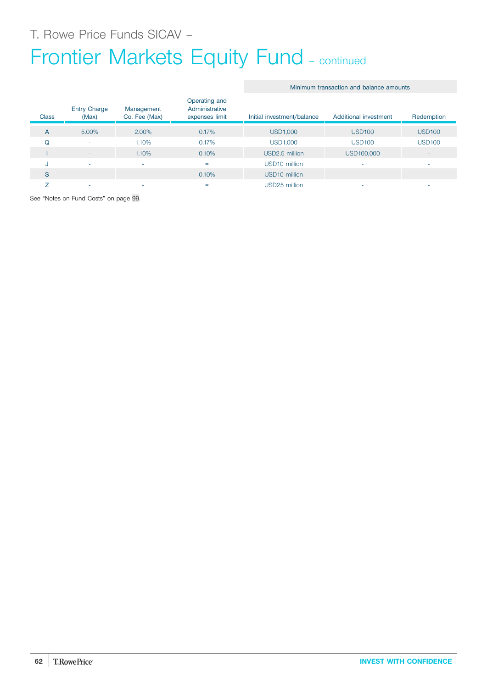# Frontier Markets Equity Fund - continued

#### Minimum transaction and balance amounts

| <b>Class</b> | <b>Entry Charge</b><br>(Max) | Management<br>Co. Fee (Max) | Operating and<br>Administrative<br>expenses limit | Initial investment/balance | Additional investment | Redemption               |
|--------------|------------------------------|-----------------------------|---------------------------------------------------|----------------------------|-----------------------|--------------------------|
| A            | 5.00%                        | 2.00%                       | 0.17%                                             | <b>USD1,000</b>            | <b>USD100</b>         | <b>USD100</b>            |
| Q            | ٠                            | 1.10%                       | 0.17%                                             | <b>USD1,000</b>            | <b>USD100</b>         | <b>USD100</b>            |
|              | $\overline{\phantom{a}}$     | 1.10%                       | 0.10%                                             | USD2.5 million             | USD100,000            | $\overline{\phantom{a}}$ |
| u            | $\overline{\phantom{a}}$     |                             | $=$                                               | USD <sub>10</sub> million  |                       | ۰                        |
| S            | ۰                            | ۰                           | 0.10%                                             | USD <sub>10</sub> million  |                       | $\overline{\phantom{a}}$ |
|              | -                            |                             | $=$                                               | USD25 million              |                       | -                        |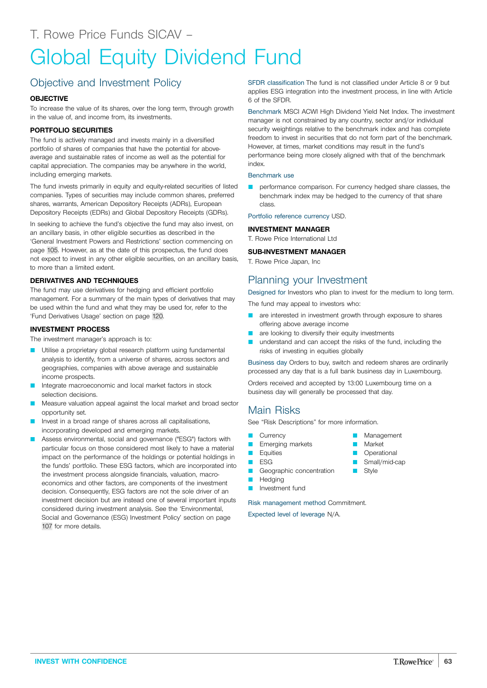# Global Equity Dividend Fund

# Objective and Investment Policy

#### **OBJECTIVE**

To increase the value of its shares, over the long term, through growth in the value of, and income from, its investments.

#### **PORTFOLIO SECURITIES**

The fund is actively managed and invests mainly in a diversified portfolio of shares of companies that have the potential for aboveaverage and sustainable rates of income as well as the potential for capital appreciation. The companies may be anywhere in the world, including emerging markets.

The fund invests primarily in equity and equity-related securities of listed companies. Types of securities may include common shares, preferred shares, warrants, American Depository Receipts (ADRs), European Depository Receipts (EDRs) and Global Depository Receipts (GDRs).

In seeking to achieve the fund's objective the fund may also invest, on an ancillary basis, in other eligible securities as described in the 'General Investment Powers and Restrictions' section commencing on page [105.](#page-104-0) However, as at the date of this prospectus, the fund does not expect to invest in any other eligible securities, on an ancillary basis, to more than a limited extent.

#### **DERIVATIVES AND TECHNIQUES**

The fund may use derivatives for hedging and efficient portfolio management. For a summary of the main types of derivatives that may be used within the fund and what they may be used for, refer to the 'Fund Derivatives Usage' section on page [120](#page-119-0).

#### **INVESTMENT PROCESS**

The investment manager's approach is to:

- Utilise a proprietary global research platform using fundamental analysis to identify, from a universe of shares, across sectors and geographies, companies with above average and sustainable income prospects.
- Integrate macroeconomic and local market factors in stock selection decisions.
- Measure valuation appeal against the local market and broad sector opportunity set.
- Invest in a broad range of shares across all capitalisations, incorporating developed and emerging markets.
- Assess environmental, social and governance ("ESG") factors with particular focus on those considered most likely to have a material impact on the performance of the holdings or potential holdings in the funds' portfolio. These ESG factors, which are incorporated into the investment process alongside financials, valuation, macroeconomics and other factors, are components of the investment decision. Consequently, ESG factors are not the sole driver of an investment decision but are instead one of several important inputs considered during investment analysis. See the 'Environmental, Social and Governance (ESG) Investment Policy' section on page [107](#page-106-0) for more details.

SFDR classification The fund is not classified under Article 8 or 9 but applies ESG integration into the investment process, in line with Article 6 of the SFDR.

Benchmark MSCI ACWI High Dividend Yield Net Index. The investment manager is not constrained by any country, sector and/or individual security weightings relative to the benchmark index and has complete freedom to invest in securities that do not form part of the benchmark. However, at times, market conditions may result in the fund's performance being more closely aligned with that of the benchmark index.

#### Benchmark use

performance comparison. For currency hedged share classes, the benchmark index may be hedged to the currency of that share class.

Portfolio reference currency USD.

#### **INVESTMENT MANAGER**

T. Rowe Price International Ltd

#### **SUB-INVESTMENT MANAGER**

T. Rowe Price Japan, Inc

## Planning your Investment

Designed for Investors who plan to invest for the medium to long term.

The fund may appeal to investors who:

- are interested in investment growth through exposure to shares offering above average income
- are looking to diversify their equity investments
- understand and can accept the risks of the fund, including the risks of investing in equities globally

Business day Orders to buy, switch and redeem shares are ordinarily processed any day that is a full bank business day in Luxembourg.

> **Management** Market **Operational** Small/mid-cap

**B** Style

Orders received and accepted by 13:00 Luxembourg time on a business day will generally be processed that day.

## Main Risks

See "Risk Descriptions" for more information.

- **Currency**
- **E** Emerging markets
- **D** Equities
- $\blacksquare$  ESG
- **Geographic concentration**
- **Hedging**
- Investment fund

Risk management method Commitment.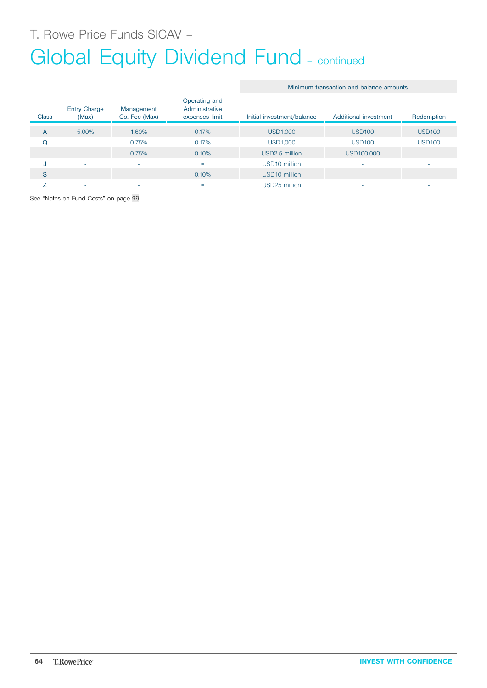# Global Equity Dividend Fund - continued

| <b>Class</b> | <b>Entry Charge</b><br>(Max) | Management<br>Co. Fee (Max) | Operating and<br>Administrative<br>expenses limit | Initial investment/balance | Additional investment    | Redemption               |
|--------------|------------------------------|-----------------------------|---------------------------------------------------|----------------------------|--------------------------|--------------------------|
| A            | 5.00%                        | 1.60%                       | 0.17%                                             | <b>USD1,000</b>            | <b>USD100</b>            | <b>USD100</b>            |
| Q            | $\sim$                       | 0.75%                       | 0.17%                                             | <b>USD1,000</b>            | <b>USD100</b>            | <b>USD100</b>            |
|              | $\sim$                       | 0.75%                       | 0.10%                                             | USD2.5 million             | USD100,000               | $\overline{\phantom{a}}$ |
| J            | <b>140</b>                   | ٠                           | $=$                                               | USD10 million              |                          | ۰                        |
| S            | $\sim$                       | -                           | 0.10%                                             | USD <sub>10</sub> million  | $\overline{\phantom{a}}$ | $\overline{\phantom{a}}$ |
|              | $\overline{\phantom{a}}$     | ٠                           | =                                                 | USD25 million              |                          | ۰                        |

Minimum transaction and balance amounts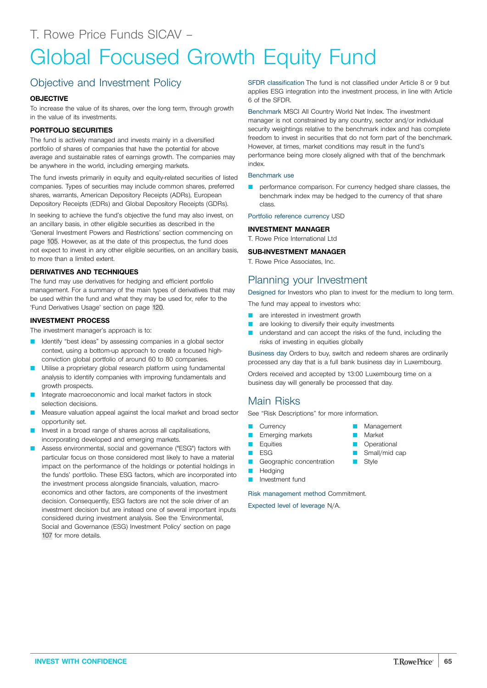# Global Focused Growth Equity Fund

# Objective and Investment Policy

#### **OBJECTIVE**

To increase the value of its shares, over the long term, through growth in the value of its investments.

#### **PORTFOLIO SECURITIES**

The fund is actively managed and invests mainly in a diversified portfolio of shares of companies that have the potential for above average and sustainable rates of earnings growth. The companies may be anywhere in the world, including emerging markets.

The fund invests primarily in equity and equity-related securities of listed companies. Types of securities may include common shares, preferred shares, warrants, American Depository Receipts (ADRs), European Depository Receipts (EDRs) and Global Depository Receipts (GDRs).

In seeking to achieve the fund's objective the fund may also invest, on an ancillary basis, in other eligible securities as described in the 'General Investment Powers and Restrictions' section commencing on page [105.](#page-104-0) However, as at the date of this prospectus, the fund does not expect to invest in any other eligible securities, on an ancillary basis, to more than a limited extent.

#### **DERIVATIVES AND TECHNIQUES**

The fund may use derivatives for hedging and efficient portfolio management. For a summary of the main types of derivatives that may be used within the fund and what they may be used for, refer to the 'Fund Derivatives Usage' section on page [120](#page-119-0).

#### **INVESTMENT PROCESS**

The investment manager's approach is to:

- **Q** Identify "best ideas" by assessing companies in a global sector context, using a bottom-up approach to create a focused highconviction global portfolio of around 60 to 80 companies.
- Utilise a proprietary global research platform using fundamental analysis to identify companies with improving fundamentals and growth prospects.
- Integrate macroeconomic and local market factors in stock selection decisions.
- Measure valuation appeal against the local market and broad sector opportunity set.
- Invest in a broad range of shares across all capitalisations, incorporating developed and emerging markets.
- Assess environmental, social and governance ("ESG") factors with particular focus on those considered most likely to have a material impact on the performance of the holdings or potential holdings in the funds' portfolio. These ESG factors, which are incorporated into the investment process alongside financials, valuation, macroeconomics and other factors, are components of the investment decision. Consequently, ESG factors are not the sole driver of an investment decision but are instead one of several important inputs considered during investment analysis. See the 'Environmental, Social and Governance (ESG) Investment Policy' section on page [107](#page-106-0) for more details.

SFDR classification The fund is not classified under Article 8 or 9 but applies ESG integration into the investment process, in line with Article 6 of the SFDR.

Benchmark MSCI All Country World Net Index. The investment manager is not constrained by any country, sector and/or individual security weightings relative to the benchmark index and has complete freedom to invest in securities that do not form part of the benchmark. However, at times, market conditions may result in the fund's performance being more closely aligned with that of the benchmark index.

#### Benchmark use

performance comparison. For currency hedged share classes, the benchmark index may be hedged to the currency of that share class.

Portfolio reference currency USD

#### **INVESTMENT MANAGER**

T. Rowe Price International Ltd

#### **SUB-INVESTMENT MANAGER**

T. Rowe Price Associates, Inc.

### Planning your Investment

Designed for Investors who plan to invest for the medium to long term.

The fund may appeal to investors who:

- **Q** are interested in investment growth
- **Q** are looking to diversify their equity investments
- understand and can accept the risks of the fund, including the risks of investing in equities globally

Business day Orders to buy, switch and redeem shares are ordinarily processed any day that is a full bank business day in Luxembourg.

> Management Market **Operational** Small/mid cap Style

Orders received and accepted by 13:00 Luxembourg time on a business day will generally be processed that day.

### Main Risks

See "Risk Descriptions" for more information.

- **Currency**
- **E** Emerging markets
- **Equities**
- **D** ESG
- Geographic concentration
- **N** Hedging
- **D** Investment fund

Risk management method Commitment.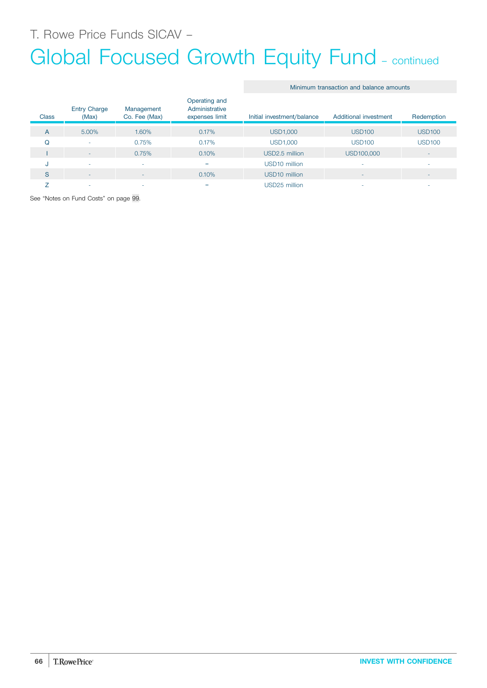# Global Focused Growth Equity Fund - continued

|  | Minimum transaction and balance amounts |  |  |  |
|--|-----------------------------------------|--|--|--|
|--|-----------------------------------------|--|--|--|

| <b>Class</b> | <b>Entry Charge</b><br>(Max) | Management<br>Co. Fee (Max) | Operating and<br>Administrative<br>expenses limit | Initial investment/balance | Additional investment | Redemption               |
|--------------|------------------------------|-----------------------------|---------------------------------------------------|----------------------------|-----------------------|--------------------------|
| A            | 5.00%                        | 1.60%                       | 0.17%                                             | <b>USD1,000</b>            | <b>USD100</b>         | <b>USD100</b>            |
| Q            | ۰                            | 0.75%                       | 0.17%                                             | <b>USD1,000</b>            | <b>USD100</b>         | <b>USD100</b>            |
|              | $-$                          | 0.75%                       | 0.10%                                             | USD2.5 million             | USD100,000            | $\overline{\phantom{a}}$ |
| u            | ٠                            | $\sim$                      | $=$                                               | USD <sub>10</sub> million  |                       | ۰                        |
| S            | ۰                            | $\overline{\phantom{a}}$    | 0.10%                                             | USD <sub>10</sub> million  | -                     | $\overline{\phantom{a}}$ |
|              | ۰                            | ۰                           | $=$                                               | USD25 million              |                       | -                        |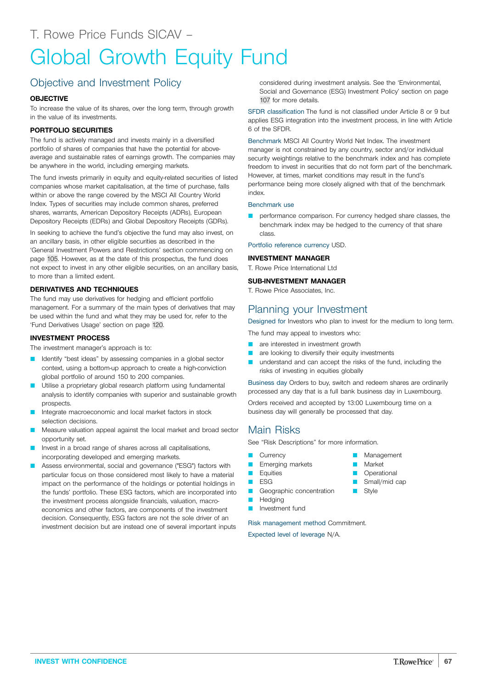# Objective and Investment Policy

#### **OBJECTIVE**

To increase the value of its shares, over the long term, through growth in the value of its investments.

#### **PORTFOLIO SECURITIES**

The fund is actively managed and invests mainly in a diversified portfolio of shares of companies that have the potential for aboveaverage and sustainable rates of earnings growth. The companies may be anywhere in the world, including emerging markets.

The fund invests primarily in equity and equity-related securities of listed companies whose market capitalisation, at the time of purchase, falls within or above the range covered by the MSCI All Country World Index. Types of securities may include common shares, preferred shares, warrants, American Depository Receipts (ADRs), European Depository Receipts (EDRs) and Global Depository Receipts (GDRs).

In seeking to achieve the fund's objective the fund may also invest, on an ancillary basis, in other eligible securities as described in the 'General Investment Powers and Restrictions' section commencing on page [105.](#page-104-0) However, as at the date of this prospectus, the fund does not expect to invest in any other eligible securities, on an ancillary basis, to more than a limited extent.

#### **DERIVATIVES AND TECHNIQUES**

The fund may use derivatives for hedging and efficient portfolio management. For a summary of the main types of derivatives that may be used within the fund and what they may be used for, refer to the 'Fund Derivatives Usage' section on page [120](#page-119-0).

#### **INVESTMENT PROCESS**

The investment manager's approach is to:

- Identify "best ideas" by assessing companies in a global sector context, using a bottom-up approach to create a high-conviction global portfolio of around 150 to 200 companies.
- Utilise a proprietary global research platform using fundamental analysis to identify companies with superior and sustainable growth prospects.
- Integrate macroeconomic and local market factors in stock selection decisions.
- Measure valuation appeal against the local market and broad sector opportunity set.
- Invest in a broad range of shares across all capitalisations, incorporating developed and emerging markets.
- Assess environmental, social and governance ("ESG") factors with particular focus on those considered most likely to have a material impact on the performance of the holdings or potential holdings in the funds' portfolio. These ESG factors, which are incorporated into the investment process alongside financials, valuation, macroeconomics and other factors, are components of the investment decision. Consequently, ESG factors are not the sole driver of an investment decision but are instead one of several important inputs

considered during investment analysis. See the 'Environmental, Social and Governance (ESG) Investment Policy' section on page [107](#page-106-0) for more details.

SFDR classification The fund is not classified under Article 8 or 9 but applies ESG integration into the investment process, in line with Article 6 of the SFDR.

Benchmark MSCI All Country World Net Index. The investment manager is not constrained by any country, sector and/or individual security weightings relative to the benchmark index and has complete freedom to invest in securities that do not form part of the benchmark. However, at times, market conditions may result in the fund's performance being more closely aligned with that of the benchmark index.

#### Benchmark use

performance comparison. For currency hedged share classes, the benchmark index may be hedged to the currency of that share class.

Portfolio reference currency USD.

#### **INVESTMENT MANAGER**

T. Rowe Price International Ltd

#### **SUB-INVESTMENT MANAGER**

T. Rowe Price Associates, Inc.

#### Planning your Investment

Designed for Investors who plan to invest for the medium to long term.

The fund may appeal to investors who:

- are interested in investment growth
- are looking to diversify their equity investments
- understand and can accept the risks of the fund, including the risks of investing in equities globally

Business day Orders to buy, switch and redeem shares are ordinarily processed any day that is a full bank business day in Luxembourg.

> Management Market **Operational** Small/mid cap

Style

Orders received and accepted by 13:00 Luxembourg time on a business day will generally be processed that day.

### Main Risks

See "Risk Descriptions" for more information.

- **Currency**
- **D** Emerging markets
- **D** Equities **D** ESG
- Geographic concentration
- **Hedging** 
	- Investment fund

Risk management method Commitment.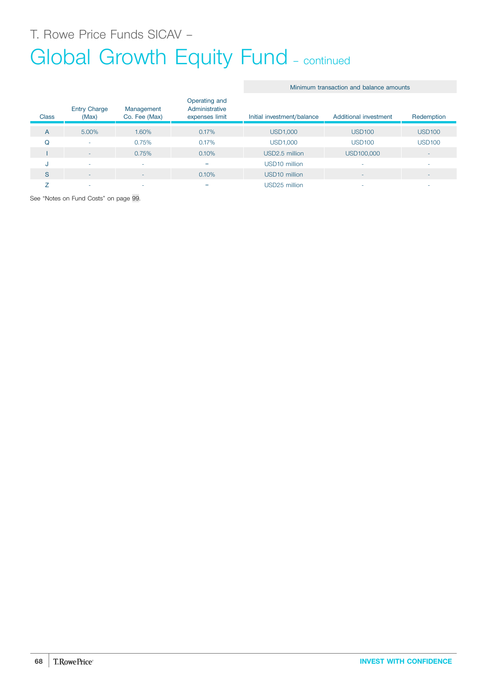# T. Rowe Price Funds SICAV –

# Global Growth Equity Fund - continued

#### **Class** Entry Charge (Max) Management Co. Fee (Max) Operating and Administrative expenses limit Initial investment/balance Additional investment Redemption A 5.00% 1.60% 0.17% USD1,000 USD100 USD100 Q - 0.75% 0.17% USD1,000 USD100 USD100 I - 2 - 0.75% 0.10% USD2.5 million USD100,000 J - - = USD10 million - - S - - 0.10% USD10 million - - Z - - = USD25 million - -

See "Notes on Fund Costs" on page [99](#page-98-0).

#### Minimum transaction and balance amounts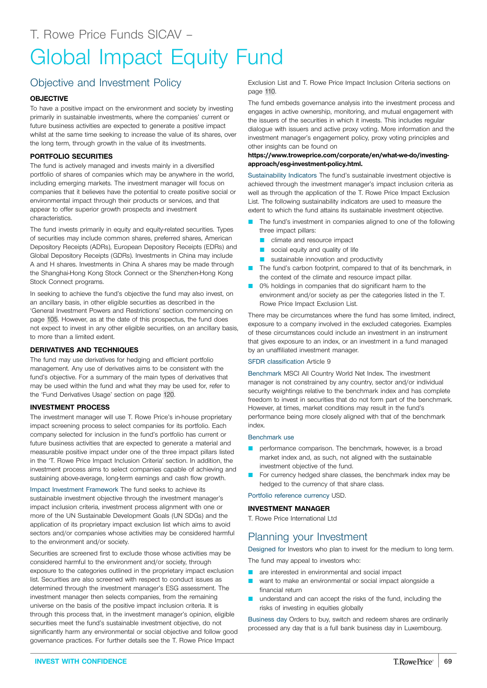# Objective and Investment Policy

#### **OBJECTIVE**

To have a positive impact on the environment and society by investing primarily in sustainable investments, where the companies' current or future business activities are expected to generate a positive impact whilst at the same time seeking to increase the value of its shares, over the long term, through growth in the value of its investments.

#### **PORTFOLIO SECURITIES**

The fund is actively managed and invests mainly in a diversified portfolio of shares of companies which may be anywhere in the world, including emerging markets. The investment manager will focus on companies that it believes have the potential to create positive social or environmental impact through their products or services, and that appear to offer superior growth prospects and investment characteristics.

The fund invests primarily in equity and equity-related securities. Types of securities may include common shares, preferred shares, American Depository Receipts (ADRs), European Depository Receipts (EDRs) and Global Depository Receipts (GDRs). Investments in China may include A and H shares. Investments in China A shares may be made through the Shanghai-Hong Kong Stock Connect or the Shenzhen-Hong Kong Stock Connect programs.

In seeking to achieve the fund's objective the fund may also invest, on an ancillary basis, in other eligible securities as described in the 'General Investment Powers and Restrictions' section commencing on page [105.](#page-104-0) However, as at the date of this prospectus, the fund does not expect to invest in any other eligible securities, on an ancillary basis, to more than a limited extent.

#### **DERIVATIVES AND TECHNIQUES**

The fund may use derivatives for hedging and efficient portfolio management. Any use of derivatives aims to be consistent with the fund's objective. For a summary of the main types of derivatives that may be used within the fund and what they may be used for, refer to the 'Fund Derivatives Usage' section on page [120.](#page-119-0)

#### **INVESTMENT PROCESS**

The investment manager will use T. Rowe Price's in-house proprietary impact screening process to select companies for its portfolio. Each company selected for inclusion in the fund's portfolio has current or future business activities that are expected to generate a material and measurable positive impact under one of the three impact pillars listed in the 'T. Rowe Price Impact Inclusion Criteria' section. In addition, the investment process aims to select companies capable of achieving and sustaining above-average, long-term earnings and cash flow growth.

Impact Investment Framework The fund seeks to achieve its sustainable investment objective through the investment manager's impact inclusion criteria, investment process alignment with one or more of the UN Sustainable Development Goals (UN SDGs) and the application of its proprietary impact exclusion list which aims to avoid sectors and/or companies whose activities may be considered harmful to the environment and/or society.

Securities are screened first to exclude those whose activities may be considered harmful to the environment and/or society, through exposure to the categories outlined in the proprietary impact exclusion list. Securities are also screened with respect to conduct issues as determined through the investment manager's ESG assessment. The investment manager then selects companies, from the remaining universe on the basis of the positive impact inclusion criteria. It is through this process that, in the investment manager's opinion, eligible securities meet the fund's sustainable investment objective, do not significantly harm any environmental or social objective and follow good governance practices. For further details see the T. Rowe Price Impact

Exclusion List and T. Rowe Price Impact Inclusion Criteria sections on page [110](#page-109-0).

The fund embeds governance analysis into the investment process and engages in active ownership, monitoring, and mutual engagement with the issuers of the securities in which it invests. This includes regular dialogue with issuers and active proxy voting. More information and the investment manager's engagement policy, proxy voting principles and other insights can be found on

#### **[https://www.troweprice.com/corporate/en/what-we-do/investing](https://www.troweprice.com/corporate/en/what-we-do/investing-approach/esg-investment-policy.html)[approach/esg-investment-policy.html.](https://www.troweprice.com/corporate/en/what-we-do/investing-approach/esg-investment-policy.html)**

Sustainability Indicators The fund's sustainable investment objective is achieved through the investment manager's impact inclusion criteria as well as through the application of the T. Rowe Price Impact Exclusion List. The following sustainability indicators are used to measure the extent to which the fund attains its sustainable investment objective.

- The fund's investment in companies aligned to one of the following three impact pillars:
	- **Q** climate and resource impact
	- $\Box$  social equity and quality of life
	- **Q** sustainable innovation and productivity
- The fund's carbon footprint, compared to that of its benchmark, in the context of the climate and resource impact pillar.
- 0% holdings in companies that do significant harm to the environment and/or society as per the categories listed in the T. Rowe Price Impact Exclusion List.

There may be circumstances where the fund has some limited, indirect, exposure to a company involved in the excluded categories. Examples of these circumstances could include an investment in an instrument that gives exposure to an index, or an investment in a fund managed by an unaffiliated investment manager.

#### SFDR classification Article 9

Benchmark MSCI All Country World Net Index. The investment manager is not constrained by any country, sector and/or individual security weightings relative to the benchmark index and has complete freedom to invest in securities that do not form part of the benchmark. However, at times, market conditions may result in the fund's performance being more closely aligned with that of the benchmark index.

#### Benchmark use

- performance comparison. The benchmark, however, is a broad market index and, as such, not aligned with the sustainable investment objective of the fund.
- For currency hedged share classes, the benchmark index may be hedged to the currency of that share class.

Portfolio reference currency USD.

#### **INVESTMENT MANAGER**

T. Rowe Price International Ltd

# Planning your Investment

Designed for Investors who plan to invest for the medium to long term.

The fund may appeal to investors who:

- **Q** are interested in environmental and social impact
- **Q** want to make an environmental or social impact alongside a financial return
- understand and can accept the risks of the fund, including the risks of investing in equities globally

Business day Orders to buy, switch and redeem shares are ordinarily processed any day that is a full bank business day in Luxembourg.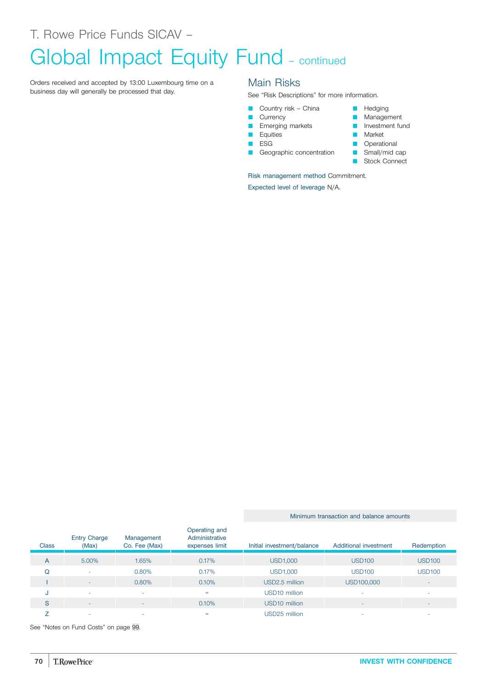# Global Impact Equity Fund - continued

Orders received and accepted by 13:00 Luxembourg time on a business day will generally be processed that day.

### Main Risks

See "Risk Descriptions" for more information.

- Country risk China
- **Currency**
- **E** Emerging markets
- **D** Equities
- $ESG$
- Geographic concentration

Risk management method Commitment.

Expected level of leverage N/A.

- **D** Hedging
- **Management**
- **D** Investment fund
- **Market**
- **D** Operational
- Small/mid cap
- **B** Stock Connect

See "Notes on Fund Costs" on page [99](#page-98-0).

Entry Charge (Max)

Management Co. Fee (Max) Operating and Administrative

I - 0.80% 0.80% 0.10% USD2.5 million USD100,000

A 5.00% 1.65% 0.17% USD1,000 USD100 USD100 Q - 0.80% 0.17% USD1,000 USD100 USD100

J - - = USD10 million - - S - - 0.10% USD10 million - -  $Z$  , and the set of the set of the set of the set of the set of the set of the set of the set of the set of the set of the set of the set of the set of the set of the set of the set of the set of the set of the set of th

**Class** 

#### Minimum transaction and balance amounts

expenses limit Initial investment/balance Additional investment Redemption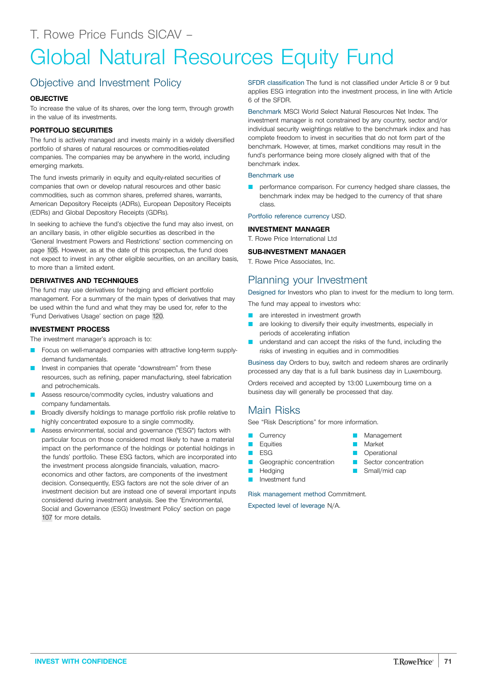# Global Natural Resources Equity Fund

# Objective and Investment Policy

#### **OBJECTIVE**

To increase the value of its shares, over the long term, through growth in the value of its investments.

#### **PORTFOLIO SECURITIES**

The fund is actively managed and invests mainly in a widely diversified portfolio of shares of natural resources or commodities-related companies. The companies may be anywhere in the world, including emerging markets.

The fund invests primarily in equity and equity-related securities of companies that own or develop natural resources and other basic commodities, such as common shares, preferred shares, warrants, American Depository Receipts (ADRs), European Depository Receipts (EDRs) and Global Depository Receipts (GDRs).

In seeking to achieve the fund's objective the fund may also invest, on an ancillary basis, in other eligible securities as described in the 'General Investment Powers and Restrictions' section commencing on page [105.](#page-104-0) However, as at the date of this prospectus, the fund does not expect to invest in any other eligible securities, on an ancillary basis, to more than a limited extent.

#### **DERIVATIVES AND TECHNIQUES**

The fund may use derivatives for hedging and efficient portfolio management. For a summary of the main types of derivatives that may be used within the fund and what they may be used for, refer to the 'Fund Derivatives Usage' section on page [120](#page-119-0).

#### **INVESTMENT PROCESS**

The investment manager's approach is to:

- Focus on well-managed companies with attractive long-term supplydemand fundamentals.
- Invest in companies that operate "downstream" from these resources, such as refining, paper manufacturing, steel fabrication and petrochemicals.
- Assess resource/commodity cycles, industry valuations and company fundamentals.
- Broadly diversify holdings to manage portfolio risk profile relative to highly concentrated exposure to a single commodity.
- Assess environmental, social and governance ("ESG") factors with particular focus on those considered most likely to have a material impact on the performance of the holdings or potential holdings in the funds' portfolio. These ESG factors, which are incorporated into the investment process alongside financials, valuation, macroeconomics and other factors, are components of the investment decision. Consequently, ESG factors are not the sole driver of an investment decision but are instead one of several important inputs considered during investment analysis. See the 'Environmental, Social and Governance (ESG) Investment Policy' section on page [107](#page-106-0) for more details.

SFDR classification The fund is not classified under Article 8 or 9 but applies ESG integration into the investment process, in line with Article 6 of the SFDR.

Benchmark MSCI World Select Natural Resources Net Index. The investment manager is not constrained by any country, sector and/or individual security weightings relative to the benchmark index and has complete freedom to invest in securities that do not form part of the benchmark. However, at times, market conditions may result in the fund's performance being more closely aligned with that of the benchmark index.

#### Benchmark use

performance comparison. For currency hedged share classes, the benchmark index may be hedged to the currency of that share class.

Portfolio reference currency USD.

#### **INVESTMENT MANAGER**

T. Rowe Price International Ltd

#### **SUB-INVESTMENT MANAGER**

T. Rowe Price Associates, Inc.

### Planning your Investment

Designed for Investors who plan to invest for the medium to long term.

The fund may appeal to investors who:

- **Q** are interested in investment growth
- **Q** are looking to diversify their equity investments, especially in periods of accelerating inflation
- understand and can accept the risks of the fund, including the risks of investing in equities and in commodities

Business day Orders to buy, switch and redeem shares are ordinarily processed any day that is a full bank business day in Luxembourg.

> **Management** Market **D** Operational **D** Sector concentration Small/mid cap

Orders received and accepted by 13:00 Luxembourg time on a business day will generally be processed that day.

## Main Risks

See "Risk Descriptions" for more information.

- **Currency**
- **D** Equities
- **D** ESG
- Geographic concentration
- **D** Hedging
- **D** Investment fund

Risk management method Commitment.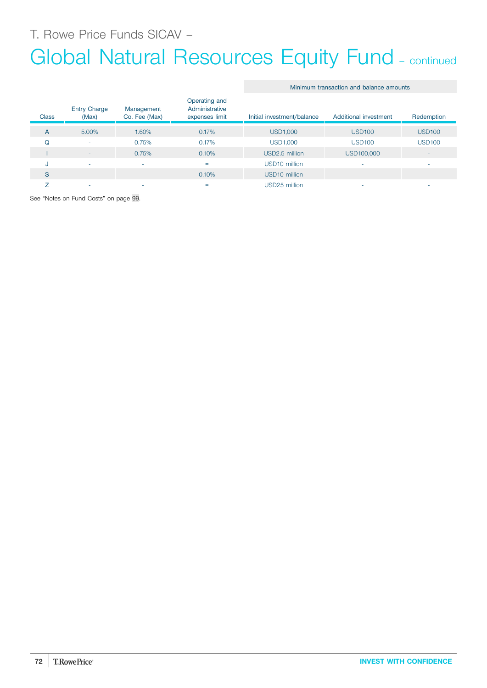# Global Natural Resources Equity Fund - continued

Minimum transaction and balance amounts

| <b>Class</b>   | <b>Entry Charge</b><br>(Max) | Management<br>Co. Fee (Max) | Operating and<br>Administrative<br>expenses limit | Initial investment/balance | Additional investment | Redemption               |
|----------------|------------------------------|-----------------------------|---------------------------------------------------|----------------------------|-----------------------|--------------------------|
|                |                              |                             |                                                   |                            |                       |                          |
| $\overline{A}$ | 5.00%                        | 1.60%                       | 0.17%                                             | <b>USD1,000</b>            | <b>USD100</b>         | <b>USD100</b>            |
| Q              | ٠                            | 0.75%                       | 0.17%                                             | <b>USD1,000</b>            | <b>USD100</b>         | <b>USD100</b>            |
|                | $\sim$                       | 0.75%                       | 0.10%                                             | USD2.5 million             | USD100,000            | $\overline{\phantom{a}}$ |
| J              | ٠                            | ٠                           | $=$                                               | USD10 million              |                       | ۰                        |
| S              | $\overline{\phantom{a}}$     | -                           | 0.10%                                             | USD <sub>10</sub> million  |                       |                          |
|                | ۰                            |                             | =                                                 | USD25 million              |                       |                          |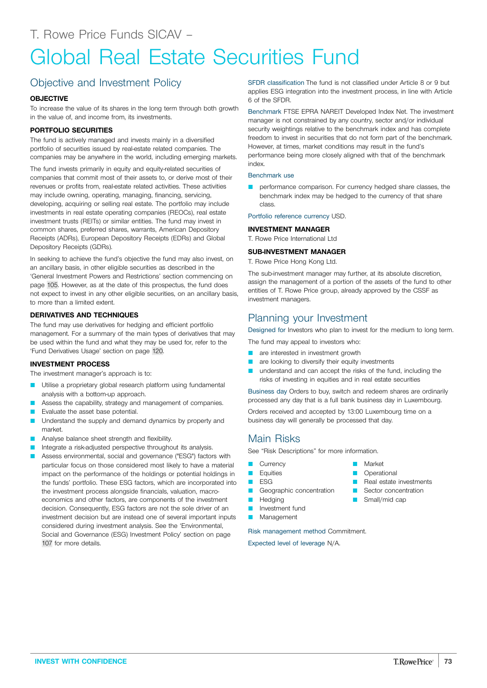# Global Real Estate Securities Fund

## Objective and Investment Policy

## **OBJECTIVE**

To increase the value of its shares in the long term through both growth in the value of, and income from, its investments.

## **PORTFOLIO SECURITIES**

The fund is actively managed and invests mainly in a diversified portfolio of securities issued by real-estate related companies. The companies may be anywhere in the world, including emerging markets.

The fund invests primarily in equity and equity-related securities of companies that commit most of their assets to, or derive most of their revenues or profits from, real-estate related activities. These activities may include owning, operating, managing, financing, servicing, developing, acquiring or selling real estate. The portfolio may include investments in real estate operating companies (REOCs), real estate investment trusts (REITs) or similar entities. The fund may invest in common shares, preferred shares, warrants, American Depository Receipts (ADRs), European Depository Receipts (EDRs) and Global Depository Receipts (GDRs).

In seeking to achieve the fund's objective the fund may also invest, on an ancillary basis, in other eligible securities as described in the 'General Investment Powers and Restrictions' section commencing on page [105.](#page-104-0) However, as at the date of this prospectus, the fund does not expect to invest in any other eligible securities, on an ancillary basis, to more than a limited extent.

## **DERIVATIVES AND TECHNIQUES**

The fund may use derivatives for hedging and efficient portfolio management. For a summary of the main types of derivatives that may be used within the fund and what they may be used for, refer to the 'Fund Derivatives Usage' section on page [120](#page-119-0).

## **INVESTMENT PROCESS**

The investment manager's approach is to:

- Utilise a proprietary global research platform using fundamental analysis with a bottom-up approach.
- Assess the capability, strategy and management of companies.
- Evaluate the asset base potential.
- **Q Understand the supply and demand dynamics by property and** market.
- Analyse balance sheet strength and flexibility.
- Integrate a risk-adjusted perspective throughout its analysis.
- Assess environmental, social and governance ("ESG") factors with particular focus on those considered most likely to have a material impact on the performance of the holdings or potential holdings in the funds' portfolio. These ESG factors, which are incorporated into the investment process alongside financials, valuation, macroeconomics and other factors, are components of the investment decision. Consequently, ESG factors are not the sole driver of an investment decision but are instead one of several important inputs considered during investment analysis. See the 'Environmental, Social and Governance (ESG) Investment Policy' section on page [107](#page-106-0) for more details.

SFDR classification The fund is not classified under Article 8 or 9 but applies ESG integration into the investment process, in line with Article 6 of the SFDR.

Benchmark FTSE EPRA NAREIT Developed Index Net. The investment manager is not constrained by any country, sector and/or individual security weightings relative to the benchmark index and has complete freedom to invest in securities that do not form part of the benchmark. However, at times, market conditions may result in the fund's performance being more closely aligned with that of the benchmark index.

## Benchmark use

performance comparison. For currency hedged share classes, the benchmark index may be hedged to the currency of that share class.

Portfolio reference currency USD.

#### **INVESTMENT MANAGER**

T. Rowe Price International Ltd

## **SUB-INVESTMENT MANAGER**

T. Rowe Price Hong Kong Ltd.

The sub-investment manager may further, at its absolute discretion, assign the management of a portion of the assets of the fund to other entities of T. Rowe Price group, already approved by the CSSF as investment managers.

## Planning your Investment

Designed for Investors who plan to invest for the medium to long term.

- The fund may appeal to investors who:
- are interested in investment growth
- are looking to diversify their equity investments
- understand and can accept the risks of the fund, including the risks of investing in equities and in real estate securities

Business day Orders to buy, switch and redeem shares are ordinarily processed any day that is a full bank business day in Luxembourg.

Orders received and accepted by 13:00 Luxembourg time on a business day will generally be processed that day.

## Main Risks

See "Risk Descriptions" for more information.

- **Currency**
- **D** Equities
- **D** ESG
- Geographic concentration
- **Hedging**
- **D** Investment fund
- **Management**

Risk management method Commitment.

Expected level of leverage N/A.

- Market
- **D** Operational
- **D** Real estate investments
- Sector concentration
- Small/mid cap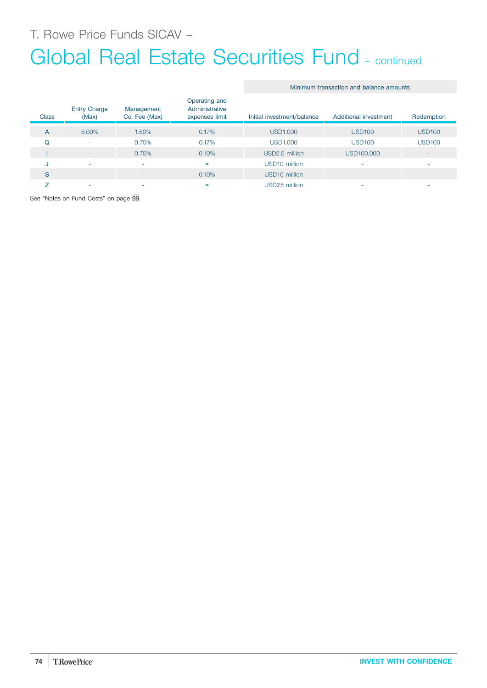# Global Real Estate Securities Fund – continued

## Minimum transaction and balance amounts

| <b>Class</b> | <b>Entry Charge</b><br>(Max) | Management<br>Co. Fee (Max) | Operating and<br>Administrative<br>expenses limit | Initial investment/balance | Additional investment | Redemption               |
|--------------|------------------------------|-----------------------------|---------------------------------------------------|----------------------------|-----------------------|--------------------------|
| A            | 5.00%                        | 1.60%                       | 0.17%                                             | <b>USD1,000</b>            | <b>USD100</b>         | <b>USD100</b>            |
| Q            | ٠                            | 0.75%                       | 0.17%                                             | <b>USD1,000</b>            | <b>USD100</b>         | <b>USD100</b>            |
|              | $\overline{\phantom{a}}$     | 0.75%                       | 0.10%                                             | USD2.5 million             | USD100,000            | $\overline{\phantom{a}}$ |
| u            | ۰                            |                             | $=$                                               | USD <sub>10</sub> million  |                       | ۰                        |
| S            | ٠                            | <b>.</b>                    | 0.10%                                             | USD <sub>10</sub> million  |                       | $\overline{\phantom{a}}$ |
|              | ۰                            |                             | $=$                                               | USD25 million              |                       | -                        |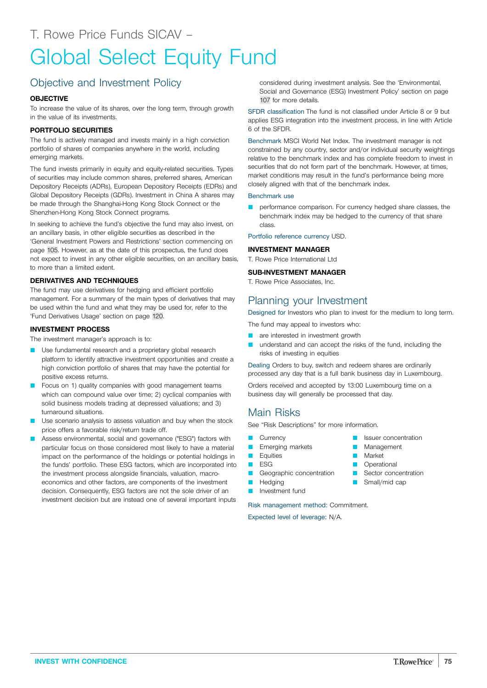# Global Select Equity Fund

# Objective and Investment Policy

## **OBJECTIVE**

To increase the value of its shares, over the long term, through growth in the value of its investments.

## **PORTFOLIO SECURITIES**

The fund is actively managed and invests mainly in a high conviction portfolio of shares of companies anywhere in the world, including emerging markets.

The fund invests primarily in equity and equity-related securities. Types of securities may include common shares, preferred shares, American Depository Receipts (ADRs), European Depository Receipts (EDRs) and Global Depository Receipts (GDRs). Investment in China A shares may be made through the Shanghai-Hong Kong Stock Connect or the Shenzhen-Hong Kong Stock Connect programs.

In seeking to achieve the fund's objective the fund may also invest, on an ancillary basis, in other eligible securities as described in the 'General Investment Powers and Restrictions' section commencing on page [105.](#page-104-0) However, as at the date of this prospectus, the fund does not expect to invest in any other eligible securities, on an ancillary basis, to more than a limited extent.

## **DERIVATIVES AND TECHNIQUES**

The fund may use derivatives for hedging and efficient portfolio management. For a summary of the main types of derivatives that may be used within the fund and what they may be used for, refer to the 'Fund Derivatives Usage' section on page [120](#page-119-0).

## **INVESTMENT PROCESS**

The investment manager's approach is to:

- Use fundamental research and a proprietary global research platform to identify attractive investment opportunities and create a high conviction portfolio of shares that may have the potential for positive excess returns.
- Focus on 1) quality companies with good management teams which can compound value over time; 2) cyclical companies with solid business models trading at depressed valuations; and 3) turnaround situations.
- Use scenario analysis to assess valuation and buy when the stock price offers a favorable risk/return trade off.
- Assess environmental, social and governance ("ESG") factors with particular focus on those considered most likely to have a material impact on the performance of the holdings or potential holdings in the funds' portfolio. These ESG factors, which are incorporated into the investment process alongside financials, valuation, macroeconomics and other factors, are components of the investment decision. Consequently, ESG factors are not the sole driver of an investment decision but are instead one of several important inputs

considered during investment analysis. See the 'Environmental, Social and Governance (ESG) Investment Policy' section on page [107](#page-106-0) for more details.

SFDR classification The fund is not classified under Article 8 or 9 but applies ESG integration into the investment process, in line with Article 6 of the SFDR.

Benchmark MSCI World Net Index. The investment manager is not constrained by any country, sector and/or individual security weightings relative to the benchmark index and has complete freedom to invest in securities that do not form part of the benchmark. However, at times, market conditions may result in the fund's performance being more closely aligned with that of the benchmark index.

#### Benchmark use

performance comparison. For currency hedged share classes, the benchmark index may be hedged to the currency of that share class.

Portfolio reference currency USD.

## **INVESTMENT MANAGER**

T. Rowe Price International Ltd

#### **SUB-INVESTMENT MANAGER**

T. Rowe Price Associates, Inc.

## Planning your Investment

Designed for Investors who plan to invest for the medium to long term.

- The fund may appeal to investors who:
- **Q** are interested in investment growth
- understand and can accept the risks of the fund, including the risks of investing in equities

Dealing Orders to buy, switch and redeem shares are ordinarily processed any day that is a full bank business day in Luxembourg.

Orders received and accepted by 13:00 Luxembourg time on a business day will generally be processed that day.

> Issuer concentration Management

**Market D** Operational **Q** Sector concentration Small/mid cap

## Main Risks

See "Risk Descriptions" for more information.

- **Currency**
- Emerging markets
- **D** Equities
- $E$
- Geographic concentration
- **Hedging**
- Investment fund

Risk management method: Commitment.

Expected level of leverage: N/A.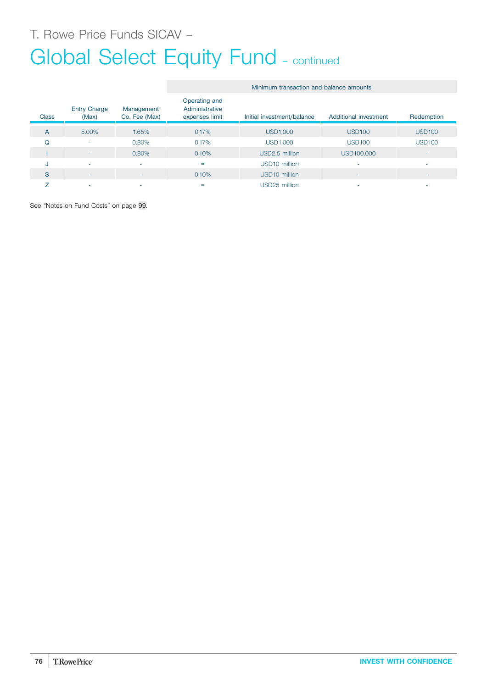# Global Select Equity Fund - continued

|              |                              |                             | Minimum transaction and balance amounts           |                            |                          |                          |  |  |
|--------------|------------------------------|-----------------------------|---------------------------------------------------|----------------------------|--------------------------|--------------------------|--|--|
| <b>Class</b> | <b>Entry Charge</b><br>(Max) | Management<br>Co. Fee (Max) | Operating and<br>Administrative<br>expenses limit | Initial investment/balance | Additional investment    | Redemption               |  |  |
| A            | 5.00%                        | 1.65%                       | 0.17%                                             | <b>USD1,000</b>            | <b>USD100</b>            | <b>USD100</b>            |  |  |
| Q            | ٠                            | 0.80%                       | 0.17%                                             | <b>USD1,000</b>            | <b>USD100</b>            | <b>USD100</b>            |  |  |
|              | $\sim$                       | 0.80%                       | 0.10%                                             | USD2.5 million             | USD100,000               | ۰                        |  |  |
| J            | ۰                            | ۰                           | $=$                                               | USD10 million              |                          |                          |  |  |
| S            | $\sim$                       | ٠                           | 0.10%                                             | USD <sub>10</sub> million  | $\overline{\phantom{a}}$ | $\overline{\phantom{a}}$ |  |  |
|              | ٠                            | $\overline{\phantom{a}}$    | $=$                                               | USD25 million              | ۰                        | ۰                        |  |  |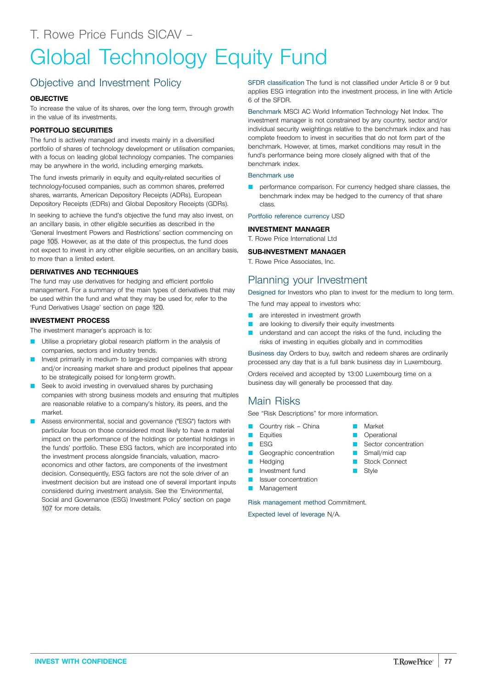## Objective and Investment Policy

## **OBJECTIVE**

To increase the value of its shares, over the long term, through growth in the value of its investments.

## **PORTFOLIO SECURITIES**

The fund is actively managed and invests mainly in a diversified portfolio of shares of technology development or utilisation companies, with a focus on leading global technology companies. The companies may be anywhere in the world, including emerging markets.

The fund invests primarily in equity and equity-related securities of technology-focused companies, such as common shares, preferred shares, warrants, American Depository Receipts (ADRs), European Depository Receipts (EDRs) and Global Depository Receipts (GDRs).

In seeking to achieve the fund's objective the fund may also invest, on an ancillary basis, in other eligible securities as described in the 'General Investment Powers and Restrictions' section commencing on page [105.](#page-104-0) However, as at the date of this prospectus, the fund does not expect to invest in any other eligible securities, on an ancillary basis, to more than a limited extent.

## **DERIVATIVES AND TECHNIQUES**

The fund may use derivatives for hedging and efficient portfolio management. For a summary of the main types of derivatives that may be used within the fund and what they may be used for, refer to the 'Fund Derivatives Usage' section on page [120](#page-119-0).

## **INVESTMENT PROCESS**

The investment manager's approach is to:

- Utilise a proprietary global research platform in the analysis of companies, sectors and industry trends.
- Invest primarily in medium- to large-sized companies with strong and/or increasing market share and product pipelines that appear to be strategically poised for long-term growth.
- Seek to avoid investing in overvalued shares by purchasing companies with strong business models and ensuring that multiples are reasonable relative to a company's history, its peers, and the market.
- Assess environmental, social and governance ("ESG") factors with particular focus on those considered most likely to have a material impact on the performance of the holdings or potential holdings in the funds' portfolio. These ESG factors, which are incorporated into the investment process alongside financials, valuation, macroeconomics and other factors, are components of the investment decision. Consequently, ESG factors are not the sole driver of an investment decision but are instead one of several important inputs considered during investment analysis. See the 'Environmental, Social and Governance (ESG) Investment Policy' section on page [107](#page-106-0) for more details.

SFDR classification The fund is not classified under Article 8 or 9 but applies ESG integration into the investment process, in line with Article 6 of the SFDR.

Benchmark MSCI AC World Information Technology Net Index. The investment manager is not constrained by any country, sector and/or individual security weightings relative to the benchmark index and has complete freedom to invest in securities that do not form part of the benchmark. However, at times, market conditions may result in the fund's performance being more closely aligned with that of the benchmark index.

### Benchmark use

performance comparison. For currency hedged share classes, the benchmark index may be hedged to the currency of that share class.

Portfolio reference currency USD

## **INVESTMENT MANAGER**

T. Rowe Price International Ltd

## **SUB-INVESTMENT MANAGER**

T. Rowe Price Associates, Inc.

## Planning your Investment

Designed for Investors who plan to invest for the medium to long term.

The fund may appeal to investors who:

- **Q** are interested in investment growth
- **Q** are looking to diversify their equity investments
- understand and can accept the risks of the fund, including the risks of investing in equities globally and in commodities

Business day Orders to buy, switch and redeem shares are ordinarily processed any day that is a full bank business day in Luxembourg.

> **Narket Operational** Sector concentration  $\Box$  Small/mid cap **B** Stock Connect

**B** Style

Orders received and accepted by 13:00 Luxembourg time on a business day will generally be processed that day.

## Main Risks

See "Risk Descriptions" for more information.

- Country risk China
- **L** Equities
- **D** ESG
- Geographic concentration
- **D** Hedging
- **D** Investment fund
- **D** Issuer concentration
- Management

Risk management method Commitment.

Expected level of leverage N/A.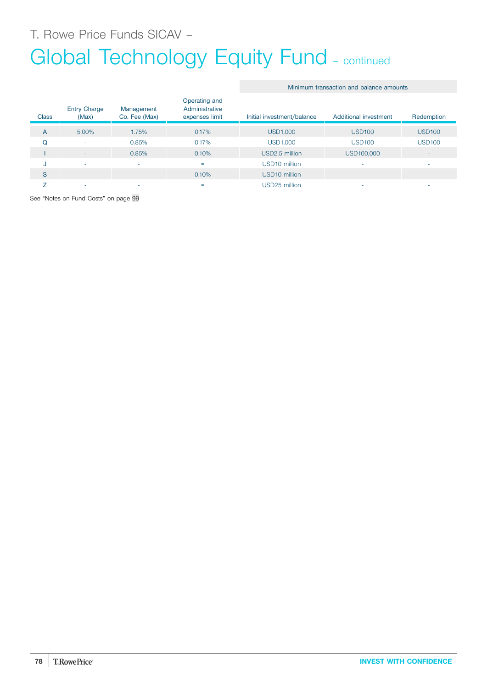T. Rowe Price Funds SICAV –

# Global Technology Equity Fund - continued

|              | <b>Entry Charge</b> | Management    | Operating and<br>Administrative |                            |                       |                          |
|--------------|---------------------|---------------|---------------------------------|----------------------------|-----------------------|--------------------------|
| <b>Class</b> | (Max)               | Co. Fee (Max) | expenses limit                  | Initial investment/balance | Additional investment | Redemption               |
| A            | 5.00%               | 1.75%         | 0.17%                           | USD1,000                   | <b>USD100</b>         | <b>USD100</b>            |
| Q            | <b>.</b>            | 0.85%         | 0.17%                           | <b>USD1,000</b>            | <b>USD100</b>         | <b>USD100</b>            |
|              | <b>1</b>            | 0.85%         | 0.10%                           | USD2.5 million             | USD100,000            | ۰                        |
| J            | <b>.</b>            | ٠             | =                               | USD10 million              |                       | ۰                        |
| S            | <b>1</b>            | -             | 0.10%                           | USD <sub>10</sub> million  |                       | $\overline{\phantom{a}}$ |
|              | .                   | ۰             | =                               | USD25 million              |                       | ۰                        |

Minimum transaction and balance amounts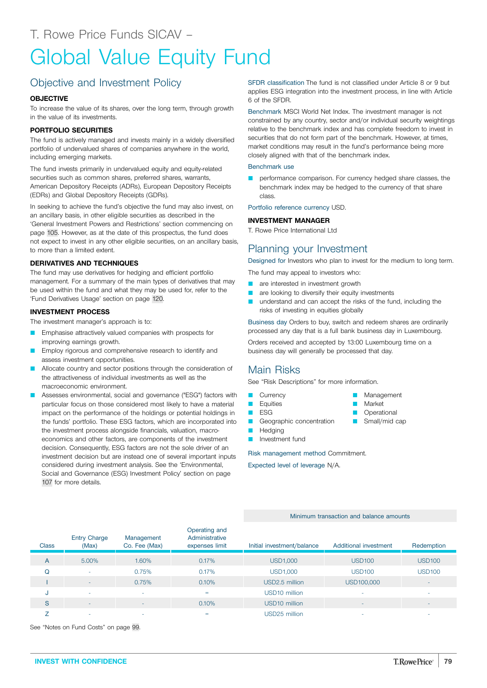# Global Value Equity Fund

# Objective and Investment Policy

## **OBJECTIVE**

To increase the value of its shares, over the long term, through growth in the value of its investments.

## **PORTFOLIO SECURITIES**

The fund is actively managed and invests mainly in a widely diversified portfolio of undervalued shares of companies anywhere in the world, including emerging markets.

The fund invests primarily in undervalued equity and equity-related securities such as common shares, preferred shares, warrants, American Depository Receipts (ADRs), European Depository Receipts (EDRs) and Global Depository Receipts (GDRs).

In seeking to achieve the fund's objective the fund may also invest, on an ancillary basis, in other eligible securities as described in the 'General Investment Powers and Restrictions' section commencing on page [105.](#page-104-0) However, as at the date of this prospectus, the fund does not expect to invest in any other eligible securities, on an ancillary basis, to more than a limited extent.

## **DERIVATIVES AND TECHNIQUES**

The fund may use derivatives for hedging and efficient portfolio management. For a summary of the main types of derivatives that may be used within the fund and what they may be used for, refer to the 'Fund Derivatives Usage' section on page [120](#page-119-0).

## **INVESTMENT PROCESS**

The investment manager's approach is to:

- Emphasise attractively valued companies with prospects for improving earnings growth.
- Employ rigorous and comprehensive research to identify and assess investment opportunities.
- Allocate country and sector positions through the consideration of the attractiveness of individual investments as well as the macroeconomic environment.
- Assesses environmental, social and governance ("ESG") factors with particular focus on those considered most likely to have a material impact on the performance of the holdings or potential holdings in the funds' portfolio. These ESG factors, which are incorporated into the investment process alongside financials, valuation, macroeconomics and other factors, are components of the investment decision. Consequently, ESG factors are not the sole driver of an investment decision but are instead one of several important inputs considered during investment analysis. See the 'Environmental, Social and Governance (ESG) Investment Policy' section on page [107](#page-106-0) for more details.

SFDR classification The fund is not classified under Article 8 or 9 but applies ESG integration into the investment process, in line with Article 6 of the SFDR.

Benchmark MSCI World Net Index. The investment manager is not constrained by any country, sector and/or individual security weightings relative to the benchmark index and has complete freedom to invest in securities that do not form part of the benchmark. However, at times, market conditions may result in the fund's performance being more closely aligned with that of the benchmark index.

#### Benchmark use

performance comparison. For currency hedged share classes, the benchmark index may be hedged to the currency of that share class.

Portfolio reference currency USD.

## **INVESTMENT MANAGER**

T. Rowe Price International Ltd

## Planning your Investment

Designed for Investors who plan to invest for the medium to long term.

The fund may appeal to investors who:

- are interested in investment growth
- **Q** are looking to diversify their equity investments
- **Q** understand and can accept the risks of the fund, including the risks of investing in equities globally

Business day Orders to buy, switch and redeem shares are ordinarily processed any day that is a full bank business day in Luxembourg.

> **Management** Market **Operational**  $\blacksquare$  Small/mid cap

Orders received and accepted by 13:00 Luxembourg time on a business day will generally be processed that day.

## Main Risks

See "Risk Descriptions" for more information.

- **Currency**
- **L** Equities
- **D** ESG
- Geographic concentration
- Hedging
- Investment fund

Risk management method Commitment.

Expected level of leverage N/A.

#### Minimum transaction and balance amounts

| <b>Class</b> | <b>Entry Charge</b><br>(Max) | Management<br>Co. Fee (Max) | Operating and<br>Administrative<br>expenses limit | Initial investment/balance | Additional investment    | Redemption               |
|--------------|------------------------------|-----------------------------|---------------------------------------------------|----------------------------|--------------------------|--------------------------|
| A            | 5.00%                        | 1.60%                       | 0.17%                                             | USD1,000                   | <b>USD100</b>            | <b>USD100</b>            |
| Q            | ۰                            | 0.75%                       | 0.17%                                             | <b>USD1,000</b>            | <b>USD100</b>            | <b>USD100</b>            |
|              | ۰                            | 0.75%                       | 0.10%                                             | USD2.5 million             | USD100,000               | $\overline{\phantom{a}}$ |
| J            | ۰                            | $\overline{\phantom{a}}$    | $=$                                               | USD <sub>10</sub> million  |                          | ۰                        |
| S            | ۰                            | $\overline{\phantom{0}}$    | 0.10%                                             | USD <sub>10</sub> million  | $\overline{\phantom{a}}$ | $\overline{\phantom{a}}$ |
|              | ۰                            | <b>.</b>                    | $=$                                               | USD25 million              |                          | $\overline{\phantom{a}}$ |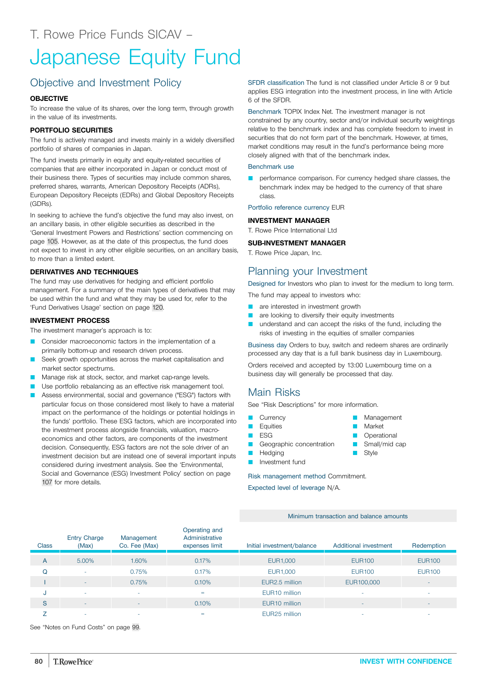# Japanese Equity Fund

# Objective and Investment Policy

## **OBJECTIVE**

To increase the value of its shares, over the long term, through growth in the value of its investments.

## **PORTFOLIO SECURITIES**

The fund is actively managed and invests mainly in a widely diversified portfolio of shares of companies in Japan.

The fund invests primarily in equity and equity-related securities of companies that are either incorporated in Japan or conduct most of their business there. Types of securities may include common shares, preferred shares, warrants, American Depository Receipts (ADRs), European Depository Receipts (EDRs) and Global Depository Receipts (GDRs).

In seeking to achieve the fund's objective the fund may also invest, on an ancillary basis, in other eligible securities as described in the 'General Investment Powers and Restrictions' section commencing on page [105.](#page-104-0) However, as at the date of this prospectus, the fund does not expect to invest in any other eligible securities, on an ancillary basis, to more than a limited extent.

## **DERIVATIVES AND TECHNIQUES**

The fund may use derivatives for hedging and efficient portfolio management. For a summary of the main types of derivatives that may be used within the fund and what they may be used for, refer to the 'Fund Derivatives Usage' section on page [120](#page-119-0).

## **INVESTMENT PROCESS**

The investment manager's approach is to:

- Q Consider macroeconomic factors in the implementation of a primarily bottom-up and research driven process.
- Seek growth opportunities across the market capitalisation and market sector spectrums.
- Manage risk at stock, sector, and market cap-range levels.
- Use portfolio rebalancing as an effective risk management tool.
- Assess environmental, social and governance ("ESG") factors with particular focus on those considered most likely to have a material impact on the performance of the holdings or potential holdings in the funds' portfolio. These ESG factors, which are incorporated into the investment process alongside financials, valuation, macroeconomics and other factors, are components of the investment decision. Consequently, ESG factors are not the sole driver of an investment decision but are instead one of several important inputs considered during investment analysis. See the 'Environmental, Social and Governance (ESG) Investment Policy' section on page [107](#page-106-0) for more details.

SFDR classification The fund is not classified under Article 8 or 9 but applies ESG integration into the investment process, in line with Article 6 of the SFDR.

Benchmark TOPIX Index Net. The investment manager is not constrained by any country, sector and/or individual security weightings relative to the benchmark index and has complete freedom to invest in securities that do not form part of the benchmark. However, at times, market conditions may result in the fund's performance being more closely aligned with that of the benchmark index.

#### Benchmark use

performance comparison. For currency hedged share classes, the benchmark index may be hedged to the currency of that share class.

Portfolio reference currency EUR

## **INVESTMENT MANAGER**

T. Rowe Price International Ltd

## **SUB-INVESTMENT MANAGER**

T. Rowe Price Japan, Inc.

## Planning your Investment

Designed for Investors who plan to invest for the medium to long term.

The fund may appeal to investors who:

- are interested in investment growth
- are looking to diversify their equity investments
- **Q** understand and can accept the risks of the fund, including the risks of investing in the equities of smaller companies

Business day Orders to buy, switch and redeem shares are ordinarily processed any day that is a full bank business day in Luxembourg.

Orders received and accepted by 13:00 Luxembourg time on a business day will generally be processed that day.

## Main Risks

See "Risk Descriptions" for more information.

- **Currency**
- **D** Equities
- $\blacksquare$  ESG
- Geographic concentration
- **D** Hedging **D** Investment fund

Risk management method Commitment.

Expected level of leverage N/A.

Minimum transaction and balance amounts

| <b>Class</b> | <b>Entry Charge</b><br>(Max) | Management<br>Co. Fee (Max) | Operating and<br>Administrative<br>expenses limit | Initial investment/balance | Additional investment | Redemption               |
|--------------|------------------------------|-----------------------------|---------------------------------------------------|----------------------------|-----------------------|--------------------------|
| A            | 5.00%                        | 1.60%                       | 0.17%                                             | <b>EUR1,000</b>            | <b>EUR100</b>         | <b>EUR100</b>            |
| Q            | ۰                            | 0.75%                       | 0.17%                                             | EUR1,000                   | <b>EUR100</b>         | <b>EUR100</b>            |
|              | ۰                            | 0.75%                       | 0.10%                                             | EUR2.5 million             | EUR100,000            | $\overline{\phantom{a}}$ |
| u            | ۰                            | ۰                           | $=$                                               | EUR <sub>10</sub> million  |                       | ۰                        |
| S            | $\overline{\phantom{a}}$     |                             | 0.10%                                             | EUR <sub>10</sub> million  |                       | $\overline{\phantom{a}}$ |
|              | -                            |                             | =                                                 | EUR <sub>25</sub> million  |                       | ۰                        |

- Management Market **Operational**
- Small/mid cap
- **B** Style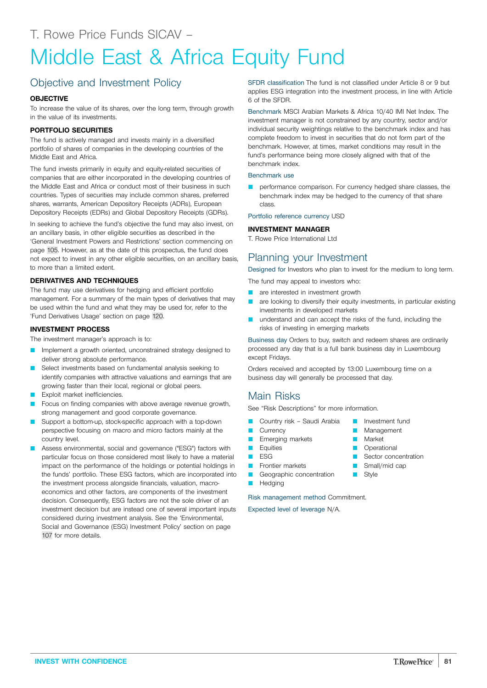# Middle East & Africa Equity Fund

# Objective and Investment Policy

## **OBJECTIVE**

To increase the value of its shares, over the long term, through growth in the value of its investments.

## **PORTFOLIO SECURITIES**

The fund is actively managed and invests mainly in a diversified portfolio of shares of companies in the developing countries of the Middle East and Africa.

The fund invests primarily in equity and equity-related securities of companies that are either incorporated in the developing countries of the Middle East and Africa or conduct most of their business in such countries. Types of securities may include common shares, preferred shares, warrants, American Depository Receipts (ADRs), European Depository Receipts (EDRs) and Global Depository Receipts (GDRs).

In seeking to achieve the fund's objective the fund may also invest, on an ancillary basis, in other eligible securities as described in the 'General Investment Powers and Restrictions' section commencing on page [105.](#page-104-0) However, as at the date of this prospectus, the fund does not expect to invest in any other eligible securities, on an ancillary basis, to more than a limited extent.

## **DERIVATIVES AND TECHNIQUES**

The fund may use derivatives for hedging and efficient portfolio management. For a summary of the main types of derivatives that may be used within the fund and what they may be used for, refer to the 'Fund Derivatives Usage' section on page [120](#page-119-0).

## **INVESTMENT PROCESS**

The investment manager's approach is to:

- Implement a growth oriented, unconstrained strategy designed to deliver strong absolute performance.
- Select investments based on fundamental analysis seeking to identify companies with attractive valuations and earnings that are growing faster than their local, regional or global peers.
- Exploit market inefficiencies.
- Focus on finding companies with above average revenue growth, strong management and good corporate governance.
- Support a bottom-up, stock-specific approach with a top-down perspective focusing on macro and micro factors mainly at the country level.
- Assess environmental, social and governance ("ESG") factors with particular focus on those considered most likely to have a material impact on the performance of the holdings or potential holdings in the funds' portfolio. These ESG factors, which are incorporated into the investment process alongside financials, valuation, macroeconomics and other factors, are components of the investment decision. Consequently, ESG factors are not the sole driver of an investment decision but are instead one of several important inputs considered during investment analysis. See the 'Environmental, Social and Governance (ESG) Investment Policy' section on page [107](#page-106-0) for more details.

SFDR classification The fund is not classified under Article 8 or 9 but applies ESG integration into the investment process, in line with Article 6 of the SFDR.

Benchmark MSCI Arabian Markets & Africa 10/40 IMI Net Index. The investment manager is not constrained by any country, sector and/or individual security weightings relative to the benchmark index and has complete freedom to invest in securities that do not form part of the benchmark. However, at times, market conditions may result in the fund's performance being more closely aligned with that of the benchmark index.

## Benchmark use

performance comparison. For currency hedged share classes, the benchmark index may be hedged to the currency of that share class.

Portfolio reference currency USD

## **INVESTMENT MANAGER**

T. Rowe Price International Ltd

## Planning your Investment

Designed for Investors who plan to invest for the medium to long term.

The fund may appeal to investors who:

- are interested in investment growth
- **Q** are looking to diversify their equity investments, in particular existing investments in developed markets
- **Q** understand and can accept the risks of the fund, including the risks of investing in emerging markets

Business day Orders to buy, switch and redeem shares are ordinarily processed any day that is a full bank business day in Luxembourg except Fridays.

Orders received and accepted by 13:00 Luxembourg time on a business day will generally be processed that day.

## Main Risks

See "Risk Descriptions" for more information.

- Country risk Saudi Arabia
- **Currency** 
	- **E** Emerging markets
	- **D** Equities
- $ESG$
- **D** Frontier markets
- Geographic concentration
- **D** Hedging

Risk management method Commitment.

Expected level of leverage N/A.

**INVEST WITH CONFIDENCE 81**

- Investment fund Management
- **Market**
- **D** Operational
- **B** Sector concentration
- $\Box$  Small/mid cap
- Style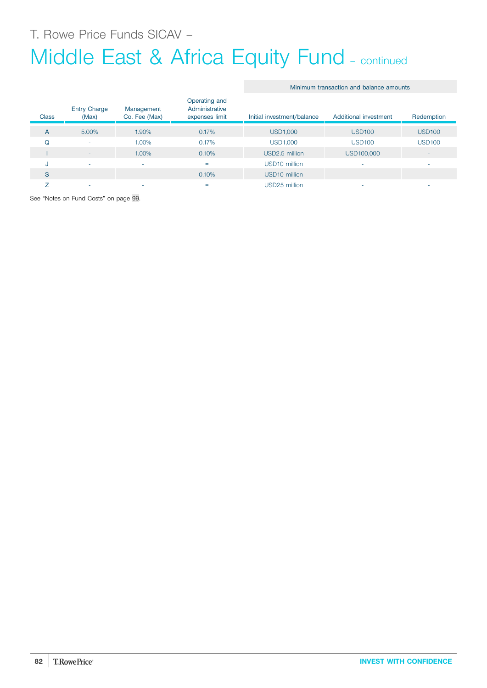# Middle East & Africa Equity Fund - continued

|  |  | Minimum transaction and balance amounts |  |  |  |
|--|--|-----------------------------------------|--|--|--|
|--|--|-----------------------------------------|--|--|--|

| <b>Class</b> | <b>Entry Charge</b><br>(Max) | Management<br>Co. Fee (Max) | Operating and<br>Administrative<br>expenses limit | Initial investment/balance | Additional investment | Redemption               |
|--------------|------------------------------|-----------------------------|---------------------------------------------------|----------------------------|-----------------------|--------------------------|
| A            | 5.00%                        | 1.90%                       | 0.17%                                             | <b>USD1,000</b>            | <b>USD100</b>         | <b>USD100</b>            |
| Q            | ۰                            | 1.00%                       | 0.17%                                             | <b>USD1,000</b>            | <b>USD100</b>         | <b>USD100</b>            |
|              | ٠                            | 1.00%                       | 0.10%                                             | USD2.5 million             | USD100,000            | $\overline{\phantom{a}}$ |
| u            | ٠                            | $\overline{\phantom{a}}$    | $=$                                               | USD <sub>10</sub> million  |                       | $\sim$                   |
| S            | ٠                            | $\overline{\phantom{a}}$    | 0.10%                                             | USD <sub>10</sub> million  |                       | $\overline{\phantom{a}}$ |
|              | $\overline{\phantom{a}}$     |                             | $=$                                               | USD25 million              |                       | $\overline{\phantom{a}}$ |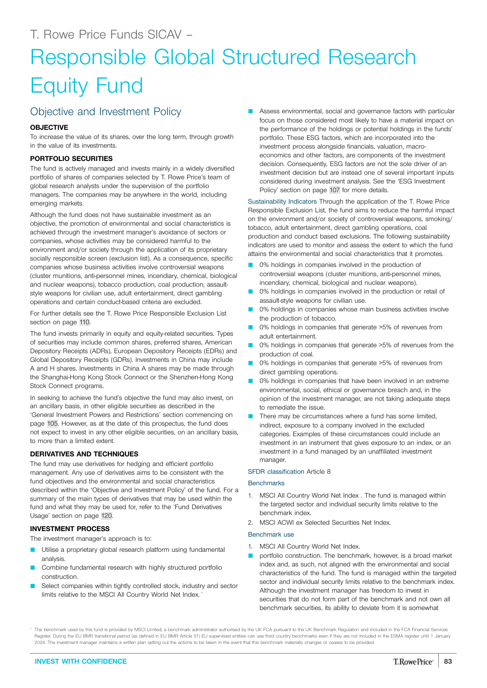# Responsible Global Structured Research Equity Fund

## Objective and Investment Policy

## **OBJECTIVE**

To increase the value of its shares, over the long term, through growth in the value of its investments.

## **PORTFOLIO SECURITIES**

The fund is actively managed and invests mainly in a widely diversified portfolio of shares of companies selected by T. Rowe Price's team of global research analysts under the supervision of the portfolio managers. The companies may be anywhere in the world, including emerging markets.

Although the fund does not have sustainable investment as an objective, the promotion of environmental and social characteristics is achieved through the investment manager's avoidance of sectors or companies, whose activities may be considered harmful to the environment and/or society through the application of its proprietary socially responsible screen (exclusion list). As a consequence, specific companies whose business activities involve controversial weapons (cluster munitions, anti-personnel mines, incendiary, chemical, biological and nuclear weapons), tobacco production, coal production, assaultstyle weapons for civilian use, adult entertainment, direct gambling operations and certain conduct-based criteria are excluded.

For further details see the T. Rowe Price Responsible Exclusion List section on page [110](#page-109-0).

The fund invests primarily in equity and equity-related securities. Types of securities may include common shares, preferred shares, American Depository Receipts (ADRs), European Depository Receipts (EDRs) and Global Depository Receipts (GDRs). Investments in China may include A and H shares. Investments in China A shares may be made through the Shanghai-Hong Kong Stock Connect or the Shenzhen-Hong Kong Stock Connect programs.

In seeking to achieve the fund's objective the fund may also invest, on an ancillary basis, in other eligible securities as described in the 'General Investment Powers and Restrictions' section commencing on page [105.](#page-104-0) However, as at the date of this prospectus, the fund does not expect to invest in any other eligible securities, on an ancillary basis, to more than a limited extent.

## **DERIVATIVES AND TECHNIQUES**

The fund may use derivatives for hedging and efficient portfolio management. Any use of derivatives aims to be consistent with the fund objectives and the environmental and social characteristics described within the 'Objective and Investment Policy' of the fund. For a summary of the main types of derivatives that may be used within the fund and what they may be used for, refer to the 'Fund Derivatives Usage' section on page [120.](#page-119-0)

## **INVESTMENT PROCESS**

The investment manager's approach is to:

- Utilise a proprietary global research platform using fundamental analysis.
- Combine fundamental research with highly structured portfolio construction.
- Select companies within tightly controlled stock, industry and sector limits relative to the MSCI All Country World Net Index.

Assess environmental, social and governance factors with particular focus on those considered most likely to have a material impact on the performance of the holdings or potential holdings in the funds' portfolio. These ESG factors, which are incorporated into the investment process alongside financials, valuation, macroeconomics and other factors, are components of the investment decision. Consequently, ESG factors are not the sole driver of an investment decision but are instead one of several important inputs considered during investment analysis. See the 'ESG Investment Policy' section on page [107](#page-106-0) for more details.

Sustainability Indicators Through the application of the T. Rowe Price Responsible Exclusion List, the fund aims to reduce the harmful impact on the environment and/or society of controversial weapons, smoking/ tobacco, adult entertainment, direct gambling operations, coal production and conduct based exclusions. The following sustainability indicators are used to monitor and assess the extent to which the fund attains the environmental and social characteristics that it promotes.

- 0% holdings in companies involved in the production of controversial weapons (cluster munitions, anti-personnel mines, incendiary, chemical, biological and nuclear weapons).
- 0% holdings in companies involved in the production or retail of assault-style weapons for civilian use.
- 0% holdings in companies whose main business activities involve the production of tobacco.
- 0% holdings in companies that generate >5% of revenues from adult entertainment.
- 0% holdings in companies that generate >5% of revenues from the production of coal.
- 0% holdings in companies that generate >5% of revenues from direct gambling operations.
- 0% holdings in companies that have been involved in an extreme environmental, social, ethical or governance breach and, in the opinion of the investment manager, are not taking adequate steps to remediate the issue.
- There may be circumstances where a fund has some limited, indirect, exposure to a company involved in the excluded categories. Examples of these circumstances could include an investment in an instrument that gives exposure to an index, or an investment in a fund managed by an unaffiliated investment manager.

SFDR classification Article 8

## **Benchmarks**

- 1. MSCI All Country World Net Index . The fund is managed within the targeted sector and individual security limits relative to the benchmark index.
- 2. MSCI ACWI ex Selected Securities Net Index.

## Benchmark use

- 1. MSCI All Country World Net Index.
- portfolio construction. The benchmark, however, is a broad market index and, as such, not aligned with the environmental and social characteristics of the fund. The fund is managed within the targeted sector and individual security limits relative to the benchmark index. Although the investment manager has freedom to invest in securities that do not form part of the benchmark and not own all benchmark securities, its ability to deviate from it is somewhat

The benchmark used by this fund is provided by MSCI Limited, a benchmark administrator authorised by the UK FCA pursuant to the UK Benchmark Regulation and included in the FCA Financial Services Register. During the EU BMR transitional period (as defined in EU BMR Article 51) EU supervised entities can use third country benchmarks even if they are not included in the ESMA register until 1 January 2024. The investment manager maintains a written plan setting out the actions to be taken in the event that this benchmark materially changes or ceases to be provided.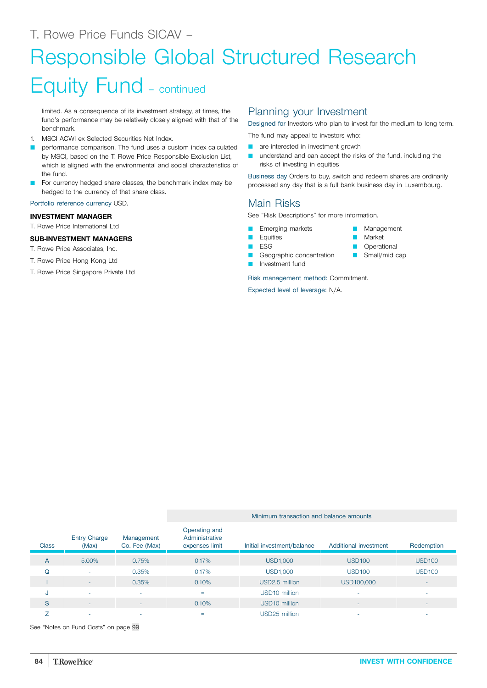# Responsible Global Structured Research

# Equity Fund – continued

limited. As a consequence of its investment strategy, at times, the fund's performance may be relatively closely aligned with that of the benchmark.

- 1. MSCI ACWI ex Selected Securities Net Index.
- performance comparison. The fund uses a custom index calculated by MSCI, based on the T. Rowe Price Responsible Exclusion List, which is aligned with the environmental and social characteristics of the fund.
- For currency hedged share classes, the benchmark index may be hedged to the currency of that share class.

Portfolio reference currency USD.

## **INVESTMENT MANAGER**

T. Rowe Price International Ltd

## **SUB-INVESTMENT MANAGERS**

- T. Rowe Price Associates, Inc.
- T. Rowe Price Hong Kong Ltd
- T. Rowe Price Singapore Private Ltd

## Planning your Investment

Designed for Investors who plan to invest for the medium to long term.

The fund may appeal to investors who:

- **Q** are interested in investment growth
- **Q** understand and can accept the risks of the fund, including the risks of investing in equities

Business day Orders to buy, switch and redeem shares are ordinarily processed any day that is a full bank business day in Luxembourg.

## Main Risks

See "Risk Descriptions" for more information.

Emerging markets **Equities** 

 $\blacksquare$  ESG

- **Management Market**
- **D** Operational
- 
- $\blacksquare$  Small/mid cap
- Investment fund

Risk management method: Commitment.

Expected level of leverage: N/A.

Geographic concentration

|              |                              |                             | Minimum transaction and balance amounts           |                            |                          |                          |  |  |
|--------------|------------------------------|-----------------------------|---------------------------------------------------|----------------------------|--------------------------|--------------------------|--|--|
| <b>Class</b> | <b>Entry Charge</b><br>(Max) | Management<br>Co. Fee (Max) | Operating and<br>Administrative<br>expenses limit | Initial investment/balance | Additional investment    | Redemption               |  |  |
| A            | 5.00%                        | 0.75%                       | 0.17%                                             | <b>USD1,000</b>            | <b>USD100</b>            | <b>USD100</b>            |  |  |
| O            | $\overline{\phantom{a}}$     | 0.35%                       | 0.17%                                             | <b>USD1,000</b>            | <b>USD100</b>            | <b>USD100</b>            |  |  |
|              | $\sim$                       | 0.35%                       | 0.10%                                             | USD2.5 million             | USD100,000               | $\overline{\phantom{a}}$ |  |  |
| u            | ۰                            | ٠                           | =                                                 | USD10 million              | $\overline{\phantom{a}}$ | ۰                        |  |  |
| S            | ۰                            | $\overline{\phantom{a}}$    | 0.10%                                             | USD <sub>10</sub> million  | $\overline{\phantom{a}}$ | $\overline{\phantom{a}}$ |  |  |
|              | ۰                            | ٠                           | =                                                 | USD25 million              |                          |                          |  |  |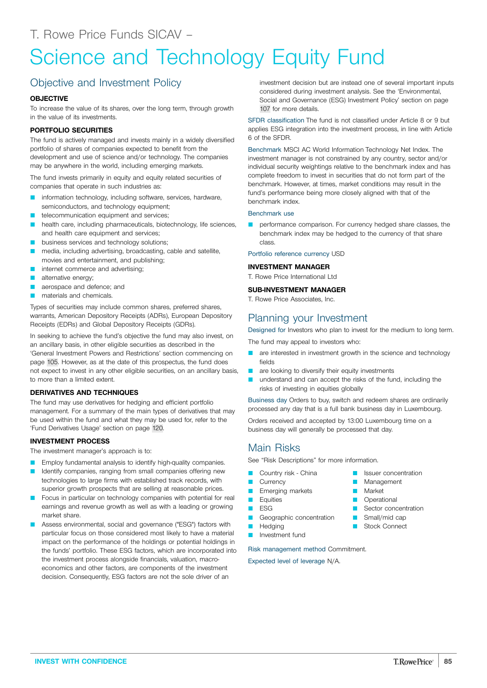# Science and Technology Equity Fund

# Objective and Investment Policy

## **OBJECTIVE**

To increase the value of its shares, over the long term, through growth in the value of its investments.

## **PORTFOLIO SECURITIES**

The fund is actively managed and invests mainly in a widely diversified portfolio of shares of companies expected to benefit from the development and use of science and/or technology. The companies may be anywhere in the world, including emerging markets.

The fund invests primarily in equity and equity related securities of companies that operate in such industries as:

- information technology, including software, services, hardware, semiconductors, and technology equipment;
- telecommunication equipment and services;
- health care, including pharmaceuticals, biotechnology, life sciences, and health care equipment and services;
- business services and technology solutions;
- media, including advertising, broadcasting, cable and satellite, movies and entertainment, and publishing;
- internet commerce and advertising;
- alternative energy;
- aerospace and defence; and
- materials and chemicals.

Types of securities may include common shares, preferred shares, warrants, American Depository Receipts (ADRs), European Depository Receipts (EDRs) and Global Depository Receipts (GDRs).

In seeking to achieve the fund's objective the fund may also invest, on an ancillary basis, in other eligible securities as described in the 'General Investment Powers and Restrictions' section commencing on page [105.](#page-104-0) However, as at the date of this prospectus, the fund does not expect to invest in any other eligible securities, on an ancillary basis, to more than a limited extent.

## **DERIVATIVES AND TECHNIQUES**

The fund may use derivatives for hedging and efficient portfolio management. For a summary of the main types of derivatives that may be used within the fund and what they may be used for, refer to the 'Fund Derivatives Usage' section on page [120](#page-119-0).

## **INVESTMENT PROCESS**

The investment manager's approach is to:

- Employ fundamental analysis to identify high-quality companies.
- Identify companies, ranging from small companies offering new technologies to large firms with established track records, with superior growth prospects that are selling at reasonable prices.
- Focus in particular on technology companies with potential for real earnings and revenue growth as well as with a leading or growing market share.
- Assess environmental, social and governance ("ESG") factors with particular focus on those considered most likely to have a material impact on the performance of the holdings or potential holdings in the funds' portfolio. These ESG factors, which are incorporated into the investment process alongside financials, valuation, macroeconomics and other factors, are components of the investment decision. Consequently, ESG factors are not the sole driver of an

investment decision but are instead one of several important inputs considered during investment analysis. See the 'Environmental, Social and Governance (ESG) Investment Policy' section on page [107](#page-106-0) for more details.

SFDR classification The fund is not classified under Article 8 or 9 but applies ESG integration into the investment process, in line with Article 6 of the SFDR.

Benchmark MSCI AC World Information Technology Net Index. The investment manager is not constrained by any country, sector and/or individual security weightings relative to the benchmark index and has complete freedom to invest in securities that do not form part of the benchmark. However, at times, market conditions may result in the fund's performance being more closely aligned with that of the benchmark index.

## Benchmark use

performance comparison. For currency hedged share classes, the benchmark index may be hedged to the currency of that share class.

Portfolio reference currency USD

## **INVESTMENT MANAGER**

T. Rowe Price International Ltd

## **SUB-INVESTMENT MANAGER**

T. Rowe Price Associates, Inc.

## Planning your Investment

Designed for Investors who plan to invest for the medium to long term.

The fund may appeal to investors who:

- are interested in investment growth in the science and technology fields
- are looking to diversify their equity investments
- understand and can accept the risks of the fund, including the risks of investing in equities globally

Business day Orders to buy, switch and redeem shares are ordinarily processed any day that is a full bank business day in Luxembourg.

Q Issuer concentration

**Management** Market **Operational** Sector concentration Small/mid cap **B** Stock Connect

Orders received and accepted by 13:00 Luxembourg time on a business day will generally be processed that day.

## Main Risks

See "Risk Descriptions" for more information.

- Country risk China
- **Currency**
- Emerging markets
- **D** Equities
- $ESG$
- **Q** Geographic concentration
- **Hedging**
- **D** Investment fund

Risk management method Commitment.

Expected level of leverage N/A.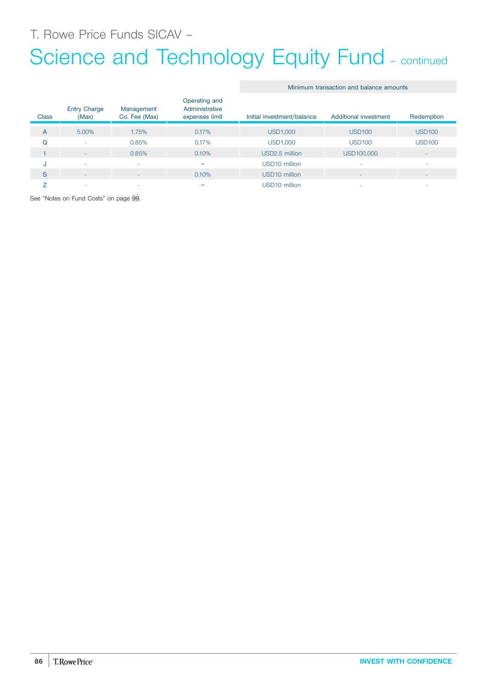T. Rowe Price Funds SICAV –

# Science and Technology Equity Fund - continued

Minimum transaction and balance amounts

| <b>Class</b>   | <b>Entry Charge</b><br>(Max) | Management<br>Co. Fee (Max) | Operating and<br>Administrative<br>expenses limit | Initial investment/balance | Additional investment    | Redemption               |
|----------------|------------------------------|-----------------------------|---------------------------------------------------|----------------------------|--------------------------|--------------------------|
| $\overline{A}$ | 5.00%                        | 1.75%                       | 0.17%                                             | <b>USD1,000</b>            | <b>USD100</b>            | <b>USD100</b>            |
| Q              | <b>.</b>                     | 0.85%                       | 0.17%                                             | USD1,000                   | <b>USD100</b>            | <b>USD100</b>            |
|                | <b>1</b>                     | 0.85%                       | 0.10%                                             | USD2.5 million             | USD100,000               | $\overline{\phantom{a}}$ |
| J              | <b>.</b>                     | $\overline{\phantom{a}}$    | =                                                 | USD10 million              | ۰                        | $\sim$                   |
| S              | $\sim$                       | ۰                           | 0.10%                                             | USD <sub>10</sub> million  | $\overline{\phantom{a}}$ | $\overline{\phantom{a}}$ |
|                |                              | ۰                           | =                                                 | USD10 million              |                          | ۰                        |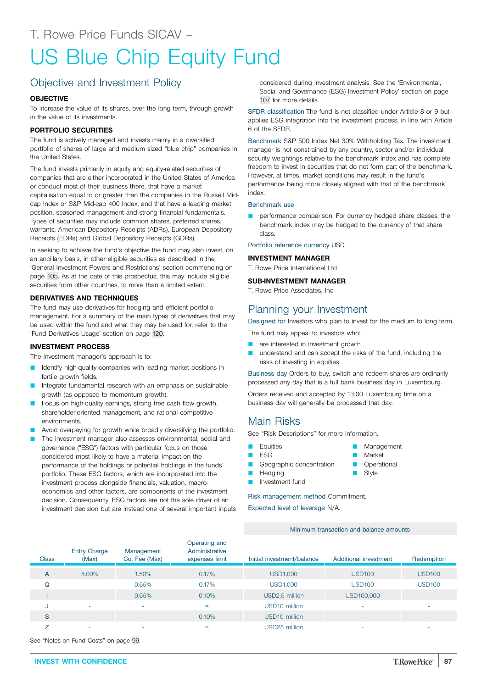# US Blue Chip Equity Fund

# Objective and Investment Policy

## **OBJECTIVE**

To increase the value of its shares, over the long term, through growth in the value of its investments.

## **PORTFOLIO SECURITIES**

The fund is actively managed and invests mainly in a diversified portfolio of shares of large and medium sized "blue chip" companies in the United States.

The fund invests primarily in equity and equity-related securities of companies that are either incorporated in the United States of America or conduct most of their business there, that have a market capitalisation equal to or greater than the companies in the Russell Midcap Index or S&P Mid-cap 400 Index, and that have a leading market position, seasoned management and strong financial fundamentals. Types of securities may include common shares, preferred shares, warrants, American Depository Receipts (ADRs), European Depository Receipts (EDRs) and Global Depository Receipts (GDRs).

In seeking to achieve the fund's objective the fund may also invest, on an ancillary basis, in other eligible securities as described in the 'General Investment Powers and Restrictions' section commencing on page [105.](#page-104-0) As at the date of this prospectus, this may include eligible securities from other countries, to more than a limited extent.

## **DERIVATIVES AND TECHNIQUES**

The fund may use derivatives for hedging and efficient portfolio management. For a summary of the main types of derivatives that may be used within the fund and what they may be used for, refer to the 'Fund Derivatives Usage' section on page [120](#page-119-0).

## **INVESTMENT PROCESS**

The investment manager's approach is to:

- Identify high-quality companies with leading market positions in fertile growth fields.
- Integrate fundamental research with an emphasis on sustainable growth (as opposed to momentum growth).
- Focus on high-quality earnings, strong free cash flow growth, shareholder-oriented management, and rational competitive environments.
- Avoid overpaying for growth while broadly diversifying the portfolio.
- The investment manager also assesses environmental, social and governance ("ESG") factors with particular focus on those considered most likely to have a material impact on the performance of the holdings or potential holdings in the funds' portfolio. These ESG factors, which are incorporated into the investment process alongside financials, valuation, macroeconomics and other factors, are components of the investment decision. Consequently, ESG factors are not the sole driver of an investment decision but are instead one of several important inputs

considered during investment analysis. See the 'Environmental, Social and Governance (ESG) Investment Policy' section on page [107](#page-106-0) for more details.

SFDR classification The fund is not classified under Article 8 or 9 but applies ESG integration into the investment process, in line with Article 6 of the SFDR.

Benchmark S&P 500 Index Net 30% Withholding Tax. The investment manager is not constrained by any country, sector and/or individual security weightings relative to the benchmark index and has complete freedom to invest in securities that do not form part of the benchmark. However, at times, market conditions may result in the fund's performance being more closely aligned with that of the benchmark index.

#### Benchmark use

performance comparison. For currency hedged share classes, the benchmark index may be hedged to the currency of that share class.

Portfolio reference currency USD

#### **INVESTMENT MANAGER**

T. Rowe Price International Ltd

#### **SUB-INVESTMENT MANAGER**

T. Rowe Price Associates, Inc

## Planning your Investment

Designed for Investors who plan to invest for the medium to long term.

The fund may appeal to investors who:

- are interested in investment growth
- understand and can accept the risks of the fund, including the risks of investing in equities

Business day Orders to buy, switch and redeem shares are ordinarily processed any day that is a full bank business day in Luxembourg.

Management

**Market D** Operational Style

Orders received and accepted by 13:00 Luxembourg time on a business day will generally be processed that day.

## Main Risks

See "Risk Descriptions" for more information.

- **D** Equities
- $ESG$
- Geographic concentration
	-
- Hedging Investment fund

Risk management method Commitment.

Expected level of leverage N/A.

Minimum transaction and balance amounts

| <b>Class</b> | <b>Entry Charge</b><br>(Max) | Management<br>Co. Fee (Max) | Operating and<br>Administrative<br>expenses limit | Initial investment/balance | Additional investment    | Redemption               |
|--------------|------------------------------|-----------------------------|---------------------------------------------------|----------------------------|--------------------------|--------------------------|
| A            | 5.00%                        | 1.50%                       | 0.17%                                             | <b>USD1,000</b>            | <b>USD100</b>            | <b>USD100</b>            |
| Q            |                              | 0.65%                       | 0.17%                                             | <b>USD1,000</b>            | <b>USD100</b>            | <b>USD100</b>            |
|              | $\overline{\phantom{a}}$     | 0.65%                       | 0.10%                                             | USD2.5 million             | USD100,000               |                          |
| J            | ۰                            | $\overline{\phantom{a}}$    | $=$                                               | USD <sub>10</sub> million  | ۰                        | $\overline{\phantom{a}}$ |
| S            | $\overline{\phantom{a}}$     | $\overline{\phantom{0}}$    | 0.10%                                             | USD <sub>10</sub> million  | $\overline{\phantom{a}}$ | $\overline{\phantom{a}}$ |
|              | ۰                            | $\overline{\phantom{a}}$    | $=$                                               | USD25 million              | ۰                        | $\overline{\phantom{a}}$ |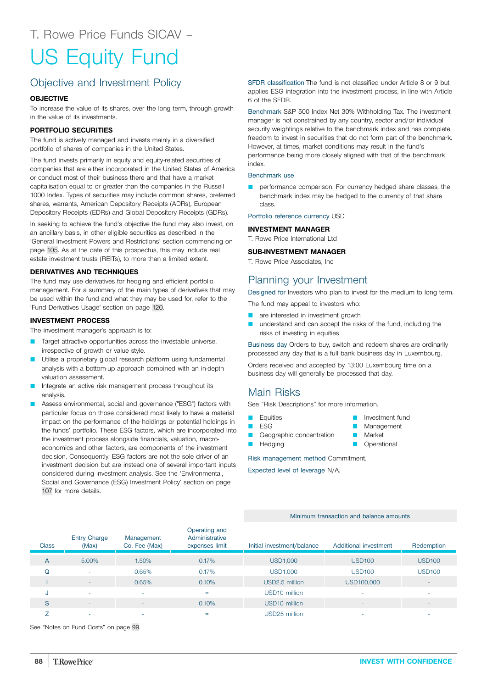# US Equity Fund

# Objective and Investment Policy

## **OBJECTIVE**

To increase the value of its shares, over the long term, through growth in the value of its investments.

## **PORTFOLIO SECURITIES**

The fund is actively managed and invests mainly in a diversified portfolio of shares of companies in the United States.

The fund invests primarily in equity and equity-related securities of companies that are either incorporated in the United States of America or conduct most of their business there and that have a market capitalisation equal to or greater than the companies in the Russell 1000 Index. Types of securities may include common shares, preferred shares, warrants, American Depository Receipts (ADRs), European Depository Receipts (EDRs) and Global Depository Receipts (GDRs).

In seeking to achieve the fund's objective the fund may also invest, on an ancillary basis, in other eligible securities as described in the 'General Investment Powers and Restrictions' section commencing on page [105.](#page-104-0) As at the date of this prospectus, this may include real estate investment trusts (REITs), to more than a limited extent.

## **DERIVATIVES AND TECHNIQUES**

The fund may use derivatives for hedging and efficient portfolio management. For a summary of the main types of derivatives that may be used within the fund and what they may be used for, refer to the 'Fund Derivatives Usage' section on page [120](#page-119-0).

## **INVESTMENT PROCESS**

The investment manager's approach is to:

- Target attractive opportunities across the investable universe, irrespective of growth or value style.
- Utilise a proprietary global research platform using fundamental analysis with a bottom-up approach combined with an in-depth valuation assessment.
- Integrate an active risk management process throughout its analysis.
- Assess environmental, social and governance ("ESG") factors with particular focus on those considered most likely to have a material impact on the performance of the holdings or potential holdings in the funds' portfolio. These ESG factors, which are incorporated into the investment process alongside financials, valuation, macroeconomics and other factors, are components of the investment decision. Consequently, ESG factors are not the sole driver of an investment decision but are instead one of several important inputs considered during investment analysis. See the 'Environmental, Social and Governance (ESG) Investment Policy' section on page [107](#page-106-0) for more details.

SFDR classification The fund is not classified under Article 8 or 9 but applies ESG integration into the investment process, in line with Article 6 of the SFDR.

Benchmark S&P 500 Index Net 30% Withholding Tax. The investment manager is not constrained by any country, sector and/or individual security weightings relative to the benchmark index and has complete freedom to invest in securities that do not form part of the benchmark. However, at times, market conditions may result in the fund's performance being more closely aligned with that of the benchmark index.

## Benchmark use

performance comparison. For currency hedged share classes, the benchmark index may be hedged to the currency of that share class.

Portfolio reference currency USD

## **INVESTMENT MANAGER**

T. Rowe Price International Ltd

## **SUB-INVESTMENT MANAGER**

T. Rowe Price Associates, Inc

## Planning your Investment

Designed for Investors who plan to invest for the medium to long term.

The fund may appeal to investors who:

- **Q** are interested in investment growth
- understand and can accept the risks of the fund, including the risks of investing in equities

Business day Orders to buy, switch and redeem shares are ordinarily processed any day that is a full bank business day in Luxembourg.

Orders received and accepted by 13:00 Luxembourg time on a business day will generally be processed that day.

## Main Risks

See "Risk Descriptions" for more information.

- **Equities**
- **D** ESG

Hedging

- Geographic concentration
- Market

Q Investment fund Management

**D** Operational

Risk management method Commitment.

Expected level of leverage N/A.

#### Minimum transaction and balance amounts

| <b>Class</b> | <b>Entry Charge</b><br>(Max) | Management<br>Co. Fee (Max) | Operating and<br>Administrative<br>expenses limit | Initial investment/balance | Additional investment    | Redemption               |
|--------------|------------------------------|-----------------------------|---------------------------------------------------|----------------------------|--------------------------|--------------------------|
| A            | 5.00%                        | 1.50%                       | 0.17%                                             | <b>USD1,000</b>            | <b>USD100</b>            | <b>USD100</b>            |
| Q            | ۰                            | 0.65%                       | 0.17%                                             | <b>USD1,000</b>            | <b>USD100</b>            | <b>USD100</b>            |
|              | ۰                            | 0.65%                       | 0.10%                                             | USD2.5 million             | USD100,000               | $\sim$                   |
| J            | ۰                            | <b>.</b>                    | $=$                                               | USD <sub>10</sub> million  |                          | $\overline{\phantom{a}}$ |
| S            | ٠                            | $\overline{\phantom{a}}$    | 0.10%                                             | USD <sub>10</sub> million  | $\overline{\phantom{a}}$ | $\overline{\phantom{a}}$ |
|              | ۰                            |                             | $=$                                               | USD25 million              |                          | $\overline{\phantom{a}}$ |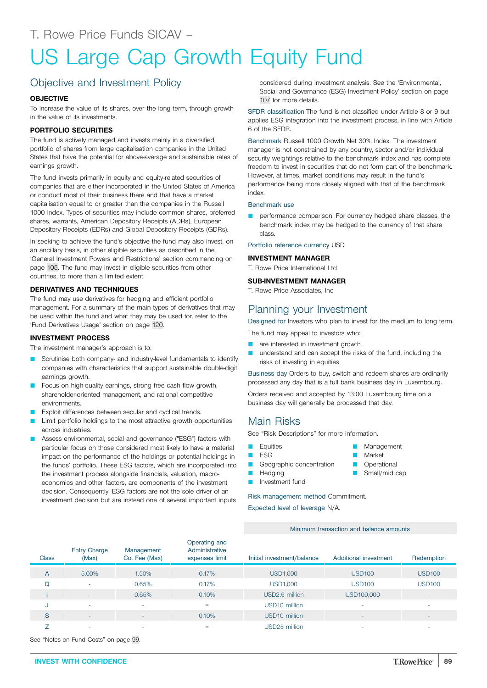# US Large Cap Growth Equity Fund

## Objective and Investment Policy

## **OBJECTIVE**

To increase the value of its shares, over the long term, through growth in the value of its investments.

## **PORTFOLIO SECURITIES**

The fund is actively managed and invests mainly in a diversified portfolio of shares from large capitalisation companies in the United States that have the potential for above-average and sustainable rates of earnings growth.

The fund invests primarily in equity and equity-related securities of companies that are either incorporated in the United States of America or conduct most of their business there and that have a market capitalisation equal to or greater than the companies in the Russell 1000 Index. Types of securities may include common shares, preferred shares, warrants, American Depository Receipts (ADRs), European Depository Receipts (EDRs) and Global Depository Receipts (GDRs).

In seeking to achieve the fund's objective the fund may also invest, on an ancillary basis, in other eligible securities as described in the 'General Investment Powers and Restrictions' section commencing on page [105.](#page-104-0) The fund may invest in eligible securities from other countries, to more than a limited extent.

## **DERIVATIVES AND TECHNIQUES**

The fund may use derivatives for hedging and efficient portfolio management. For a summary of the main types of derivatives that may be used within the fund and what they may be used for, refer to the 'Fund Derivatives Usage' section on page [120](#page-119-0).

## **INVESTMENT PROCESS**

The investment manager's approach is to:

- Scrutinise both company- and industry-level fundamentals to identify companies with characteristics that support sustainable double-digit earnings growth.
- Focus on high-quality earnings, strong free cash flow growth, shareholder-oriented management, and rational competitive environments.
- Exploit differences between secular and cyclical trends.
- Limit portfolio holdings to the most attractive growth opportunities across industries.
- Assess environmental, social and governance ("ESG") factors with particular focus on those considered most likely to have a material impact on the performance of the holdings or potential holdings in the funds' portfolio. These ESG factors, which are incorporated into the investment process alongside financials, valuation, macroeconomics and other factors, are components of the investment decision. Consequently, ESG factors are not the sole driver of an investment decision but are instead one of several important inputs

considered during investment analysis. See the 'Environmental, Social and Governance (ESG) Investment Policy' section on page [107](#page-106-0) for more details.

SFDR classification The fund is not classified under Article 8 or 9 but applies ESG integration into the investment process, in line with Article 6 of the SFDR.

Benchmark Russell 1000 Growth Net 30% Index. The investment manager is not constrained by any country, sector and/or individual security weightings relative to the benchmark index and has complete freedom to invest in securities that do not form part of the benchmark. However, at times, market conditions may result in the fund's performance being more closely aligned with that of the benchmark index.

#### Benchmark use

performance comparison. For currency hedged share classes, the benchmark index may be hedged to the currency of that share class.

Portfolio reference currency USD

#### **INVESTMENT MANAGER**

T. Rowe Price International Ltd

#### **SUB-INVESTMENT MANAGER**

T. Rowe Price Associates, Inc

## Planning your Investment

Designed for Investors who plan to invest for the medium to long term.

The fund may appeal to investors who:

- are interested in investment growth
- understand and can accept the risks of the fund, including the risks of investing in equities

Business day Orders to buy, switch and redeem shares are ordinarily processed any day that is a full bank business day in Luxembourg.

Management

**Market D** Operational Small/mid cap

Orders received and accepted by 13:00 Luxembourg time on a business day will generally be processed that day.

## Main Risks

See "Risk Descriptions" for more information.

- **D** Equities
- $ESG$
- Geographic concentration
- **Hedging**
- Investment fund

Risk management method Commitment.

Expected level of leverage N/A.

Minimum transaction and balance amounts

| <b>Class</b>   | <b>Entry Charge</b><br>(Max) | Management<br>Co. Fee (Max) | Operating and<br>Administrative<br>expenses limit | Initial investment/balance | Additional investment    | Redemption                   |
|----------------|------------------------------|-----------------------------|---------------------------------------------------|----------------------------|--------------------------|------------------------------|
| A              | 5.00%                        | 1.50%                       | 0.17%                                             | <b>USD1,000</b>            | <b>USD100</b>            | <b>USD100</b>                |
| Q              | ٠                            | 0.65%                       | 0.17%                                             | <b>USD1,000</b>            | <b>USD100</b>            | <b>USD100</b>                |
|                | ۰.                           | 0.65%                       | 0.10%                                             | USD2.5 million             | USD100,000               | $\qquad \qquad \blacksquare$ |
| J              | ۰                            | $\overline{\phantom{a}}$    | $=$                                               | USD <sub>10</sub> million  | ٠                        | ۰                            |
| S              | $\overline{\phantom{a}}$     | $\overline{\phantom{0}}$    | 0.10%                                             | USD <sub>10</sub> million  | $\overline{\phantom{a}}$ | $\overline{\phantom{a}}$     |
| $\overline{ }$ | ۰                            | $\overline{\phantom{a}}$    | $=$                                               | USD25 million              | ٠                        | ۰                            |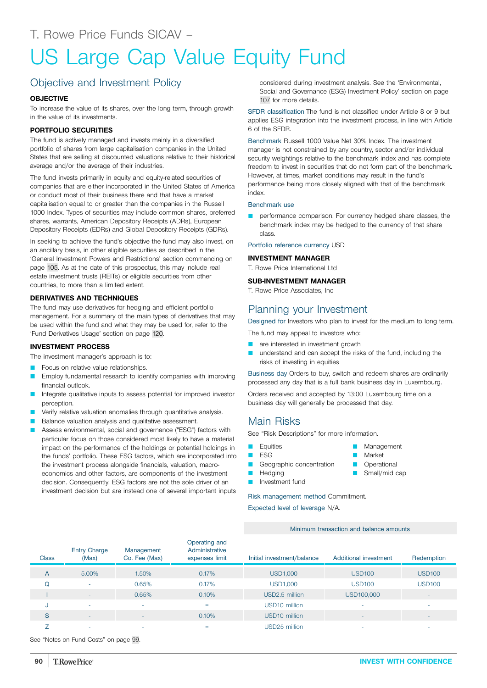# US Large Cap Value Equity Fund

## Objective and Investment Policy

## **OBJECTIVE**

To increase the value of its shares, over the long term, through growth in the value of its investments.

## **PORTFOLIO SECURITIES**

The fund is actively managed and invests mainly in a diversified portfolio of shares from large capitalisation companies in the United States that are selling at discounted valuations relative to their historical average and/or the average of their industries.

The fund invests primarily in equity and equity-related securities of companies that are either incorporated in the United States of America or conduct most of their business there and that have a market capitalisation equal to or greater than the companies in the Russell 1000 Index. Types of securities may include common shares, preferred shares, warrants, American Depository Receipts (ADRs), European Depository Receipts (EDRs) and Global Depository Receipts (GDRs).

In seeking to achieve the fund's objective the fund may also invest, on an ancillary basis, in other eligible securities as described in the 'General Investment Powers and Restrictions' section commencing on page [105.](#page-104-0) As at the date of this prospectus, this may include real estate investment trusts (REITs) or eligible securities from other countries, to more than a limited extent.

## **DERIVATIVES AND TECHNIQUES**

The fund may use derivatives for hedging and efficient portfolio management. For a summary of the main types of derivatives that may be used within the fund and what they may be used for, refer to the 'Fund Derivatives Usage' section on page [120](#page-119-0).

## **INVESTMENT PROCESS**

The investment manager's approach is to:

- Focus on relative value relationships.
- Employ fundamental research to identify companies with improving financial outlook.
- Integrate qualitative inputs to assess potential for improved investor perception.
- Verify relative valuation anomalies through quantitative analysis.
- Balance valuation analysis and qualitative assessment.
- Assess environmental, social and governance ("ESG") factors with particular focus on those considered most likely to have a material impact on the performance of the holdings or potential holdings in the funds' portfolio. These ESG factors, which are incorporated into the investment process alongside financials, valuation, macroeconomics and other factors, are components of the investment decision. Consequently, ESG factors are not the sole driver of an investment decision but are instead one of several important inputs

considered during investment analysis. See the 'Environmental, Social and Governance (ESG) Investment Policy' section on page [107](#page-106-0) for more details.

SFDR classification The fund is not classified under Article 8 or 9 but applies ESG integration into the investment process, in line with Article 6 of the SFDR.

Benchmark Russell 1000 Value Net 30% Index. The investment manager is not constrained by any country, sector and/or individual security weightings relative to the benchmark index and has complete freedom to invest in securities that do not form part of the benchmark. However, at times, market conditions may result in the fund's performance being more closely aligned with that of the benchmark index.

#### Benchmark use

performance comparison. For currency hedged share classes, the benchmark index may be hedged to the currency of that share class.

Portfolio reference currency USD

#### **INVESTMENT MANAGER**

T. Rowe Price International Ltd

## **SUB-INVESTMENT MANAGER**

T. Rowe Price Associates, Inc

## Planning your Investment

Designed for Investors who plan to invest for the medium to long term.

The fund may appeal to investors who:

- are interested in investment growth
- understand and can accept the risks of the fund, including the risks of investing in equities

Business day Orders to buy, switch and redeem shares are ordinarily processed any day that is a full bank business day in Luxembourg.

Orders received and accepted by 13:00 Luxembourg time on a business day will generally be processed that day.

## Main Risks

See "Risk Descriptions" for more information.

- **D** Equities
- $ESG$
- **Q** Geographic concentration
- **Hedging**
- 

Risk management method Commitment.

Expected level of leverage N/A.

Minimum transaction and balance amounts

| <b>Class</b> | <b>Entry Charge</b><br>(Max) | Management<br>Co. Fee (Max) | Operating and<br>Administrative<br>expenses limit | Initial investment/balance | Additional investment    | Redemption               |
|--------------|------------------------------|-----------------------------|---------------------------------------------------|----------------------------|--------------------------|--------------------------|
| A            | 5.00%                        | 1.50%                       | 0.17%                                             | <b>USD1,000</b>            | <b>USD100</b>            | <b>USD100</b>            |
| Q            | ۰                            | 0.65%                       | 0.17%                                             | <b>USD1,000</b>            | <b>USD100</b>            | <b>USD100</b>            |
|              | -                            | 0.65%                       | 0.10%                                             | USD2.5 million             | USD100,000               | $\overline{\phantom{a}}$ |
| J            | ۰                            | ٠                           | $=$                                               | USD <sub>10</sub> million  |                          | ۰                        |
| S            | $\sim$                       | ٠                           | 0.10%                                             | USD10 million              | $\overline{\phantom{a}}$ | $\sim$                   |
|              | ۰                            | ۰                           | $=$                                               | USD25 million              |                          | ۰                        |

See "Notes on Fund Costs" on page [99](#page-98-0).

- **Market D** Operational
	- Small/mid cap

Management

**D** Investment fund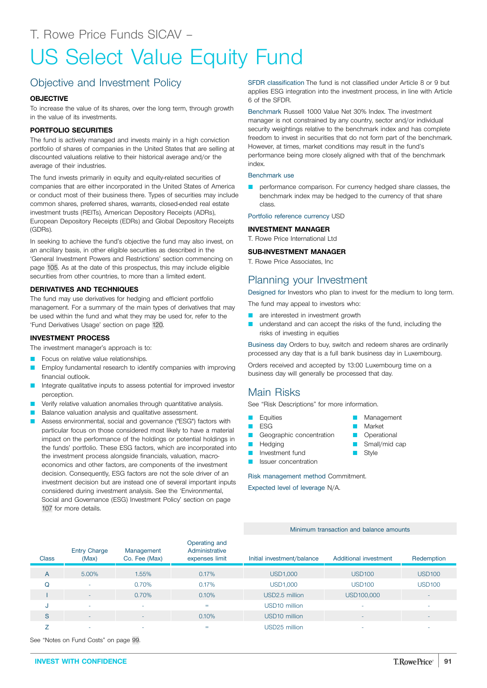# US Select Value Equity Fund

# Objective and Investment Policy

## **OBJECTIVE**

To increase the value of its shares, over the long term, through growth in the value of its investments.

## **PORTFOLIO SECURITIES**

The fund is actively managed and invests mainly in a high conviction portfolio of shares of companies in the United States that are selling at discounted valuations relative to their historical average and/or the average of their industries.

The fund invests primarily in equity and equity-related securities of companies that are either incorporated in the United States of America or conduct most of their business there. Types of securities may include common shares, preferred shares, warrants, closed-ended real estate investment trusts (REITs), American Depository Receipts (ADRs), European Depository Receipts (EDRs) and Global Depository Receipts (GDRs).

In seeking to achieve the fund's objective the fund may also invest, on an ancillary basis, in other eligible securities as described in the 'General Investment Powers and Restrictions' section commencing on page [105.](#page-104-0) As at the date of this prospectus, this may include eligible securities from other countries, to more than a limited extent.

## **DERIVATIVES AND TECHNIQUES**

The fund may use derivatives for hedging and efficient portfolio management. For a summary of the main types of derivatives that may be used within the fund and what they may be used for, refer to the 'Fund Derivatives Usage' section on page [120](#page-119-0).

#### **INVESTMENT PROCESS**

The investment manager's approach is to:

- Focus on relative value relationships.
- Employ fundamental research to identify companies with improving financial outlook.
- Integrate qualitative inputs to assess potential for improved investor perception.
- Verify relative valuation anomalies through quantitative analysis.
- Balance valuation analysis and qualitative assessment.
- Assess environmental, social and governance ("ESG") factors with particular focus on those considered most likely to have a material impact on the performance of the holdings or potential holdings in the funds' portfolio. These ESG factors, which are incorporated into the investment process alongside financials, valuation, macroeconomics and other factors, are components of the investment decision. Consequently, ESG factors are not the sole driver of an investment decision but are instead one of several important inputs considered during investment analysis. See the 'Environmental, Social and Governance (ESG) Investment Policy' section on page [107](#page-106-0) for more details.

SFDR classification The fund is not classified under Article 8 or 9 but applies ESG integration into the investment process, in line with Article 6 of the SFDR.

Benchmark Russell 1000 Value Net 30% Index. The investment manager is not constrained by any country, sector and/or individual security weightings relative to the benchmark index and has complete freedom to invest in securities that do not form part of the benchmark. However, at times, market conditions may result in the fund's performance being more closely aligned with that of the benchmark index.

## Benchmark use

performance comparison. For currency hedged share classes, the benchmark index may be hedged to the currency of that share class.

Portfolio reference currency USD

#### **INVESTMENT MANAGER**

T. Rowe Price International Ltd

## **SUB-INVESTMENT MANAGER**

T. Rowe Price Associates, Inc

## Planning your Investment

Designed for Investors who plan to invest for the medium to long term.

The fund may appeal to investors who:

- **Q** are interested in investment growth
- understand and can accept the risks of the fund, including the risks of investing in equities

Business day Orders to buy, switch and redeem shares are ordinarily processed any day that is a full bank business day in Luxembourg.

Orders received and accepted by 13:00 Luxembourg time on a business day will generally be processed that day.

## Main Risks

See "Risk Descriptions" for more information.

- Equities
- **ESG**
- Geographic concentration
- **D** Hedging
- **D** Investment fund
- Issuer concentration

Risk management method Commitment.

Expected level of leverage N/A.

Minimum transaction and balance amounts

| <b>Class</b> | <b>Entry Charge</b><br>(Max) | Management<br>Co. Fee (Max) | Operating and<br>Administrative<br>expenses limit | Initial investment/balance | Additional investment    | Redemption    |
|--------------|------------------------------|-----------------------------|---------------------------------------------------|----------------------------|--------------------------|---------------|
| A            | 5.00%                        | 1.55%                       | 0.17%                                             | <b>USD1,000</b>            | <b>USD100</b>            | <b>USD100</b> |
| Q            | ۰                            | 0.70%                       | 0.17%                                             | <b>USD1,000</b>            | <b>USD100</b>            | <b>USD100</b> |
|              | $\sim$                       | 0.70%                       | 0.10%                                             | USD2.5 million             | USD100,000               | ۰             |
| J            | ۰                            | $\sim$                      | $=$                                               | USD <sub>10</sub> million  | ٠                        | ۰             |
| S            | ۰.                           | $\overline{a}$              | 0.10%                                             | USD <sub>10</sub> million  | $\sim$                   | $-$           |
|              | -                            | $\overline{\phantom{a}}$    | $=$                                               | USD25 million              | $\overline{\phantom{a}}$ | ۰             |

See "Notes on Fund Costs" on page [99](#page-98-0).

- - Small/mid cap

**D** Management Market **Operational** 

■ Style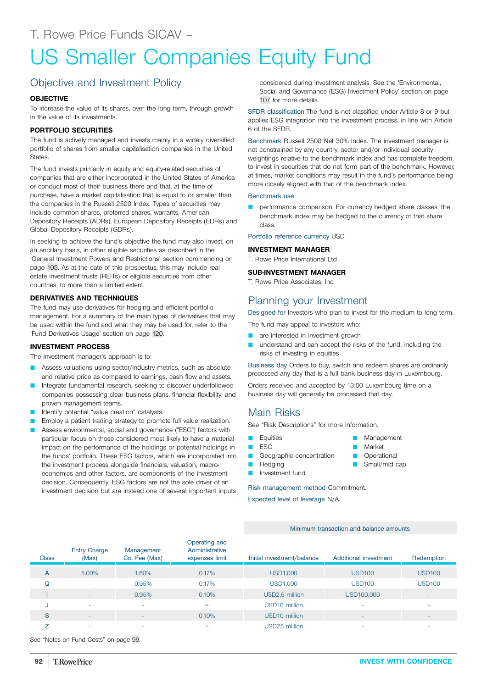# US Smaller Companies Equity Fund

# Objective and Investment Policy

## **OBJECTIVE**

To increase the value of its shares, over the long term, through growth in the value of its investments.

## **PORTFOLIO SECURITIES**

The fund is actively managed and invests mainly in a widely diversified portfolio of shares from smaller capitalisation companies in the United States.

The fund invests primarily in equity and equity-related securities of companies that are either incorporated in the United States of America or conduct most of their business there and that, at the time of purchase, have a market capitalisation that is equal to or smaller than the companies in the Russell 2500 Index. Types of securities may include common shares, preferred shares, warrants, American Depository Receipts (ADRs), European Depository Receipts (EDRs) and Global Depository Receipts (GDRs).

In seeking to achieve the fund's objective the fund may also invest, on an ancillary basis, in other eligible securities as described in the 'General Investment Powers and Restrictions' section commencing on page [105.](#page-104-0) As at the date of this prospectus, this may include real estate investment trusts (REITs) or eligible securities from other countries, to more than a limited extent.

## **DERIVATIVES AND TECHNIQUES**

The fund may use derivatives for hedging and efficient portfolio management. For a summary of the main types of derivatives that may be used within the fund and what they may be used for, refer to the 'Fund Derivatives Usage' section on page [120](#page-119-0).

## **INVESTMENT PROCESS**

The investment manager's approach is to:

- Assess valuations using sector/industry metrics, such as absolute and relative price as compared to earnings, cash flow and assets.
- Integrate fundamental research, seeking to discover underfollowed companies possessing clear business plans, financial flexibility, and proven management teams.
- Identify potential "value creation" catalysts.
- Employ a patient trading strategy to promote full value realization.
- Assess environmental, social and governance ("ESG") factors with particular focus on those considered most likely to have a material impact on the performance of the holdings or potential holdings in the funds' portfolio. These ESG factors, which are incorporated into the investment process alongside financials, valuation, macroeconomics and other factors, are components of the investment decision. Consequently, ESG factors are not the sole driver of an investment decision but are instead one of several important inputs

considered during investment analysis. See the 'Environmental, Social and Governance (ESG) Investment Policy' section on page [107](#page-106-0) for more details.

SFDR classification The fund is not classified under Article 8 or 9 but applies ESG integration into the investment process, in line with Article 6 of the SFDR.

Benchmark Russell 2500 Net 30% Index. The investment manager is not constrained by any country, sector and/or individual security weightings relative to the benchmark index and has complete freedom to invest in securities that do not form part of the benchmark. However, at times, market conditions may result in the fund's performance being more closely aligned with that of the benchmark index.

#### Benchmark use

performance comparison. For currency hedged share classes, the benchmark index may be hedged to the currency of that share class.

Portfolio reference currency USD

## **INVESTMENT MANAGER**

T. Rowe Price International Ltd

#### **SUB-INVESTMENT MANAGER**

T. Rowe Price Associates, Inc

## Planning your Investment

Designed for Investors who plan to invest for the medium to long term.

The fund may appeal to investors who:

**Q** are interested in investment growth

understand and can accept the risks of the fund, including the risks of investing in equities

Business day Orders to buy, switch and redeem shares are ordinarily processed any day that is a full bank business day in Luxembourg.

Orders received and accepted by 13:00 Luxembourg time on a business day will generally be processed that day.

## Main Risks

See "Risk Descriptions" for more information.

- **D** Equities
- $ESG$
- Geographic concentration
- **Hedging**
- Investment fund

Risk management method Commitment.

Expected level of leverage N/A.

Minimum transaction and balance amounts

| <b>Class</b> | <b>Entry Charge</b><br>(Max) | Management<br>Co. Fee (Max) | Operating and<br>Administrative<br>expenses limit | Initial investment/balance | Additional investment | Redemption               |
|--------------|------------------------------|-----------------------------|---------------------------------------------------|----------------------------|-----------------------|--------------------------|
| A            | 5.00%                        | 1.60%                       | 0.17%                                             | USD1,000                   | <b>USD100</b>         | <b>USD100</b>            |
| Q            |                              | 0.95%                       | 0.17%                                             | <b>USD1,000</b>            | <b>USD100</b>         | <b>USD100</b>            |
|              | <b>.</b>                     | 0.95%                       | 0.10%                                             | USD2.5 million             | USD100,000            | $\overline{\phantom{a}}$ |
| J            | ٠                            | $\overline{\phantom{a}}$    | $=$                                               | USD <sub>10</sub> million  | -                     |                          |
| S            | $\overline{\phantom{a}}$     | $\overline{\phantom{a}}$    | 0.10%                                             | USD <sub>10</sub> million  | ٠                     |                          |
| ⇁            | ۰                            | ۰                           | $=$                                               | USD25 million              |                       |                          |

See "Notes on Fund Costs" on page [99](#page-98-0).

- Management
	- Market **Operational**

Small/mid cap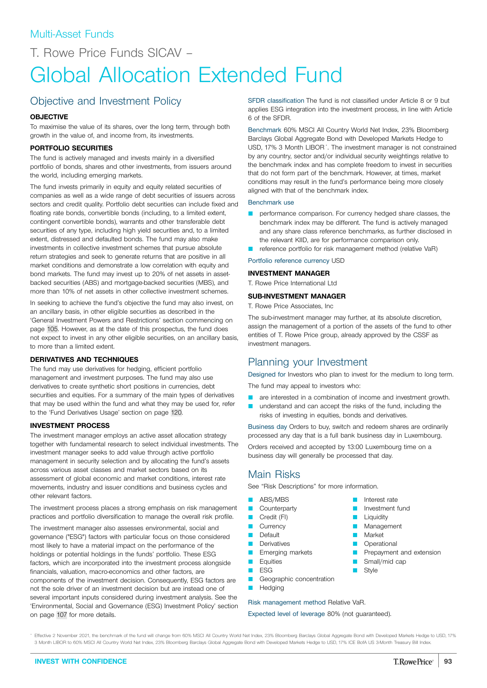T. Rowe Price Funds SICAV –

# Global Allocation Extended Fund

## Objective and Investment Policy

## **OBJECTIVE**

To maximise the value of its shares, over the long term, through both growth in the value of, and income from, its investments.

## **PORTFOLIO SECURITIES**

The fund is actively managed and invests mainly in a diversified portfolio of bonds, shares and other investments, from issuers around the world, including emerging markets.

The fund invests primarily in equity and equity related securities of companies as well as a wide range of debt securities of issuers across sectors and credit quality. Portfolio debt securities can include fixed and floating rate bonds, convertible bonds (including, to a limited extent, contingent convertible bonds), warrants and other transferable debt securities of any type, including high yield securities and, to a limited extent, distressed and defaulted bonds. The fund may also make investments in collective investment schemes that pursue absolute return strategies and seek to generate returns that are positive in all market conditions and demonstrate a low correlation with equity and bond markets. The fund may invest up to 20% of net assets in assetbacked securities (ABS) and mortgage-backed securities (MBS), and more than 10% of net assets in other collective investment schemes.

In seeking to achieve the fund's objective the fund may also invest, on an ancillary basis, in other eligible securities as described in the 'General Investment Powers and Restrictions' section commencing on page [105.](#page-104-0) However, as at the date of this prospectus, the fund does not expect to invest in any other eligible securities, on an ancillary basis, to more than a limited extent.

## **DERIVATIVES AND TECHNIQUES**

The fund may use derivatives for hedging, efficient portfolio management and investment purposes. The fund may also use derivatives to create synthetic short positions in currencies, debt securities and equities. For a summary of the main types of derivatives that may be used within the fund and what they may be used for, refer to the 'Fund Derivatives Usage' section on page [120](#page-119-0).

#### **INVESTMENT PROCESS**

The investment manager employs an active asset allocation strategy together with fundamental research to select individual investments. The investment manager seeks to add value through active portfolio management in security selection and by allocating the fund's assets across various asset classes and market sectors based on its assessment of global economic and market conditions, interest rate movements, industry and issuer conditions and business cycles and other relevant factors.

The investment process places a strong emphasis on risk management practices and portfolio diversification to manage the overall risk profile.

The investment manager also assesses environmental, social and governance ("ESG") factors with particular focus on those considered most likely to have a material impact on the performance of the holdings or potential holdings in the funds' portfolio. These ESG factors, which are incorporated into the investment process alongside financials, valuation, macro-economics and other factors, are components of the investment decision. Consequently, ESG factors are not the sole driver of an investment decision but are instead one of several important inputs considered during investment analysis. See the 'Environmental, Social and Governance (ESG) Investment Policy' section on page [107](#page-106-0) for more details.

SFDR classification The fund is not classified under Article 8 or 9 but applies ESG integration into the investment process, in line with Article 6 of the SFDR.

Benchmark 60% MSCI All Country World Net Index, 23% Bloomberg Barclays Global Aggregate Bond with Developed Markets Hedge to USD, 17% 3 Month LIBOR<sup>\*</sup>. The investment manager is not constrained by any country, sector and/or individual security weightings relative to the benchmark index and has complete freedom to invest in securities that do not form part of the benchmark. However, at times, market conditions may result in the fund's performance being more closely aligned with that of the benchmark index.

### Benchmark use

- **Q** performance comparison. For currency hedged share classes, the benchmark index may be different. The fund is actively managed and any share class reference benchmarks, as further disclosed in the relevant KIID, are for performance comparison only.
- reference portfolio for risk management method (relative VaR)

Portfolio reference currency USD

#### **INVESTMENT MANAGER**

T. Rowe Price International Ltd

### **SUB-INVESTMENT MANAGER**

T. Rowe Price Associates, Inc

The sub-investment manager may further, at its absolute discretion, assign the management of a portion of the assets of the fund to other entities of T. Rowe Price group, already approved by the CSSF as investment managers.

## Planning your Investment

Designed for Investors who plan to invest for the medium to long term. The fund may appeal to investors who:

- **Q** are interested in a combination of income and investment growth.
- understand and can accept the risks of the fund, including the risks of investing in equities, bonds and derivatives.

Business day Orders to buy, switch and redeem shares are ordinarily processed any day that is a full bank business day in Luxembourg.

Orders received and accepted by 13:00 Luxembourg time on a business day will generally be processed that day.

## Main Risks

See "Risk Descriptions" for more information.

- **ABS/MBS**
- **Counterparty**
- $\Box$  Credit (FI)
- $\Box$  Currency
- **D** Default
- **Derivatives**
- **E** Emerging markets
- **D** Equities
- **D** ESG
- Geographic concentration
- **D** Hedging

## Risk management method Relative VaR.

Expected level of leverage 80% (not guaranteed).

\* Effective 2 November 2021, the benchmark of the fund will change from 60% MSCI All Country World Net Index, 23% Bloomberg Barclays Global Aggregate Bond with Developed Markets Hedge to USD, 17% 3 Month LIBOR to 60% MSCI All Country World Net Index, 23% Bloomberg Barclays Global Aggregate Bond with Developed Markets Hedge to USD, 17% ICE BofA US 3-Month Treasury Bill Index.

- **D** Interest rate Investment fund Liquidity
- **Management**
- **Narket**
- **D** Operational
- **P** Prepayment and extension
- Small/mid cap
- $\Box$  Style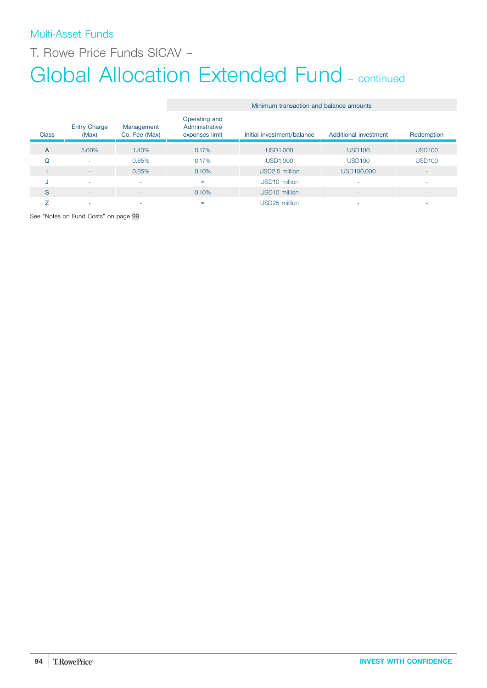# Multi-Asset Funds

T. Rowe Price Funds SICAV –

# Global Allocation Extended Fund - continued

|              |                              |                             | Minimum transaction and balance amounts           |                            |                          |                          |
|--------------|------------------------------|-----------------------------|---------------------------------------------------|----------------------------|--------------------------|--------------------------|
| <b>Class</b> | <b>Entry Charge</b><br>(Max) | Management<br>Co. Fee (Max) | Operating and<br>Administrative<br>expenses limit | Initial investment/balance | Additional investment    | Redemption               |
| A            | 5.00%                        | 1.40%                       | 0.17%                                             | USD1,000                   | <b>USD100</b>            | <b>USD100</b>            |
| Q            | ٠                            | 0.65%                       | 0.17%                                             | <b>USD1,000</b>            | <b>USD100</b>            | <b>USD100</b>            |
|              | $\overline{\phantom{a}}$     | 0.65%                       | 0.10%                                             | USD2.5 million             | USD100,000               | $\overline{\phantom{a}}$ |
| u            | ٠                            | ٠                           | $=$                                               | USD10 million              | ٠                        | ٠                        |
| S            | $\sim$                       | ۰                           | 0.10%                                             | USD <sub>10</sub> million  | $\overline{\phantom{a}}$ | $\overline{\phantom{a}}$ |
|              | ٠                            | $\sim$                      | $=$                                               | USD25 million              | ۰                        | ۰                        |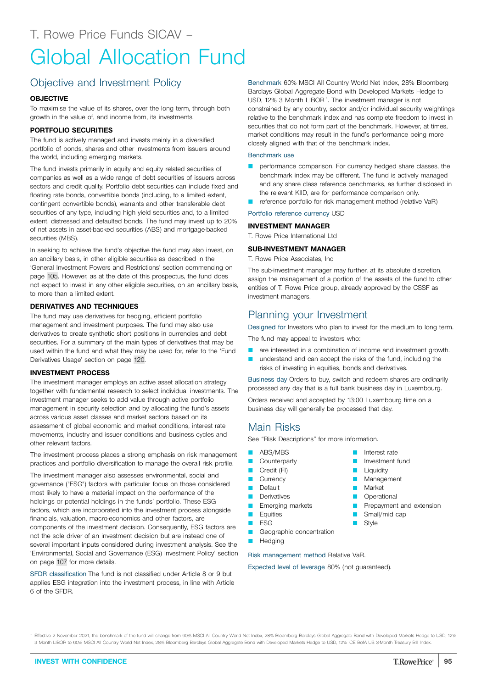# Global Allocation Fund

## Objective and Investment Policy

## **OBJECTIVE**

To maximise the value of its shares, over the long term, through both growth in the value of, and income from, its investments.

## **PORTFOLIO SECURITIES**

The fund is actively managed and invests mainly in a diversified portfolio of bonds, shares and other investments from issuers around the world, including emerging markets.

The fund invests primarily in equity and equity related securities of companies as well as a wide range of debt securities of issuers across sectors and credit quality. Portfolio debt securities can include fixed and floating rate bonds, convertible bonds (including, to a limited extent, contingent convertible bonds), warrants and other transferable debt securities of any type, including high yield securities and, to a limited extent, distressed and defaulted bonds. The fund may invest up to 20% of net assets in asset-backed securities (ABS) and mortgage-backed securities (MBS).

In seeking to achieve the fund's objective the fund may also invest, on an ancillary basis, in other eligible securities as described in the 'General Investment Powers and Restrictions' section commencing on page [105.](#page-104-0) However, as at the date of this prospectus, the fund does not expect to invest in any other eligible securities, on an ancillary basis, to more than a limited extent.

## **DERIVATIVES AND TECHNIQUES**

The fund may use derivatives for hedging, efficient portfolio management and investment purposes. The fund may also use derivatives to create synthetic short positions in currencies and debt securities. For a summary of the main types of derivatives that may be used within the fund and what they may be used for, refer to the 'Fund Derivatives Usage' section on page [120.](#page-119-0)

## **INVESTMENT PROCESS**

The investment manager employs an active asset allocation strategy together with fundamental research to select individual investments. The investment manager seeks to add value through active portfolio management in security selection and by allocating the fund's assets across various asset classes and market sectors based on its assessment of global economic and market conditions, interest rate movements, industry and issuer conditions and business cycles and other relevant factors.

The investment process places a strong emphasis on risk management practices and portfolio diversification to manage the overall risk profile.

The investment manager also assesses environmental, social and governance ("ESG") factors with particular focus on those considered most likely to have a material impact on the performance of the holdings or potential holdings in the funds' portfolio. These ESG factors, which are incorporated into the investment process alongside financials, valuation, macro-economics and other factors, are components of the investment decision. Consequently, ESG factors are not the sole driver of an investment decision but are instead one of several important inputs considered during investment analysis. See the 'Environmental, Social and Governance (ESG) Investment Policy' section on page [107](#page-106-0) for more details.

SFDR classification The fund is not classified under Article 8 or 9 but applies ESG integration into the investment process, in line with Article 6 of the SFDR.

Benchmark 60% MSCI All Country World Net Index, 28% Bloomberg Barclays Global Aggregate Bond with Developed Markets Hedge to USD, 12% 3 Month LIBOR\* . The investment manager is not constrained by any country, sector and/or individual security weightings relative to the benchmark index and has complete freedom to invest in securities that do not form part of the benchmark. However, at times, market conditions may result in the fund's performance being more closely aligned with that of the benchmark index.

### Benchmark use

- **Q performance comparison. For currency hedged share classes, the** benchmark index may be different. The fund is actively managed and any share class reference benchmarks, as further disclosed in the relevant KIID, are for performance comparison only.
- reference portfolio for risk management method (relative VaR)

## Portfolio reference currency USD

## **INVESTMENT MANAGER**

T. Rowe Price International Ltd

#### **SUB-INVESTMENT MANAGER**

T. Rowe Price Associates, Inc

The sub-investment manager may further, at its absolute discretion, assign the management of a portion of the assets of the fund to other entities of T. Rowe Price group, already approved by the CSSF as investment managers.

## Planning your Investment

Designed for Investors who plan to invest for the medium to long term.

The fund may appeal to investors who:

- **Q** are interested in a combination of income and investment growth.
- understand and can accept the risks of the fund, including the risks of investing in equities, bonds and derivatives.

Business day Orders to buy, switch and redeem shares are ordinarily processed any day that is a full bank business day in Luxembourg.

> **D** Interest rate **D** Investment fund **Liquidity Management Narket D** Operational

**B** Style

**P** Prepayment and extension Small/mid cap

Orders received and accepted by 13:00 Luxembourg time on a business day will generally be processed that day.

## Main Risks

See "Risk Descriptions" for more information.

- **ABS/MBS**
- **Counterparty**
- Credit (FI)
- **Currency**
- **Default**
- **Derivatives**
- **E** Emerging markets
- **D** Equities
- $E$  ESG

**D** Hedging

Geographic concentration

Risk management method Relative VaR.

Expected level of leverage 80% (not guaranteed).

\* Effective 2 November 2021, the benchmark of the fund will change from 60% MSCI All Country World Net Index, 28% Bloomberg Barclays Global Aggregate Bond with Developed Markets Hedge to USD, 12% 3 Month LIBOR to 60% MSCI All Country World Net Index, 28% Bloomberg Barclays Global Aggregate Bond with Developed Markets Hedge to USD, 12% ICE BofA US 3-Month Treasury Bill Index.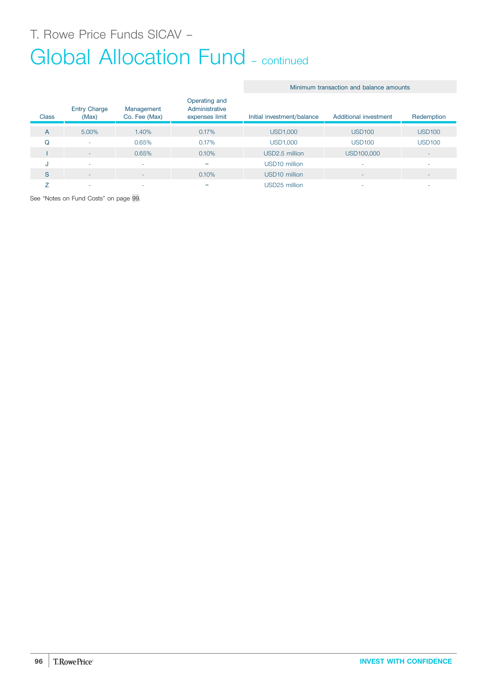# Global Allocation Fund - continued

## Minimum transaction and balance amounts

| <b>Class</b> | <b>Entry Charge</b><br>(Max) | Management<br>Co. Fee (Max) | Operating and<br>Administrative<br>expenses limit | Initial investment/balance | Additional investment | Redemption               |
|--------------|------------------------------|-----------------------------|---------------------------------------------------|----------------------------|-----------------------|--------------------------|
| A            | 5.00%                        | 1.40%                       | 0.17%                                             | <b>USD1,000</b>            | <b>USD100</b>         | <b>USD100</b>            |
| O            | ۰                            | 0.65%                       | 0.17%                                             | <b>USD1,000</b>            | <b>USD100</b>         | <b>USD100</b>            |
|              | ٠                            | 0.65%                       | 0.10%                                             | USD2.5 million             | USD100,000            | $\sim$                   |
| u            | ٠                            |                             | $=$                                               | USD <sub>10</sub> million  |                       | ۰                        |
| S            | ۰                            |                             | 0.10%                                             | USD <sub>10</sub> million  |                       | $\overline{\phantom{a}}$ |
|              | -                            |                             | $=$                                               | USD25 million              |                       | ۰                        |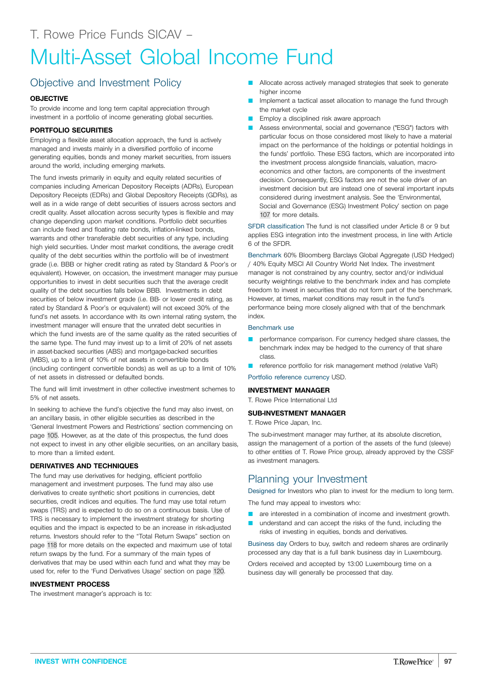## Objective and Investment Policy

## **OBJECTIVE**

To provide income and long term capital appreciation through investment in a portfolio of income generating global securities.

## **PORTFOLIO SECURITIES**

Employing a flexible asset allocation approach, the fund is actively managed and invests mainly in a diversified portfolio of income generating equities, bonds and money market securities, from issuers around the world, including emerging markets.

The fund invests primarily in equity and equity related securities of companies including American Depository Receipts (ADRs), European Depository Receipts (EDRs) and Global Depository Receipts (GDRs), as well as in a wide range of debt securities of issuers across sectors and credit quality. Asset allocation across security types is flexible and may change depending upon market conditions. Portfolio debt securities can include fixed and floating rate bonds, inflation-linked bonds, warrants and other transferable debt securities of any type, including high yield securities. Under most market conditions, the average credit quality of the debt securities within the portfolio will be of investment grade (i.e. BBB or higher credit rating as rated by Standard & Poor's or equivalent). However, on occasion, the investment manager may pursue opportunities to invest in debt securities such that the average credit quality of the debt securities falls below BBB. Investments in debt securities of below investment grade (i.e. BB- or lower credit rating, as rated by Standard & Poor's or equivalent) will not exceed 30% of the fund's net assets. In accordance with its own internal rating system, the investment manager will ensure that the unrated debt securities in which the fund invests are of the same quality as the rated securities of the same type. The fund may invest up to a limit of 20% of net assets in asset-backed securities (ABS) and mortgage-backed securities (MBS), up to a limit of 10% of net assets in convertible bonds (including contingent convertible bonds) as well as up to a limit of 10% of net assets in distressed or defaulted bonds.

The fund will limit investment in other collective investment schemes to 5% of net assets.

In seeking to achieve the fund's objective the fund may also invest, on an ancillary basis, in other eligible securities as described in the 'General Investment Powers and Restrictions' section commencing on page [105.](#page-104-0) However, as at the date of this prospectus, the fund does not expect to invest in any other eligible securities, on an ancillary basis, to more than a limited extent.

## **DERIVATIVES AND TECHNIQUES**

The fund may use derivatives for hedging, efficient portfolio management and investment purposes. The fund may also use derivatives to create synthetic short positions in currencies, debt securities, credit indices and equities. The fund may use total return swaps (TRS) and is expected to do so on a continuous basis. Use of TRS is necessary to implement the investment strategy for shorting equities and the impact is expected to be an increase in risk-adjusted returns. Investors should refer to the "Total Return Swaps" section on page [118](#page-117-0) for more details on the expected and maximum use of total return swaps by the fund. For a summary of the main types of derivatives that may be used within each fund and what they may be used for, refer to the 'Fund Derivatives Usage' section on page [120.](#page-119-0)

## **INVESTMENT PROCESS**

The investment manager's approach is to:

- Allocate across actively managed strategies that seek to generate higher income
- Implement a tactical asset allocation to manage the fund through the market cycle
- Employ a disciplined risk aware approach
- **Assess environmental, social and governance ("ESG") factors with** particular focus on those considered most likely to have a material impact on the performance of the holdings or potential holdings in the funds' portfolio. These ESG factors, which are incorporated into the investment process alongside financials, valuation, macroeconomics and other factors, are components of the investment decision. Consequently, ESG factors are not the sole driver of an investment decision but are instead one of several important inputs considered during investment analysis. See the 'Environmental, Social and Governance (ESG) Investment Policy' section on page [107](#page-106-0) for more details.

SFDR classification The fund is not classified under Article 8 or 9 but applies ESG integration into the investment process, in line with Article 6 of the SFDR.

Benchmark 60% Bloomberg Barclays Global Aggregate (USD Hedged) / 40% Equity MSCI All Country World Net Index. The investment manager is not constrained by any country, sector and/or individual security weightings relative to the benchmark index and has complete freedom to invest in securities that do not form part of the benchmark. However, at times, market conditions may result in the fund's performance being more closely aligned with that of the benchmark index.

#### Benchmark use

- performance comparison. For currency hedged share classes, the benchmark index may be hedged to the currency of that share class.
- reference portfolio for risk management method (relative VaR)

Portfolio reference currency USD.

### **INVESTMENT MANAGER**

T. Rowe Price International Ltd

## **SUB-INVESTMENT MANAGER**

T. Rowe Price Japan, Inc.

The sub-investment manager may further, at its absolute discretion, assign the management of a portion of the assets of the fund (sleeve) to other entities of T. Rowe Price group, already approved by the CSSF as investment managers.

## Planning your Investment

Designed for Investors who plan to invest for the medium to long term.

The fund may appeal to investors who:

- are interested in a combination of income and investment growth.
- understand and can accept the risks of the fund, including the risks of investing in equities, bonds and derivatives.

Business day Orders to buy, switch and redeem shares are ordinarily processed any day that is a full bank business day in Luxembourg.

Orders received and accepted by 13:00 Luxembourg time on a business day will generally be processed that day.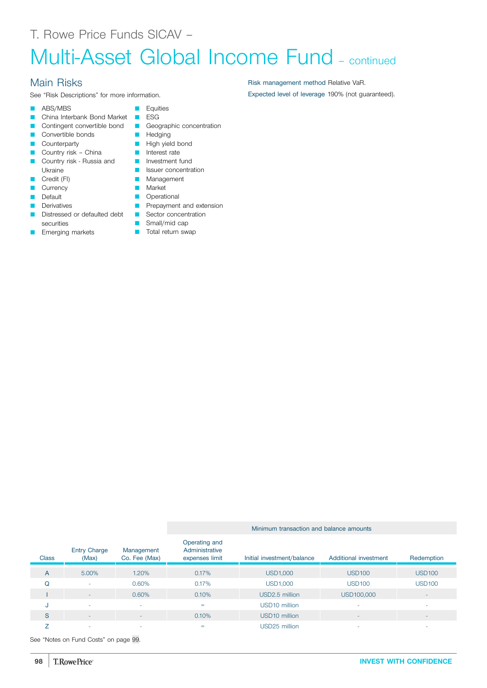# Multi-Asset Global Income Fund – continued

## Main Risks

See "Risk Descriptions" for more information.

- **ABS/MBS**
- **Q China Interbank Bond Market COLLA ESG**
- **Q Contingent convertible bond C** Geographic concentration
- **Q Convertible bonds Q Hedging**
- **Counterparty**
- Country risk China
- **Q Country risk Russia and** Ukraine
- Credit (FI)
- **Currency**
- Default
- Derivatives
- **Q Distressed or defaulted debt CONCERCT Sector concentration** securities
- Emerging markets
- **D** Equities
	-
	-
- 
- **D** High yield bond
	- **n** Interest rate
	- **D** Investment fund
	- **D** Issuer concentration
	- **Management**
	- **Narket D** Operational
	- **D** Prepayment and extension
		-
	- **C** Small/mid cap
	- **T** Total return swap

Minimum transaction and balance amounts

| Class          | <b>Entry Charge</b><br>(Max) | Management<br>Co. Fee (Max) | Operating and<br>Administrative<br>expenses limit | Initial investment/balance | Additional investment    | Redemption               |
|----------------|------------------------------|-----------------------------|---------------------------------------------------|----------------------------|--------------------------|--------------------------|
| $\overline{A}$ | 5.00%                        | 1.20%                       | 0.17%                                             | <b>USD1,000</b>            | <b>USD100</b>            | <b>USD100</b>            |
| Q              | ۰                            | 0.60%                       | 0.17%                                             | <b>USD1,000</b>            | <b>USD100</b>            | <b>USD100</b>            |
|                | ۰                            | 0.60%                       | 0.10%                                             | USD <sub>2.5</sub> million | USD100,000               | $\overline{\phantom{a}}$ |
| J              | ۰                            | $\overline{\phantom{a}}$    | $=$                                               | USD <sub>10</sub> million  |                          | $\overline{\phantom{a}}$ |
| S              | $\overline{\phantom{a}}$     |                             | 0.10%                                             | USD <sub>10</sub> million  | $\overline{\phantom{a}}$ | $\overline{\phantom{a}}$ |
|                | ۰                            | $\overline{\phantom{a}}$    | =                                                 | USD25 million              |                          | $\overline{\phantom{a}}$ |

See "Notes on Fund Costs" on page [99](#page-98-0).

Risk management method Relative VaR. Expected level of leverage 190% (not guaranteed).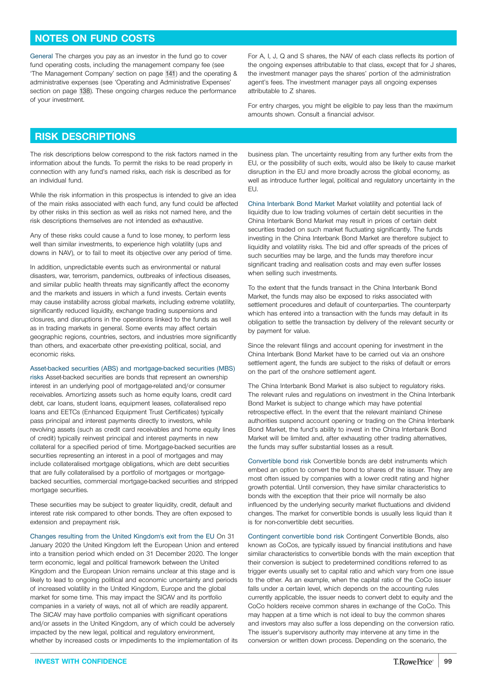## <span id="page-98-0"></span>**NOTES ON FUND COSTS**

General The charges you pay as an investor in the fund go to cover fund operating costs, including the management company fee (see 'The Management Company' section on page [141\)](#page-140-0) and the operating & administrative expenses (see 'Operating and Administrative Expenses' section on page [138](#page-137-0)). These ongoing charges reduce the performance of your investment.

For A, I, J, Q and S shares, the NAV of each class reflects its portion of the ongoing expenses attributable to that class, except that for J shares, the investment manager pays the shares' portion of the administration agent's fees. The investment manager pays all ongoing expenses attributable to Z shares.

For entry charges, you might be eligible to pay less than the maximum amounts shown. Consult a financial advisor.

## **RISK DESCRIPTIONS**

The risk descriptions below correspond to the risk factors named in the information about the funds. To permit the risks to be read properly in connection with any fund's named risks, each risk is described as for an individual fund.

While the risk information in this prospectus is intended to give an idea of the main risks associated with each fund, any fund could be affected by other risks in this section as well as risks not named here, and the risk descriptions themselves are not intended as exhaustive.

Any of these risks could cause a fund to lose money, to perform less well than similar investments, to experience high volatility (ups and downs in NAV), or to fail to meet its objective over any period of time.

In addition, unpredictable events such as environmental or natural disasters, war, terrorism, pandemics, outbreaks of infectious diseases, and similar public health threats may significantly affect the economy and the markets and issuers in which a fund invests. Certain events may cause instability across global markets, including extreme volatility, significantly reduced liquidity, exchange trading suspensions and closures, and disruptions in the operations linked to the funds as well as in trading markets in general. Some events may affect certain geographic regions, countries, sectors, and industries more significantly than others, and exacerbate other pre-existing political, social, and economic risks.

Asset-backed securities (ABS) and mortgage-backed securities (MBS)

risks Asset-backed securities are bonds that represent an ownership interest in an underlying pool of mortgage-related and/or consumer receivables. Amortizing assets such as home equity loans, credit card debt, car loans, student loans, equipment leases, collateralised repo loans and EETCs (Enhanced Equipment Trust Certificates) typically pass principal and interest payments directly to investors, while revolving assets (such as credit card receivables and home equity lines of credit) typically reinvest principal and interest payments in new collateral for a specified period of time. Mortgage-backed securities are securities representing an interest in a pool of mortgages and may include collateralised mortgage obligations, which are debt securities that are fully collateralised by a portfolio of mortgages or mortgagebacked securities, commercial mortgage-backed securities and stripped mortgage securities

These securities may be subject to greater liquidity, credit, default and interest rate risk compared to other bonds. They are often exposed to extension and prepayment risk.

Changes resulting from the United Kingdom's exit from the EU On 31 January 2020 the United Kingdom left the European Union and entered into a transition period which ended on 31 December 2020. The longer term economic, legal and political framework between the United Kingdom and the European Union remains unclear at this stage and is likely to lead to ongoing political and economic uncertainty and periods of increased volatility in the United Kingdom, Europe and the global market for some time. This may impact the SICAV and its portfolio companies in a variety of ways, not all of which are readily apparent. The SICAV may have portfolio companies with significant operations and/or assets in the United Kingdom, any of which could be adversely impacted by the new legal, political and regulatory environment, whether by increased costs or impediments to the implementation of its

business plan. The uncertainty resulting from any further exits from the EU, or the possibility of such exits, would also be likely to cause market disruption in the EU and more broadly across the global economy, as well as introduce further legal, political and regulatory uncertainty in the EU.

China Interbank Bond Market Market volatility and potential lack of liquidity due to low trading volumes of certain debt securities in the China Interbank Bond Market may result in prices of certain debt securities traded on such market fluctuating significantly. The funds investing in the China Interbank Bond Market are therefore subject to liquidity and volatility risks. The bid and offer spreads of the prices of such securities may be large, and the funds may therefore incur significant trading and realisation costs and may even suffer losses when selling such investments.

To the extent that the funds transact in the China Interbank Bond Market, the funds may also be exposed to risks associated with settlement procedures and default of counterparties. The counterparty which has entered into a transaction with the funds may default in its obligation to settle the transaction by delivery of the relevant security or by payment for value.

Since the relevant filings and account opening for investment in the China Interbank Bond Market have to be carried out via an onshore settlement agent, the funds are subject to the risks of default or errors on the part of the onshore settlement agent.

The China Interbank Bond Market is also subject to regulatory risks. The relevant rules and regulations on investment in the China Interbank Bond Market is subject to change which may have potential retrospective effect. In the event that the relevant mainland Chinese authorities suspend account opening or trading on the China Interbank Bond Market, the fund's ability to invest in the China Interbank Bond Market will be limited and, after exhausting other trading alternatives, the funds may suffer substantial losses as a result.

Convertible bond risk Convertible bonds are debt instruments which embed an option to convert the bond to shares of the issuer. They are most often issued by companies with a lower credit rating and higher growth potential. Until conversion, they have similar characteristics to bonds with the exception that their price will normally be also influenced by the underlying security market fluctuations and dividend changes. The market for convertible bonds is usually less liquid than it is for non-convertible debt securities.

Contingent convertible bond risk Contingent Convertible Bonds, also known as CoCos, are typically issued by financial institutions and have similar characteristics to convertible bonds with the main exception that their conversion is subject to predetermined conditions referred to as trigger events usually set to capital ratio and which vary from one issue to the other. As an example, when the capital ratio of the CoCo issuer falls under a certain level, which depends on the accounting rules currently applicable, the issuer needs to convert debt to equity and the CoCo holders receive common shares in exchange of the CoCo. This may happen at a time which is not ideal to buy the common shares and investors may also suffer a loss depending on the conversion ratio. The issuer's supervisory authority may intervene at any time in the conversion or written down process. Depending on the scenario, the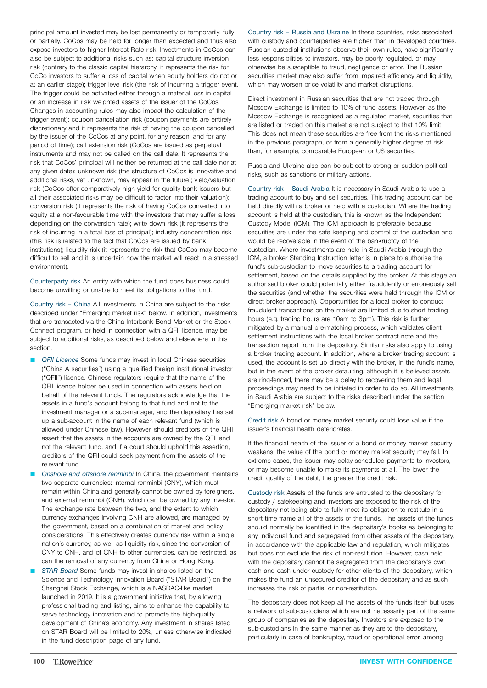principal amount invested may be lost permanently or temporarily, fully or partially. CoCos may be held for longer than expected and thus also expose investors to higher Interest Rate risk. Investments in CoCos can also be subject to additional risks such as: capital structure inversion risk (contrary to the classic capital hierarchy, it represents the risk for CoCo investors to suffer a loss of capital when equity holders do not or at an earlier stage); trigger level risk (the risk of incurring a trigger event. The trigger could be activated either through a material loss in capital or an increase in risk weighted assets of the issuer of the CoCos. Changes in accounting rules may also impact the calculation of the trigger event); coupon cancellation risk (coupon payments are entirely discretionary and it represents the risk of having the coupon cancelled by the issuer of the CoCos at any point, for any reason, and for any period of time); call extension risk (CoCos are issued as perpetual instruments and may not be called on the call date. It represents the risk that CoCos' principal will neither be returned at the call date nor at any given date); unknown risk (the structure of CoCos is innovative and additional risks, yet unknown, may appear in the future); yield/valuation risk (CoCos offer comparatively high yield for quality bank issuers but all their associated risks may be difficult to factor into their valuation); conversion risk (it represents the risk of having CoCos converted into equity at a non-favourable time with the investors that may suffer a loss depending on the conversion rate); write down risk (it represents the risk of incurring in a total loss of principal); industry concentration risk (this risk is related to the fact that CoCos are issued by bank institutions); liquidity risk (it represents the risk that CoCos may become difficult to sell and it is uncertain how the market will react in a stressed environment).

Counterparty risk An entity with which the fund does business could become unwilling or unable to meet its obligations to the fund.

Country risk – China All investments in China are subject to the risks described under "Emerging market risk" below. In addition, investments that are transacted via the China Interbank Bond Market or the Stock Connect program, or held in connection with a QFII licence, may be subject to additional risks, as described below and elsewhere in this section.

- **QFII Licence Some funds may invest in local Chinese securities** ("China A securities") using a qualified foreign institutional investor ("QFII") licence. Chinese regulators require that the name of the QFII licence holder be used in connection with assets held on behalf of the relevant funds. The regulators acknowledge that the assets in a fund's account belong to that fund and not to the investment manager or a sub-manager, and the depositary has set up a sub-account in the name of each relevant fund (which is allowed under Chinese law). However, should creditors of the QFII assert that the assets in the accounts are owned by the QFII and not the relevant fund, and if a court should uphold this assertion, creditors of the QFII could seek payment from the assets of the relevant fund.
- Q *Onshore and offshore renminbi* In China, the government maintains two separate currencies: internal renminbi (CNY), which must remain within China and generally cannot be owned by foreigners, and external renminbi (CNH), which can be owned by any investor. The exchange rate between the two, and the extent to which currency exchanges involving CNH are allowed, are managed by the government, based on a combination of market and policy considerations. This effectively creates currency risk within a single nation's currency, as well as liquidity risk, since the conversion of CNY to CNH, and of CNH to other currencies, can be restricted, as can the removal of any currency from China or Hong Kong.
- **STAR Board Some funds may invest in shares listed on the** Science and Technology Innovation Board ("STAR Board") on the Shanghai Stock Exchange, which is a NASDAQ-like market launched in 2019. It is a government initiative that, by allowing professional trading and listing, aims to enhance the capability to serve technology innovation and to promote the high-quality development of China's economy. Any investment in shares listed on STAR Board will be limited to 20%, unless otherwise indicated in the fund description page of any fund.

Country risk – Russia and Ukraine In these countries, risks associated with custody and counterparties are higher than in developed countries. Russian custodial institutions observe their own rules, have significantly less responsibilities to investors, may be poorly regulated, or may otherwise be susceptible to fraud, negligence or error. The Russian securities market may also suffer from impaired efficiency and liquidity, which may worsen price volatility and market disruptions.

Direct investment in Russian securities that are not traded through Moscow Exchange is limited to 10% of fund assets. However, as the Moscow Exchange is recognised as a regulated market, securities that are listed or traded on this market are not subject to that 10% limit. This does not mean these securities are free from the risks mentioned in the previous paragraph, or from a generally higher degree of risk than, for example, comparable European or US securities.

Russia and Ukraine also can be subject to strong or sudden political risks, such as sanctions or military actions.

Country risk – Saudi Arabia It is necessary in Saudi Arabia to use a trading account to buy and sell securities. This trading account can be held directly with a broker or held with a custodian. Where the trading account is held at the custodian, this is known as the Independent Custody Model (ICM). The ICM approach is preferable because securities are under the safe keeping and control of the custodian and would be recoverable in the event of the bankruptcy of the custodian. Where investments are held in Saudi Arabia through the ICM, a broker Standing Instruction letter is in place to authorise the fund's sub-custodian to move securities to a trading account for settlement, based on the details supplied by the broker. At this stage an authorised broker could potentially either fraudulently or erroneously sell the securities (and whether the securities were held through the ICM or direct broker approach). Opportunities for a local broker to conduct fraudulent transactions on the market are limited due to short trading hours (e.g. trading hours are 10am to 3pm). This risk is further mitigated by a manual pre-matching process, which validates client settlement instructions with the local broker contract note and the transaction report from the depository. Similar risks also apply to using a broker trading account. In addition, where a broker trading account is used, the account is set up directly with the broker, in the fund's name, but in the event of the broker defaulting, although it is believed assets are ring-fenced, there may be a delay to recovering them and legal proceedings may need to be initiated in order to do so. All investments in Saudi Arabia are subject to the risks described under the section "Emerging market risk" below.

Credit risk A bond or money market security could lose value if the issuer's financial health deteriorates.

If the financial health of the issuer of a bond or money market security weakens, the value of the bond or money market security may fall. In extreme cases, the issuer may delay scheduled payments to investors, or may become unable to make its payments at all. The lower the credit quality of the debt, the greater the credit risk.

Custody risk Assets of the funds are entrusted to the depositary for custody / safekeeping and investors are exposed to the risk of the depositary not being able to fully meet its obligation to restitute in a short time frame all of the assets of the funds. The assets of the funds should normally be identified in the depositary's books as belonging to any individual fund and segregated from other assets of the depositary, in accordance with the applicable law and regulation, which mitigates but does not exclude the risk of non-restitution. However, cash held with the depositary cannot be segregated from the depositary's own cash and cash under custody for other clients of the depositary, which makes the fund an unsecured creditor of the depositary and as such increases the risk of partial or non-restitution.

The depositary does not keep all the assets of the funds itself but uses a network of sub-custodians which are not necessarily part of the same group of companies as the depositary. Investors are exposed to the sub-custodians in the same manner as they are to the depositary, particularly in case of bankruptcy, fraud or operational error, among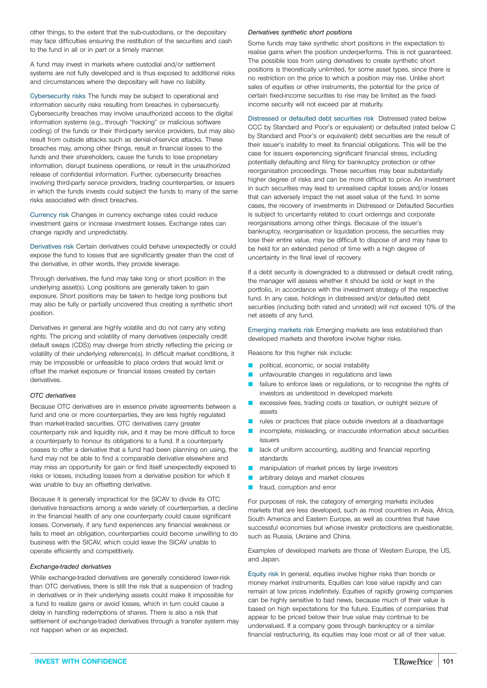other things, to the extent that the sub-custodians, or the depositary may face difficulties ensuring the restitution of the securities and cash to the fund in all or in part or a timely manner.

A fund may invest in markets where custodial and/or settlement systems are not fully developed and is thus exposed to additional risks and circumstances where the depositary will have no liability.

Cybersecurity risks The funds may be subject to operational and information security risks resulting from breaches in cybersecurity. Cybersecurity breaches may involve unauthorized access to the digital information systems (e.g., through "hacking" or malicious software coding) of the funds or their third-party service providers, but may also result from outside attacks such as denial-of-service attacks. These breaches may, among other things, result in financial losses to the funds and their shareholders, cause the funds to lose proprietary information, disrupt business operations, or result in the unauthorized release of confidential information. Further, cybersecurity breaches involving third-party service providers, trading counterparties, or issuers in which the funds invests could subject the funds to many of the same risks associated with direct breaches.

Currency risk Changes in currency exchange rates could reduce investment gains or increase investment losses. Exchange rates can change rapidly and unpredictably.

Derivatives risk Certain derivatives could behave unexpectedly or could expose the fund to losses that are significantly greater than the cost of the derivative, in other words, they provide leverage.

Through derivatives, the fund may take long or short position in the underlying asset(s). Long positions are generally taken to gain exposure. Short positions may be taken to hedge long positions but may also be fully or partially uncovered thus creating a synthetic short position.

Derivatives in general are highly volatile and do not carry any voting rights. The pricing and volatility of many derivatives (especially credit default swaps (CDS)) may diverge from strictly reflecting the pricing or volatility of their underlying reference(s). In difficult market conditions, it may be impossible or unfeasible to place orders that would limit or offset the market exposure or financial losses created by certain derivatives.

#### *OTC derivatives*

Because OTC derivatives are in essence private agreements between a fund and one or more counterparties, they are less highly regulated than market-traded securities. OTC derivatives carry greater counterparty risk and liquidity risk, and it may be more difficult to force a counterparty to honour its obligations to a fund. If a counterparty ceases to offer a derivative that a fund had been planning on using, the fund may not be able to find a comparable derivative elsewhere and may miss an opportunity for gain or find itself unexpectedly exposed to risks or losses, including losses from a derivative position for which it was unable to buy an offsetting derivative.

Because it is generally impractical for the SICAV to divide its OTC derivative transactions among a wide variety of counterparties, a decline in the financial health of any one counterparty could cause significant losses. Conversely, if any fund experiences any financial weakness or fails to meet an obligation, counterparties could become unwilling to do business with the SICAV, which could leave the SICAV unable to operate efficiently and competitively.

#### *Exchange-traded derivatives*

While exchange-traded derivatives are generally considered lower-risk than OTC derivatives, there is still the risk that a suspension of trading in derivatives or in their underlying assets could make it impossible for a fund to realize gains or avoid losses, which in turn could cause a delay in handling redemptions of shares. There is also a risk that settlement of exchange-traded derivatives through a transfer system may not happen when or as expected.

#### *Derivatives synthetic short positions*

Some funds may take synthetic short positions in the expectation to realise gains when the position underperforms. This is not guaranteed. The possible loss from using derivatives to create synthetic short positions is theoretically unlimited, for some asset types, since there is no restriction on the price to which a position may rise. Unlike short sales of equities or other instruments, the potential for the price of certain fixed-income securities to rise may be limited as the fixedincome security will not exceed par at maturity.

Distressed or defaulted debt securities risk Distressed (rated below CCC by Standard and Poor's or equivalent) or defaulted (rated below C by Standard and Poor's or equivalent) debt securities are the result of their issuer's inability to meet its financial obligations. This will be the case for issuers experiencing significant financial stress, including potentially defaulting and filing for bankruptcy protection or other reorganisation proceedings. These securities may bear substantially higher degree of risks and can be more difficult to price. An investment in such securities may lead to unrealised capital losses and/or losses that can adversely impact the net asset value of the fund. In some cases, the recovery of investments in Distressed or Defaulted Securities is subject to uncertainty related to court orderings and corporate reorganisations among other things. Because of the issuer's bankruptcy, reorganisation or liquidation process, the securities may lose their entire value, may be difficult to dispose of and may have to be held for an extended period of time with a high degree of uncertainty in the final level of recovery.

If a debt security is downgraded to a distressed or default credit rating, the manager will assess whether it should be sold or kept in the portfolio, in accordance with the investment strategy of the respective fund. In any case, holdings in distressed and/or defaulted debt securities (including both rated and unrated) will not exceed 10% of the net assets of any fund.

Emerging markets risk Emerging markets are less established than developed markets and therefore involve higher risks.

Reasons for this higher risk include:

- political, economic, or social instability
- **Q unfavourable changes in regulations and laws**
- **E** failure to enforce laws or regulations, or to recognise the rights of investors as understood in developed markets
- **Q excessive fees, trading costs or taxation, or outright seizure of** assets
- rules or practices that place outside investors at a disadvantage
- incomplete, misleading, or inaccurate information about securities issuers
- **Q** lack of uniform accounting, auditing and financial reporting standards
- **Q manipulation of market prices by large investors**
- **Q** arbitrary delays and market closures
- **n** fraud, corruption and error

For purposes of risk, the category of emerging markets includes markets that are less developed, such as most countries in Asia, Africa, South America and Eastern Europe, as well as countries that have successful economies but whose investor protections are questionable, such as Russia, Ukraine and China.

Examples of developed markets are those of Western Europe, the US, and Japan.

Equity risk In general, equities involve higher risks than bonds or money market instruments. Equities can lose value rapidly and can remain at low prices indefinitely. Equities of rapidly growing companies can be highly sensitive to bad news, because much of their value is based on high expectations for the future. Equities of companies that appear to be priced below their true value may continue to be undervalued. If a company goes through bankruptcy or a similar financial restructuring, its equities may lose most or all of their value.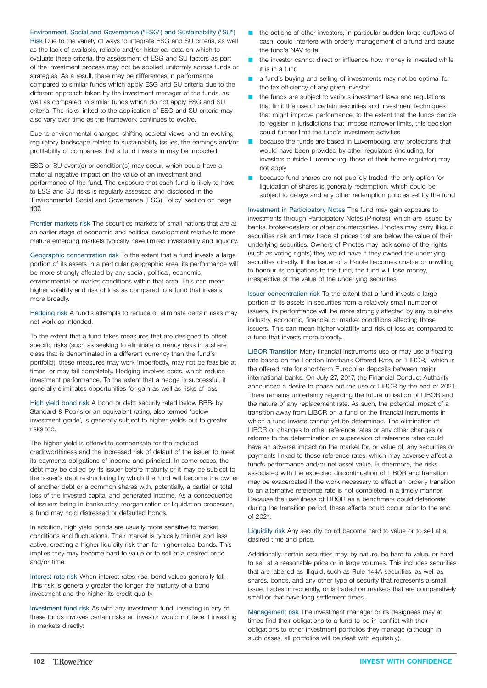Environment, Social and Governance ("ESG") and Sustainability ("SU")

Risk Due to the variety of ways to integrate ESG and SU criteria, as well as the lack of available, reliable and/or historical data on which to evaluate these criteria, the assessment of ESG and SU factors as part of the investment process may not be applied uniformly across funds or strategies. As a result, there may be differences in performance compared to similar funds which apply ESG and SU criteria due to the different approach taken by the investment manager of the funds, as well as compared to similar funds which do not apply ESG and SU criteria. The risks linked to the application of ESG and SU criteria may also vary over time as the framework continues to evolve.

Due to environmental changes, shifting societal views, and an evolving regulatory landscape related to sustainability issues, the earnings and/or profitability of companies that a fund invests in may be impacted.

ESG or SU event(s) or condition(s) may occur, which could have a material negative impact on the value of an investment and performance of the fund. The exposure that each fund is likely to have to ESG and SU risks is regularly assessed and disclosed in the 'Environmental, Social and Governance (ESG) Policy' section on page [107.](#page-106-0)

Frontier markets risk The securities markets of small nations that are at an earlier stage of economic and political development relative to more mature emerging markets typically have limited investability and liquidity.

Geographic concentration risk To the extent that a fund invests a large portion of its assets in a particular geographic area, its performance will be more strongly affected by any social, political, economic, environmental or market conditions within that area. This can mean higher volatility and risk of loss as compared to a fund that invests more broadly.

Hedging risk A fund's attempts to reduce or eliminate certain risks may not work as intended.

To the extent that a fund takes measures that are designed to offset specific risks (such as seeking to eliminate currency risks in a share class that is denominated in a different currency than the fund's portfolio), these measures may work imperfectly, may not be feasible at times, or may fail completely. Hedging involves costs, which reduce investment performance. To the extent that a hedge is successful, it generally eliminates opportunities for gain as well as risks of loss.

High yield bond risk A bond or debt security rated below BBB- by Standard & Poor's or an equivalent rating, also termed 'below investment grade', is generally subject to higher yields but to greater risks too.

The higher yield is offered to compensate for the reduced creditworthiness and the increased risk of default of the issuer to meet its payments obligations of income and principal. In some cases, the debt may be called by its issuer before maturity or it may be subject to the issuer's debt restructuring by which the fund will become the owner of another debt or a common shares with, potentially, a partial or total loss of the invested capital and generated income. As a consequence of issuers being in bankruptcy, reorganisation or liquidation processes, a fund may hold distressed or defaulted bonds.

In addition, high yield bonds are usually more sensitive to market conditions and fluctuations. Their market is typically thinner and less active, creating a higher liquidity risk than for higher-rated bonds. This implies they may become hard to value or to sell at a desired price and/or time.

Interest rate risk When interest rates rise, bond values generally fall. This risk is generally greater the longer the maturity of a bond investment and the higher its credit quality.

Investment fund risk As with any investment fund, investing in any of these funds involves certain risks an investor would not face if investing in markets directly:

- $\blacksquare$  the actions of other investors, in particular sudden large outflows of cash, could interfere with orderly management of a fund and cause the fund's NAV to fall
- the investor cannot direct or influence how money is invested while it is in a fund
- a fund's buying and selling of investments may not be optimal for the tax efficiency of any given investor
- the funds are subject to various investment laws and regulations that limit the use of certain securities and investment techniques that might improve performance; to the extent that the funds decide to register in jurisdictions that impose narrower limits, this decision could further limit the fund's investment activities
- because the funds are based in Luxembourg, any protections that would have been provided by other regulators (including, for investors outside Luxembourg, those of their home regulator) may not apply
- because fund shares are not publicly traded, the only option for liquidation of shares is generally redemption, which could be subject to delays and any other redemption policies set by the fund

Investment in Participatory Notes The fund may gain exposure to investments through Participatory Notes (P-notes), which are issued by banks, broker-dealers or other counterparties. P-notes may carry illiquid securities risk and may trade at prices that are below the value of their underlying securities. Owners of P-notes may lack some of the rights (such as voting rights) they would have if they owned the underlying securities directly. If the issuer of a P-note becomes unable or unwilling to honour its obligations to the fund, the fund will lose money, irrespective of the value of the underlying securities.

Issuer concentration risk To the extent that a fund invests a large portion of its assets in securities from a relatively small number of issuers, its performance will be more strongly affected by any business, industry, economic, financial or market conditions affecting those issuers. This can mean higher volatility and risk of loss as compared to a fund that invests more broadly.

LIBOR Transition Many financial instruments use or may use a floating rate based on the London Interbank Offered Rate, or "LIBOR," which is the offered rate for short-term Eurodollar deposits between major international banks. On July 27, 2017, the Financial Conduct Authority announced a desire to phase out the use of LIBOR by the end of 2021. There remains uncertainty regarding the future utilisation of LIBOR and the nature of any replacement rate. As such, the potential impact of a transition away from LIBOR on a fund or the financial instruments in which a fund invests cannot yet be determined. The elimination of LIBOR or changes to other reference rates or any other changes or reforms to the determination or supervision of reference rates could have an adverse impact on the market for, or value of, any securities or payments linked to those reference rates, which may adversely affect a fund's performance and/or net asset value. Furthermore, the risks associated with the expected discontinuation of LIBOR and transition may be exacerbated if the work necessary to effect an orderly transition to an alternative reference rate is not completed in a timely manner. Because the usefulness of LIBOR as a benchmark could deteriorate during the transition period, these effects could occur prior to the end of 2021.

Liquidity risk Any security could become hard to value or to sell at a desired time and price.

Additionally, certain securities may, by nature, be hard to value, or hard to sell at a reasonable price or in large volumes. This includes securities that are labelled as illiquid, such as Rule 144A securities, as well as shares, bonds, and any other type of security that represents a small issue, trades infrequently, or is traded on markets that are comparatively small or that have long settlement times.

Management risk The investment manager or its designees may at times find their obligations to a fund to be in conflict with their obligations to other investment portfolios they manage (although in such cases, all portfolios will be dealt with equitably).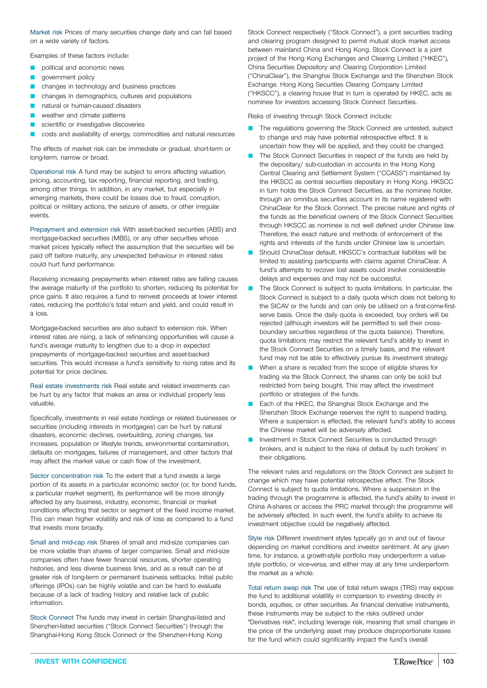Market risk Prices of many securities change daily and can fall based on a wide variety of factors.

Examples of these factors include:

- political and economic news
- government policy
- changes in technology and business practices
- changes in demographics, cultures and populations
- natural or human-caused disasters
- weather and climate patterns
- scientific or investigative discoveries
- costs and availability of energy, commodities and natural resources

The effects of market risk can be immediate or gradual, short-term or long-term, narrow or broad.

Operational risk A fund may be subject to errors affecting valuation, pricing, accounting, tax reporting, financial reporting, and trading, among other things. In addition, in any market, but especially in emerging markets, there could be losses due to fraud, corruption, political or military actions, the seizure of assets, or other irregular events.

Prepayment and extension risk With asset-backed securities (ABS) and mortgage-backed securities (MBS), or any other securities whose market prices typically reflect the assumption that the securities will be paid off before maturity, any unexpected behaviour in interest rates could hurt fund performance.

Receiving increasing prepayments when interest rates are falling causes the average maturity of the portfolio to shorten, reducing its potential for price gains. It also requires a fund to reinvest proceeds at lower interest rates, reducing the portfolio's total return and yield, and could result in a loss.

Mortgage-backed securities are also subject to extension risk. When interest rates are rising, a lack of refinancing opportunities will cause a fund's average maturity to lengthen due to a drop in expected prepayments of mortgage-backed securities and asset-backed securities. This would increase a fund's sensitivity to rising rates and its potential for price declines.

Real estate investments risk Real estate and related investments can be hurt by any factor that makes an area or individual property less valuable.

Specifically, investments in real estate holdings or related businesses or securities (including interests in mortgages) can be hurt by natural disasters, economic declines, overbuilding, zoning changes, tax increases, population or lifestyle trends, environmental contamination, defaults on mortgages, failures of management, and other factors that may affect the market value or cash flow of the investment.

Sector concentration risk To the extent that a fund invests a large portion of its assets in a particular economic sector (or, for bond funds, a particular market segment), its performance will be more strongly affected by any business, industry, economic, financial or market conditions affecting that sector or segment of the fixed income market. This can mean higher volatility and risk of loss as compared to a fund that invests more broadly.

Small and mid-cap risk Shares of small and mid-size companies can be more volatile than shares of larger companies. Small and mid-size companies often have fewer financial resources, shorter operating histories, and less diverse business lines, and as a result can be at greater risk of long-term or permanent business setbacks. Initial public offerings (IPOs) can be highly volatile and can be hard to evaluate because of a lack of trading history and relative lack of public information.

Stock Connect The funds may invest in certain Shanghai-listed and Shenzhen-listed securities ("Stock Connect Securities") through the Shanghai-Hong Kong Stock Connect or the Shenzhen-Hong Kong

Stock Connect respectively ("Stock Connect"), a joint securities trading and clearing program designed to permit mutual stock market access between mainland China and Hong Kong. Stock Connect is a joint project of the Hong Kong Exchanges and Clearing Limited ("HKEC"), China Securities Depository and Clearing Corporation Limited ("ChinaClear"), the Shanghai Stock Exchange and the Shenzhen Stock Exchange. Hong Kong Securities Clearing Company Limited ("HKSCC"), a clearing house that in turn is operated by HKEC, acts as nominee for investors accessing Stock Connect Securities.

Risks of investing through Stock Connect include:

- The regulations governing the Stock Connect are untested, subject to change and may have potential retrospective effect. It is uncertain how they will be applied, and they could be changed.
- The Stock Connect Securities in respect of the funds are held by the depositary/ sub-custodian in accounts in the Hong Kong Central Clearing and Settlement System ("CCASS") maintained by the HKSCC as central securities depositary in Hong Kong. HKSCC in turn holds the Stock Connect Securities, as the nominee holder, through an omnibus securities account in its name registered with ChinaClear for the Stock Connect. The precise nature and rights of the funds as the beneficial owners of the Stock Connect Securities through HKSCC as nominee is not well defined under Chinese law. Therefore, the exact nature and methods of enforcement of the rights and interests of the funds under Chinese law is uncertain.
- Should ChinaClear default, HKSCC's contractual liabilities will be limited to assisting participants with claims against ChinaClear. A fund's attempts to recover lost assets could involve considerable delays and expenses and may not be successful.
- The Stock Connect is subject to quota limitations. In particular, the Stock Connect is subject to a daily quota which does not belong to the SICAV or the funds and can only be utilised on a first-come-firstserve basis. Once the daily quota is exceeded, buy orders will be rejected (although investors will be permitted to sell their crossboundary securities regardless of the quota balance). Therefore, quota limitations may restrict the relevant fund's ability to invest in the Stock Connect Securities on a timely basis, and the relevant fund may not be able to effectively pursue its investment strategy.
- When a share is recalled from the scope of eligible shares for trading via the Stock Connect, the shares can only be sold but restricted from being bought. This may affect the investment portfolio or strategies of the funds.
- Each of the HKEC, the Shanghai Stock Exchange and the Shenzhen Stock Exchange reserves the right to suspend trading. Where a suspension is effected, the relevant fund's ability to access the Chinese market will be adversely affected.
- Investment in Stock Connect Securities is conducted through brokers, and is subject to the risks of default by such brokers' in their obligations.

The relevant rules and regulations on the Stock Connect are subject to change which may have potential retrospective effect. The Stock Connect is subject to quota limitations. Where a suspension in the trading through the programme is effected, the fund's ability to invest in China A-shares or access the PRC market through the programme will be adversely affected. In such event, the fund's ability to achieve its investment objective could be negatively affected.

Style risk Different investment styles typically go in and out of favour depending on market conditions and investor sentiment. At any given time, for instance, a growth-style portfolio may underperform a valuestyle portfolio, or vice-versa, and either may at any time underperform the market as a whole.

Total return swap risk The use of total return swaps (TRS) may expose the fund to additional volatility in comparison to investing directly in bonds, equities, or other securities. As financial derivative instruments, these instruments may be subject to the risks outlined under "Derivatives risk", including leverage risk, meaning that small changes in the price of the underlying asset may produce disproportionate losses for the fund which could significantly impact the fund's overall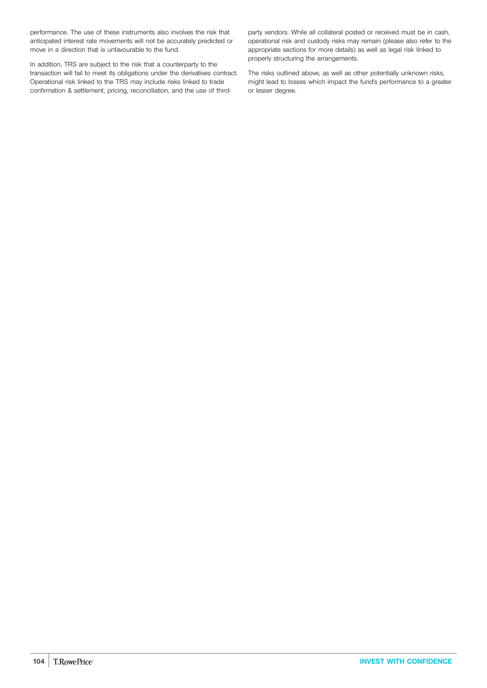performance. The use of these instruments also involves the risk that anticipated interest rate movements will not be accurately predicted or move in a direction that is unfavourable to the fund.

In addition, TRS are subject to the risk that a counterparty to the transaction will fail to meet its obligations under the derivatives contract. Operational risk linked to the TRS may include risks linked to trade confirmation & settlement, pricing, reconciliation, and the use of thirdparty vendors. While all collateral posted or received must be in cash, operational risk and custody risks may remain (please also refer to the appropriate sections for more details) as well as legal risk linked to properly structuring the arrangements.

The risks outlined above, as well as other potentially unknown risks, might lead to losses which impact the fund's performance to a greater or lesser degree.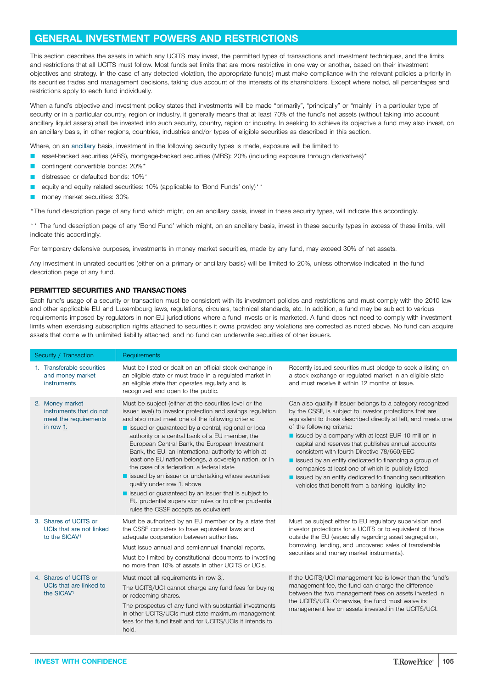## <span id="page-104-0"></span>**GENERAL INVESTMENT POWERS AND RESTRICTIONS**

This section describes the assets in which any UCITS may invest, the permitted types of transactions and investment techniques, and the limits and restrictions that all UCITS must follow. Most funds set limits that are more restrictive in one way or another, based on their investment objectives and strategy. In the case of any detected violation, the appropriate fund(s) must make compliance with the relevant policies a priority in its securities trades and management decisions, taking due account of the interests of its shareholders. Except where noted, all percentages and restrictions apply to each fund individually.

When a fund's objective and investment policy states that investments will be made "primarily", "principally" or "mainly" in a particular type of security or in a particular country, region or industry, it generally means that at least 70% of the fund's net assets (without taking into account ancillary liquid assets) shall be invested into such security, country, region or industry. In seeking to achieve its objective a fund may also invest, on an ancillary basis, in other regions, countries, industries and/or types of eligible securities as described in this section.

Where, on an ancillary basis, investment in the following security types is made, exposure will be limited to

- asset-backed securities (ABS), mortgage-backed securities (MBS): 20% (including exposure through derivatives)\*
- contingent convertible bonds: 20%\*
- distressed or defaulted bonds: 10%\*
- equity and equity related securities: 10% (applicable to 'Bond Funds' only)\*\*
- money market securities: 30%

\*The fund description page of any fund which might, on an ancillary basis, invest in these security types, will indicate this accordingly.

\*\* The fund description page of any 'Bond Fund' which might, on an ancillary basis, invest in these security types in excess of these limits, will indicate this accordingly.

For temporary defensive purposes, investments in money market securities, made by any fund, may exceed 30% of net assets.

Any investment in unrated securities (either on a primary or ancillary basis) will be limited to 20%, unless otherwise indicated in the fund description page of any fund.

## **PERMITTED SECURITIES AND TRANSACTIONS**

Each fund's usage of a security or transaction must be consistent with its investment policies and restrictions and must comply with the 2010 law and other applicable EU and Luxembourg laws, regulations, circulars, technical standards, etc. In addition, a fund may be subject to various requirements imposed by regulators in non-EU jurisdictions where a fund invests or is marketed. A fund does not need to comply with investment limits when exercising subscription rights attached to securities it owns provided any violations are corrected as noted above. No fund can acquire assets that come with unlimited liability attached, and no fund can underwrite securities of other issuers.

| Security / Transaction                                                           | Requirements                                                                                                                                                                                                                                                                                                                                                                                                                                                                                                                                                                                                                                                                                                                                            |                                                                                                                                                                                                                                                                                                                                                                                                                                                                                                                                                                                                                          |
|----------------------------------------------------------------------------------|---------------------------------------------------------------------------------------------------------------------------------------------------------------------------------------------------------------------------------------------------------------------------------------------------------------------------------------------------------------------------------------------------------------------------------------------------------------------------------------------------------------------------------------------------------------------------------------------------------------------------------------------------------------------------------------------------------------------------------------------------------|--------------------------------------------------------------------------------------------------------------------------------------------------------------------------------------------------------------------------------------------------------------------------------------------------------------------------------------------------------------------------------------------------------------------------------------------------------------------------------------------------------------------------------------------------------------------------------------------------------------------------|
| 1. Transferable securities<br>and money market<br>instruments                    | Must be listed or dealt on an official stock exchange in<br>an eligible state or must trade in a regulated market in<br>an eligible state that operates regularly and is<br>recognized and open to the public.                                                                                                                                                                                                                                                                                                                                                                                                                                                                                                                                          | Recently issued securities must pledge to seek a listing on<br>a stock exchange or regulated market in an eligible state<br>and must receive it within 12 months of issue.                                                                                                                                                                                                                                                                                                                                                                                                                                               |
| 2. Money market<br>instruments that do not<br>meet the requirements<br>in row 1. | Must be subject (either at the securities level or the<br>issuer level) to investor protection and savings regulation<br>and also must meet one of the following criteria:<br>issued or guaranteed by a central, regional or local<br>authority or a central bank of a EU member, the<br>European Central Bank, the European Investment<br>Bank, the EU, an international authority to which at<br>least one EU nation belongs, a sovereign nation, or in<br>the case of a federation, a federal state<br>■ issued by an issuer or undertaking whose securities<br>qualify under row 1. above<br>issued or guaranteed by an issuer that is subject to<br>EU prudential supervision rules or to other prudential<br>rules the CSSF accepts as equivalent | Can also qualify if issuer belongs to a category recognized<br>by the CSSF, is subject to investor protections that are<br>equivalent to those described directly at left, and meets one<br>of the following criteria:<br>issued by a company with at least EUR 10 million in<br>capital and reserves that publishes annual accounts<br>consistent with fourth Directive 78/660/EEC<br>issued by an entity dedicated to financing a group of<br>companies at least one of which is publicly listed<br>■ issued by an entity dedicated to financing securitisation<br>vehicles that benefit from a banking liquidity line |
| 3. Shares of UCITS or<br>UCIs that are not linked<br>to the SICAV <sup>1</sup>   | Must be authorized by an EU member or by a state that<br>the CSSF considers to have equivalent laws and<br>adequate cooperation between authorities.<br>Must issue annual and semi-annual financial reports.<br>Must be limited by constitutional documents to investing<br>no more than 10% of assets in other UCITS or UCIs.                                                                                                                                                                                                                                                                                                                                                                                                                          | Must be subject either to EU regulatory supervision and<br>investor protections for a UCITS or to equivalent of those<br>outside the EU (especially regarding asset segregation,<br>borrowing, lending, and uncovered sales of transferable<br>securities and money market instruments).                                                                                                                                                                                                                                                                                                                                 |
| 4. Shares of UCITS or<br>UCIs that are linked to<br>the SICAV <sup>1</sup>       | Must meet all requirements in row 3<br>The UCITS/UCI cannot charge any fund fees for buying<br>or redeeming shares.<br>The prospectus of any fund with substantial investments<br>in other UCITS/UCIs must state maximum management<br>fees for the fund itself and for UCITS/UCIs it intends to<br>hold.                                                                                                                                                                                                                                                                                                                                                                                                                                               | If the UCITS/UCI management fee is lower than the fund's<br>management fee, the fund can charge the difference<br>between the two management fees on assets invested in<br>the UCITS/UCI. Otherwise, the fund must waive its<br>management fee on assets invested in the UCITS/UCI.                                                                                                                                                                                                                                                                                                                                      |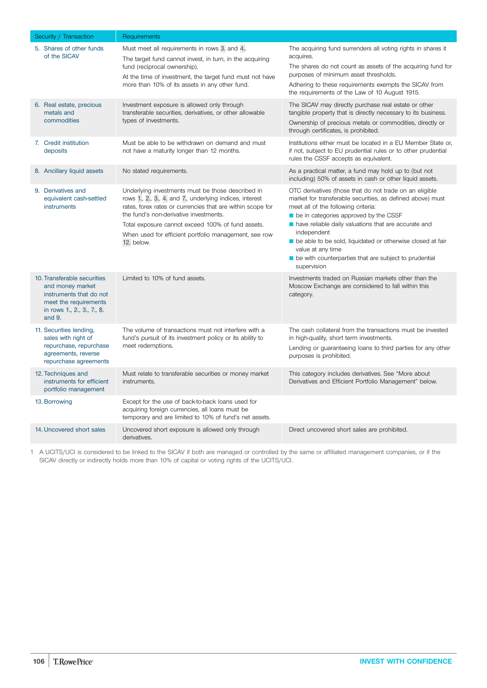| Security / Transaction                                                                                                                      | Requirements                                                                                                                                                                                                                                                                                                                                  |                                                                                                                                                                                                                                                                                                                                                                                                                                                                       |
|---------------------------------------------------------------------------------------------------------------------------------------------|-----------------------------------------------------------------------------------------------------------------------------------------------------------------------------------------------------------------------------------------------------------------------------------------------------------------------------------------------|-----------------------------------------------------------------------------------------------------------------------------------------------------------------------------------------------------------------------------------------------------------------------------------------------------------------------------------------------------------------------------------------------------------------------------------------------------------------------|
| 5. Shares of other funds<br>of the SICAV                                                                                                    | Must meet all requirements in rows 3. and 4<br>The target fund cannot invest, in turn, in the acquiring<br>fund (reciprocal ownership).<br>At the time of investment, the target fund must not have<br>more than 10% of its assets in any other fund.                                                                                         | The acquiring fund surrenders all voting rights in shares it<br>acquires.<br>The shares do not count as assets of the acquiring fund for<br>purposes of minimum asset thresholds.<br>Adhering to these requirements exempts the SICAV from<br>the requirements of the Law of 10 August 1915.                                                                                                                                                                          |
| 6. Real estate, precious<br>metals and<br>commodities                                                                                       | Investment exposure is allowed only through<br>transferable securities, derivatives, or other allowable<br>types of investments.                                                                                                                                                                                                              | The SICAV may directly purchase real estate or other<br>tangible property that is directly necessary to its business.<br>Ownership of precious metals or commodities, directly or<br>through certificates, is prohibited.                                                                                                                                                                                                                                             |
| 7. Credit institution<br>deposits                                                                                                           | Must be able to be withdrawn on demand and must<br>not have a maturity longer than 12 months.                                                                                                                                                                                                                                                 | Institutions either must be located in a EU Member State or,<br>if not, subject to EU prudential rules or to other prudential<br>rules the CSSF accepts as equivalent.                                                                                                                                                                                                                                                                                                |
| 8. Ancillary liquid assets                                                                                                                  | No stated requirements.                                                                                                                                                                                                                                                                                                                       | As a practical matter, a fund may hold up to (but not<br>including) 50% of assets in cash or other liquid assets.                                                                                                                                                                                                                                                                                                                                                     |
| 9. Derivatives and<br>equivalent cash-settled<br>instruments                                                                                | Underlying investments must be those described in<br>rows 1, 2, 3, 4, and 7, underlying indices, interest<br>rates, forex rates or currencies that are within scope for<br>the fund's non-derivative investments.<br>Total exposure cannot exceed 100% of fund assets.<br>When used for efficient portfolio management, see row<br>12. below. | OTC derivatives (those that do not trade on an eligible<br>market for transferable securities, as defined above) must<br>meet all of the following criteria:<br>$\blacksquare$ be in categories approved by the CSSF<br>have reliable daily valuations that are accurate and<br>independent<br>be able to be sold, liquidated or otherwise closed at fair<br>value at any time<br>$\blacksquare$ be with counterparties that are subject to prudential<br>supervision |
| 10. Transferable securities<br>and money market<br>instruments that do not<br>meet the requirements<br>in rows 1., 2., 3., 7., 8.<br>and 9. | Limited to 10% of fund assets.                                                                                                                                                                                                                                                                                                                | Investments traded on Russian markets other than the<br>Moscow Exchange are considered to fall within this<br>category.                                                                                                                                                                                                                                                                                                                                               |
| 11. Securities lending,<br>sales with right of<br>repurchase, repurchase<br>agreements, reverse<br>repurchase agreements                    | The volume of transactions must not interfere with a<br>fund's pursuit of its investment policy or its ability to<br>meet redemptions.                                                                                                                                                                                                        | The cash collateral from the transactions must be invested<br>in high-quality, short term investments.<br>Lending or guaranteeing loans to third parties for any other<br>purposes is prohibited.                                                                                                                                                                                                                                                                     |
| 12. Techniques and<br>instruments for efficient<br>portfolio management                                                                     | Must relate to transferable securities or money market<br>instruments.                                                                                                                                                                                                                                                                        | This category includes derivatives. See "More about<br>Derivatives and Efficient Portfolio Management" below.                                                                                                                                                                                                                                                                                                                                                         |
| 13. Borrowing                                                                                                                               | Except for the use of back-to-back loans used for<br>acquiring foreign currencies, all loans must be<br>temporary and are limited to 10% of fund's net assets.                                                                                                                                                                                |                                                                                                                                                                                                                                                                                                                                                                                                                                                                       |
| 14. Uncovered short sales                                                                                                                   | Uncovered short exposure is allowed only through<br>derivatives.                                                                                                                                                                                                                                                                              | Direct uncovered short sales are prohibited.                                                                                                                                                                                                                                                                                                                                                                                                                          |

1 A UCITS/UCI is considered to be linked to the SICAV if both are managed or controlled by the same or affiliated management companies, or if the SICAV directly or indirectly holds more than 10% of capital or voting rights of the UCITS/UCI.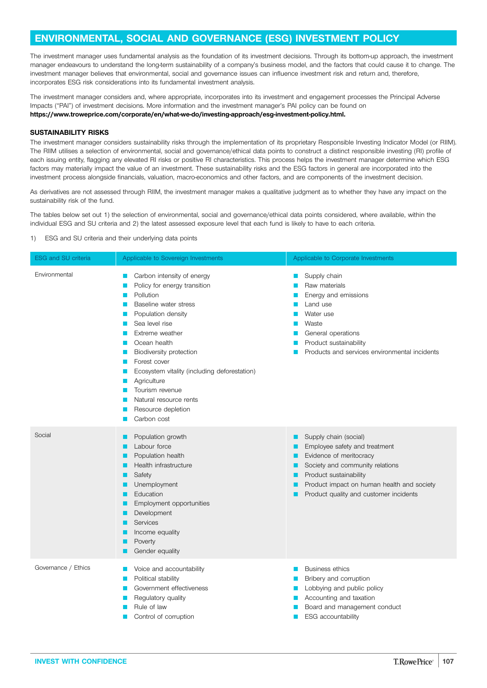## <span id="page-106-0"></span>**ENVIRONMENTAL, SOCIAL AND GOVERNANCE (ESG) INVESTMENT POLICY**

The investment manager uses fundamental analysis as the foundation of its investment decisions. Through its bottom-up approach, the investment manager endeavours to understand the long-term sustainability of a company's business model, and the factors that could cause it to change. The investment manager believes that environmental, social and governance issues can influence investment risk and return and, therefore, incorporates ESG risk considerations into its fundamental investment analysis.

The investment manager considers and, where appropriate, incorporates into its investment and engagement processes the Principal Adverse Impacts ("PAI") of investment decisions. More information and the investment manager's PAI policy can be found on **[https://www.troweprice.com/corporate/en/what-we-do/investing-approach/esg-investment-policy.html.](https://www.troweprice.com/corporate/en/what-we-do/investing-approach/esg-investment-policy.html)**

### **SUSTAINABILITY RISKS**

The investment manager considers sustainability risks through the implementation of its proprietary Responsible Investing Indicator Model (or RIIM). The RIIM utilises a selection of environmental, social and governance/ethical data points to construct a distinct responsible investing (RI) profile of each issuing entity, flagging any elevated RI risks or positive RI characteristics. This process helps the investment manager determine which ESG factors may materially impact the value of an investment. These sustainability risks and the ESG factors in general are incorporated into the investment process alongside financials, valuation, macro-economics and other factors, and are components of the investment decision.

As derivatives are not assessed through RIIM, the investment manager makes a qualitative judgment as to whether they have any impact on the sustainability risk of the fund.

The tables below set out 1) the selection of environmental, social and governance/ethical data points considered, where available, within the individual ESG and SU criteria and 2) the latest assessed exposure level that each fund is likely to have to each criteria.

1) ESG and SU criteria and their underlying data points

| ESG and SU criteria | Applicable to Sovereign Investments                                                                                                                                                                                                                                                                                                                                     | Applicable to Corporate Investments                                                                                                                                                                                                              |
|---------------------|-------------------------------------------------------------------------------------------------------------------------------------------------------------------------------------------------------------------------------------------------------------------------------------------------------------------------------------------------------------------------|--------------------------------------------------------------------------------------------------------------------------------------------------------------------------------------------------------------------------------------------------|
| Environmental       | Carbon intensity of energy<br>Policy for energy transition<br>Pollution<br>Baseline water stress<br>Population density<br>Sea level rise<br>Extreme weather<br>Ocean health<br>Biodiversity protection<br>Forest cover<br>Ecosystem vitality (including deforestation)<br>Agriculture<br>Tourism revenue<br>Natural resource rents<br>Resource depletion<br>Carbon cost | Supply chain<br>Raw materials<br>Energy and emissions<br>Land use<br>Water use<br>Waste<br>General operations<br>Product sustainability<br>Products and services environmental incidents                                                         |
| Social              | Population growth<br>Labour force<br>Population health<br>Health infrastructure<br>Safety<br>Unemployment<br>Education<br>Employment opportunities<br>Development<br>Services<br>Income equality<br>Poverty<br>Gender equality                                                                                                                                          | Supply chain (social)<br>■<br>Employee safety and treatment<br>ш<br>Evidence of meritocracy<br>Society and community relations<br>Product sustainability<br>Product impact on human health and society<br>Product quality and customer incidents |
| Governance / Ethics | Voice and accountability<br>Political stability<br>Government effectiveness<br>Regulatory quality<br>Rule of law<br>Control of corruption                                                                                                                                                                                                                               | <b>Business ethics</b><br>Bribery and corruption<br>Lobbying and public policy<br>Accounting and taxation<br>Board and management conduct<br>ESG accountability                                                                                  |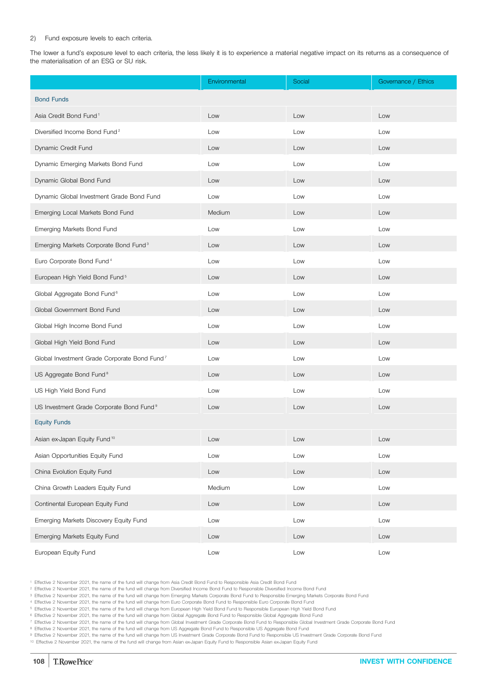#### 2) Fund exposure levels to each criteria.

The lower a fund's exposure level to each criteria, the less likely it is to experience a material negative impact on its returns as a consequence of the materialisation of an ESG or SU risk.

|                                                          | Environmental | Social | Governance / Ethics |
|----------------------------------------------------------|---------------|--------|---------------------|
| <b>Bond Funds</b>                                        |               |        |                     |
| Asia Credit Bond Fund <sup>1</sup>                       | Low           | Low    | Low                 |
| Diversified Income Bond Fund <sup>2</sup>                | Low           | Low    | Low                 |
| Dynamic Credit Fund                                      | Low           | Low    | Low                 |
| Dynamic Emerging Markets Bond Fund                       | Low           | Low    | Low                 |
| Dynamic Global Bond Fund                                 | Low           | Low    | Low                 |
| Dynamic Global Investment Grade Bond Fund                | Low           | Low    | Low                 |
| Emerging Local Markets Bond Fund                         | Medium        | Low    | Low                 |
| Emerging Markets Bond Fund                               | Low           | Low    | Low                 |
| Emerging Markets Corporate Bond Fund <sup>3</sup>        | Low           | Low    | Low                 |
| Euro Corporate Bond Fund <sup>4</sup>                    | Low           | Low    | Low                 |
| European High Yield Bond Fund <sup>5</sup>               | Low           | Low    | Low                 |
| Global Aggregate Bond Fund <sup>6</sup>                  | Low           | Low    | Low                 |
| Global Government Bond Fund                              | Low           | Low    | Low                 |
| Global High Income Bond Fund                             | Low           | Low    | Low                 |
| Global High Yield Bond Fund                              | Low           | Low    | Low                 |
| Global Investment Grade Corporate Bond Fund <sup>7</sup> | Low           | Low    | Low                 |
| US Aggregate Bond Fund <sup>8</sup>                      | Low           | Low    | Low                 |
| US High Yield Bond Fund                                  | Low           | Low    | Low                 |
| US Investment Grade Corporate Bond Fund <sup>9</sup>     | Low           | Low    | Low                 |
| <b>Equity Funds</b>                                      |               |        |                     |
| Asian ex-Japan Equity Fund <sup>10</sup>                 | Low           | Low    | Low                 |
| Asian Opportunities Equity Fund                          | Low           | Low    | Low                 |
| China Evolution Equity Fund                              | Low           | Low    | Low                 |
| China Growth Leaders Equity Fund                         | Medium        | Low    | Low                 |
| Continental European Equity Fund                         | Low           | Low    | Low                 |
| Emerging Markets Discovery Equity Fund                   | Low           | Low    | Low                 |
| Emerging Markets Equity Fund                             | Low           | Low    | Low                 |
| European Equity Fund                                     | Low           | Low    | Low                 |

<sup>1</sup> Effective 2 November 2021, the name of the fund will change from Asia Credit Bond Fund to Responsible Asia Credit Bond Fund

<sup>2</sup> Effective 2 November 2021, the name of the fund will change from Diversified Income Bond Fund to Responsible Diversified Income Bond Fund

<sup>3</sup> Effective 2 November 2021, the name of the fund will change from Emerging Markets Corporate Bond Fund to Responsible Emerging Markets Corporate Bond Fund

<sup>4</sup> Effective 2 November 2021, the name of the fund will change from Euro Corporate Bond Fund to Responsible Euro Corporate Bond Fund

<sup>5</sup> Effective 2 November 2021, the name of the fund will change from European High Yield Bond Fund to Responsible European High Yield Bond Fund

6 Effective 2 November 2021, the name of the fund will change from Global Aggregate Bond Fund to Responsible Global Aggregate Bond Fund <sup>7</sup> Effective 2 November 2021, the name of the fund will change from Global Investment Grade Corporate Bond Fund to Responsible Global Investment Grade Corporate Bond Fund

<sup>8</sup> Effective 2 November 2021, the name of the fund will change from US Aggregate Bond Fund to Responsible US Aggregate Bond Fund

<sup>9</sup> Effective 2 November 2021, the name of the fund will change from US Investment Grade Corporate Bond Fund to Responsible US Investment Grade Corporate Bond Fund

<sup>10</sup> Effective 2 November 2021, the name of the fund will change from Asian ex-Japan Equity Fund to Responsible Asian ex-Japan Equity Fund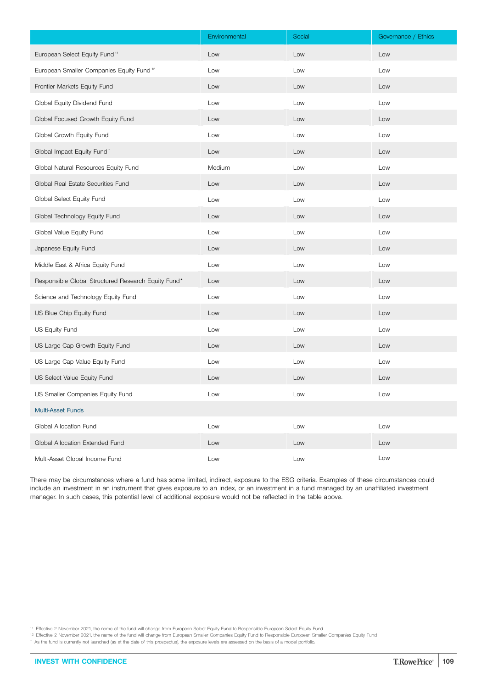|                                                      | Environmental | Social | Governance / Ethics |
|------------------------------------------------------|---------------|--------|---------------------|
| European Select Equity Fund <sup>11</sup>            | Low           | Low    | Low                 |
| European Smaller Companies Equity Fund <sup>12</sup> | Low           | Low    | Low                 |
| Frontier Markets Equity Fund                         | Low           | Low    | Low                 |
| Global Equity Dividend Fund                          | Low           | Low    | Low                 |
| Global Focused Growth Equity Fund                    | Low           | Low    | Low                 |
| Global Growth Equity Fund                            | Low           | Low    | Low                 |
| Global Impact Equity Fund                            | Low           | Low    | Low                 |
| Global Natural Resources Equity Fund                 | Medium        | Low    | Low                 |
| Global Real Estate Securities Fund                   | Low           | Low    | Low                 |
| Global Select Equity Fund                            | Low           | Low    | Low                 |
| Global Technology Equity Fund                        | Low           | Low    | Low                 |
| Global Value Equity Fund                             | Low           | Low    | Low                 |
| Japanese Equity Fund                                 | Low           | Low    | Low                 |
| Middle East & Africa Equity Fund                     | Low           | Low    | Low                 |
| Responsible Global Structured Research Equity Fund*  | Low           | Low    | Low                 |
| Science and Technology Equity Fund                   | Low           | Low    | Low                 |
| US Blue Chip Equity Fund                             | Low           | Low    | Low                 |
| US Equity Fund                                       | Low           | Low    | Low                 |
| US Large Cap Growth Equity Fund                      | Low           | Low    | Low                 |
| US Large Cap Value Equity Fund                       | Low           | Low    | Low                 |
| US Select Value Equity Fund                          | Low           | Low    | Low                 |
| US Smaller Companies Equity Fund                     | Low           | Low    | Low                 |
| <b>Multi-Asset Funds</b>                             |               |        |                     |
| Global Allocation Fund                               | Low           | Low    | Low                 |
| Global Allocation Extended Fund                      | Low           | Low    | Low                 |
| Multi-Asset Global Income Fund                       | Low           | Low    | Low                 |

There may be circumstances where a fund has some limited, indirect, exposure to the ESG criteria. Examples of these circumstances could include an investment in an instrument that gives exposure to an index, or an investment in a fund managed by an unaffiliated investment manager. In such cases, this potential level of additional exposure would not be reflected in the table above.

\* As the fund is currently not launched (as at the date of this prospectus), the exposure levels are assessed on the basis of a model portfolio.

<sup>11</sup> Effective 2 November 2021, the name of the fund will change from European Select Equity Fund to Responsible European Select Equity Fund

<sup>12</sup> Effective 2 November 2021, the name of the fund will change from European Smaller Companies Equity Fund to Responsible European Smaller Companies Equity Fund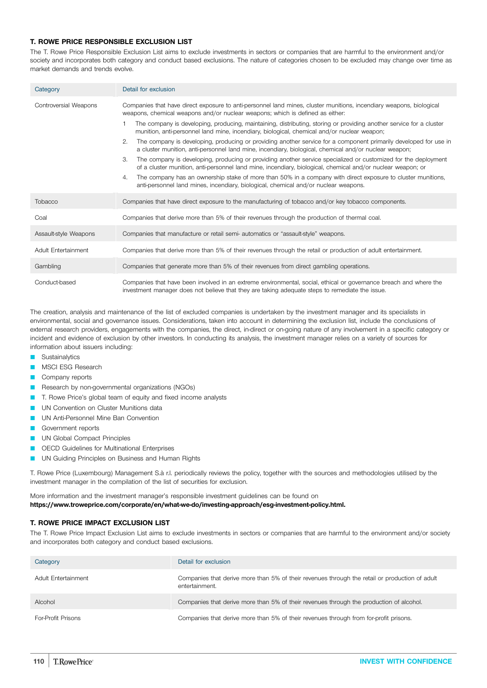## **T. ROWE PRICE RESPONSIBLE EXCLUSION LIST**

The T. Rowe Price Responsible Exclusion List aims to exclude investments in sectors or companies that are harmful to the environment and/or society and incorporates both category and conduct based exclusions. The nature of categories chosen to be excluded may change over time as market demands and trends evolve.

| Category              | Detail for exclusion                                                                                                                                                                                                                |
|-----------------------|-------------------------------------------------------------------------------------------------------------------------------------------------------------------------------------------------------------------------------------|
| Controversial Weapons | Companies that have direct exposure to anti-personnel land mines, cluster munitions, incendiary weapons, biological<br>weapons, chemical weapons and/or nuclear weapons; which is defined as either:                                |
|                       | The company is developing, producing, maintaining, distributing, storing or providing another service for a cluster<br>1<br>munition, anti-personnel land mine, incendiary, biological, chemical and/or nuclear weapon;             |
|                       | 2.<br>The company is developing, producing or providing another service for a component primarily developed for use in<br>a cluster munition, anti-personnel land mine, incendiary, biological, chemical and/or nuclear weapon;     |
|                       | 3.<br>The company is developing, producing or providing another service specialized or customized for the deployment<br>of a cluster munition, anti-personnel land mine, incendiary, biological, chemical and/or nuclear weapon; or |
|                       | The company has an ownership stake of more than 50% in a company with direct exposure to cluster munitions,<br>4.<br>anti-personnel land mines, incendiary, biological, chemical and/or nuclear weapons.                            |
| Tobacco               | Companies that have direct exposure to the manufacturing of tobacco and/or key tobacco components.                                                                                                                                  |
| Coal                  | Companies that derive more than 5% of their revenues through the production of thermal coal.                                                                                                                                        |
| Assault-style Weapons | Companies that manufacture or retail semi- automatics or "assault-style" weapons.                                                                                                                                                   |
| Adult Entertainment   | Companies that derive more than 5% of their revenues through the retail or production of adult entertainment.                                                                                                                       |
| Gambling              | Companies that generate more than 5% of their revenues from direct gambling operations.                                                                                                                                             |
| Conduct-based         | Companies that have been involved in an extreme environmental, social, ethical or governance breach and where the<br>investment manager does not believe that they are taking adequate steps to remediate the issue.                |

The creation, analysis and maintenance of the list of excluded companies is undertaken by the investment manager and its specialists in environmental, social and governance issues. Considerations, taken into account in determining the exclusion list, include the conclusions of external research providers, engagements with the companies, the direct, in-direct or on-going nature of any involvement in a specific category or incident and evidence of exclusion by other investors. In conducting its analysis, the investment manager relies on a variety of sources for information about issuers including:

- Sustainalytics
- MSCI ESG Research
- Company reports
- Research by non-governmental organizations (NGOs)
- T. Rowe Price's global team of equity and fixed income analysts
- UN Convention on Cluster Munitions data
- UN Anti-Personnel Mine Ban Convention
- Government reports
- UN Global Compact Principles
- Q OECD Guidelines for Multinational Enterprises
- UN Guiding Principles on Business and Human Rights

T. Rowe Price (Luxembourg) Management S.à r.l. periodically reviews the policy, together with the sources and methodologies utilised by the investment manager in the compilation of the list of securities for exclusion.

More information and the investment manager's responsible investment guidelines can be found on **[https://www.troweprice.com/corporate/en/what-we-do/investing-approach/esg-investment-policy.html.](https://www.troweprice.com/corporate/en/what-we-do/investing-approach/esg-investment-policy.html)**

## **T. ROWE PRICE IMPACT EXCLUSION LIST**

The T. Rowe Price Impact Exclusion List aims to exclude investments in sectors or companies that are harmful to the environment and/or society and incorporates both category and conduct based exclusions.

| Category            | Detail for exclusion                                                                                             |
|---------------------|------------------------------------------------------------------------------------------------------------------|
| Adult Entertainment | Companies that derive more than 5% of their revenues through the retail or production of adult<br>entertainment. |
| Alcohol             | Companies that derive more than 5% of their revenues through the production of alcohol.                          |
| For-Profit Prisons  | Companies that derive more than 5% of their revenues through from for-profit prisons.                            |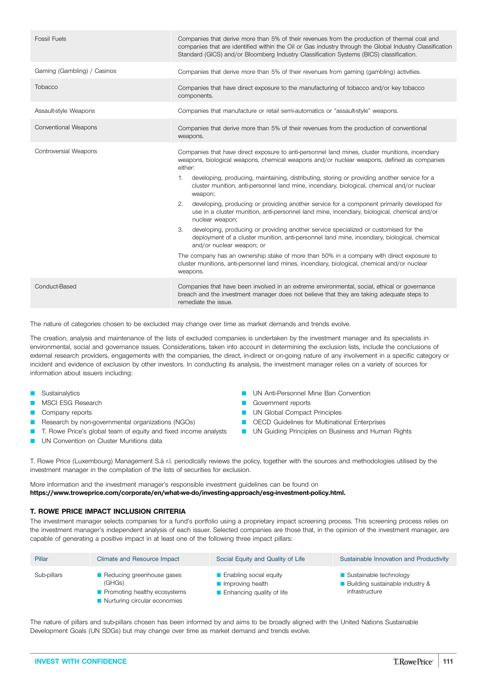| <b>Fossil Fuels</b>         | Companies that derive more than 5% of their revenues from the production of thermal coal and<br>companies that are identified within the Oil or Gas industry through the Global Industry Classification<br>Standard (GICS) and/or Bloomberg Industry Classification Systems (BICS) classification.                                                                                                                                                                                                                                                                                                                                                                                                                                                                                                                                                                                                                                                                                                                                                                                  |
|-----------------------------|-------------------------------------------------------------------------------------------------------------------------------------------------------------------------------------------------------------------------------------------------------------------------------------------------------------------------------------------------------------------------------------------------------------------------------------------------------------------------------------------------------------------------------------------------------------------------------------------------------------------------------------------------------------------------------------------------------------------------------------------------------------------------------------------------------------------------------------------------------------------------------------------------------------------------------------------------------------------------------------------------------------------------------------------------------------------------------------|
| Gaming (Gambling) / Casinos | Companies that derive more than 5% of their revenues from gaming (gambling) activities.                                                                                                                                                                                                                                                                                                                                                                                                                                                                                                                                                                                                                                                                                                                                                                                                                                                                                                                                                                                             |
| Tobacco                     | Companies that have direct exposure to the manufacturing of tobacco and/or key tobacco<br>components.                                                                                                                                                                                                                                                                                                                                                                                                                                                                                                                                                                                                                                                                                                                                                                                                                                                                                                                                                                               |
| Assault-style Weapons       | Companies that manufacture or retail semi-automatics or "assault-style" weapons.                                                                                                                                                                                                                                                                                                                                                                                                                                                                                                                                                                                                                                                                                                                                                                                                                                                                                                                                                                                                    |
| Conventional Weapons        | Companies that derive more than 5% of their revenues from the production of conventional<br>weapons.                                                                                                                                                                                                                                                                                                                                                                                                                                                                                                                                                                                                                                                                                                                                                                                                                                                                                                                                                                                |
| Controversial Weapons       | Companies that have direct exposure to anti-personnel land mines, cluster munitions, incendiary<br>weapons, biological weapons, chemical weapons and/or nuclear weapons, defined as companies<br>either:<br>developing, producing, maintaining, distributing, storing or providing another service for a<br>1.<br>cluster munition, anti-personnel land mine, incendiary, biological, chemical and/or nuclear<br>weapon;<br>developing, producing or providing another service for a component primarily developed for<br>2.<br>use in a cluster munition, anti-personnel land mine, incendiary, biological, chemical and/or<br>nuclear weapon;<br>3.<br>developing, producing or providing another service specialized or customised for the<br>deployment of a cluster munition, anti-personnel land mine, incendiary, biological, chemical<br>and/or nuclear weapon; or<br>The company has an ownership stake of more than 50% in a company with direct exposure to<br>cluster munitions, anti-personnel land mines, incendiary, biological, chemical and/or nuclear<br>weapons. |
| Conduct-Based               | Companies that have been involved in an extreme environmental, social, ethical or governance<br>breach and the investment manager does not believe that they are taking adequate steps to<br>remediate the issue.                                                                                                                                                                                                                                                                                                                                                                                                                                                                                                                                                                                                                                                                                                                                                                                                                                                                   |
|                             |                                                                                                                                                                                                                                                                                                                                                                                                                                                                                                                                                                                                                                                                                                                                                                                                                                                                                                                                                                                                                                                                                     |

The nature of categories chosen to be excluded may change over time as market demands and trends evolve.

The creation, analysis and maintenance of the lists of excluded companies is undertaken by the investment manager and its specialists in environmental, social and governance issues. Considerations, taken into account in determining the exclusion lists, include the conclusions of external research providers, engagements with the companies, the direct, in-direct or on-going nature of any involvement in a specific category or incident and evidence of exclusion by other investors. In conducting its analysis, the investment manager relies on a variety of sources for information about issuers including:

- Sustainalytics
- MSCI ESG Research
- Company reports
- Research by non-governmental organizations (NGOs)
- T. Rowe Price's global team of equity and fixed income analysts
- UN Convention on Cluster Munitions data
- **D** UN Anti-Personnel Mine Ban Convention
- **Government reports**
- **D** UN Global Compact Principles
- **DECD** Guidelines for Multinational Enterprises
- **D UN Guiding Principles on Business and Human Rights**

T. Rowe Price (Luxembourg) Management S.à r.l. periodically reviews the policy, together with the sources and methodologies utilised by the investment manager in the compilation of the lists of securities for exclusion.

More information and the investment manager's responsible investment guidelines can be found on **[https://www.troweprice.com/corporate/en/what-we-do/investing-approach/esg-investment-policy.html.](https://www.troweprice.com/corporate/en/what-we-do/investing-approach/esg-investment-policy.html)**

### **T. ROWE PRICE IMPACT INCLUSION CRITERIA**

The investment manager selects companies for a fund's portfolio using a proprietary impact screening process. This screening process relies on the investment manager's independent analysis of each issuer. Selected companies are those that, in the opinion of the investment manager, are capable of generating a positive impact in at least one of the following three impact pillars:

| Pillar      | <b>Climate and Resource Impact</b>                                                                         | Social Equity and Quality of Life                                         | Sustainable Innovation and Productivity                                         |
|-------------|------------------------------------------------------------------------------------------------------------|---------------------------------------------------------------------------|---------------------------------------------------------------------------------|
| Sub-pillars | Reducing greenhouse gases<br>(GHGs)<br><b>Promoting healthy ecosystems</b><br>Nurturing circular economies | ■ Enabling social equity<br>Improving health<br>Enhancing quality of life | ■ Sustainable technology<br>■ Building sustainable industry &<br>infrastructure |

The nature of pillars and sub-pillars chosen has been informed by and aims to be broadly aligned with the United Nations Sustainable Development Goals (UN SDGs) but may change over time as market demand and trends evolve.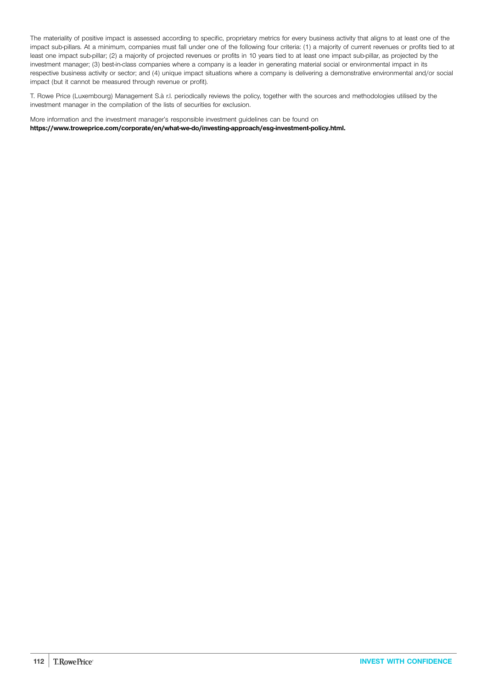The materiality of positive impact is assessed according to specific, proprietary metrics for every business activity that aligns to at least one of the impact sub-pillars. At a minimum, companies must fall under one of the following four criteria: (1) a majority of current revenues or profits tied to at least one impact sub-pillar; (2) a majority of projected revenues or profits in 10 years tied to at least one impact sub-pillar, as projected by the investment manager; (3) best-in-class companies where a company is a leader in generating material social or environmental impact in its respective business activity or sector; and (4) unique impact situations where a company is delivering a demonstrative environmental and/or social impact (but it cannot be measured through revenue or profit).

T. Rowe Price (Luxembourg) Management S.à r.l. periodically reviews the policy, together with the sources and methodologies utilised by the investment manager in the compilation of the lists of securities for exclusion.

More information and the investment manager's responsible investment guidelines can be found on **[https://www.troweprice.com/corporate/en/what-we-do/investing-approach/esg-investment-policy.html.](https://www.troweprice.com/corporate/en/what-we-do/investing-approach/esg-investment-policy.html)**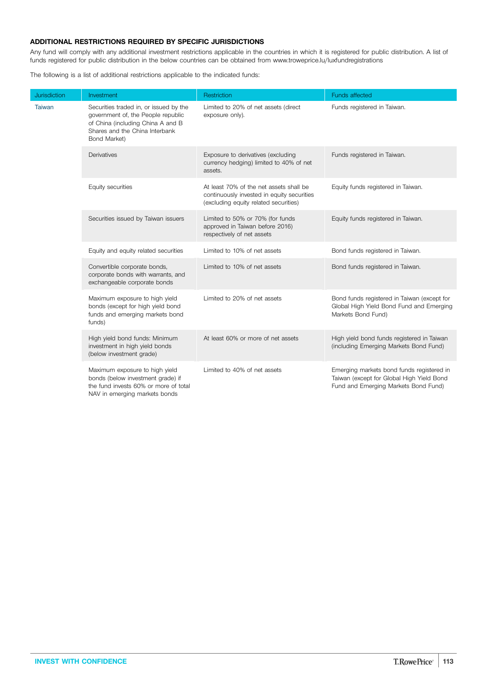## **ADDITIONAL RESTRICTIONS REQUIRED BY SPECIFIC JURISDICTIONS**

Any fund will comply with any additional investment restrictions applicable in the countries in which it is registered for public distribution. A list of funds registered for public distribution in the below countries can be obtained from www.troweprice.lu/luxfundregistrations

The following is a list of additional restrictions applicable to the indicated funds:

| <b>Jurisdiction</b> | Investment                                                                                                                                                          | Restriction                                                                                                                    | <b>Funds affected</b>                                                                                                          |
|---------------------|---------------------------------------------------------------------------------------------------------------------------------------------------------------------|--------------------------------------------------------------------------------------------------------------------------------|--------------------------------------------------------------------------------------------------------------------------------|
| <b>Taiwan</b>       | Securities traded in, or issued by the<br>government of, the People republic<br>of China (including China A and B<br>Shares and the China Interbank<br>Bond Market) | Limited to 20% of net assets (direct<br>exposure only).                                                                        | Funds registered in Taiwan.                                                                                                    |
|                     | Derivatives                                                                                                                                                         | Exposure to derivatives (excluding<br>currency hedging) limited to 40% of net<br>assets.                                       | Funds registered in Taiwan.                                                                                                    |
|                     | Equity securities                                                                                                                                                   | At least 70% of the net assets shall be<br>continuously invested in equity securities<br>(excluding equity related securities) | Equity funds registered in Taiwan.                                                                                             |
|                     | Securities issued by Taiwan issuers                                                                                                                                 | Limited to 50% or 70% (for funds<br>approved in Taiwan before 2016)<br>respectively of net assets                              | Equity funds registered in Taiwan.                                                                                             |
|                     | Equity and equity related securities                                                                                                                                | Limited to 10% of net assets                                                                                                   | Bond funds registered in Taiwan.                                                                                               |
|                     | Convertible corporate bonds,<br>corporate bonds with warrants, and<br>exchangeable corporate bonds                                                                  | Limited to 10% of net assets                                                                                                   | Bond funds registered in Taiwan.                                                                                               |
|                     | Maximum exposure to high yield<br>bonds (except for high yield bond<br>funds and emerging markets bond<br>funds)                                                    | Limited to 20% of net assets                                                                                                   | Bond funds registered in Taiwan (except for<br>Global High Yield Bond Fund and Emerging<br>Markets Bond Fund)                  |
|                     | High yield bond funds: Minimum<br>investment in high yield bonds<br>(below investment grade)                                                                        | At least 60% or more of net assets                                                                                             | High yield bond funds registered in Taiwan<br>(including Emerging Markets Bond Fund)                                           |
|                     | Maximum exposure to high yield<br>bonds (below investment grade) if<br>the fund invests 60% or more of total<br>NAV in emerging markets bonds                       | Limited to 40% of net assets                                                                                                   | Emerging markets bond funds registered in<br>Taiwan (except for Global High Yield Bond<br>Fund and Emerging Markets Bond Fund) |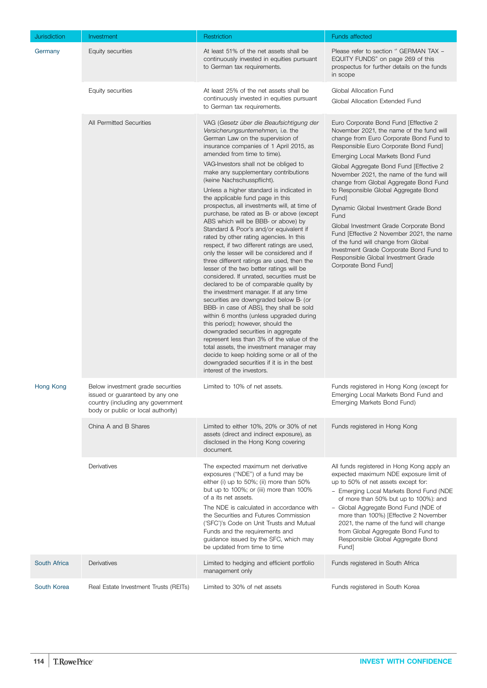| <b>Jurisdiction</b> | Investment                                                                                                                                      | Restriction                                                                                                                                                                                                                                                                                                                                                                                                                                                                                                                                                                                                                                                                                                                                                                                                                                                                                                                                                                                                                                                                                                                                                                                                                                                                                                                                                                  | <b>Funds affected</b>                                                                                                                                                                                                                                                                                                                                                                                                                                                                                                                                                                                                                                                               |
|---------------------|-------------------------------------------------------------------------------------------------------------------------------------------------|------------------------------------------------------------------------------------------------------------------------------------------------------------------------------------------------------------------------------------------------------------------------------------------------------------------------------------------------------------------------------------------------------------------------------------------------------------------------------------------------------------------------------------------------------------------------------------------------------------------------------------------------------------------------------------------------------------------------------------------------------------------------------------------------------------------------------------------------------------------------------------------------------------------------------------------------------------------------------------------------------------------------------------------------------------------------------------------------------------------------------------------------------------------------------------------------------------------------------------------------------------------------------------------------------------------------------------------------------------------------------|-------------------------------------------------------------------------------------------------------------------------------------------------------------------------------------------------------------------------------------------------------------------------------------------------------------------------------------------------------------------------------------------------------------------------------------------------------------------------------------------------------------------------------------------------------------------------------------------------------------------------------------------------------------------------------------|
| Germany             | Equity securities                                                                                                                               | At least 51% of the net assets shall be<br>continuously invested in equities pursuant<br>to German tax requirements.                                                                                                                                                                                                                                                                                                                                                                                                                                                                                                                                                                                                                                                                                                                                                                                                                                                                                                                                                                                                                                                                                                                                                                                                                                                         | Please refer to section " GERMAN TAX -<br>EQUITY FUNDS" on page 269 of this<br>prospectus for further details on the funds<br>in scope                                                                                                                                                                                                                                                                                                                                                                                                                                                                                                                                              |
|                     | Equity securities                                                                                                                               | At least 25% of the net assets shall be<br>continuously invested in equities pursuant<br>to German tax requirements.                                                                                                                                                                                                                                                                                                                                                                                                                                                                                                                                                                                                                                                                                                                                                                                                                                                                                                                                                                                                                                                                                                                                                                                                                                                         | Global Allocation Fund<br>Global Allocation Extended Fund                                                                                                                                                                                                                                                                                                                                                                                                                                                                                                                                                                                                                           |
|                     | All Permitted Securities                                                                                                                        | VAG (Gesetz über die Beaufsichtigung der<br>Versicherungsunternehmen, i.e. the<br>German Law on the supervision of<br>insurance companies of 1 April 2015, as<br>amended from time to time).<br>VAG-Investors shall not be obliged to<br>make any supplementary contributions<br>(keine Nachschusspflicht).<br>Unless a higher standard is indicated in<br>the applicable fund page in this<br>prospectus, all investments will, at time of<br>purchase, be rated as B- or above (except<br>ABS which will be BBB- or above) by<br>Standard & Poor's and/or equivalent if<br>rated by other rating agencies. In this<br>respect, if two different ratings are used,<br>only the lesser will be considered and if<br>three different ratings are used, then the<br>lesser of the two better ratings will be<br>considered. If unrated, securities must be<br>declared to be of comparable quality by<br>the investment manager. If at any time<br>securities are downgraded below B- (or<br>BBB- in case of ABS), they shall be sold<br>within 6 months (unless upgraded during<br>this period); however, should the<br>downgraded securities in aggregate<br>represent less than 3% of the value of the<br>total assets, the investment manager may<br>decide to keep holding some or all of the<br>downgraded securities if it is in the best<br>interest of the investors. | Euro Corporate Bond Fund [Effective 2<br>November 2021, the name of the fund will<br>change from Euro Corporate Bond Fund to<br>Responsible Euro Corporate Bond Fund]<br>Emerging Local Markets Bond Fund<br>Global Aggregate Bond Fund [Effective 2<br>November 2021, the name of the fund will<br>change from Global Aggregate Bond Fund<br>to Responsible Global Aggregate Bond<br>Fund]<br>Dynamic Global Investment Grade Bond<br>Fund<br>Global Investment Grade Corporate Bond<br>Fund [Effective 2 November 2021, the name<br>of the fund will change from Global<br>Investment Grade Corporate Bond Fund to<br>Responsible Global Investment Grade<br>Corporate Bond Fund] |
| Hong Kong           | Below investment grade securities<br>issued or guaranteed by any one<br>country (including any government<br>body or public or local authority) | Limited to 10% of net assets.                                                                                                                                                                                                                                                                                                                                                                                                                                                                                                                                                                                                                                                                                                                                                                                                                                                                                                                                                                                                                                                                                                                                                                                                                                                                                                                                                | Funds registered in Hong Kong (except for<br>Emerging Local Markets Bond Fund and<br>Emerging Markets Bond Fund)                                                                                                                                                                                                                                                                                                                                                                                                                                                                                                                                                                    |
|                     | China A and B Shares                                                                                                                            | Limited to either 10%, 20% or 30% of net<br>assets (direct and indirect exposure), as<br>disclosed in the Hong Kong covering<br>document.                                                                                                                                                                                                                                                                                                                                                                                                                                                                                                                                                                                                                                                                                                                                                                                                                                                                                                                                                                                                                                                                                                                                                                                                                                    | Funds registered in Hong Kong                                                                                                                                                                                                                                                                                                                                                                                                                                                                                                                                                                                                                                                       |
|                     | Derivatives                                                                                                                                     | The expected maximum net derivative<br>exposures ("NDE") of a fund may be<br>either (i) up to 50%; (ii) more than 50%<br>but up to 100%; or (iii) more than 100%<br>of a its net assets.<br>The NDE is calculated in accordance with<br>the Securities and Futures Commission<br>('SFC')'s Code on Unit Trusts and Mutual<br>Funds and the requirements and<br>guidance issued by the SFC, which may<br>be updated from time to time                                                                                                                                                                                                                                                                                                                                                                                                                                                                                                                                                                                                                                                                                                                                                                                                                                                                                                                                         | All funds registered in Hong Kong apply an<br>expected maximum NDE exposure limit of<br>up to 50% of net assets except for:<br>- Emerging Local Markets Bond Fund (NDE<br>of more than 50% but up to 100%): and<br>- Global Aggregate Bond Fund (NDE of<br>more than 100%) [Effective 2 November<br>2021, the name of the fund will change<br>from Global Aggregate Bond Fund to<br>Responsible Global Aggregate Bond<br>Fund]                                                                                                                                                                                                                                                      |
| South Africa        | Derivatives                                                                                                                                     | Limited to hedging and efficient portfolio<br>management only                                                                                                                                                                                                                                                                                                                                                                                                                                                                                                                                                                                                                                                                                                                                                                                                                                                                                                                                                                                                                                                                                                                                                                                                                                                                                                                | Funds registered in South Africa                                                                                                                                                                                                                                                                                                                                                                                                                                                                                                                                                                                                                                                    |
| South Korea         | Real Estate Investment Trusts (REITs)                                                                                                           | Limited to 30% of net assets                                                                                                                                                                                                                                                                                                                                                                                                                                                                                                                                                                                                                                                                                                                                                                                                                                                                                                                                                                                                                                                                                                                                                                                                                                                                                                                                                 | Funds registered in South Korea                                                                                                                                                                                                                                                                                                                                                                                                                                                                                                                                                                                                                                                     |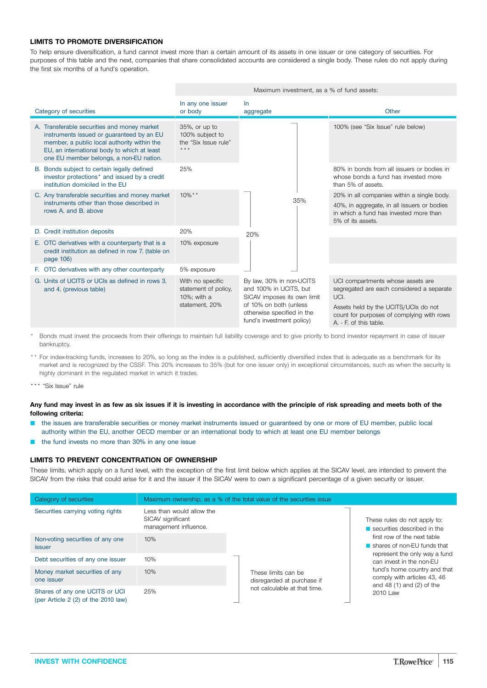## **LIMITS TO PROMOTE DIVERSIFICATION**

To help ensure diversification, a fund cannot invest more than a certain amount of its assets in one issuer or one category of securities. For purposes of this table and the next, companies that share consolidated accounts are considered a single body. These rules do not apply during the first six months of a fund's operation.

|                                                                                                                                                                                                                                   | Maximum investment, as a % of fund assets:                                |                                                                                                                                                                        |                                                                                                                                                                                                       |
|-----------------------------------------------------------------------------------------------------------------------------------------------------------------------------------------------------------------------------------|---------------------------------------------------------------------------|------------------------------------------------------------------------------------------------------------------------------------------------------------------------|-------------------------------------------------------------------------------------------------------------------------------------------------------------------------------------------------------|
| Category of securities                                                                                                                                                                                                            | In any one issuer<br>or body                                              | <b>In</b><br>aggregate                                                                                                                                                 | Other                                                                                                                                                                                                 |
| A. Transferable securities and money market<br>instruments issued or guaranteed by an EU<br>member, a public local authority within the<br>EU, an international body to which at least<br>one EU member belongs, a non-EU nation. | 35%, or up to<br>100% subject to<br>the "Six Issue rule"<br>$***$         |                                                                                                                                                                        | 100% (see "Six Issue" rule below)                                                                                                                                                                     |
| B. Bonds subject to certain legally defined<br>investor protections* and issued by a credit<br>institution domiciled in the EU                                                                                                    | 25%                                                                       |                                                                                                                                                                        | 80% in bonds from all issuers or bodies in<br>whose bonds a fund has invested more<br>than 5% of assets.                                                                                              |
| C. Any transferable securities and money market<br>instruments other than those described in<br>rows A, and B, above                                                                                                              | $10\%$ **                                                                 | 35%                                                                                                                                                                    | 20% in all companies within a single body.<br>40%, in aggregate, in all issuers or bodies<br>in which a fund has invested more than<br>5% of its assets.                                              |
| D. Credit institution deposits                                                                                                                                                                                                    | 20%                                                                       | 20%                                                                                                                                                                    |                                                                                                                                                                                                       |
| E. OTC derivatives with a counterparty that is a<br>credit institution as defined in row 7. (table on<br>page $106$                                                                                                               | 10% exposure                                                              |                                                                                                                                                                        |                                                                                                                                                                                                       |
| F. OTC derivatives with any other counterparty                                                                                                                                                                                    | 5% exposure                                                               |                                                                                                                                                                        |                                                                                                                                                                                                       |
| G. Units of UCITS or UCIs as defined in rows 3.<br>and 4. (previous table)                                                                                                                                                        | With no specific<br>statement of policy,<br>10%; with a<br>statement, 20% | By law, 30% in non-UCITS<br>and 100% in UCITS, but<br>SICAV imposes its own limit<br>of 10% on both (unless<br>otherwise specified in the<br>fund's investment policy) | UCI compartments whose assets are<br>segregated are each considered a separate<br>UCI.<br>Assets held by the UCITS/UCIs do not<br>count for purposes of complying with rows<br>A. - F. of this table. |

\* Bonds must invest the proceeds from their offerings to maintain full liability coverage and to give priority to bond investor repayment in case of issuer bankruptcy.

- \*\* For index-tracking funds, increases to 20%, so long as the index is a published, sufficiently diversified index that is adequate as a benchmark for its market and is recognized by the CSSF. This 20% increases to 35% (but for one issuer only) in exceptional circumstances, such as when the security is highly dominant in the regulated market in which it trades.
- \*\*\* "Six Issue" rule

#### Any fund may invest in as few as six issues if it is investing in accordance with the principle of risk spreading and meets both of the **following criteria:**

- the issues are transferable securities or money market instruments issued or guaranteed by one or more of EU member, public local authority within the EU, another OECD member or an international body to which at least one EU member belongs
- the fund invests no more than 30% in any one issue

#### **LIMITS TO PREVENT CONCENTRATION OF OWNERSHIP**

These limits, which apply on a fund level, with the exception of the first limit below which applies at the SICAV level, are intended to prevent the SICAV from the risks that could arise for it and the issuer if the SICAV were to own a significant percentage of a given security or issuer.

| Category of securities                                                 | Maximum ownership, as a % of the total value of the securities issue    |                                                   |                                                                                             |
|------------------------------------------------------------------------|-------------------------------------------------------------------------|---------------------------------------------------|---------------------------------------------------------------------------------------------|
| Securities carrying voting rights                                      | Less than would allow the<br>SICAV significant<br>management influence. |                                                   | These rules do not apply to:<br>securities described in the                                 |
| Non-voting securities of any one<br><i>issuer</i>                      | 10%                                                                     |                                                   | first row of the next table<br>shares of non-EU funds that                                  |
| Debt securities of any one issuer                                      | 10%                                                                     |                                                   | represent the only way a fund<br>can invest in the non-EU                                   |
| Money market securities of any<br>one issuer                           | 10%                                                                     | These limits can be<br>disregarded at purchase if | fund's home country and that<br>comply with articles 43, 46<br>and $48(1)$ and $(2)$ of the |
| Shares of any one UCITS or UCI<br>(per Article $2(2)$ of the 2010 law) | 25%                                                                     | not calculable at that time.                      | 2010 Law                                                                                    |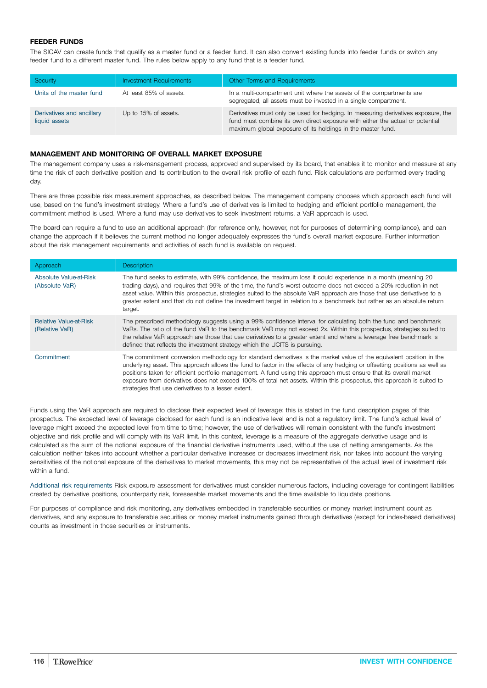## **FEEDER FUNDS**

The SICAV can create funds that qualify as a master fund or a feeder fund. It can also convert existing funds into feeder funds or switch any feeder fund to a different master fund. The rules below apply to any fund that is a feeder fund.

| Security                                   | <b>Investment Requirements</b> | Other Terms and Requirements                                                                                                                                                                                                      |
|--------------------------------------------|--------------------------------|-----------------------------------------------------------------------------------------------------------------------------------------------------------------------------------------------------------------------------------|
| Units of the master fund                   | At least 85% of assets.        | In a multi-compartment unit where the assets of the compartments are<br>segregated, all assets must be invested in a single compartment.                                                                                          |
| Derivatives and ancillary<br>liquid assets | Up to 15% of assets.           | Derivatives must only be used for hedging. In measuring derivatives exposure, the<br>fund must combine its own direct exposure with either the actual or potential<br>maximum global exposure of its holdings in the master fund. |

#### **MANAGEMENT AND MONITORING OF OVERALL MARKET EXPOSURE**

The management company uses a risk-management process, approved and supervised by its board, that enables it to monitor and measure at any time the risk of each derivative position and its contribution to the overall risk profile of each fund. Risk calculations are performed every trading day.

There are three possible risk measurement approaches, as described below. The management company chooses which approach each fund will use, based on the fund's investment strategy. Where a fund's use of derivatives is limited to hedging and efficient portfolio management, the commitment method is used. Where a fund may use derivatives to seek investment returns, a VaR approach is used.

The board can require a fund to use an additional approach (for reference only, however, not for purposes of determining compliance), and can change the approach if it believes the current method no longer adequately expresses the fund's overall market exposure. Further information about the risk management requirements and activities of each fund is available on request.

| Approach                                        | <b>Description</b>                                                                                                                                                                                                                                                                                                                                                                                                                                                                                                                                        |
|-------------------------------------------------|-----------------------------------------------------------------------------------------------------------------------------------------------------------------------------------------------------------------------------------------------------------------------------------------------------------------------------------------------------------------------------------------------------------------------------------------------------------------------------------------------------------------------------------------------------------|
| Absolute Value-at-Risk<br>(Absolute VaR)        | The fund seeks to estimate, with 99% confidence, the maximum loss it could experience in a month (meaning 20<br>trading days), and requires that 99% of the time, the fund's worst outcome does not exceed a 20% reduction in net<br>asset value. Within this prospectus, strategies suited to the absolute VaR approach are those that use derivatives to a<br>greater extent and that do not define the investment target in relation to a benchmark but rather as an absolute return<br>target.                                                        |
| <b>Relative Value-at-Risk</b><br>(Relative VaR) | The prescribed methodology suggests using a 99% confidence interval for calculating both the fund and benchmark<br>VaRs. The ratio of the fund VaR to the benchmark VaR may not exceed 2x. Within this prospectus, strategies suited to<br>the relative VaR approach are those that use derivatives to a greater extent and where a leverage free benchmark is<br>defined that reflects the investment strategy which the UCITS is pursuing.                                                                                                              |
| Commitment                                      | The commitment conversion methodology for standard derivatives is the market value of the equivalent position in the<br>underlying asset. This approach allows the fund to factor in the effects of any hedging or offsetting positions as well as<br>positions taken for efficient portfolio management. A fund using this approach must ensure that its overall market<br>exposure from derivatives does not exceed 100% of total net assets. Within this prospectus, this approach is suited to<br>strategies that use derivatives to a lesser extent. |

Funds using the VaR approach are required to disclose their expected level of leverage; this is stated in the fund description pages of this prospectus. The expected level of leverage disclosed for each fund is an indicative level and is not a regulatory limit. The fund's actual level of leverage might exceed the expected level from time to time; however, the use of derivatives will remain consistent with the fund's investment objective and risk profile and will comply with its VaR limit. In this context, leverage is a measure of the aggregate derivative usage and is calculated as the sum of the notional exposure of the financial derivative instruments used, without the use of netting arrangements. As the calculation neither takes into account whether a particular derivative increases or decreases investment risk, nor takes into account the varying sensitivities of the notional exposure of the derivatives to market movements, this may not be representative of the actual level of investment risk within a fund.

Additional risk requirements Risk exposure assessment for derivatives must consider numerous factors, including coverage for contingent liabilities created by derivative positions, counterparty risk, foreseeable market movements and the time available to liquidate positions.

For purposes of compliance and risk monitoring, any derivatives embedded in transferable securities or money market instrument count as derivatives, and any exposure to transferable securities or money market instruments gained through derivatives (except for index-based derivatives) counts as investment in those securities or instruments.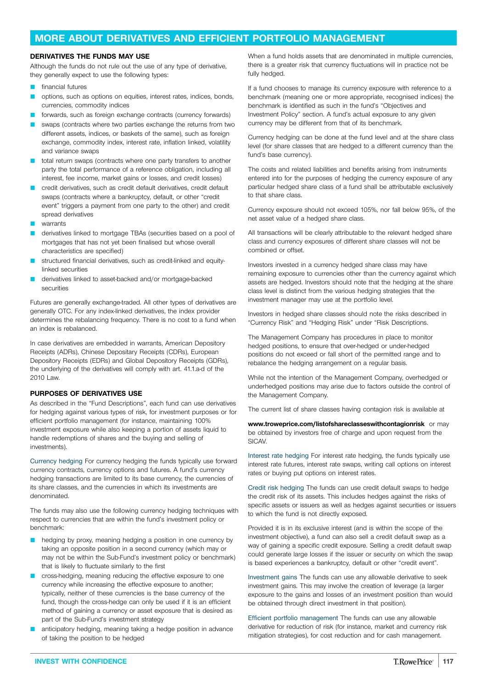## <span id="page-116-0"></span>**MORE ABOUT DERIVATIVES AND EFFICIENT PORTFOLIO MANAGEMENT**

## **DERIVATIVES THE FUNDS MAY USE**

Although the funds do not rule out the use of any type of derivative, they generally expect to use the following types:

- financial futures
- options, such as options on equities, interest rates, indices, bonds, currencies, commodity indices
- forwards, such as foreign exchange contracts (currency forwards)
- swaps (contracts where two parties exchange the returns from two different assets, indices, or baskets of the same), such as foreign exchange, commodity index, interest rate, inflation linked, volatility and variance swaps
- total return swaps (contracts where one party transfers to another party the total performance of a reference obligation, including all interest, fee income, market gains or losses, and credit losses)
- credit derivatives, such as credit default derivatives, credit default swaps (contracts where a bankruptcy, default, or other "credit event" triggers a payment from one party to the other) and credit spread derivatives
- warrants
- derivatives linked to mortgage TBAs (securities based on a pool of mortgages that has not yet been finalised but whose overall characteristics are specified)
- structured financial derivatives, such as credit-linked and equitylinked securities
- derivatives linked to asset-backed and/or mortgage-backed securities

Futures are generally exchange-traded. All other types of derivatives are generally OTC. For any index-linked derivatives, the index provider determines the rebalancing frequency. There is no cost to a fund when an index is rebalanced.

In case derivatives are embedded in warrants, American Depository Receipts (ADRs), Chinese Depositary Receipts (CDRs), European Depository Receipts (EDRs) and Global Depository Receipts (GDRs), the underlying of the derivatives will comply with art. 41.1.a-d of the 2010 Law.

### **PURPOSES OF DERIVATIVES USE**

As described in the "Fund Descriptions", each fund can use derivatives for hedging against various types of risk, for investment purposes or for efficient portfolio management (for instance, maintaining 100% investment exposure while also keeping a portion of assets liquid to handle redemptions of shares and the buying and selling of investments).

Currency hedging For currency hedging the funds typically use forward currency contracts, currency options and futures. A fund's currency hedging transactions are limited to its base currency, the currencies of its share classes, and the currencies in which its investments are denominated.

The funds may also use the following currency hedging techniques with respect to currencies that are within the fund's investment policy or benchmark:

- hedging by proxy, meaning hedging a position in one currency by taking an opposite position in a second currency (which may or may not be within the Sub-Fund's investment policy or benchmark) that is likely to fluctuate similarly to the first
- cross-hedging, meaning reducing the effective exposure to one currency while increasing the effective exposure to another; typically, neither of these currencies is the base currency of the fund, though the cross-hedge can only be used if it is an efficient method of gaining a currency or asset exposure that is desired as part of the Sub-Fund's investment strategy
- anticipatory hedging, meaning taking a hedge position in advance of taking the position to be hedged

When a fund holds assets that are denominated in multiple currencies, there is a greater risk that currency fluctuations will in practice not be fully hedged.

If a fund chooses to manage its currency exposure with reference to a benchmark (meaning one or more appropriate, recognised indices) the benchmark is identified as such in the fund's "Objectives and Investment Policy" section. A fund's actual exposure to any given currency may be different from that of its benchmark.

Currency hedging can be done at the fund level and at the share class level (for share classes that are hedged to a different currency than the fund's base currency).

The costs and related liabilities and benefits arising from instruments entered into for the purposes of hedging the currency exposure of any particular hedged share class of a fund shall be attributable exclusively to that share class.

Currency exposure should not exceed 105%, nor fall below 95%, of the net asset value of a hedged share class.

All transactions will be clearly attributable to the relevant hedged share class and currency exposures of different share classes will not be combined or offset.

Investors invested in a currency hedged share class may have remaining exposure to currencies other than the currency against which assets are hedged. Investors should note that the hedging at the share class level is distinct from the various hedging strategies that the investment manager may use at the portfolio level.

Investors in hedged share classes should note the risks described in "Currency Risk" and "Hedging Risk" under "Risk Descriptions.

The Management Company has procedures in place to monitor hedged positions, to ensure that over-hedged or under-hedged positions do not exceed or fall short of the permitted range and to rebalance the hedging arrangement on a regular basis.

While not the intention of the Management Company, overhedged or underhedged positions may arise due to factors outside the control of the Management Company.

The current list of share classes having contagion risk is available at

**[www.troweprice.com/listofshareclasseswithcontagionrisk](http://www.troweprice.com/listofshareclasseswithcontagionrisk)** or may be obtained by investors free of charge and upon request from the **SICAV** 

Interest rate hedging For interest rate hedging, the funds typically use interest rate futures, interest rate swaps, writing call options on interest rates or buying put options on interest rates.

Credit risk hedging The funds can use credit default swaps to hedge the credit risk of its assets. This includes hedges against the risks of specific assets or issuers as well as hedges against securities or issuers to which the fund is not directly exposed.

Provided it is in its exclusive interest (and is within the scope of the investment objective), a fund can also sell a credit default swap as a way of gaining a specific credit exposure. Selling a credit default swap could generate large losses if the issuer or security on which the swap is based experiences a bankruptcy, default or other "credit event".

Investment gains The funds can use any allowable derivative to seek investment gains. This may involve the creation of leverage (a larger exposure to the gains and losses of an investment position than would be obtained through direct investment in that position).

Efficient portfolio management The funds can use any allowable derivative for reduction of risk (for instance, market and currency risk mitigation strategies), for cost reduction and for cash management.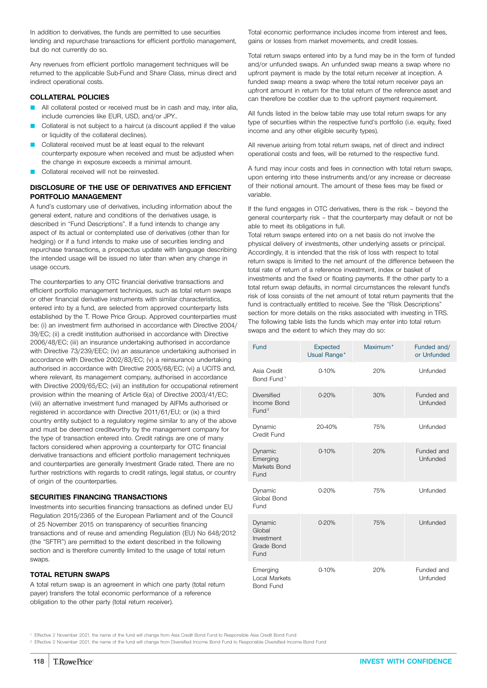<span id="page-117-0"></span>In addition to derivatives, the funds are permitted to use securities lending and repurchase transactions for efficient portfolio management, but do not currently do so.

Any revenues from efficient portfolio management techniques will be returned to the applicable Sub-Fund and Share Class, minus direct and indirect operational costs.

### **COLLATERAL POLICIES**

- All collateral posted or received must be in cash and may, inter alia, include currencies like EUR, USD, and/or JPY..
- Collateral is not subject to a haircut (a discount applied if the value or liquidity of the collateral declines).
- Collateral received must be at least equal to the relevant counterparty exposure when received and must be adjusted when the change in exposure exceeds a minimal amount.
- Collateral received will not be reinvested.

## **DISCLOSURE OF THE USE OF DERIVATIVES AND EFFICIENT PORTFOLIO MANAGEMENT**

A fund's customary use of derivatives, including information about the general extent, nature and conditions of the derivatives usage, is described in "Fund Descriptions". If a fund intends to change any aspect of its actual or contemplated use of derivatives (other than for hedging) or if a fund intends to make use of securities lending and repurchase transactions, a prospectus update with language describing the intended usage will be issued no later than when any change in usage occurs.

The counterparties to any OTC financial derivative transactions and efficient portfolio management techniques, such as total return swaps or other financial derivative instruments with similar characteristics, entered into by a fund, are selected from approved counterparty lists established by the T. Rowe Price Group. Approved counterparties must be: (i) an investment firm authorised in accordance with Directive 2004/ 39/EC; (ii) a credit institution authorised in accordance with Directive 2006/48/EC; (iii) an insurance undertaking authorised in accordance with Directive 73/239/EEC; (iv) an assurance undertaking authorised in accordance with Directive 2002/83/EC; (v) a reinsurance undertaking authorised in accordance with Directive 2005/68/EC; (vi) a UCITS and, where relevant, its management company, authorised in accordance with Directive 2009/65/EC; (vii) an institution for occupational retirement provision within the meaning of Article 6(a) of Directive 2003/41/EC; (viii) an alternative investment fund managed by AIFMs authorised or registered in accordance with Directive 2011/61/EU; or (ix) a third country entity subject to a regulatory regime similar to any of the above and must be deemed creditworthy by the management company for the type of transaction entered into. Credit ratings are one of many factors considered when approving a counterparty for OTC financial derivative transactions and efficient portfolio management techniques and counterparties are generally Investment Grade rated. There are no further restrictions with regards to credit ratings, legal status, or country of origin of the counterparties.

### **SECURITIES FINANCING TRANSACTIONS**

Investments into securities financing transactions as defined under EU Regulation 2015/2365 of the European Parliament and of the Council of 25 November 2015 on transparency of securities financing transactions and of reuse and amending Regulation (EU) No 648/2012 (the "SFTR") are permitted to the extent described in the following section and is therefore currently limited to the usage of total return swaps.

### **TOTAL RETURN SWAPS**

A total return swap is an agreement in which one party (total return payer) transfers the total economic performance of a reference obligation to the other party (total return receiver).

Total economic performance includes income from interest and fees, gains or losses from market movements, and credit losses.

Total return swaps entered into by a fund may be in the form of funded and/or unfunded swaps. An unfunded swap means a swap where no upfront payment is made by the total return receiver at inception. A funded swap means a swap where the total return receiver pays an upfront amount in return for the total return of the reference asset and can therefore be costlier due to the upfront payment requirement.

All funds listed in the below table may use total return swaps for any type of securities within the respective fund's portfolio (i.e. equity, fixed income and any other eligible security types).

All revenue arising from total return swaps, net of direct and indirect operational costs and fees, will be returned to the respective fund.

A fund may incur costs and fees in connection with total return swaps, upon entering into these instruments and/or any increase or decrease of their notional amount. The amount of these fees may be fixed or variable.

If the fund engages in OTC derivatives, there is the risk – beyond the general counterparty risk – that the counterparty may default or not be able to meet its obligations in full.

Total return swaps entered into on a net basis do not involve the physical delivery of investments, other underlying assets or principal. Accordingly, it is intended that the risk of loss with respect to total return swaps is limited to the net amount of the difference between the total rate of return of a reference investment, index or basket of investments and the fixed or floating payments. If the other party to a total return swap defaults, in normal circumstances the relevant fund's risk of loss consists of the net amount of total return payments that the fund is contractually entitled to receive. See the "Risk Descriptions" section for more details on the risks associated with investing in TRS. The following table lists the funds which may enter into total return swaps and the extent to which they may do so:

| Fund                                                   | <b>Expected</b><br>Usual Range* | Maximum* | Funded and/<br>or Unfunded |
|--------------------------------------------------------|---------------------------------|----------|----------------------------|
| Asia Credit<br>Bond Fund <sup>1</sup>                  | $0 - 10%$                       | 20%      | Unfunded                   |
| <b>Diversified</b><br>Income Bond<br>Fund <sup>2</sup> | 0-20%                           | 30%      | Funded and<br>Unfunded     |
| Dynamic<br>Credit Fund                                 | 20-40%                          | 75%      | Unfunded                   |
| Dynamic<br>Emerging<br>Markets Bond<br>Fund            | $0 - 10%$                       | 20%      | Funded and<br>Unfunded     |
| Dynamic<br>Global Bond<br>Fund                         | 0-20%                           | 75%      | Unfunded                   |
| Dynamic<br>Global<br>Investment<br>Grade Bond<br>Fund  | 0-20%                           | 75%      | Unfunded                   |
| Emerging<br><b>Local Markets</b><br><b>Bond Fund</b>   | $0 - 10%$                       | 20%      | Funded and<br>Unfunded     |

<sup>1</sup> Effective 2 November 2021, the name of the fund will change from Asia Credit Bond Fund to Responsible Asia Credit Bond Fund

<sup>2</sup> Effective 2 November 2021, the name of the fund will change from Diversified Income Bond Fund to Responsible Diversified Income Bond Fund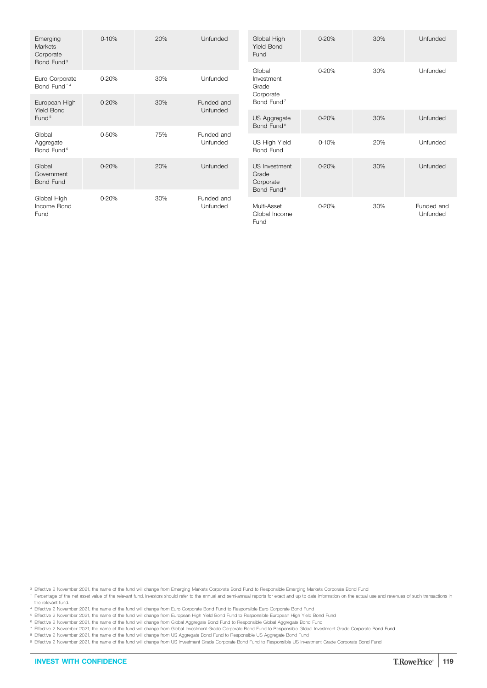| Emerging<br>Markets<br>Corporate<br>Bond Fund <sup>3</sup> | $0 - 10%$ | 20% | Unfunded               | Global High<br><b>Yield Bond</b><br>Fund                      | 0-20%     | 30% | Unfunded               |
|------------------------------------------------------------|-----------|-----|------------------------|---------------------------------------------------------------|-----------|-----|------------------------|
| Euro Corporate<br>Bond Fund <sup>+4</sup>                  | $0 - 20%$ | 30% | Unfunded               | Global<br>Investment<br>Grade                                 | $0 - 20%$ | 30% | Unfunded               |
| European High                                              | 0-20%     | 30% | Funded and             | Corporate<br>Bond Fund <sup>7</sup>                           |           |     |                        |
| <b>Yield Bond</b><br>Fund <sup>5</sup>                     |           |     | Unfunded               | US Aggregate<br>Bond Fund <sup>8</sup>                        | 0-20%     | 30% | Unfunded               |
| Global<br>Aggregate<br>Bond Fund <sup>6</sup>              | 0-50%     | 75% | Funded and<br>Unfunded | US High Yield<br>Bond Fund                                    | $0 - 10%$ | 20% | Unfunded               |
| Global<br>Government<br><b>Bond Fund</b>                   | $0 - 20%$ | 20% | Unfunded               | US Investment<br>Grade<br>Corporate<br>Bond Fund <sup>9</sup> | $0 - 20%$ | 30% | Unfunded               |
| Global High<br>Income Bond<br>Fund                         | $0 - 20%$ | 30% | Funded and<br>Unfunded | Multi-Asset<br>Global Income<br>Fund                          | 0-20%     | 30% | Funded and<br>Unfunded |

<sup>3</sup> Effective 2 November 2021, the name of the fund will change from Emerging Markets Corporate Bond Fund to Responsible Emerging Markets Corporate Bond Fund \* Percentage of the net asset value of the relevant fund. Investors should refer to the annual and semi-annual reports for exact and up to date information on the actual use and revenues of such transactions in the relevant fund.

<sup>4</sup> Effective 2 November 2021, the name of the fund will change from Euro Corporate Bond Fund to Responsible Euro Corporate Bond Fund

<sup>5</sup> Effective 2 November 2021, the name of the fund will change from European High Yield Bond Fund to Responsible European High Yield Bond Fund

<sup>6</sup> Effective 2 November 2021, the name of the fund will change from Global Aggregate Bond Fund to Responsible Global Aggregate Bond Fund

<sup>7</sup> Effective 2 November 2021, the name of the fund will change from Global Investment Grade Corporate Bond Fund to Responsible Global Investment Grade Corporate Bond Fund

<sup>8</sup> Effective 2 November 2021, the name of the fund will change from US Aggregate Bond Fund to Responsible US Aggregate Bond Fund

9 Effective 2 November 2021, the name of the fund will change from US Investment Grade Corporate Bond Fund to Responsible US Investment Grade Corporate Bond Fund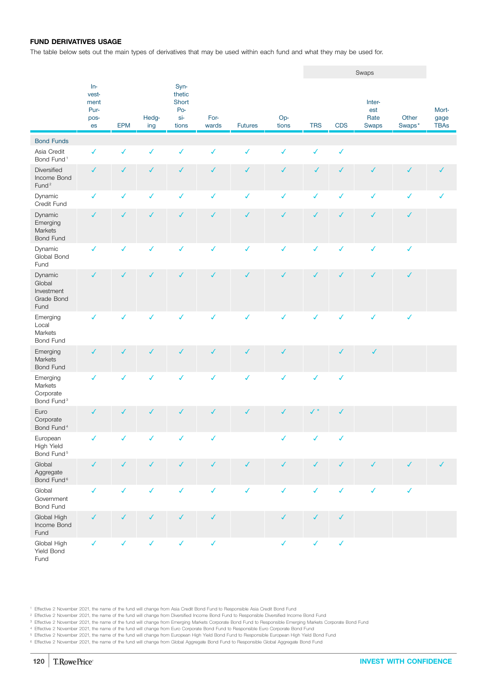## **FUND DERIVATIVES USAGE**

The table below sets out the main types of derivatives that may be used within each fund and what they may be used for.

|                                                            |                                              |              |              |                                                |               |                |              |                |              | Swaps                          |                 |                              |
|------------------------------------------------------------|----------------------------------------------|--------------|--------------|------------------------------------------------|---------------|----------------|--------------|----------------|--------------|--------------------------------|-----------------|------------------------------|
|                                                            | $In-$<br>vest-<br>ment<br>Pur-<br>pos-<br>es | <b>EPM</b>   | Hedg-<br>ing | Syn-<br>thetic<br>Short<br>Po-<br>si-<br>tions | For-<br>wards | <b>Futures</b> | Op-<br>tions | <b>TRS</b>     | <b>CDS</b>   | Inter-<br>est<br>Rate<br>Swaps | Other<br>Swaps* | Mort-<br>gage<br><b>TBAs</b> |
| <b>Bond Funds</b>                                          |                                              |              |              |                                                |               |                |              |                |              |                                |                 |                              |
| Asia Credit<br>Bond Fund <sup>1</sup>                      | $\checkmark$                                 | $\checkmark$ | $\checkmark$ | $\checkmark$                                   | $\checkmark$  | $\checkmark$   | $\checkmark$ | $\checkmark$   | $\checkmark$ |                                |                 |                              |
| Diversified<br>Income Bond<br>Fund <sup>2</sup>            | $\checkmark$                                 | ✓            | $\checkmark$ | $\checkmark$                                   | $\checkmark$  | $\checkmark$   | $\checkmark$ | ✓              | $\checkmark$ | $\checkmark$                   | $\checkmark$    | ✓                            |
| Dynamic<br>Credit Fund                                     | $\checkmark$                                 | $\checkmark$ | $\checkmark$ | $\checkmark$                                   | $\checkmark$  | $\checkmark$   | $\checkmark$ | $\checkmark$   | $\checkmark$ | $\checkmark$                   | $\checkmark$    | $\checkmark$                 |
| Dynamic<br>Emerging<br>Markets<br>Bond Fund                | $\checkmark$                                 | $\checkmark$ | $\checkmark$ | $\checkmark$                                   | $\checkmark$  | $\checkmark$   | $\checkmark$ | $\checkmark$   | $\checkmark$ | $\checkmark$                   | $\checkmark$    |                              |
| Dynamic<br>Global Bond<br>Fund                             | ✓                                            | $\checkmark$ | $\checkmark$ | $\checkmark$                                   | $\checkmark$  | $\checkmark$   | $\checkmark$ | $\checkmark$   | $\checkmark$ | $\checkmark$                   | $\checkmark$    |                              |
| Dynamic<br>Global<br>Investment<br>Grade Bond<br>Fund      | $\checkmark$                                 | $\checkmark$ | $\checkmark$ | $\checkmark$                                   | $\checkmark$  | $\checkmark$   | $\checkmark$ | $\checkmark$   | $\checkmark$ | $\checkmark$                   | $\checkmark$    |                              |
| Emerging<br>Local<br>Markets<br>Bond Fund                  | ✓                                            | ✓            | ✓            | ✓                                              | $\checkmark$  | $\checkmark$   | $\checkmark$ | $\checkmark$   | $\checkmark$ | $\checkmark$                   | ✓               |                              |
| Emerging<br>Markets<br>Bond Fund                           | ✓                                            | $\checkmark$ | $\checkmark$ | ✓                                              | $\checkmark$  | $\checkmark$   | $\checkmark$ |                | $\checkmark$ | $\checkmark$                   |                 |                              |
| Emerging<br>Markets<br>Corporate<br>Bond Fund <sup>3</sup> | $\checkmark$                                 | $\checkmark$ | ✓            | $\checkmark$                                   | $\checkmark$  | $\checkmark$   | $\checkmark$ | $\checkmark$   | $\checkmark$ |                                |                 |                              |
| Euro<br>Corporate<br>Bond Fund <sup>4</sup>                | $\checkmark$                                 | ✓            | ✓            | $\checkmark$                                   | $\checkmark$  | $\checkmark$   | $\checkmark$ | $\checkmark$ * | $\checkmark$ |                                |                 |                              |
| European<br>High Yield<br>Bond Fund <sup>5</sup>           |                                              |              |              |                                                |               |                |              |                | $\checkmark$ |                                |                 |                              |
| Global<br>Aggregate<br>Bond Fund <sup>6</sup>              | $\checkmark$                                 | $\checkmark$ | $\checkmark$ | $\checkmark$                                   | $\checkmark$  | $\checkmark$   | $\checkmark$ | $\checkmark$   | $\checkmark$ | $\checkmark$                   | $\checkmark$    | $\checkmark$                 |
| Global<br>Government<br><b>Bond Fund</b>                   | $\checkmark$                                 | $\checkmark$ | $\checkmark$ | $\checkmark$                                   | $\checkmark$  | $\checkmark$   | $\checkmark$ | $\checkmark$   | $\checkmark$ | $\checkmark$                   | $\checkmark$    |                              |
| Global High<br>Income Bond<br>Fund                         | ✓                                            | ✓            | $\checkmark$ | ✓                                              | $\checkmark$  |                | $\checkmark$ | $\checkmark$   | $\checkmark$ |                                |                 |                              |
| Global High<br>Yield Bond<br>Fund                          | $\checkmark$                                 | $\checkmark$ | $\checkmark$ | $\checkmark$                                   | $\checkmark$  |                | $\checkmark$ | $\checkmark$   | $\checkmark$ |                                |                 |                              |

<sup>1</sup> Effective 2 November 2021, the name of the fund will change from Asia Credit Bond Fund to Responsible Asia Credit Bond Fund

<sup>2</sup> Effective 2 November 2021, the name of the fund will change from Diversified Income Bond Fund to Responsible Diversified Income Bond Fund

<sup>3</sup> Effective 2 November 2021, the name of the fund will change from Emerging Markets Corporate Bond Fund to Responsible Emerging Markets Corporate Bond Fund

<sup>4</sup> Effective 2 November 2021, the name of the fund will change from Euro Corporate Bond Fund to Responsible Euro Corporate Bond Fund <sup>5</sup> Effective 2 November 2021, the name of the fund will change from European High Yield Bond Fund to Responsible European High Yield Bond Fund

<sup>6</sup> Effective 2 November 2021, the name of the fund will change from Global Aggregate Bond Fund to Responsible Global Aggregate Bond Fund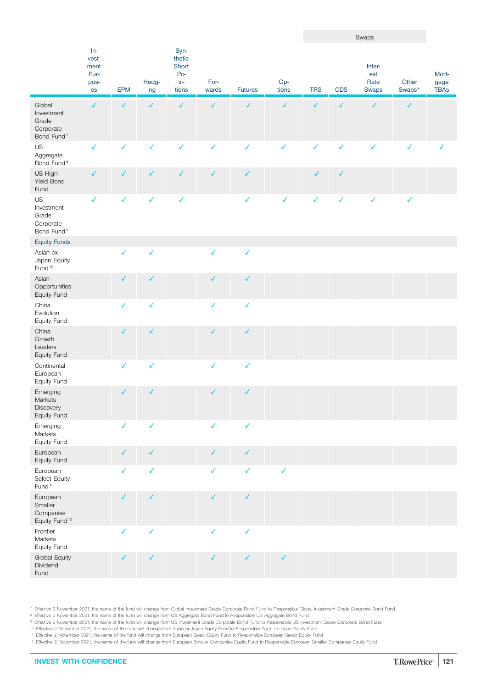|                                                                      |                                              |              |              |                                                |               |                |              |              |              | Swaps                          |                 |                              |
|----------------------------------------------------------------------|----------------------------------------------|--------------|--------------|------------------------------------------------|---------------|----------------|--------------|--------------|--------------|--------------------------------|-----------------|------------------------------|
|                                                                      | $In-$<br>vest-<br>ment<br>Pur-<br>pos-<br>es | <b>EPM</b>   | Hedg-<br>ing | Syn-<br>thetic<br>Short<br>Po-<br>si-<br>tions | For-<br>wards | <b>Futures</b> | Op-<br>tions | <b>TRS</b>   | <b>CDS</b>   | Inter-<br>est<br>Rate<br>Swaps | Other<br>Swaps* | Mort-<br>gage<br><b>TBAs</b> |
| Global<br>Investment<br>Grade<br>Corporate<br>Bond Fund <sup>7</sup> | $\checkmark$                                 | $\checkmark$ | $\checkmark$ | $\checkmark$                                   | $\checkmark$  | $\checkmark$   | $\checkmark$ | $\checkmark$ | $\checkmark$ | $\checkmark$                   | $\checkmark$    |                              |
| US<br>Aggregate<br>Bond Fund <sup>8</sup>                            | $\checkmark$                                 | $\checkmark$ | ✓            | $\checkmark$                                   | $\checkmark$  | $\checkmark$   | $\checkmark$ | $\checkmark$ | $\checkmark$ | $\checkmark$                   | $\checkmark$    | ✓                            |
| US High<br>Yield Bond<br>Fund                                        | $\checkmark$                                 | $\checkmark$ | $\checkmark$ | ✓                                              | $\checkmark$  | $\checkmark$   |              | $\checkmark$ | $\checkmark$ |                                |                 |                              |
| US<br>Investment<br>Grade<br>Corporate<br>Bond Fund <sup>9</sup>     | $\checkmark$                                 | $\checkmark$ | $\checkmark$ | $\checkmark$                                   |               | $\checkmark$   | ✓            | $\checkmark$ | $\checkmark$ | $\checkmark$                   | ✓               |                              |
| <b>Equity Funds</b>                                                  |                                              |              |              |                                                |               |                |              |              |              |                                |                 |                              |
| Asian ex-<br>Japan Equity<br>Fund <sup>10</sup>                      |                                              | $\checkmark$ | $\checkmark$ |                                                | $\checkmark$  | $\checkmark$   |              |              |              |                                |                 |                              |
| Asian<br>Opportunities<br>Equity Fund                                |                                              | $\checkmark$ | $\checkmark$ |                                                | $\checkmark$  | $\checkmark$   |              |              |              |                                |                 |                              |
| China<br>Evolution<br>Equity Fund                                    |                                              | $\checkmark$ | $\checkmark$ |                                                | $\checkmark$  | $\checkmark$   |              |              |              |                                |                 |                              |
| China<br>Growth<br>Leaders<br>Equity Fund                            |                                              | $\checkmark$ | $\checkmark$ |                                                | $\checkmark$  | $\checkmark$   |              |              |              |                                |                 |                              |
| Continental<br>European<br>Equity Fund                               |                                              | $\checkmark$ | $\checkmark$ |                                                | $\checkmark$  | $\checkmark$   |              |              |              |                                |                 |                              |
| Emerging<br>Markets<br>Discovery<br>Equity Fund                      |                                              | $\checkmark$ | ✓            |                                                | $\checkmark$  | $\checkmark$   |              |              |              |                                |                 |                              |
| Emerging<br>Markets<br>Equity Fund                                   |                                              | $\checkmark$ | $\checkmark$ |                                                | $\checkmark$  | $\checkmark$   |              |              |              |                                |                 |                              |
| European<br>Equity Fund                                              |                                              | $\checkmark$ | $\checkmark$ |                                                | $\checkmark$  | $\checkmark$   |              |              |              |                                |                 |                              |
| European<br>Select Equity<br>Fund <sup>11</sup>                      |                                              | $\checkmark$ | $\checkmark$ |                                                | $\checkmark$  | $\checkmark$   | $\checkmark$ |              |              |                                |                 |                              |
| European<br>Smaller<br>Companies<br>Equity Fund <sup>12</sup>        |                                              | $\checkmark$ | $\checkmark$ |                                                | $\checkmark$  | $\checkmark$   |              |              |              |                                |                 |                              |
| Frontier<br>Markets<br>Equity Fund                                   |                                              | $\checkmark$ | $\checkmark$ |                                                | $\checkmark$  | $\checkmark$   |              |              |              |                                |                 |                              |
| Global Equity<br>Dividend<br>Fund                                    |                                              | $\checkmark$ | $\checkmark$ |                                                | $\checkmark$  | $\checkmark$   | $\checkmark$ |              |              |                                |                 |                              |

<sup>7</sup> Effective 2 November 2021, the name of the fund will change from Global Investment Grade Corporate Bond Fund to Responsible Global Investment Grade Corporate Bond Fund

<sup>8</sup> Effective 2 November 2021, the name of the fund will change from US Aggregate Bond Fund to Responsible US Aggregate Bond Fund

9 Effective 2 November 2021, the name of the fund will change from US Investment Grade Corporate Bond Fund to Responsible US Investment Grade Corporate Bond Fund

<sup>10</sup> Effective 2 November 2021, the name of the fund will change from Asian ex-Japan Equity Fund to Responsible Asian ex-Japan Equity Fund <sup>11</sup> Effective 2 November 2021, the name of the fund will change from European Select Equity Fund to Responsible European Select Equity Fund

<sup>12</sup> Effective 2 November 2021, the name of the fund will change from European Smaller Companies Equity Fund to Responsible European Smaller Companies Equity Fund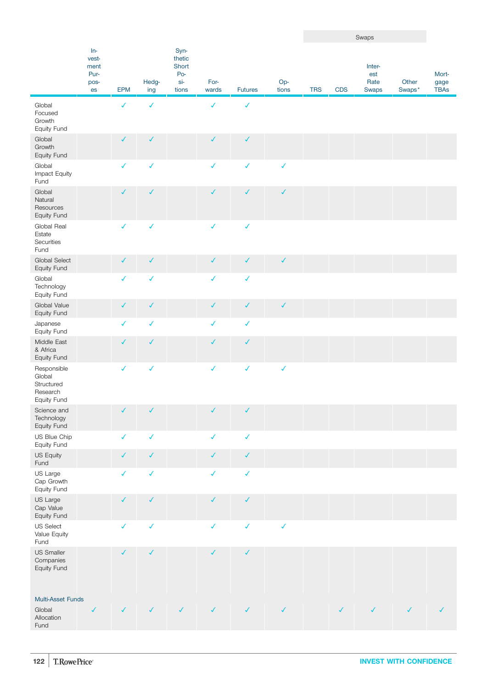|                                                                |                                              |              |              |                                                |               |                |              |            |              | Swaps                          |                 |                              |
|----------------------------------------------------------------|----------------------------------------------|--------------|--------------|------------------------------------------------|---------------|----------------|--------------|------------|--------------|--------------------------------|-----------------|------------------------------|
|                                                                | $In-$<br>vest-<br>ment<br>Pur-<br>pos-<br>es | EPM          | Hedg-<br>ing | Syn-<br>thetic<br>Short<br>Po-<br>si-<br>tions | For-<br>wards | <b>Futures</b> | Op-<br>tions | <b>TRS</b> | <b>CDS</b>   | Inter-<br>est<br>Rate<br>Swaps | Other<br>Swaps* | Mort-<br>gage<br><b>TBAs</b> |
| Global<br>Focused<br>Growth<br>Equity Fund                     |                                              | $\checkmark$ | $\checkmark$ |                                                | $\checkmark$  | ✓              |              |            |              |                                |                 |                              |
| Global<br>Growth<br>Equity Fund                                |                                              | $\checkmark$ | $\checkmark$ |                                                | $\checkmark$  | $\checkmark$   |              |            |              |                                |                 |                              |
| Global<br>Impact Equity<br>Fund                                |                                              | ✓            | $\checkmark$ |                                                | ✓             | $\checkmark$   | $\checkmark$ |            |              |                                |                 |                              |
| Global<br>Natural<br>Resources<br>Equity Fund                  |                                              | $\checkmark$ | $\checkmark$ |                                                | ✓             | $\checkmark$   | $\checkmark$ |            |              |                                |                 |                              |
| Global Real<br>Estate<br>Securities<br>Fund                    |                                              | $\checkmark$ | $\checkmark$ |                                                | $\checkmark$  | $\checkmark$   |              |            |              |                                |                 |                              |
| Global Select<br>Equity Fund                                   |                                              | ✓            | $\checkmark$ |                                                | ✓             | $\checkmark$   | $\checkmark$ |            |              |                                |                 |                              |
| Global<br>Technology<br>Equity Fund                            |                                              | $\checkmark$ | $\checkmark$ |                                                | $\checkmark$  | $\checkmark$   |              |            |              |                                |                 |                              |
| Global Value<br>Equity Fund                                    |                                              | ✓            | $\checkmark$ |                                                | ✓             | $\checkmark$   | $\checkmark$ |            |              |                                |                 |                              |
| Japanese<br>Equity Fund                                        |                                              | $\checkmark$ | $\checkmark$ |                                                | $\checkmark$  | $\checkmark$   |              |            |              |                                |                 |                              |
| Middle East<br>& Africa<br>Equity Fund                         |                                              | ✓            | ✓            |                                                | ✓             | $\checkmark$   |              |            |              |                                |                 |                              |
| Responsible<br>Global<br>Structured<br>Research<br>Equity Fund |                                              | $\checkmark$ | $\checkmark$ |                                                | $\checkmark$  | $\checkmark$   | $\checkmark$ |            |              |                                |                 |                              |
| Science and<br>Technology<br>Equity Fund                       |                                              | ✓            | $\checkmark$ |                                                | ✓             | ✓              |              |            |              |                                |                 |                              |
| US Blue Chip<br>Equity Fund                                    |                                              | $\checkmark$ | $\checkmark$ |                                                | $\checkmark$  | $\checkmark$   |              |            |              |                                |                 |                              |
| US Equity<br>Fund                                              |                                              | $\checkmark$ | $\checkmark$ |                                                | ✓             | $\checkmark$   |              |            |              |                                |                 |                              |
| US Large<br>Cap Growth<br>Equity Fund                          |                                              | ✓            | $\checkmark$ |                                                | ✓             | $\checkmark$   |              |            |              |                                |                 |                              |
| US Large<br>Cap Value<br>Equity Fund                           |                                              | $\checkmark$ | $\checkmark$ |                                                | $\checkmark$  | $\checkmark$   |              |            |              |                                |                 |                              |
| <b>US Select</b><br>Value Equity<br>Fund                       |                                              | $\checkmark$ | $\checkmark$ |                                                | $\checkmark$  | $\checkmark$   | $\checkmark$ |            |              |                                |                 |                              |
| US Smaller<br>Companies<br>Equity Fund                         |                                              | $\checkmark$ | $\checkmark$ |                                                | $\checkmark$  | $\checkmark$   |              |            |              |                                |                 |                              |
| Multi-Asset Funds<br>Global<br>Allocation<br>Fund              | $\checkmark$                                 | $\checkmark$ | $\checkmark$ | $\checkmark$                                   | $\checkmark$  | $\checkmark$   | $\checkmark$ |            | $\checkmark$ | ✓                              |                 |                              |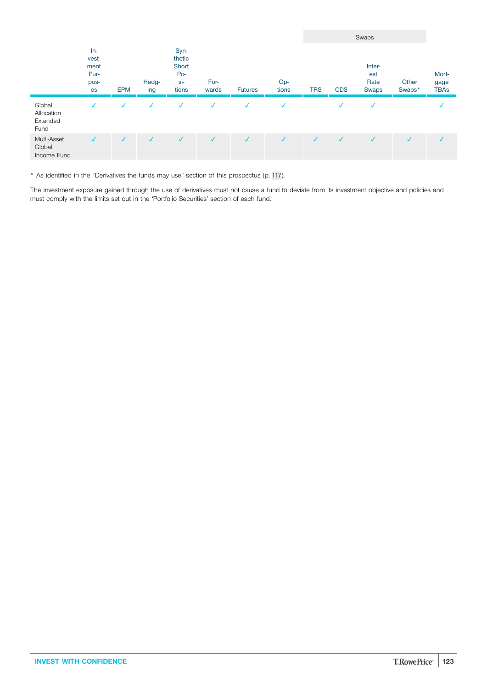|                                          |                                              |              |              |                                                |               |                |              |              |              | Swaps                                 |                 |                              |
|------------------------------------------|----------------------------------------------|--------------|--------------|------------------------------------------------|---------------|----------------|--------------|--------------|--------------|---------------------------------------|-----------------|------------------------------|
|                                          | $In-$<br>vest-<br>ment<br>Pur-<br>pos-<br>es | <b>EPM</b>   | Hedg-<br>ing | Syn-<br>thetic<br>Short<br>Po-<br>si-<br>tions | For-<br>wards | <b>Futures</b> | Op-<br>tions | <b>TRS</b>   | <b>CDS</b>   | Inter-<br>est<br>Rate<br><b>Swaps</b> | Other<br>Swaps* | Mort-<br>gage<br><b>TBAs</b> |
| Global<br>Allocation<br>Extended<br>Fund | $\checkmark$                                 | √            | $\checkmark$ | √                                              |               |                | √            |              | √            | $\checkmark$                          |                 |                              |
| Multi-Asset<br>Global<br>Income Fund     | $\checkmark$                                 | $\checkmark$ | $\checkmark$ | $\sqrt{ }$                                     | $\checkmark$  |                | $\checkmark$ | $\checkmark$ | $\checkmark$ | $\checkmark$                          | J               |                              |

\* As identified in the "Derivatives the funds may use" section of this prospectus (p. [117](#page-116-0)).

The investment exposure gained through the use of derivatives must not cause a fund to deviate from its investment objective and policies and must comply with the limits set out in the 'Portfolio Securities' section of each fund.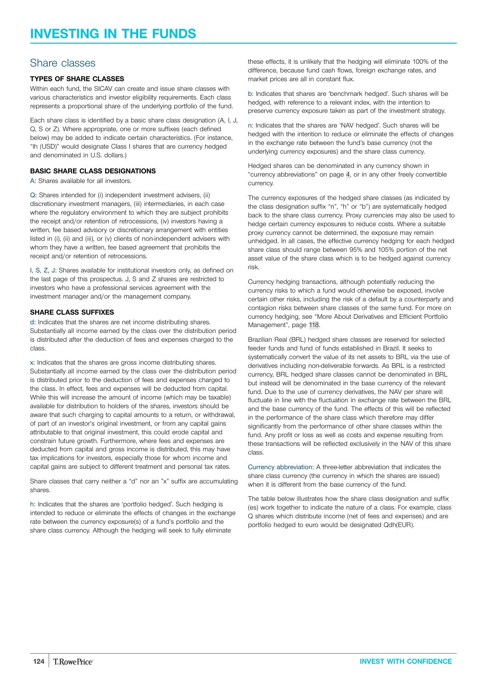## Share classes

## **TYPES OF SHARE CLASSES**

Within each fund, the SICAV can create and issue share classes with various characteristics and investor eligibility requirements. Each class represents a proportional share of the underlying portfolio of the fund.

Each share class is identified by a basic share class designation (A, I, J, Q, S or Z). Where appropriate, one or more suffixes (each defined below) may be added to indicate certain characteristics. (For instance, "Ih (USD)" would designate Class I shares that are currency hedged and denominated in U.S. dollars.)

### **BASIC SHARE CLASS DESIGNATIONS**

A: Shares available for all investors.

Q: Shares intended for (i) independent investment advisers, (ii) discretionary investment managers, (iii) intermediaries, in each case where the regulatory environment to which they are subject prohibits the receipt and/or retention of retrocessions, (iv) investors having a written, fee based advisory or discretionary arrangement with entities listed in (i), (ii) and (iii), or (v) clients of non-independent advisers with whom they have a written, fee based agreement that prohibits the receipt and/or retention of retrocessions.

I, S, Z, J: Shares available for institutional investors only, as defined on the last page of this prospectus. J, S and Z shares are restricted to investors who have a professional services agreement with the investment manager and/or the management company.

#### **SHARE CLASS SUFFIXES**

d: Indicates that the shares are net income distributing shares. Substantially all income earned by the class over the distribution period is distributed after the deduction of fees and expenses charged to the class.

x: Indicates that the shares are gross income distributing shares. Substantially all income earned by the class over the distribution period is distributed prior to the deduction of fees and expenses charged to the class. In effect, fees and expenses will be deducted from capital. While this will increase the amount of income (which may be taxable) available for distribution to holders of the shares, investors should be aware that such charging to capital amounts to a return, or withdrawal, of part of an investor's original investment, or from any capital gains attributable to that original investment, this could erode capital and constrain future growth. Furthermore, where fees and expenses are deducted from capital and gross income is distributed, this may have tax implications for investors, especially those for whom income and capital gains are subject to different treatment and personal tax rates.

Share classes that carry neither a "d" nor an "x" suffix are accumulating shares.

h: Indicates that the shares are 'portfolio hedged'. Such hedging is intended to reduce or eliminate the effects of changes in the exchange rate between the currency exposure(s) of a fund's portfolio and the share class currency. Although the hedging will seek to fully eliminate

these effects, it is unlikely that the hedging will eliminate 100% of the difference, because fund cash flows, foreign exchange rates, and market prices are all in constant flux.

b: Indicates that shares are 'benchmark hedged'. Such shares will be hedged, with reference to a relevant index, with the intention to preserve currency exposure taken as part of the investment strategy.

n: Indicates that the shares are 'NAV hedged'. Such shares will be hedged with the intention to reduce or eliminate the effects of changes in the exchange rate between the fund's base currency (not the underlying currency exposures) and the share class currency.

Hedged shares can be denominated in any currency shown in "currency abbreviations" on page [4,](#page-3-0) or in any other freely convertible currency.

The currency exposures of the hedged share classes (as indicated by the class designation suffix "n", "h" or "b") are systematically hedged back to the share class currency. Proxy currencies may also be used to hedge certain currency exposures to reduce costs. Where a suitable proxy currency cannot be determined, the exposure may remain unhedged. In all cases, the effective currency hedging for each hedged share class should range between 95% and 105% portion of the net asset value of the share class which is to be hedged against currency risk.

Currency hedging transactions, although potentially reducing the currency risks to which a fund would otherwise be exposed, involve certain other risks, including the risk of a default by a counterparty and contagion risks between share classes of the same fund. For more on currency hedging, see "More About Derivatives and Efficient Portfolio Management", page [118.](#page-117-0)

Brazilian Real (BRL) hedged share classes are reserved for selected feeder funds and fund of funds established in Brazil. It seeks to systematically convert the value of its net assets to BRL via the use of derivatives including non-deliverable forwards. As BRL is a restricted currency, BRL hedged share classes cannot be denominated in BRL but instead will be denominated in the base currency of the relevant fund. Due to the use of currency derivatives, the NAV per share will fluctuate in line with the fluctuation in exchange rate between the BRL and the base currency of the fund. The effects of this will be reflected in the performance of the share class which therefore may differ significantly from the performance of other share classes within the fund. Any profit or loss as well as costs and expense resulting from these transactions will be reflected exclusively in the NAV of this share class.

Currency abbreviation: A three-letter abbreviation that indicates the share class currency (the currency in which the shares are issued) when it is different from the base currency of the fund.

The table below illustrates how the share class designation and suffix (es) work together to indicate the nature of a class. For example, class Q shares which distribute income (net of fees and expenses) and are portfolio hedged to euro would be designated Qdh(EUR).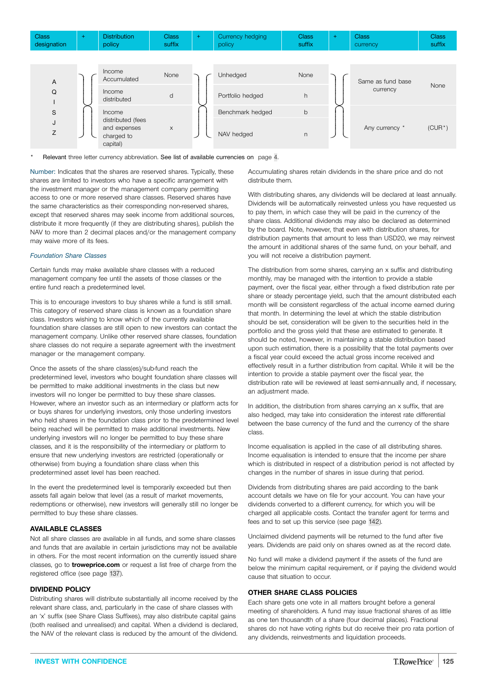| <b>Class</b><br>designation |  | <b>Distribution</b><br>policy | Class<br>suffix |  | Currency hedging<br><b>DOIICV</b> | Class<br>suffix |  | <b>Class</b><br><b>currency</b> | <b>Class</b><br>suffix |
|-----------------------------|--|-------------------------------|-----------------|--|-----------------------------------|-----------------|--|---------------------------------|------------------------|
|-----------------------------|--|-------------------------------|-----------------|--|-----------------------------------|-----------------|--|---------------------------------|------------------------|



Relevant three letter currency abbreviation. See list of available currencies on page [4](#page-3-0).

Number: Indicates that the shares are reserved shares. Typically, these shares are limited to investors who have a specific arrangement with the investment manager or the management company permitting access to one or more reserved share classes. Reserved shares have the same characteristics as their corresponding non-reserved shares, except that reserved shares may seek income from additional sources, distribute it more frequently (if they are distributing shares), publish the NAV to more than 2 decimal places and/or the management company may waive more of its fees.

#### *Foundation Share Classes*

Certain funds may make available share classes with a reduced management company fee until the assets of those classes or the entire fund reach a predetermined level.

This is to encourage investors to buy shares while a fund is still small. This category of reserved share class is known as a foundation share class. Investors wishing to know which of the currently available foundation share classes are still open to new investors can contact the management company. Unlike other reserved share classes, foundation share classes do not require a separate agreement with the investment manager or the management company.

Once the assets of the share class(es)/sub-fund reach the predetermined level, investors who bought foundation share classes will be permitted to make additional investments in the class but new investors will no longer be permitted to buy these share classes. However, where an investor such as an intermediary or platform acts for or buys shares for underlying investors, only those underling investors who held shares in the foundation class prior to the predetermined level being reached will be permitted to make additional investments. New underlying investors will no longer be permitted to buy these share classes, and it is the responsibility of the intermediary or platform to ensure that new underlying investors are restricted (operationally or otherwise) from buying a foundation share class when this predetermined asset level has been reached.

In the event the predetermined level is temporarily exceeded but then assets fall again below that level (as a result of market movements, redemptions or otherwise), new investors will generally still no longer be permitted to buy these share classes.

#### **AVAILABLE CLASSES**

Not all share classes are available in all funds, and some share classes and funds that are available in certain jurisdictions may not be available in others. For the most recent information on the currently issued share classes, go to **[troweprice.com](http://www.troweprice.com)** or request a list free of charge from the registered office (see page [137\)](#page-136-0).

#### **DIVIDEND POLICY**

Distributing shares will distribute substantially all income received by the relevant share class, and, particularly in the case of share classes with an 'x' suffix (see Share Class Suffixes), may also distribute capital gains (both realised and unrealised) and capital. When a dividend is declared, the NAV of the relevant class is reduced by the amount of the dividend.

Accumulating shares retain dividends in the share price and do not distribute them.

With distributing shares, any dividends will be declared at least annually. Dividends will be automatically reinvested unless you have requested us to pay them, in which case they will be paid in the currency of the share class. Additional dividends may also be declared as determined by the board. Note, however, that even with distribution shares, for distribution payments that amount to less than USD20, we may reinvest the amount in additional shares of the same fund, on your behalf, and you will not receive a distribution payment.

The distribution from some shares, carrying an x suffix and distributing monthly, may be managed with the intention to provide a stable payment, over the fiscal year, either through a fixed distribution rate per share or steady percentage yield, such that the amount distributed each month will be consistent regardless of the actual income earned during that month. In determining the level at which the stable distribution should be set, consideration will be given to the securities held in the portfolio and the gross yield that these are estimated to generate. It should be noted, however, in maintaining a stable distribution based upon such estimation, there is a possibility that the total payments over a fiscal year could exceed the actual gross income received and effectively result in a further distribution from capital. While it will be the intention to provide a stable payment over the fiscal year, the distribution rate will be reviewed at least semi-annually and, if necessary, an adjustment made.

In addition, the distribution from shares carrying an x suffix, that are also hedged, may take into consideration the interest rate differential between the base currency of the fund and the currency of the share class.

Income equalisation is applied in the case of all distributing shares. Income equalisation is intended to ensure that the income per share which is distributed in respect of a distribution period is not affected by changes in the number of shares in issue during that period.

Dividends from distributing shares are paid according to the bank account details we have on file for your account. You can have your dividends converted to a different currency, for which you will be charged all applicable costs. Contact the transfer agent for terms and fees and to set up this service (see page [142\)](#page-141-0).

Unclaimed dividend payments will be returned to the fund after five years. Dividends are paid only on shares owned as at the record date.

No fund will make a dividend payment if the assets of the fund are below the minimum capital requirement, or if paying the dividend would cause that situation to occur.

#### **OTHER SHARE CLASS POLICIES**

Each share gets one vote in all matters brought before a general meeting of shareholders. A fund may issue fractional shares of as little as one ten thousandth of a share (four decimal places). Fractional shares do not have voting rights but do receive their pro rata portion of any dividends, reinvestments and liquidation proceeds.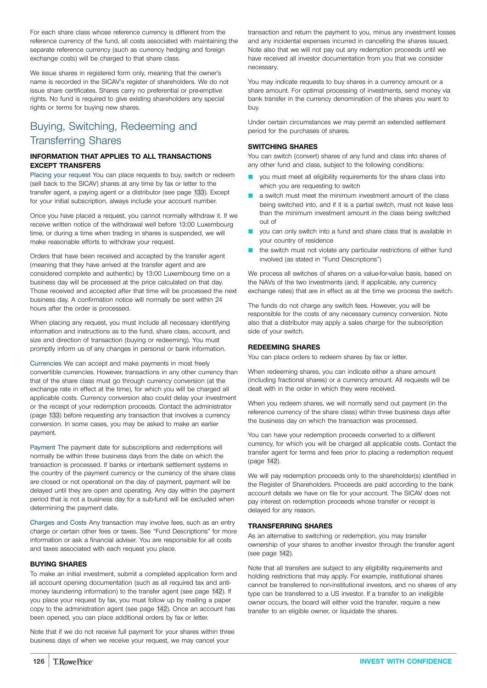<span id="page-125-0"></span>For each share class whose reference currency is different from the reference currency of the fund, all costs associated with maintaining the separate reference currency (such as currency hedging and foreign exchange costs) will be charged to that share class.

We issue shares in registered form only, meaning that the owner's name is recorded in the SICAV's register of shareholders. We do not issue share certificates. Shares carry no preferential or pre-emptive rights. No fund is required to give existing shareholders any special rights or terms for buying new shares.

# Buying, Switching, Redeeming and Transferring Shares

## **INFORMATION THAT APPLIES TO ALL TRANSACTIONS EXCEPT TRANSFERS**

Placing your request You can place requests to buy, switch or redeem (sell back to the SICAV) shares at any time by fax or letter to the transfer agent, a paying agent or a distributor (see page [133](#page-132-0)). Except for your initial subscription, always include your account number.

Once you have placed a request, you cannot normally withdraw it. If we receive written notice of the withdrawal well before 13:00 Luxembourg time, or during a time when trading in shares is suspended, we will make reasonable efforts to withdraw your request.

Orders that have been received and accepted by the transfer agent (meaning that they have arrived at the transfer agent and are considered complete and authentic) by 13:00 Luxembourg time on a business day will be processed at the price calculated on that day. Those received and accepted after that time will be processed the next business day. A confirmation notice will normally be sent within 24 hours after the order is processed.

When placing any request, you must include all necessary identifying information and instructions as to the fund, share class, account, and size and direction of transaction (buying or redeeming). You must promptly inform us of any changes in personal or bank information.

Currencies We can accept and make payments in most freely convertible currencies. However, transactions in any other currency than that of the share class must go through currency conversion (at the exchange rate in effect at the time), for which you will be charged all applicable costs. Currency conversion also could delay your investment or the receipt of your redemption proceeds. Contact the administrator (page [133\)](#page-132-0) before requesting any transaction that involves a currency conversion. In some cases, you may be asked to make an earlier payment.

Payment The payment date for subscriptions and redemptions will normally be within three business days from the date on which the transaction is processed. If banks or interbank settlement systems in the country of the payment currency or the currency of the share class are closed or not operational on the day of payment, payment will be delayed until they are open and operating. Any day within the payment period that is not a business day for a sub-fund will be excluded when determining the payment date.

Charges and Costs Any transaction may involve fees, such as an entry charge or certain other fees or taxes. See "Fund Descriptions" for more information or ask a financial adviser. You are responsible for all costs and taxes associated with each request you place.

### **BUYING SHARES**

To make an initial investment, submit a completed application form and all account opening documentation (such as all required tax and antimoney laundering information) to the transfer agent (see page [142\)](#page-141-0). If you place your request by fax, you must follow up by mailing a paper copy to the administration agent (see page [142](#page-141-0)). Once an account has been opened, you can place additional orders by fax or letter.

Note that if we do not receive full payment for your shares within three business days of when we receive your request, we may cancel your

transaction and return the payment to you, minus any investment losses and any incidental expenses incurred in cancelling the shares issued. Note also that we will not pay out any redemption proceeds until we have received all investor documentation from you that we consider necessary.

You may indicate requests to buy shares in a currency amount or a share amount. For optimal processing of investments, send money via bank transfer in the currency denomination of the shares you want to buy.

Under certain circumstances we may permit an extended settlement period for the purchases of shares.

## **SWITCHING SHARES**

You can switch (convert) shares of any fund and class into shares of any other fund and class, subject to the following conditions:

- you must meet all eligibility requirements for the share class into which you are requesting to switch
- a switch must meet the minimum investment amount of the class being switched into, and if it is a partial switch, must not leave less than the minimum investment amount in the class being switched out of
- you can only switch into a fund and share class that is available in your country of residence
- the switch must not violate any particular restrictions of either fund involved (as stated in "Fund Descriptions")

We process all switches of shares on a value-for-value basis, based on the NAVs of the two investments (and, if applicable, any currency exchange rates) that are in effect as at the time we process the switch.

The funds do not charge any switch fees. However, you will be responsible for the costs of any necessary currency conversion. Note also that a distributor may apply a sales charge for the subscription side of your switch.

## **REDEEMING SHARES**

You can place orders to redeem shares by fax or letter.

When redeeming shares, you can indicate either a share amount (including fractional shares) or a currency amount. All requests will be dealt with in the order in which they were received.

When you redeem shares, we will normally send out payment (in the reference currency of the share class) within three business days after the business day on which the transaction was processed.

You can have your redemption proceeds converted to a different currency, for which you will be charged all applicable costs. Contact the transfer agent for terms and fees prior to placing a redemption request (page [142](#page-141-0)).

We will pay redemption proceeds only to the shareholder(s) identified in the Register of Shareholders. Proceeds are paid according to the bank account details we have on file for your account. The SICAV does not pay interest on redemption proceeds whose transfer or receipt is delayed for any reason.

### **TRANSFERRING SHARES**

As an alternative to switching or redemption, you may transfer ownership of your shares to another investor through the transfer agent (see page [142](#page-141-0)).

Note that all transfers are subject to any eligibility requirements and holding restrictions that may apply. For example, institutional shares cannot be transferred to non-institutional investors, and no shares of any type can be transferred to a US investor. If a transfer to an ineligible owner occurs, the board will either void the transfer, require a new transfer to an eligible owner, or liquidate the shares.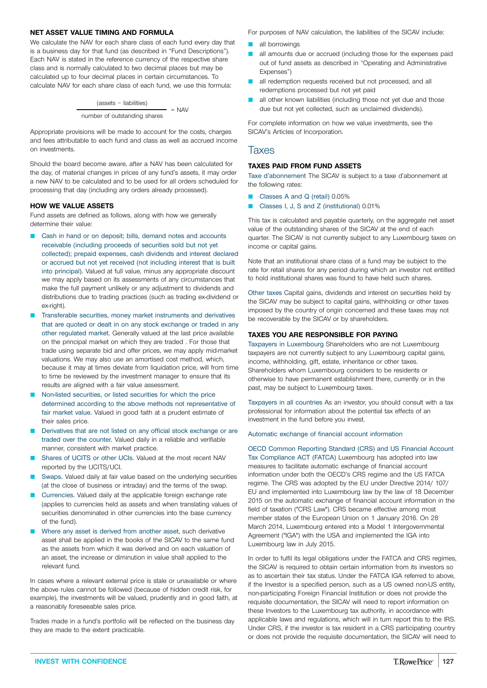#### **NET ASSET VALUE TIMING AND FORMULA**

We calculate the NAV for each share class of each fund every day that is a business day for that fund (as described in "Fund Descriptions"). Each NAV is stated in the reference currency of the respective share class and is normally calculated to two decimal places but may be calculated up to four decimal places in certain circumstances. To calculate NAV for each share class of each fund, we use this formula:

> (assets − liabilities)  $=$  NAV number of outstanding shares

Appropriate provisions will be made to account for the costs, charges and fees attributable to each fund and class as well as accrued income on investments.

Should the board become aware, after a NAV has been calculated for the day, of material changes in prices of any fund's assets, it may order a new NAV to be calculated and to be used for all orders scheduled for processing that day (including any orders already processed).

#### **HOW WE VALUE ASSETS**

Fund assets are defined as follows, along with how we generally determine their value:

- Cash in hand or on deposit; bills, demand notes and accounts receivable (including proceeds of securities sold but not yet collected); prepaid expenses, cash dividends and interest declared or accrued but not yet received (not including interest that is built into principal). Valued at full value, minus any appropriate discount we may apply based on its assessments of any circumstances that make the full payment unlikely or any adjustment to dividends and distributions due to trading practices (such as trading ex-dividend or ex-right)
- Transferable securities, money market instruments and derivatives that are quoted or dealt in on any stock exchange or traded in any other regulated market. Generally valued at the last price available on the principal market on which they are traded . For those that trade using separate bid and offer prices, we may apply mid-market valuations. We may also use an amortised cost method, which, because it may at times deviate from liquidation price, will from time to time be reviewed by the investment manager to ensure that its results are aligned with a fair value assessment.
- Non-listed securities, or listed securities for which the price determined according to the above methods not representative of fair market value. Valued in good faith at a prudent estimate of their sales price.
- Derivatives that are not listed on any official stock exchange or are traded over the counter. Valued daily in a reliable and verifiable manner, consistent with market practice.
- Shares of UCITS or other UCIs. Valued at the most recent NAV reported by the UCITS/UCI.
- Swaps. Valued daily at fair value based on the underlying securities (at the close of business or intraday) and the terms of the swap.
- Currencies. Valued daily at the applicable foreign exchange rate (applies to currencies held as assets and when translating values of securities denominated in other currencies into the base currency of the fund).
- Where any asset is derived from another asset, such derivative asset shall be applied in the books of the SICAV to the same fund as the assets from which it was derived and on each valuation of an asset, the increase or diminution in value shall applied to the relevant fund.

In cases where a relevant external price is stale or unavailable or where the above rules cannot be followed (because of hidden credit risk, for example), the investments will be valued, prudently and in good faith, at a reasonably foreseeable sales price.

Trades made in a fund's portfolio will be reflected on the business day they are made to the extent practicable.

For purposes of NAV calculation, the liabilities of the SICAV include:

- $\blacksquare$  all borrowings
- **Q** all amounts due or accrued (including those for the expenses paid out of fund assets as described in "Operating and Administrative Expenses")
- all redemption requests received but not processed, and all redemptions processed but not yet paid
- all other known liabilities (including those not yet due and those due but not yet collected, such as unclaimed dividends).

For complete information on how we value investments, see the SICAV's Articles of Incorporation.

## Taxes

## **TAXES PAID FROM FUND ASSETS**

Taxe d'abonnement The SICAV is subject to a taxe d'abonnement at the following rates:

- Q Classes A and Q (retail) 0.05%
- Q Classes I, J, S and Z (institutional) 0.01%

This tax is calculated and payable quarterly, on the aggregate net asset value of the outstanding shares of the SICAV at the end of each quarter. The SICAV is not currently subject to any Luxembourg taxes on income or capital gains.

Note that an institutional share class of a fund may be subject to the rate for retail shares for any period during which an investor not entitled to hold institutional shares was found to have held such shares.

Other taxes Capital gains, dividends and interest on securities held by the SICAV may be subject to capital gains, withholding or other taxes imposed by the country of origin concerned and these taxes may not be recoverable by the SICAV or by shareholders.

#### **TAXES YOU ARE RESPONSIBLE FOR PAYING**

Taxpayers in Luxembourg Shareholders who are not Luxembourg taxpayers are not currently subject to any Luxembourg capital gains, income, withholding, gift, estate, inheritance or other taxes. Shareholders whom Luxembourg considers to be residents or otherwise to have permanent establishment there, currently or in the past, may be subject to Luxembourg taxes.

Taxpayers in all countries As an investor, you should consult with a tax professional for information about the potential tax effects of an investment in the fund before you invest.

#### Automatic exchange of financial account information

OECD Common Reporting Standard (CRS) and US Financial Account Tax Compliance ACT (FATCA) Luxembourg has adopted into law measures to facilitate automatic exchange of financial account information under both the OECD's CRS regime and the US FATCA regime. The CRS was adopted by the EU under Directive 2014/ 107/ EU and implemented into Luxembourg law by the law of 18 December 2015 on the automatic exchange of financial account information in the field of taxation ("CRS Law"). CRS became effective among most member states of the European Union on 1 January 2016. On 28 March 2014, Luxembourg entered into a Model 1 Intergovernmental Agreement ("IGA") with the USA and implemented the IGA into Luxembourg law in July 2015.

In order to fulfil its legal obligations under the FATCA and CRS regimes, the SICAV is required to obtain certain information from its investors so as to ascertain their tax status. Under the FATCA IGA referred to above, if the Investor is a specified person, such as a US owned non-US entity, non-participating Foreign Financial Institution or does not provide the requisite documentation, the SICAV will need to report information on these Investors to the Luxembourg tax authority, in accordance with applicable laws and regulations, which will in turn report this to the IRS. Under CRS, if the investor is tax resident in a CRS participating country or does not provide the requisite documentation, the SICAV will need to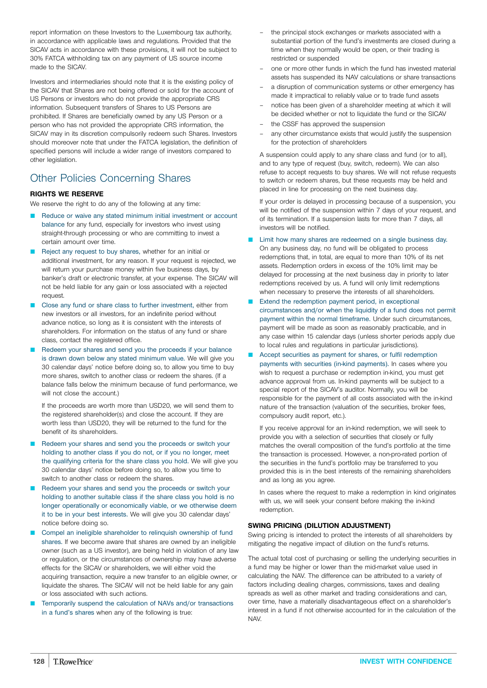report information on these Investors to the Luxembourg tax authority, in accordance with applicable laws and regulations. Provided that the SICAV acts in accordance with these provisions, it will not be subject to 30% FATCA withholding tax on any payment of US source income made to the SICAV.

Investors and intermediaries should note that it is the existing policy of the SICAV that Shares are not being offered or sold for the account of US Persons or investors who do not provide the appropriate CRS information. Subsequent transfers of Shares to US Persons are prohibited. If Shares are beneficially owned by any US Person or a person who has not provided the appropriate CRS information, the SICAV may in its discretion compulsorily redeem such Shares. Investors should moreover note that under the FATCA legislation, the definition of specified persons will include a wider range of investors compared to other legislation.

# Other Policies Concerning Shares

## **RIGHTS WE RESERVE**

We reserve the right to do any of the following at any time:

- Reduce or waive any stated minimum initial investment or account balance for any fund, especially for investors who invest using straight-through processing or who are committing to invest a certain amount over time.
- Reject any request to buy shares, whether for an initial or additional investment, for any reason. If your request is rejected, we will return your purchase money within five business days, by banker's draft or electronic transfer, at your expense. The SICAV will not be held liable for any gain or loss associated with a rejected request.
- Close any fund or share class to further investment, either from new investors or all investors, for an indefinite period without advance notice, so long as it is consistent with the interests of shareholders. For information on the status of any fund or share class, contact the registered office.
- Redeem your shares and send you the proceeds if your balance is drawn down below any stated minimum value. We will give you 30 calendar days' notice before doing so, to allow you time to buy more shares, switch to another class or redeem the shares. (If a balance falls below the minimum because of fund performance, we will not close the account.)

If the proceeds are worth more than USD20, we will send them to the registered shareholder(s) and close the account. If they are worth less than USD20, they will be returned to the fund for the benefit of its shareholders.

- Redeem your shares and send you the proceeds or switch your holding to another class if you do not, or if you no longer, meet the qualifying criteria for the share class you hold. We will give you 30 calendar days' notice before doing so, to allow you time to switch to another class or redeem the shares.
- Redeem your shares and send you the proceeds or switch your holding to another suitable class if the share class you hold is no longer operationally or economically viable, or we otherwise deem it to be in your best interests. We will give you 30 calendar days' notice before doing so.
- Compel an ineligible shareholder to relinguish ownership of fund shares. If we become aware that shares are owned by an ineligible owner (such as a US investor), are being held in violation of any law or regulation, or the circumstances of ownership may have adverse effects for the SICAV or shareholders, we will either void the acquiring transaction, require a new transfer to an eligible owner, or liquidate the shares. The SICAV will not be held liable for any gain or loss associated with such actions.
- Temporarily suspend the calculation of NAVs and/or transactions in a fund's shares when any of the following is true:
- the principal stock exchanges or markets associated with a substantial portion of the fund's investments are closed during a time when they normally would be open, or their trading is restricted or suspended
- one or more other funds in which the fund has invested material assets has suspended its NAV calculations or share transactions
- a disruption of communication systems or other emergency has made it impractical to reliably value or to trade fund assets
- notice has been given of a shareholder meeting at which it will be decided whether or not to liquidate the fund or the SICAV
- the CSSF has approved the suspension
- any other circumstance exists that would justify the suspension for the protection of shareholders

A suspension could apply to any share class and fund (or to all), and to any type of request (buy, switch, redeem). We can also refuse to accept requests to buy shares. We will not refuse requests to switch or redeem shares, but these requests may be held and placed in line for processing on the next business day.

If your order is delayed in processing because of a suspension, you will be notified of the suspension within 7 days of your request, and of its termination. If a suspension lasts for more than 7 days, all investors will be notified.

- Limit how many shares are redeemed on a single business day. On any business day, no fund will be obligated to process redemptions that, in total, are equal to more than 10% of its net assets. Redemption orders in excess of the 10% limit may be delayed for processing at the next business day in priority to later redemptions received by us. A fund will only limit redemptions when necessary to preserve the interests of all shareholders.
- Extend the redemption payment period, in exceptional circumstances and/or when the liquidity of a fund does not permit payment within the normal timeframe. Under such circumstances, payment will be made as soon as reasonably practicable, and in any case within 15 calendar days (unless shorter periods apply due to local rules and regulations in particular jurisdictions).
- Accept securities as payment for shares, or fulfil redemption payments with securities (in-kind payments). In cases where you wish to request a purchase or redemption in-kind, you must get advance approval from us. In-kind payments will be subject to a special report of the SICAV's auditor. Normally, you will be responsible for the payment of all costs associated with the in-kind nature of the transaction (valuation of the securities, broker fees, compulsory audit report, etc.).

If you receive approval for an in-kind redemption, we will seek to provide you with a selection of securities that closely or fully matches the overall composition of the fund's portfolio at the time the transaction is processed. However, a non-pro-rated portion of the securities in the fund's portfolio may be transferred to you provided this is in the best interests of the remaining shareholders and as long as you agree.

In cases where the request to make a redemption in kind originates with us, we will seek your consent before making the in-kind redemption.

### **SWING PRICING (DILUTION ADJUSTMENT)**

Swing pricing is intended to protect the interests of all shareholders by mitigating the negative impact of dilution on the fund's returns.

The actual total cost of purchasing or selling the underlying securities in a fund may be higher or lower than the mid-market value used in calculating the NAV. The difference can be attributed to a variety of factors including dealing charges, commissions, taxes and dealing spreads as well as other market and trading considerations and can, over time, have a materially disadvantageous effect on a shareholder's interest in a fund if not otherwise accounted for in the calculation of the NAV.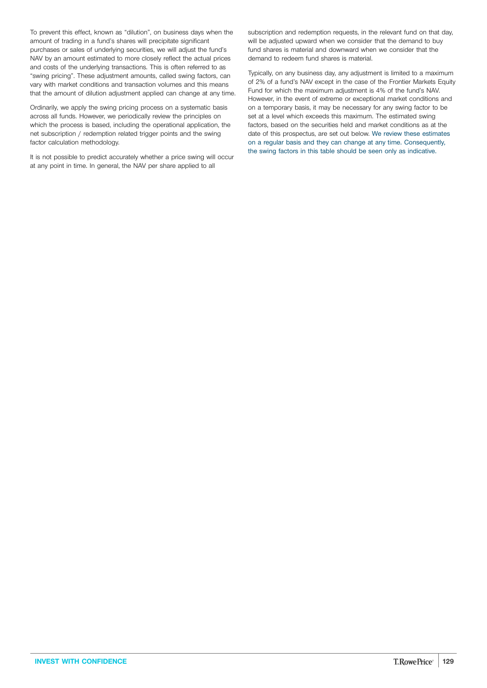To prevent this effect, known as "dilution", on business days when the amount of trading in a fund's shares will precipitate significant purchases or sales of underlying securities, we will adjust the fund's NAV by an amount estimated to more closely reflect the actual prices and costs of the underlying transactions. This is often referred to as "swing pricing". These adjustment amounts, called swing factors, can vary with market conditions and transaction volumes and this means that the amount of dilution adjustment applied can change at any time.

Ordinarily, we apply the swing pricing process on a systematic basis across all funds. However, we periodically review the principles on which the process is based, including the operational application, the net subscription / redemption related trigger points and the swing factor calculation methodology.

It is not possible to predict accurately whether a price swing will occur at any point in time. In general, the NAV per share applied to all

subscription and redemption requests, in the relevant fund on that day, will be adjusted upward when we consider that the demand to buy fund shares is material and downward when we consider that the demand to redeem fund shares is material.

Typically, on any business day, any adjustment is limited to a maximum of 2% of a fund's NAV except in the case of the Frontier Markets Equity Fund for which the maximum adjustment is 4% of the fund's NAV. However, in the event of extreme or exceptional market conditions and on a temporary basis, it may be necessary for any swing factor to be set at a level which exceeds this maximum. The estimated swing factors, based on the securities held and market conditions as at the date of this prospectus, are set out below. We review these estimates on a regular basis and they can change at any time. Consequently, the swing factors in this table should be seen only as indicative.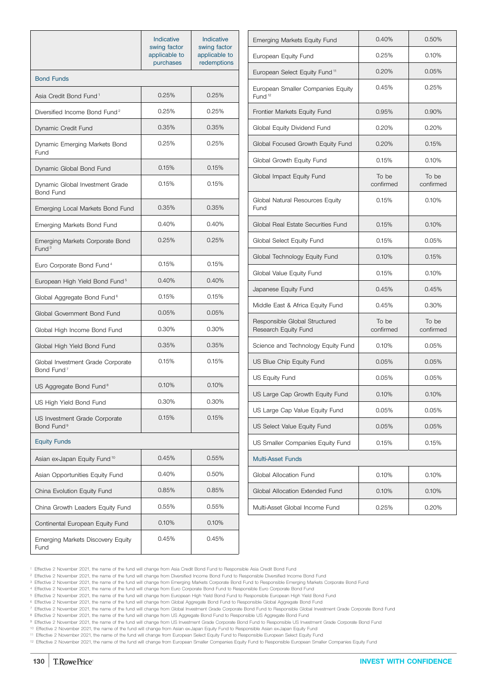|                                                             | Indicative<br>swing factor<br>applicable to<br>purchases | Indicative<br>swing factor<br>applicable to<br>redemptions |
|-------------------------------------------------------------|----------------------------------------------------------|------------------------------------------------------------|
| <b>Bond Funds</b>                                           |                                                          |                                                            |
| Asia Credit Bond Fund <sup>1</sup>                          | 0.25%                                                    | 0.25%                                                      |
| Diversified Income Bond Fund <sup>2</sup>                   | 0.25%                                                    | 0.25%                                                      |
| Dynamic Credit Fund                                         | 0.35%                                                    | 0.35%                                                      |
| Dynamic Emerging Markets Bond<br><b>Fund</b>                | 0.25%                                                    | 0.25%                                                      |
| Dynamic Global Bond Fund                                    | 0.15%                                                    | 0.15%                                                      |
| Dynamic Global Investment Grade<br>Bond Fund                | 0.15%                                                    | 0.15%                                                      |
| Emerging Local Markets Bond Fund                            | 0.35%                                                    | 0.35%                                                      |
| Emerging Markets Bond Fund                                  | 0.40%                                                    | 0.40%                                                      |
| Emerging Markets Corporate Bond<br>Fund <sup>3</sup>        | 0.25%                                                    | 0.25%                                                      |
| Euro Corporate Bond Fund <sup>4</sup>                       | 0.15%                                                    | 0.15%                                                      |
| European High Yield Bond Fund <sup>5</sup>                  | 0.40%                                                    | 0.40%                                                      |
| Global Aggregate Bond Fund <sup>6</sup>                     | 0.15%                                                    | 0.15%                                                      |
| Global Government Bond Fund                                 | 0.05%                                                    | 0.05%                                                      |
| Global High Income Bond Fund                                | 0.30%                                                    | 0.30%                                                      |
| Global High Yield Bond Fund                                 | 0.35%                                                    | 0.35%                                                      |
| Global Investment Grade Corporate<br>Bond Fund <sup>7</sup> | 0.15%                                                    | 0.15%                                                      |
| US Aggregate Bond Fund <sup>8</sup>                         | 0.10%                                                    | 0.10%                                                      |
| US High Yield Bond Fund                                     | 0.30%                                                    | 0.30%                                                      |
| US Investment Grade Corporate<br>Bond Fund <sup>9</sup>     | 0.15%                                                    | 0.15%                                                      |
| <b>Equity Funds</b>                                         |                                                          |                                                            |
| Asian ex-Japan Equity Fund <sup>10</sup>                    | 0.45%                                                    | 0.55%                                                      |
| Asian Opportunities Equity Fund                             | 0.40%                                                    | 0.50%                                                      |
| China Evolution Equity Fund                                 | 0.85%                                                    | 0.85%                                                      |
| China Growth Leaders Equity Fund                            | 0.55%                                                    | 0.55%                                                      |
| Continental European Equity Fund                            | 0.10%                                                    | 0.10%                                                      |
| Emerging Markets Discovery Equity<br>Fund                   | 0.45%                                                    | 0.45%                                                      |

| Emerging Markets Equity Fund                            | 0.40%              | 0.50%              |
|---------------------------------------------------------|--------------------|--------------------|
| European Equity Fund                                    | 0.25%              | 0.10%              |
| European Select Equity Fund <sup>11</sup>               | 0.20%              | 0.05%              |
| European Smaller Companies Equity<br>Fund <sup>12</sup> | 0.45%              | 0.25%              |
| Frontier Markets Equity Fund                            | 0.95%              | 0.90%              |
| Global Equity Dividend Fund                             | 0.20%              | 0.20%              |
| Global Focused Growth Equity Fund                       | 0.20%              | 0.15%              |
| Global Growth Equity Fund                               | 0.15%              | 0.10%              |
| Global Impact Equity Fund                               | To be<br>confirmed | To be<br>confirmed |
| Global Natural Resources Equity<br>Fund                 | 0.15%              | 0.10%              |
| Global Real Estate Securities Fund                      | 0.15%              | 0.10%              |
| Global Select Equity Fund                               | 0.15%              | 0.05%              |
| Global Technology Equity Fund                           | 0.10%              | 0.15%              |
| Global Value Equity Fund                                | 0.15%              | 0.10%              |
| Japanese Equity Fund                                    | 0.45%              | 0.45%              |
| Middle East & Africa Equity Fund                        | 0.45%              | 0.30%              |
| Responsible Global Structured<br>Research Equity Fund   | To be<br>confirmed | To be<br>confirmed |
| Science and Technology Equity Fund                      | 0.10%              | 0.05%              |
| US Blue Chip Equity Fund                                | 0.05%              | 0.05%              |
| <b>US Equity Fund</b>                                   | 0.05%              | 0.05%              |
| US Large Cap Growth Equity Fund                         | 0.10%              | 0.10%              |
| US Large Cap Value Equity Fund                          | 0.05%              | 0.05%              |
| US Select Value Equity Fund                             | 0.05%              | 0.05%              |
| US Smaller Companies Equity Fund                        | 0.15%              | 0.15%              |
| <b>Multi-Asset Funds</b>                                |                    |                    |
| Global Allocation Fund                                  | 0.10%              | 0.10%              |
| Global Allocation Extended Fund                         | 0.10%              | 0.10%              |
| Multi-Asset Global Income Fund                          | 0.25%              | 0.20%              |
|                                                         |                    |                    |

<sup>2</sup> Effective 2 November 2021, the name of the fund will change from Diversified Income Bond Fund to Responsible Diversified Income Bond Fund

<sup>3</sup> Effective 2 November 2021, the name of the fund will change from Emerging Markets Corporate Bond Fund to Responsible Emerging Markets Corporate Bond Fund

<sup>4</sup> Effective 2 November 2021, the name of the fund will change from Euro Corporate Bond Fund to Responsible Euro Corporate Bond Fund

<sup>5</sup> Effective 2 November 2021, the name of the fund will change from European High Yield Bond Fund to Responsible European High Yield Bond Fund <sup>6</sup> Effective 2 November 2021, the name of the fund will change from Global Aggregate Bond Fund to Responsible Global Aggregate Bond Fund

<sup>7</sup> Effective 2 November 2021, the name of the fund will change from Global Investment Grade Corporate Bond Fund to Responsible Global Investment Grade Corporate Bond Fund

<sup>8</sup> Effective 2 November 2021, the name of the fund will change from US Aggregate Bond Fund to Responsible US Aggregate Bond Fund

<sup>9</sup> Effective 2 November 2021, the name of the fund will change from US Investment Grade Corporate Bond Fund to Responsible US Investment Grade Corporate Bond Fund

<sup>10</sup> Effective 2 November 2021, the name of the fund will change from Asian ex-Japan Equity Fund to Responsible Asian ex-Japan Equity Fund

<sup>11</sup> Effective 2 November 2021, the name of the fund will change from European Select Equity Fund to Responsible European Select Equity Fund

<sup>12</sup> Effective 2 November 2021, the name of the fund will change from European Smaller Companies Equity Fund to Responsible European Smaller Companies Equity Fund

<sup>1</sup> Effective 2 November 2021, the name of the fund will change from Asia Credit Bond Fund to Responsible Asia Credit Bond Fund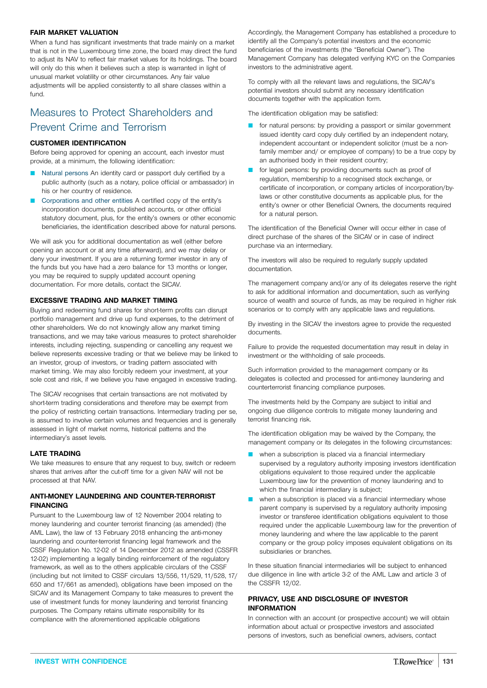## **FAIR MARKET VALUATION**

When a fund has significant investments that trade mainly on a market that is not in the Luxembourg time zone, the board may direct the fund to adjust its NAV to reflect fair market values for its holdings. The board will only do this when it believes such a step is warranted in light of unusual market volatility or other circumstances. Any fair value adjustments will be applied consistently to all share classes within a fund.

# Measures to Protect Shareholders and Prevent Crime and Terrorism

## **CUSTOMER IDENTIFICATION**

Before being approved for opening an account, each investor must provide, at a minimum, the following identification:

- Natural persons An identity card or passport duly certified by a public authority (such as a notary, police official or ambassador) in his or her country of residence.
- Corporations and other entities A certified copy of the entity's incorporation documents, published accounts, or other official statutory document, plus, for the entity's owners or other economic beneficiaries, the identification described above for natural persons.

We will ask you for additional documentation as well (either before opening an account or at any time afterward), and we may delay or deny your investment. If you are a returning former investor in any of the funds but you have had a zero balance for 13 months or longer, you may be required to supply updated account opening documentation. For more details, contact the SICAV.

## **EXCESSIVE TRADING AND MARKET TIMING**

Buying and redeeming fund shares for short-term profits can disrupt portfolio management and drive up fund expenses, to the detriment of other shareholders. We do not knowingly allow any market timing transactions, and we may take various measures to protect shareholder interests, including rejecting, suspending or cancelling any request we believe represents excessive trading or that we believe may be linked to an investor, group of investors, or trading pattern associated with market timing. We may also forcibly redeem your investment, at your sole cost and risk, if we believe you have engaged in excessive trading.

The SICAV recognises that certain transactions are not motivated by short-term trading considerations and therefore may be exempt from the policy of restricting certain transactions. Intermediary trading per se, is assumed to involve certain volumes and frequencies and is generally assessed in light of market norms, historical patterns and the intermediary's asset levels.

### **LATE TRADING**

We take measures to ensure that any request to buy, switch or redeem shares that arrives after the cut-off time for a given NAV will not be processed at that NAV.

## **ANTI-MONEY LAUNDERING AND COUNTER-TERRORIST FINANCING**

Pursuant to the Luxembourg law of 12 November 2004 relating to money laundering and counter terrorist financing (as amended) (the AML Law), the law of 13 February 2018 enhancing the anti-money laundering and counter-terrorist financing legal framework and the CSSF Regulation No. 12-02 of 14 December 2012 as amended (CSSFR 12-02) implementing a legally binding reinforcement of the regulatory framework, as well as to the others applicable circulars of the CSSF (including but not limited to CSSF circulars 13/556, 11/529, 11/528, 17/ 650 and 17/661 as amended), obligations have been imposed on the SICAV and its Management Company to take measures to prevent the use of investment funds for money laundering and terrorist financing purposes. The Company retains ultimate responsibility for its compliance with the aforementioned applicable obligations

Accordingly, the Management Company has established a procedure to identify all the Company's potential investors and the economic beneficiaries of the investments (the "Beneficial Owner"). The Management Company has delegated verifying KYC on the Companies investors to the administrative agent.

To comply with all the relevant laws and regulations, the SICAV's potential investors should submit any necessary identification documents together with the application form.

The identification obligation may be satisfied:

- **T** for natural persons: by providing a passport or similar government issued identity card copy duly certified by an independent notary, independent accountant or independent solicitor (must be a nonfamily member and/ or employee of company) to be a true copy by an authorised body in their resident country;
- for legal persons: by providing documents such as proof of regulation, membership to a recognised stock exchange, or certificate of incorporation, or company articles of incorporation/bylaws or other constitutive documents as applicable plus, for the entity's owner or other Beneficial Owners, the documents required for a natural person.

The identification of the Beneficial Owner will occur either in case of direct purchase of the shares of the SICAV or in case of indirect purchase via an intermediary.

The investors will also be required to regularly supply updated documentation.

The management company and/or any of its delegates reserve the right to ask for additional information and documentation, such as verifying source of wealth and source of funds, as may be required in higher risk scenarios or to comply with any applicable laws and regulations.

By investing in the SICAV the investors agree to provide the requested documents.

Failure to provide the requested documentation may result in delay in investment or the withholding of sale proceeds.

Such information provided to the management company or its delegates is collected and processed for anti-money laundering and counterterrorist financing compliance purposes.

The investments held by the Company are subject to initial and ongoing due diligence controls to mitigate money laundering and terrorist financing risk.

The identification obligation may be waived by the Company, the management company or its delegates in the following circumstances:

- when a subscription is placed via a financial intermediary supervised by a regulatory authority imposing investors identification obligations equivalent to those required under the applicable Luxembourg law for the prevention of money laundering and to which the financial intermediary is subject;
- when a subscription is placed via a financial intermediary whose parent company is supervised by a regulatory authority imposing investor or transferee identification obligations equivalent to those required under the applicable Luxembourg law for the prevention of money laundering and where the law applicable to the parent company or the group policy imposes equivalent obligations on its subsidiaries or branches.

In these situation financial intermediaries will be subject to enhanced due diligence in line with article 3-2 of the AML Law and article 3 of the CSSFR 12/02.

## **PRIVACY, USE AND DISCLOSURE OF INVESTOR INFORMATION**

In connection with an account (or prospective account) we will obtain information about actual or prospective investors and associated persons of investors, such as beneficial owners, advisers, contact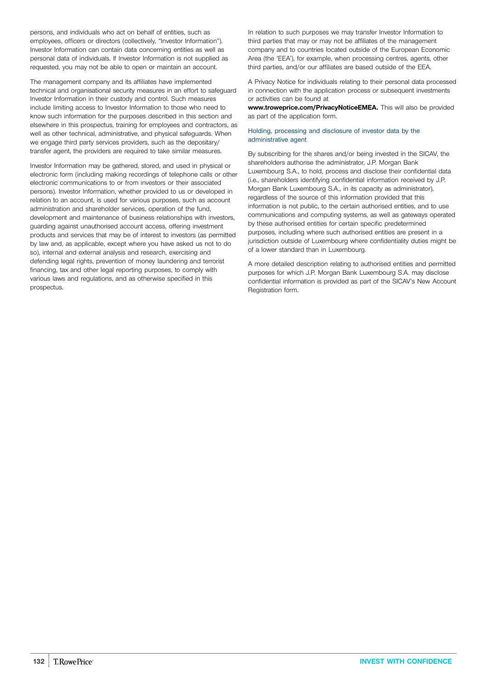persons, and individuals who act on behalf of entities, such as employees, officers or directors (collectively, "Investor Information"). Investor Information can contain data concerning entities as well as personal data of individuals. If Investor Information is not supplied as requested, you may not be able to open or maintain an account.

The management company and its affiliates have implemented technical and organisational security measures in an effort to safeguard Investor Information in their custody and control. Such measures include limiting access to Investor Information to those who need to know such information for the purposes described in this section and elsewhere in this prospectus, training for employees and contractors, as well as other technical, administrative, and physical safeguards. When we engage third party services providers, such as the depositary/ transfer agent, the providers are required to take similar measures.

Investor Information may be gathered, stored, and used in physical or electronic form (including making recordings of telephone calls or other electronic communications to or from investors or their associated persons). Investor Information, whether provided to us or developed in relation to an account, is used for various purposes, such as account administration and shareholder services, operation of the fund, development and maintenance of business relationships with investors, guarding against unauthorised account access, offering investment products and services that may be of interest to investors (as permitted by law and, as applicable, except where you have asked us not to do so), internal and external analysis and research, exercising and defending legal rights, prevention of money laundering and terrorist financing, tax and other legal reporting purposes, to comply with various laws and regulations, and as otherwise specified in this prospectus.

In relation to such purposes we may transfer Investor Information to third parties that may or may not be affiliates of the management company and to countries located outside of the European Economic Area (the 'EEA'), for example, when processing centres, agents, other third parties, and/or our affiliates are based outside of the EEA.

A Privacy Notice for individuals relating to their personal data processed in connection with the application process or subsequent investments or activities can be found at

**[www.troweprice.com/PrivacyNoticeEMEA.](https://www.troweprice.com/PrivacyNoticeEMEA)** This will also be provided as part of the application form.

### Holding, processing and disclosure of investor data by the administrative agent

By subscribing for the shares and/or being invested in the SICAV, the shareholders authorise the administrator, J.P. Morgan Bank Luxembourg S.A., to hold, process and disclose their confidential data (i.e., shareholders identifying confidential information received by J.P. Morgan Bank Luxembourg S.A., in its capacity as administrator), regardless of the source of this information provided that this information is not public, to the certain authorised entities, and to use communications and computing systems, as well as gateways operated by these authorised entities for certain specific predetermined purposes, including where such authorised entities are present in a jurisdiction outside of Luxembourg where confidentiality duties might be of a lower standard than in Luxembourg.

A more detailed description relating to authorised entities and permitted purposes for which J.P. Morgan Bank Luxembourg S.A. may disclose confidential information is provided as part of the SICAV's New Account Registration form.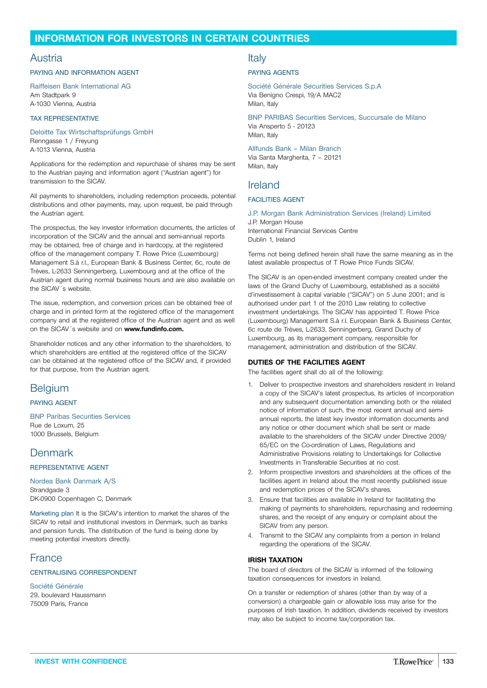## <span id="page-132-0"></span>**INFORMATION FOR INVESTORS IN CERTAIN COUNTRIES**

## Austria

#### PAYING AND INFORMATION AGENT

Raiffeisen Bank International AG Am Stadtpark 9 A-1030 Vienna, Austria

#### TAX REPRESENTATIVE

Deloitte Tax Wirtschaftsprüfungs GmbH Renngasse 1 / Freyung A-1013 Vienna, Austria

Applications for the redemption and repurchase of shares may be sent to the Austrian paying and information agent ("Austrian agent") for transmission to the SICAV.

All payments to shareholders, including redemption proceeds, potential distributions and other payments, may, upon request, be paid through the Austrian agent.

The prospectus, the key investor information documents, the articles of incorporation of the SICAV and the annual and semi-annual reports may be obtained, free of charge and in hardcopy, at the registered office of the management company T. Rowe Price (Luxembourg) Management S.à r.l., European Bank & Business Center, 6c, route de Trèves, L-2633 Senningerberg, Luxembourg and at the office of the Austrian agent during normal business hours and are also available on the SICAV´s website.

The issue, redemption, and conversion prices can be obtained free of charge and in printed form at the registered office of the management company and at the registered office of the Austrian agent and as well on the SICAV´s website and on **[www.fundinfo.com.](http://www.fundinfo.com)**

Shareholder notices and any other information to the shareholders, to which shareholders are entitled at the registered office of the SICAV can be obtained at the registered office of the SICAV and, if provided for that purpose, from the Austrian agent.

## Belgium

### PAYING AGENT

BNP Paribas Securities Services Rue de Loxum, 25 1000 Brussels, Belgium

## **Denmark**

## REPRESENTATIVE AGENT

Nordea Bank Danmark A/S Strandgade 3 DK-0900 Copenhagen C, Denmark

Marketing plan It is the SICAV's intention to market the shares of the SICAV to retail and institutional investors in Denmark, such as banks and pension funds. The distribution of the fund is being done by meeting potential investors directly.

## France

#### CENTRALISING CORRESPONDENT

Société Générale 29, boulevard Haussmann 75009 Paris, France

## Italy

#### PAYING AGENTS

Société Générale Securities Services S.p.A Via Benigno Crespi, 19/A MAC2 Milan, Italy

BNP PARIBAS Securities Services, Succursale de Milano Via Ansperto 5 - 20123 Milan, Italy

Allfunds Bank – Milan Branch Via Santa Margherita, 7 – 20121 Milan, Italy

## Ireland

## FACILITIES AGENT

J.P. Morgan Bank Administration Services (Ireland) Limited J.P. Morgan House International Financial Services Centre Dublin 1, Ireland

Terms not being defined herein shall have the same meaning as in the latest available prospectus of T Rowe Price Funds SICAV.

The SICAV is an open-ended investment company created under the laws of the Grand Duchy of Luxembourg, established as a société d'investissement à capital variable ("SICAV") on 5 June 2001; and is authorised under part 1 of the 2010 Law relating to collective investment undertakings. The SICAV has appointed T. Rowe Price (Luxembourg) Management S.à r.l. European Bank & Business Center, 6c route de Trèves, L-2633, Senningerberg, Grand Duchy of Luxembourg, as its management company, responsible for management, administration and distribution of the SICAV.

### **DUTIES OF THE FACILITIES AGENT**

The facilities agent shall do all of the following:

- 1. Deliver to prospective investors and shareholders resident in Ireland a copy of the SICAV's latest prospectus, its articles of incorporation and any subsequent documentation amending both or the related notice of information of such, the most recent annual and semiannual reports, the latest key investor information documents and any notice or other document which shall be sent or made available to the shareholders of the SICAV under Directive 2009/ 65/EC on the Co-ordination of Laws, Regulations and Administrative Provisions relating to Undertakings for Collective Investments in Transferable Securities at no cost.
- 2. Inform prospective investors and shareholders at the offices of the facilities agent in Ireland about the most recently published issue and redemption prices of the SICAV's shares.
- 3. Ensure that facilities are available in Ireland for facilitating the making of payments to shareholders, repurchasing and redeeming shares, and the receipt of any enquiry or complaint about the SICAV from any person.
- 4. Transmit to the SICAV any complaints from a person in Ireland regarding the operations of the SICAV.

### **IRISH TAXATION**

The board of directors of the SICAV is informed of the following taxation consequences for investors in Ireland.

On a transfer or redemption of shares (other than by way of a conversion) a chargeable gain or allowable loss may arise for the purposes of Irish taxation. In addition, dividends received by investors may also be subject to income tax/corporation tax.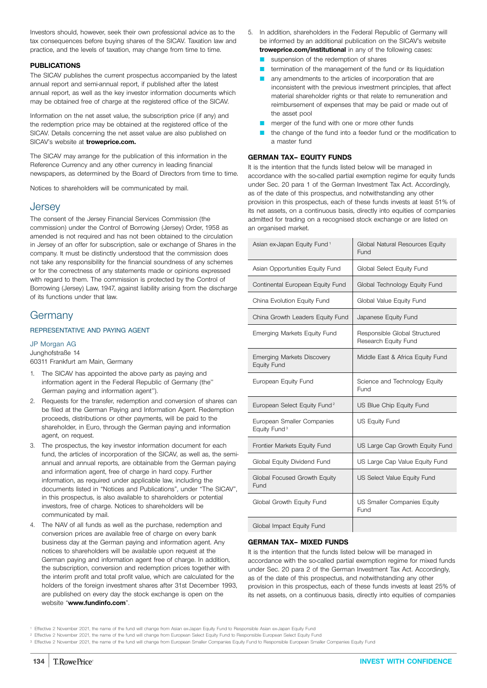Investors should, however, seek their own professional advice as to the tax consequences before buying shares of the SICAV. Taxation law and practice, and the levels of taxation, may change from time to time.

## **PUBLICATIONS**

The SICAV publishes the current prospectus accompanied by the latest annual report and semi-annual report, if published after the latest annual report, as well as the key investor information documents which may be obtained free of charge at the registered office of the SICAV.

Information on the net asset value, the subscription price (if any) and the redemption price may be obtained at the registered office of the SICAV. Details concerning the net asset value are also published on SICAV's website at **[troweprice.com.](http://www.troweprice.com)**

The SICAV may arrange for the publication of this information in the Reference Currency and any other currency in leading financial newspapers, as determined by the Board of Directors from time to time.

Notices to shareholders will be communicated by mail.

## **Jersey**

The consent of the Jersey Financial Services Commission (the commission) under the Control of Borrowing (Jersey) Order, 1958 as amended is not required and has not been obtained to the circulation in Jersey of an offer for subscription, sale or exchange of Shares in the company. It must be distinctly understood that the commission does not take any responsibility for the financial soundness of any schemes or for the correctness of any statements made or opinions expressed with regard to them. The commission is protected by the Control of Borrowing (Jersey) Law, 1947, against liability arising from the discharge of its functions under that law.

## Germany

#### REPRESENTATIVE AND PAYING AGENT

## JP Morgan AG

Junghofstraße 14

60311 Frankfurt am Main, Germany

- 1. The SICAV has appointed the above party as paying and information agent in the Federal Republic of Germany (the'' German paying and information agent'').
- 2. Requests for the transfer, redemption and conversion of shares can be filed at the German Paying and Information Agent. Redemption proceeds, distributions or other payments, will be paid to the shareholder, in Euro, through the German paying and information agent, on request.
- 3. The prospectus, the key investor information document for each fund, the articles of incorporation of the SICAV, as well as, the semiannual and annual reports, are obtainable from the German paying and information agent, free of charge in hard copy. Further information, as required under applicable law, including the documents listed in "Notices and Publications", under "The SICAV", in this prospectus, is also available to shareholders or potential investors, free of charge. Notices to shareholders will be communicated by mail.
- 4. The NAV of all funds as well as the purchase, redemption and conversion prices are available free of charge on every bank business day at the German paying and information agent. Any notices to shareholders will be available upon request at the German paying and information agent free of charge. In addition, the subscription, conversion and redemption prices together with the interim profit and total profit value, which are calculated for the holders of the foreign investment shares after 31st December 1993, are published on every day the stock exchange is open on the website "**[www.fundinfo.com](http://www.fundinfo.com)**".
- 5. In addition, shareholders in the Federal Republic of Germany will be informed by an additional publication on the SICAV's website **[troweprice.com/institutional](http://www.troweprice.com/institutional)** in any of the following cases:
	- suspension of the redemption of shares
	- termination of the management of the fund or its liquidation
	- any amendments to the articles of incorporation that are inconsistent with the previous investment principles, that affect material shareholder rights or that relate to remuneration and reimbursement of expenses that may be paid or made out of the asset pool
	- merger of the fund with one or more other funds
	- the change of the fund into a feeder fund or the modification to a master fund

## **GERMAN TAX– EQUITY FUNDS**

It is the intention that the funds listed below will be managed in accordance with the so-called partial exemption regime for equity funds under Sec. 20 para 1 of the German Investment Tax Act. Accordingly, as of the date of this prospectus, and notwithstanding any other provision in this prospectus, each of these funds invests at least 51% of its net assets, on a continuous basis, directly into equities of companies admitted for trading on a recognised stock exchange or are listed on an organised market.

| Asian ex-Japan Equity Fund <sup>1</sup>                | Global Natural Resources Equity<br>Fund               |
|--------------------------------------------------------|-------------------------------------------------------|
| Asian Opportunities Equity Fund                        | Global Select Equity Fund                             |
| Continental European Equity Fund                       | Global Technology Equity Fund                         |
| China Evolution Equity Fund                            | Global Value Equity Fund                              |
| China Growth Leaders Equity Fund                       | Japanese Equity Fund                                  |
| Emerging Markets Equity Fund                           | Responsible Global Structured<br>Research Equity Fund |
| <b>Emerging Markets Discovery</b><br>Equity Fund       | Middle East & Africa Equity Fund                      |
| European Equity Fund                                   | Science and Technology Equity<br>Fund                 |
| European Select Equity Fund <sup>2</sup>               | US Blue Chip Equity Fund                              |
| European Smaller Companies<br>Equity Fund <sup>3</sup> | <b>US Equity Fund</b>                                 |
| Frontier Markets Equity Fund                           | US Large Cap Growth Equity Fund                       |
| Global Equity Dividend Fund                            | US Large Cap Value Equity Fund                        |
| Global Focused Growth Equity<br>Fund                   | US Select Value Equity Fund                           |
| Global Growth Equity Fund                              | US Smaller Companies Equity<br>Fund                   |
| Global Impact Equity Fund                              |                                                       |

## **GERMAN TAX– MIXED FUNDS**

It is the intention that the funds listed below will be managed in accordance with the so-called partial exemption regime for mixed funds under Sec. 20 para 2 of the German Investment Tax Act. Accordingly, as of the date of this prospectus, and notwithstanding any other provision in this prospectus, each of these funds invests at least 25% of its net assets, on a continuous basis, directly into equities of companies

<sup>1</sup> Effective 2 November 2021, the name of the fund will change from Asian ex-Japan Equity Fund to Responsible Asian ex-Japan Equity Fund

<sup>2</sup> Effective 2 November 2021, the name of the fund will change from European Select Equity Fund to Responsible European Select Equity Fund

<sup>&</sup>lt;sup>3</sup> Effective 2 November 2021, the name of the fund will change from European Smaller Companies Equity Fund to Responsible European Smaller Companies Equity Fund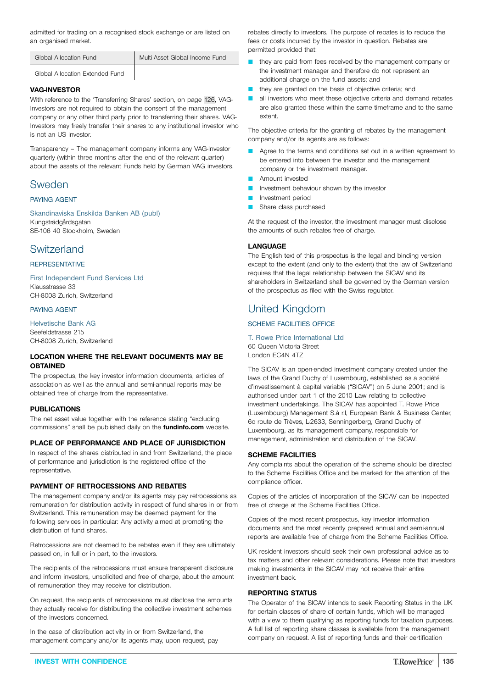admitted for trading on a recognised stock exchange or are listed on an organised market.

| Global Allocation Fund | Multi-Asset Global Income Fund |
|------------------------|--------------------------------|
|                        |                                |

## Global Allocation Extended Fund

## **VAG-INVESTOR**

With reference to the 'Transferring Shares' section, on page [126,](#page-125-0) VAG-Investors are not required to obtain the consent of the management company or any other third party prior to transferring their shares. VAG-Investors may freely transfer their shares to any institutional investor who is not an US investor.

Transparency – The management company informs any VAG-Investor quarterly (within three months after the end of the relevant quarter) about the assets of the relevant Funds held by German VAG investors.

## Sweden

### PAYING AGENT

Skandinaviska Enskilda Banken AB (publ) Kungsträdgårdsgatan SE-106 40 Stockholm, Sweden

## **Switzerland**

## **REPRESENTATIVE**

First Independent Fund Services Ltd Klausstrasse 33 CH-8008 Zurich, Switzerland

#### PAYING AGENT

Helvetische Bank AG Seefeldstrasse 215 CH-8008 Zurich, Switzerland

## **LOCATION WHERE THE RELEVANT DOCUMENTS MAY BE OBTAINED**

The prospectus, the key investor information documents, articles of association as well as the annual and semi-annual reports may be obtained free of charge from the representative.

## **PUBLICATIONS**

The net asset value together with the reference stating "excluding commissions" shall be published daily on the **[fundinfo.com](http://www.fundinfo.com)** website.

## **PLACE OF PERFORMANCE AND PLACE OF JURISDICTION**

In respect of the shares distributed in and from Switzerland, the place of performance and jurisdiction is the registered office of the representative.

## **PAYMENT OF RETROCESSIONS AND REBATES**

The management company and/or its agents may pay retrocessions as remuneration for distribution activity in respect of fund shares in or from Switzerland. This remuneration may be deemed payment for the following services in particular: Any activity aimed at promoting the distribution of fund shares.

Retrocessions are not deemed to be rebates even if they are ultimately passed on, in full or in part, to the investors.

The recipients of the retrocessions must ensure transparent disclosure and inform investors, unsolicited and free of charge, about the amount of remuneration they may receive for distribution.

On request, the recipients of retrocessions must disclose the amounts they actually receive for distributing the collective investment schemes of the investors concerned.

In the case of distribution activity in or from Switzerland, the management company and/or its agents may, upon request, pay rebates directly to investors. The purpose of rebates is to reduce the fees or costs incurred by the investor in question. Rebates are permitted provided that:

- they are paid from fees received by the management company or the investment manager and therefore do not represent an additional charge on the fund assets; and
- $\blacksquare$  they are granted on the basis of objective criteria; and
- all investors who meet these objective criteria and demand rebates are also granted these within the same timeframe and to the same extent.

The objective criteria for the granting of rebates by the management company and/or its agents are as follows:

- Agree to the terms and conditions set out in a written agreement to be entered into between the investor and the management company or the investment manager.
- Amount invested
- Investment behaviour shown by the investor
- Investment period
- Share class purchased

At the request of the investor, the investment manager must disclose the amounts of such rebates free of charge.

## **LANGUAGE**

The English text of this prospectus is the legal and binding version except to the extent (and only to the extent) that the law of Switzerland requires that the legal relationship between the SICAV and its shareholders in Switzerland shall be governed by the German version of the prospectus as filed with the Swiss regulator.

## United Kingdom

## SCHEME FACILITIES OFFICE

T. Rowe Price International Ltd 60 Queen Victoria Street London EC4N 4TZ

The SICAV is an open-ended investment company created under the laws of the Grand Duchy of Luxembourg, established as a société d'investissement à capital variable ("SICAV") on 5 June 2001; and is authorised under part 1 of the 2010 Law relating to collective investment undertakings. The SICAV has appointed T. Rowe Price (Luxembourg) Management S.à r.l, European Bank & Business Center, 6c route de Trèves, L-2633, Senningerberg, Grand Duchy of Luxembourg, as its management company, responsible for management, administration and distribution of the SICAV.

### **SCHEME FACILITIES**

Any complaints about the operation of the scheme should be directed to the Scheme Facilities Office and be marked for the attention of the compliance officer.

Copies of the articles of incorporation of the SICAV can be inspected free of charge at the Scheme Facilities Office.

Copies of the most recent prospectus, key investor information documents and the most recently prepared annual and semi-annual reports are available free of charge from the Scheme Facilities Office.

UK resident investors should seek their own professional advice as to tax matters and other relevant considerations. Please note that investors making investments in the SICAV may not receive their entire investment back.

### **REPORTING STATUS**

The Operator of the SICAV intends to seek Reporting Status in the UK for certain classes of share of certain funds, which will be managed with a view to them qualifying as reporting funds for taxation purposes. A full list of reporting share classes is available from the management company on request. A list of reporting funds and their certification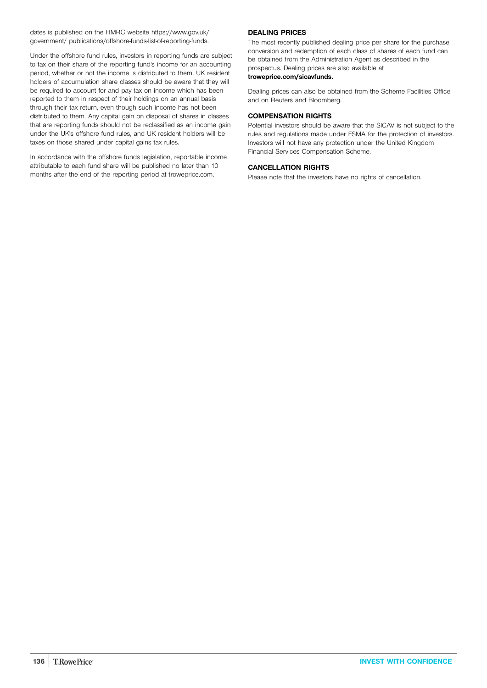dates is published on the HMRC website https://www.gov.uk/ government/ publications/offshore-funds-list-of-reporting-funds.

Under the offshore fund rules, investors in reporting funds are subject to tax on their share of the reporting fund's income for an accounting period, whether or not the income is distributed to them. UK resident holders of accumulation share classes should be aware that they will be required to account for and pay tax on income which has been reported to them in respect of their holdings on an annual basis through their tax return, even though such income has not been distributed to them. Any capital gain on disposal of shares in classes that are reporting funds should not be reclassified as an income gain under the UK's offshore fund rules, and UK resident holders will be taxes on those shared under capital gains tax rules.

In accordance with the offshore funds legislation, reportable income attributable to each fund share will be published no later than 10 months after the end of the reporting period at troweprice.com.

## **DEALING PRICES**

The most recently published dealing price per share for the purchase, conversion and redemption of each class of shares of each fund can be obtained from the Administration Agent as described in the prospectus. Dealing prices are also available at **[troweprice.com/sicavfunds.](http://www.troweprice.com/sicavfunds)**

Dealing prices can also be obtained from the Scheme Facilities Office and on Reuters and Bloomberg.

## **COMPENSATION RIGHTS**

Potential investors should be aware that the SICAV is not subject to the rules and regulations made under FSMA for the protection of investors. Investors will not have any protection under the United Kingdom Financial Services Compensation Scheme.

## **CANCELLATION RIGHTS**

Please note that the investors have no rights of cancellation.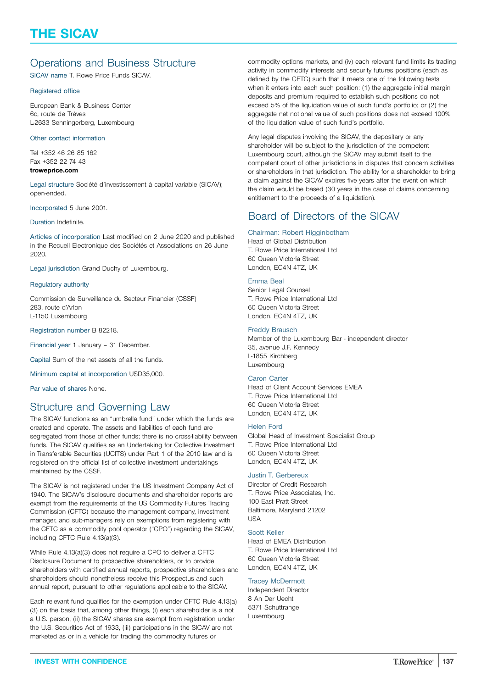## <span id="page-136-0"></span>Operations and Business Structure

SICAV name T. Rowe Price Funds SICAV.

## Registered office

European Bank & Business Center 6c, route de Trèves L-2633 Senningerberg, Luxembourg

## Other contact information

Tel +352 46 26 85 162 Fax +352 22 74 43 **[troweprice.com](http://www.troweprice.com)**

Legal structure Société d'investissement à capital variable (SICAV); open-ended.

Incorporated 5 June 2001.

#### Duration Indefinite.

Articles of incorporation Last modified on 2 June 2020 and published in the Recueil Electronique des Sociétés et Associations on 26 June 2020.

Legal jurisdiction Grand Duchy of Luxembourg.

#### Regulatory authority

Commission de Surveillance du Secteur Financier (CSSF) 283, route d'Arlon L-1150 Luxembourg

Registration number B 82218.

Financial year 1 January – 31 December.

Capital Sum of the net assets of all the funds.

Minimum capital at incorporation USD35,000.

Par value of shares None.

## Structure and Governing Law

The SICAV functions as an "umbrella fund" under which the funds are created and operate. The assets and liabilities of each fund are segregated from those of other funds; there is no cross-liability between funds. The SICAV qualifies as an Undertaking for Collective Investment in Transferable Securities (UCITS) under Part 1 of the 2010 law and is registered on the official list of collective investment undertakings maintained by the CSSF.

The SICAV is not registered under the US Investment Company Act of 1940. The SICAV's disclosure documents and shareholder reports are exempt from the requirements of the US Commodity Futures Trading Commission (CFTC) because the management company, investment manager, and sub-managers rely on exemptions from registering with the CFTC as a commodity pool operator ("CPO") regarding the SICAV, including CFTC Rule 4.13(a)(3).

While Rule 4.13(a)(3) does not require a CPO to deliver a CFTC Disclosure Document to prospective shareholders, or to provide shareholders with certified annual reports, prospective shareholders and shareholders should nonetheless receive this Prospectus and such annual report, pursuant to other regulations applicable to the SICAV.

Each relevant fund qualifies for the exemption under CFTC Rule 4.13(a) (3) on the basis that, among other things, (i) each shareholder is a not a U.S. person, (ii) the SICAV shares are exempt from registration under the U.S. Securities Act of 1933, (iii) participations in the SICAV are not marketed as or in a vehicle for trading the commodity futures or

commodity options markets, and (iv) each relevant fund limits its trading activity in commodity interests and security futures positions (each as defined by the CFTC) such that it meets one of the following tests when it enters into each such position: (1) the aggregate initial margin deposits and premium required to establish such positions do not exceed 5% of the liquidation value of such fund's portfolio; or (2) the aggregate net notional value of such positions does not exceed 100% of the liquidation value of such fund's portfolio.

Any legal disputes involving the SICAV, the depositary or any shareholder will be subject to the jurisdiction of the competent Luxembourg court, although the SICAV may submit itself to the competent court of other jurisdictions in disputes that concern activities or shareholders in that jurisdiction. The ability for a shareholder to bring a claim against the SICAV expires five years after the event on which the claim would be based (30 years in the case of claims concerning entitlement to the proceeds of a liquidation).

## Board of Directors of the SICAV

## Chairman: Robert Higginbotham

Head of Global Distribution T. Rowe Price International Ltd 60 Queen Victoria Street London, EC4N 4TZ, UK

### Emma Beal

Senior Legal Counsel T. Rowe Price International Ltd 60 Queen Victoria Street London, EC4N 4TZ, UK

#### Freddy Brausch

Member of the Luxembourg Bar - independent director 35, avenue J.F. Kennedy L-1855 Kirchberg Luxembourg

### Caron Carter

Head of Client Account Services EMEA T. Rowe Price International Ltd 60 Queen Victoria Street London, EC4N 4TZ, UK

#### Helen Ford

Global Head of Investment Specialist Group T. Rowe Price International Ltd 60 Queen Victoria Street London, EC4N 4TZ, UK

## Justin T. Gerbereux

Director of Credit Research T. Rowe Price Associates, Inc. 100 East Pratt Street Baltimore, Maryland 21202 USA

#### Scott Keller

Head of EMEA Distribution T. Rowe Price International Ltd 60 Queen Victoria Street London, EC4N 4TZ, UK

### Tracey McDermott

Independent Director 8 An Der Uecht 5371 Schuttrange Luxembourg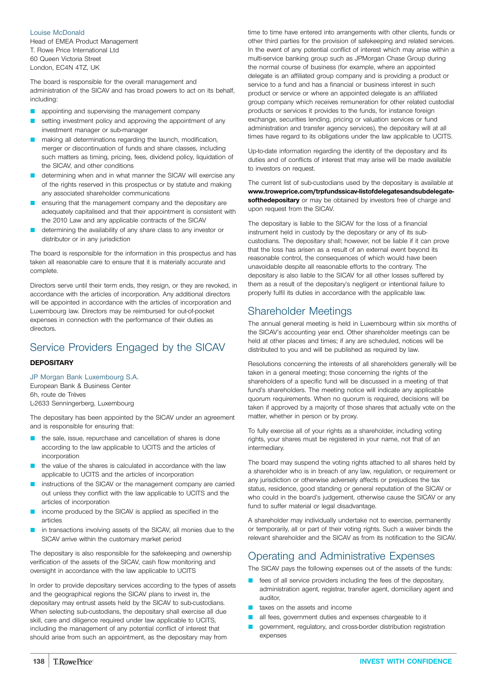## Louise McDonald

Head of EMEA Product Management T. Rowe Price International Ltd 60 Queen Victoria Street London, EC4N 4TZ, UK

The board is responsible for the overall management and administration of the SICAV and has broad powers to act on its behalf, including:

- appointing and supervising the management company
- setting investment policy and approving the appointment of any investment manager or sub-manager
- making all determinations regarding the launch, modification, merger or discontinuation of funds and share classes, including such matters as timing, pricing, fees, dividend policy, liquidation of the SICAV, and other conditions
- determining when and in what manner the SICAV will exercise any of the rights reserved in this prospectus or by statute and making any associated shareholder communications
- ensuring that the management company and the depositary are adequately capitalised and that their appointment is consistent with the 2010 Law and any applicable contracts of the SICAV
- determining the availability of any share class to any investor or distributor or in any jurisdiction

The board is responsible for the information in this prospectus and has taken all reasonable care to ensure that it is materially accurate and complete.

Directors serve until their term ends, they resign, or they are revoked, in accordance with the articles of incorporation. Any additional directors will be appointed in accordance with the articles of incorporation and Luxembourg law. Directors may be reimbursed for out-of-pocket expenses in connection with the performance of their duties as directors.

# Service Providers Engaged by the SICAV

## **DEPOSITARY**

JP Morgan Bank Luxembourg S.A.

European Bank & Business Center 6h, route de Trèves L-2633 Senningerberg, Luxembourg

The depositary has been appointed by the SICAV under an agreement and is responsible for ensuring that:

- the sale, issue, repurchase and cancellation of shares is done according to the law applicable to UCITS and the articles of incorporation
- the value of the shares is calculated in accordance with the law applicable to UCITS and the articles of incorporation
- instructions of the SICAV or the management company are carried out unless they conflict with the law applicable to UCITS and the articles of incorporation
- income produced by the SICAV is applied as specified in the articles
- in transactions involving assets of the SICAV, all monies due to the SICAV arrive within the customary market period

The depositary is also responsible for the safekeeping and ownership verification of the assets of the SICAV, cash flow monitoring and oversight in accordance with the law applicable to UCITS

In order to provide depositary services according to the types of assets and the geographical regions the SICAV plans to invest in, the depositary may entrust assets held by the SICAV to sub-custodians. When selecting sub-custodians, the depositary shall exercise all due skill, care and diligence required under law applicable to UCITS, including the management of any potential conflict of interest that should arise from such an appointment, as the depositary may from

time to time have entered into arrangements with other clients, funds or other third parties for the provision of safekeeping and related services. In the event of any potential conflict of interest which may arise within a multi-service banking group such as JPMorgan Chase Group during the normal course of business (for example, where an appointed delegate is an affiliated group company and is providing a product or service to a fund and has a financial or business interest in such product or service or where an appointed delegate is an affiliated group company which receives remuneration for other related custodial products or services it provides to the funds, for instance foreign exchange, securities lending, pricing or valuation services or fund administration and transfer agency services), the depositary will at all times have regard to its obligations under the law applicable to UCITS.

Up-to-date information regarding the identity of the depositary and its duties and of conflicts of interest that may arise will be made available to investors on request.

The current list of sub-custodians used by the depositary is available at **[www.troweprice.com/trpfundssicav-listofdelegatesandsubdelegate](http://www.troweprice.com/trpfundssicav-listofdelegatesandsubdelegatesofthedepositary)[softhedepositary](http://www.troweprice.com/trpfundssicav-listofdelegatesandsubdelegatesofthedepositary)** or may be obtained by investors free of charge and upon request from the SICAV.

The depositary is liable to the SICAV for the loss of a financial instrument held in custody by the depositary or any of its subcustodians. The depositary shall; however, not be liable if it can prove that the loss has arisen as a result of an external event beyond its reasonable control, the consequences of which would have been unavoidable despite all reasonable efforts to the contrary. The depositary is also liable to the SICAV for all other losses suffered by them as a result of the depositary's negligent or intentional failure to properly fulfil its duties in accordance with the applicable law.

## Shareholder Meetings

The annual general meeting is held in Luxembourg within six months of the SICAV's accounting year end. Other shareholder meetings can be held at other places and times; if any are scheduled, notices will be distributed to you and will be published as required by law.

Resolutions concerning the interests of all shareholders generally will be taken in a general meeting; those concerning the rights of the shareholders of a specific fund will be discussed in a meeting of that fund's shareholders. The meeting notice will indicate any applicable quorum requirements. When no quorum is required, decisions will be taken if approved by a majority of those shares that actually vote on the matter, whether in person or by proxy.

To fully exercise all of your rights as a shareholder, including voting rights, your shares must be registered in your name, not that of an intermediary.

The board may suspend the voting rights attached to all shares held by a shareholder who is in breach of any law, regulation, or requirement or any jurisdiction or otherwise adversely affects or prejudices the tax status, residence, good standing or general reputation of the SICAV or who could in the board's judgement, otherwise cause the SICAV or any fund to suffer material or legal disadvantage.

A shareholder may individually undertake not to exercise, permanently or temporarily, all or part of their voting rights. Such a waiver binds the relevant shareholder and the SICAV as from its notification to the SICAV.

## Operating and Administrative Expenses

The SICAV pays the following expenses out of the assets of the funds:

- fees of all service providers including the fees of the depositary, administration agent, registrar, transfer agent, domiciliary agent and auditor,
- taxes on the assets and income
- all fees, government duties and expenses chargeable to it
- Q government, regulatory, and cross-border distribution registration expenses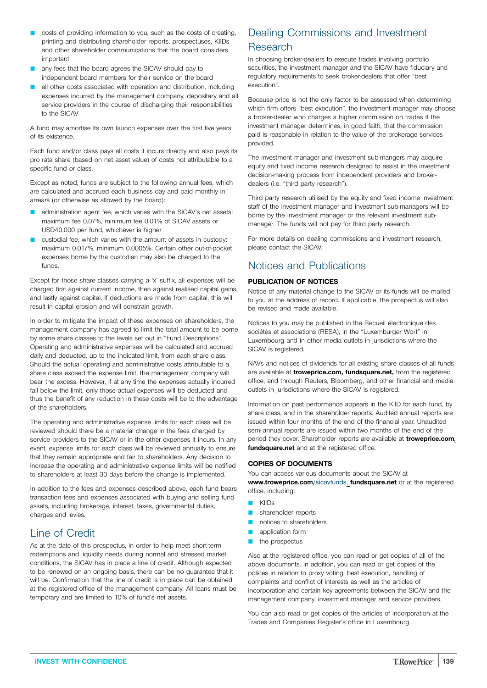- $\Box$  costs of providing information to you, such as the costs of creating, printing and distributing shareholder reports, prospectuses, KIIDs and other shareholder communications that the board considers important
- any fees that the board agrees the SICAV should pay to independent board members for their service on the board
- all other costs associated with operation and distribution, including expenses incurred by the management company, depositary and all service providers in the course of discharging their responsibilities to the SICAV

A fund may amortise its own launch expenses over the first five years of its existence.

Each fund and/or class pays all costs it incurs directly and also pays its pro rata share (based on net asset value) of costs not attributable to a specific fund or class.

Except as noted, funds are subject to the following annual fees, which are calculated and accrued each business day and paid monthly in arrears (or otherwise as allowed by the board):

- administration agent fee, which varies with the SICAV's net assets: maximum fee 0.07%, minimum fee 0.01% of SICAV assets or USD40,000 per fund, whichever is higher
- custodial fee, which varies with the amount of assets in custody: maximum 0.017%, minimum 0.0005%. Certain other out-of-pocket expenses borne by the custodian may also be charged to the funds.

Except for those share classes carrying a 'x' suffix, all expenses will be charged first against current income, then against realised capital gains, and lastly against capital. If deductions are made from capital, this will result in capital erosion and will constrain growth.

In order to mitigate the impact of these expenses on shareholders, the management company has agreed to limit the total amount to be borne by some share classes to the levels set out in "Fund Descriptions". Operating and administrative expenses will be calculated and accrued daily and deducted, up to the indicated limit, from each share class. Should the actual operating and administrative costs attributable to a share class exceed the expense limit, the management company will bear the excess. However, if at any time the expenses actually incurred fall below the limit, only those actual expenses will be deducted and thus the benefit of any reduction in these costs will be to the advantage of the shareholders.

The operating and administrative expense limits for each class will be reviewed should there be a material change in the fees charged by service providers to the SICAV or in the other expenses it incurs. In any event, expense limits for each class will be reviewed annually to ensure that they remain appropriate and fair to shareholders. Any decision to increase the operating and administrative expense limits will be notified to shareholders at least 30 days before the change is implemented.

In addition to the fees and expenses described above, each fund bears transaction fees and expenses associated with buying and selling fund assets, including brokerage, interest, taxes, governmental duties, charges and levies.

## Line of Credit

As at the date of this prospectus, in order to help meet short-term redemptions and liquidity needs during normal and stressed market conditions, the SICAV has in place a line of credit. Although expected to be renewed on an ongoing basis, there can be no guarantee that it will be. Confirmation that the line of credit is in place can be obtained at the registered office of the management company. All loans must be temporary and are limited to 10% of fund's net assets.

# Dealing Commissions and Investment Research

In choosing broker-dealers to execute trades involving portfolio securities, the investment manager and the SICAV have fiduciary and regulatory requirements to seek broker-dealers that offer "best execution".

Because price is not the only factor to be assessed when determining which firm offers "best execution", the investment manager may choose a broker-dealer who charges a higher commission on trades if the investment manager determines, in good faith, that the commission paid is reasonable in relation to the value of the brokerage services provided.

The investment manager and investment sub-mangers may acquire equity and fixed income research designed to assist in the investment decision-making process from independent providers and brokerdealers (i.e. "third party research").

Third party research utilised by the equity and fixed income investment staff of the investment manager and investment sub-managers will be borne by the investment manager or the relevant investment submanager. The funds will not pay for third party research.

For more details on dealing commissions and investment research, please contact the SICAV.

# Notices and Publications

## **PUBLICATION OF NOTICES**

Notice of any material change to the SICAV or its funds will be mailed to you at the address of record. If applicable, the prospectus will also be revised and made available.

Notices to you may be published in the Recueil électronique des sociétés et associations (RESA), in the "Luxemburger Wort" in Luxembourg and in other media outlets in jurisdictions where the SICAV is registered.

NAVs and notices of dividends for all existing share classes of all funds are available at **[troweprice.com,](http://www.troweprice.com) [fundsquare.net,](http://www.fundsquare.net)** from the registered office, and through Reuters, Bloomberg, and other financial and media outlets in jurisdictions where the SICAV is registered.

Information on past performance appears in the KIID for each fund, by share class, and in the shareholder reports. Audited annual reports are issued within four months of the end of the financial year. Unaudited semi-annual reports are issued within two months of the end of the period they cover. Shareholder reports are available at **[troweprice.com](http://www.troweprice.com)**, **[fundsquare.net](http://www.fundsquare.net)** and at the registered office.

## **COPIES OF DOCUMENTS**

You can access various documents about the SICAV at **[www.troweprice.com](http://www.troweprice.com)**/sicavfunds, **[fundsquare.net](http://www.fundsquare.net)** or at the registered office, including:

- $\blacksquare$  KIIDs
- shareholder reports
- notices to shareholders
- application form
- $\blacksquare$  the prospectus

Also at the registered office, you can read or get copies of all of the above documents. In addition, you can read or get copies of the polices in relation to proxy voting, best execution, handling of complaints and conflict of interests as well as the articles of incorporation and certain key agreements between the SICAV and the management company, investment manager and service providers.

You can also read or get copies of the articles of incorporation at the Trades and Companies Register's office in Luxembourg.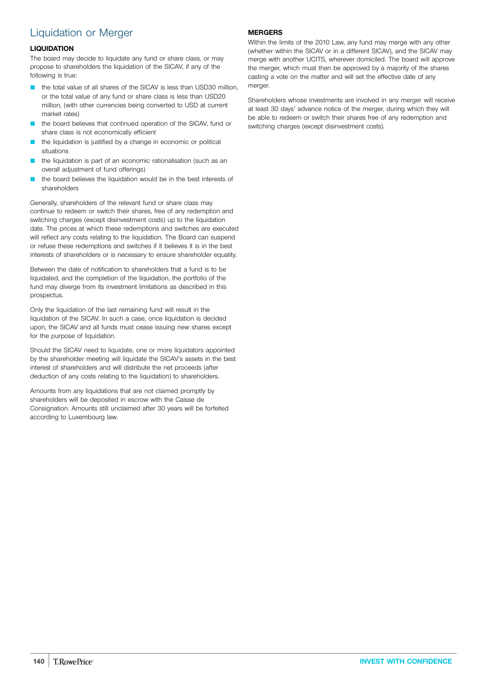# Liquidation or Merger

## **LIQUIDATION**

The board may decide to liquidate any fund or share class, or may propose to shareholders the liquidation of the SICAV, if any of the following is true:

- the total value of all shares of the SICAV is less than USD30 million. or the total value of any fund or share class is less than USD20 million, (with other currencies being converted to USD at current market rates)
- the board believes that continued operation of the SICAV, fund or share class is not economically efficient
- the liquidation is justified by a change in economic or political situations
- the liquidation is part of an economic rationalisation (such as an overall adjustment of fund offerings)
- the board believes the liquidation would be in the best interests of shareholders

Generally, shareholders of the relevant fund or share class may continue to redeem or switch their shares, free of any redemption and switching charges (except disinvestment costs) up to the liquidation date. The prices at which these redemptions and switches are executed will reflect any costs relating to the liquidation. The Board can suspend or refuse these redemptions and switches if it believes it is in the best interests of shareholders or is necessary to ensure shareholder equality.

Between the date of notification to shareholders that a fund is to be liquidated, and the completion of the liquidation, the portfolio of the fund may diverge from its investment limitations as described in this prospectus.

Only the liquidation of the last remaining fund will result in the liquidation of the SICAV. In such a case, once liquidation is decided upon, the SICAV and all funds must cease issuing new shares except for the purpose of liquidation.

Should the SICAV need to liquidate, one or more liquidators appointed by the shareholder meeting will liquidate the SICAV's assets in the best interest of shareholders and will distribute the net proceeds (after deduction of any costs relating to the liquidation) to shareholders.

Amounts from any liquidations that are not claimed promptly by shareholders will be deposited in escrow with the Caisse de Consignation. Amounts still unclaimed after 30 years will be forfeited according to Luxembourg law.

## **MERGERS**

Within the limits of the 2010 Law, any fund may merge with any other (whether within the SICAV or in a different SICAV), and the SICAV may merge with another UCITS, wherever domiciled. The board will approve the merger, which must then be approved by a majority of the shares casting a vote on the matter and will set the effective date of any merger.

Shareholders whose investments are involved in any merger will receive at least 30 days' advance notice of the merger, during which they will be able to redeem or switch their shares free of any redemption and switching charges (except disinvestment costs).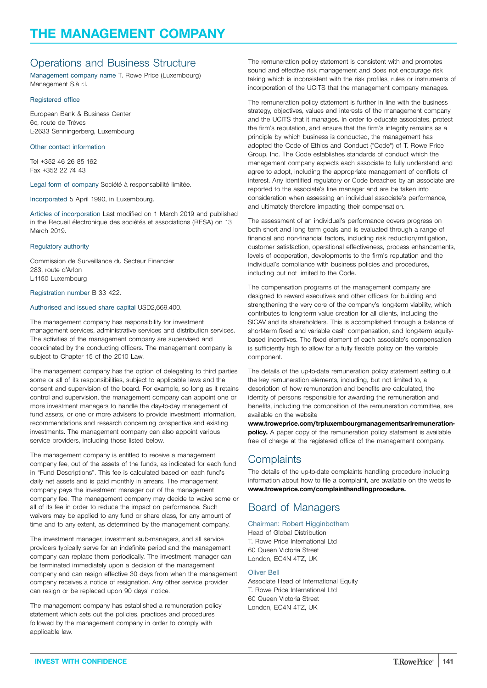# Operations and Business Structure

Management company name T. Rowe Price (Luxembourg) Management S.à r.l.

#### Registered office

European Bank & Business Center 6c, route de Trèves L-2633 Senningerberg, Luxembourg

## Other contact information

Tel +352 46 26 85 162 Fax +352 22 74 43

Legal form of company Société à responsabilité limitée.

Incorporated 5 April 1990, in Luxembourg.

Articles of incorporation Last modified on 1 March 2019 and published in the Recueil électronique des sociétés et associations (RESA) on 13 March 2019.

#### Regulatory authority

Commission de Surveillance du Secteur Financier 283, route d'Arlon L-1150 Luxembourg

Registration number B 33 422.

### Authorised and issued share capital USD2,669.400.

The management company has responsibility for investment management services, administrative services and distribution services. The activities of the management company are supervised and coordinated by the conducting officers. The management company is subject to Chapter 15 of the 2010 Law.

The management company has the option of delegating to third parties some or all of its responsibilities, subject to applicable laws and the consent and supervision of the board. For example, so long as it retains control and supervision, the management company can appoint one or more investment managers to handle the day-to-day management of fund assets, or one or more advisers to provide investment information, recommendations and research concerning prospective and existing investments. The management company can also appoint various service providers, including those listed below.

The management company is entitled to receive a management company fee, out of the assets of the funds, as indicated for each fund in "Fund Descriptions". This fee is calculated based on each fund's daily net assets and is paid monthly in arrears. The management company pays the investment manager out of the management company fee. The management company may decide to waive some or all of its fee in order to reduce the impact on performance. Such waivers may be applied to any fund or share class, for any amount of time and to any extent, as determined by the management company.

The investment manager, investment sub-managers, and all service providers typically serve for an indefinite period and the management company can replace them periodically. The investment manager can be terminated immediately upon a decision of the management company and can resign effective 30 days from when the management company receives a notice of resignation. Any other service provider can resign or be replaced upon 90 days' notice.

The management company has established a remuneration policy statement which sets out the policies, practices and procedures followed by the management company in order to comply with applicable law.

The remuneration policy statement is consistent with and promotes sound and effective risk management and does not encourage risk taking which is inconsistent with the risk profiles, rules or instruments of incorporation of the UCITS that the management company manages.

The remuneration policy statement is further in line with the business strategy, objectives, values and interests of the management company and the UCITS that it manages. In order to educate associates, protect the firm's reputation, and ensure that the firm's integrity remains as a principle by which business is conducted, the management has adopted the Code of Ethics and Conduct ("Code") of T. Rowe Price Group, Inc. The Code establishes standards of conduct which the management company expects each associate to fully understand and agree to adopt, including the appropriate management of conflicts of interest. Any identified regulatory or Code breaches by an associate are reported to the associate's line manager and are be taken into consideration when assessing an individual associate's performance, and ultimately therefore impacting their compensation.

The assessment of an individual's performance covers progress on both short and long term goals and is evaluated through a range of financial and non-financial factors, including risk reduction/mitigation, customer satisfaction, operational effectiveness, process enhancements, levels of cooperation, developments to the firm's reputation and the individual's compliance with business policies and procedures, including but not limited to the Code.

The compensation programs of the management company are designed to reward executives and other officers for building and strengthening the very core of the company's long-term viability, which contributes to long-term value creation for all clients, including the SICAV and its shareholders. This is accomplished through a balance of short-term fixed and variable cash compensation, and long-term equitybased incentives. The fixed element of each associate's compensation is sufficiently high to allow for a fully flexible policy on the variable component.

The details of the up-to-date remuneration policy statement setting out the key remuneration elements, including, but not limited to, a description of how remuneration and benefits are calculated, the identity of persons responsible for awarding the remuneration and benefits, including the composition of the remuneration committee, are available on the website

**[www.troweprice.com/trpluxembourgmanagementsarlremuneration](http://www.troweprice.com/trpluxembourgmanagementsarlremunerationpolicy)[policy.](http://www.troweprice.com/trpluxembourgmanagementsarlremunerationpolicy)** A paper copy of the remuneration policy statement is available free of charge at the registered office of the management company.

## **Complaints**

The details of the up-to-date complaints handling procedure including information about how to file a complaint, are available on the website **[www.troweprice.com/complainthandlingprocedure.](http://www.troweprice.com/complainthandlingprocedure)**

# Board of Managers

### Chairman: Robert Higginbotham

Head of Global Distribution T. Rowe Price International Ltd 60 Queen Victoria Street London, EC4N 4TZ, UK

### Oliver Bell

Associate Head of International Fquity T. Rowe Price International Ltd 60 Queen Victoria Street London, EC4N 4TZ, UK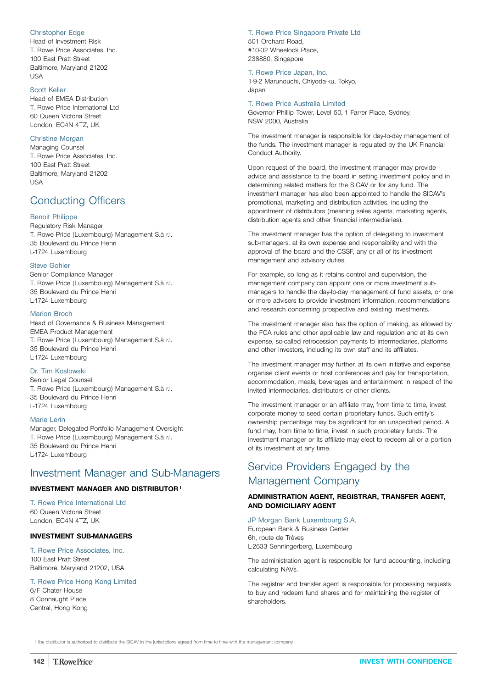## <span id="page-141-0"></span>Christopher Edge

Head of Investment Risk T. Rowe Price Associates, Inc. 100 East Pratt Street Baltimore, Maryland 21202 USA

### Scott Keller

Head of EMEA Distribution T. Rowe Price International Ltd 60 Queen Victoria Street London, EC4N 4TZ, UK

## Christine Morgan

Managing Counsel T. Rowe Price Associates, Inc. 100 East Pratt Street Baltimore, Maryland 21202 USA

## Conducting Officers

#### Benoit Philippe

Regulatory Risk Manager T. Rowe Price (Luxembourg) Management S.à r.l. 35 Boulevard du Prince Henri L-1724 Luxembourg

#### Steve Gohier

Senior Compliance Manager T. Rowe Price (Luxembourg) Management S.à r.l. 35 Boulevard du Prince Henri L-1724 Luxembourg

#### Marion Broch

Head of Governance & Business Management EMEA Product Management T. Rowe Price (Luxembourg) Management S.à r.l. 35 Boulevard du Prince Henri L-1724 Luxembourg

## Dr. Tim Koslowski

Senior Legal Counsel T. Rowe Price (Luxembourg) Management S.à r.l. 35 Boulevard du Prince Henri L-1724 Luxembourg

#### Marie Lerin

Manager, Delegated Portfolio Management Oversight T. Rowe Price (Luxembourg) Management S.à r.l. 35 Boulevard du Prince Henri L-1724 Luxembourg

## Investment Manager and Sub-Managers

## **INVESTMENT MANAGER AND DISTRIBUTOR1**

T. Rowe Price International Ltd 60 Queen Victoria Street London, EC4N 4TZ, UK

## **INVESTMENT SUB-MANAGERS**

T. Rowe Price Associates, Inc. 100 East Pratt Street Baltimore, Maryland 21202, USA

#### T. Rowe Price Hong Kong Limited

6/F Chater House 8 Connaught Place Central, Hong Kong T. Rowe Price Singapore Private Ltd 501 Orchard Road, #10-02 Wheelock Place, 238880, Singapore

#### T. Rowe Price Japan, Inc.

1-9-2 Marunouchi, Chiyoda-ku, Tokyo, Japan

### T. Rowe Price Australia Limited

Governor Phillip Tower, Level 50, 1 Farrer Place, Sydney, NSW 2000, Australia

The investment manager is responsible for day-to-day management of the funds. The investment manager is regulated by the UK Financial Conduct Authority.

Upon request of the board, the investment manager may provide advice and assistance to the board in setting investment policy and in determining related matters for the SICAV or for any fund. The investment manager has also been appointed to handle the SICAV's promotional, marketing and distribution activities, including the appointment of distributors (meaning sales agents, marketing agents, distribution agents and other financial intermediaries).

The investment manager has the option of delegating to investment sub-managers, at its own expense and responsibility and with the approval of the board and the CSSF, any or all of its investment management and advisory duties.

For example, so long as it retains control and supervision, the management company can appoint one or more investment submanagers to handle the day-to-day management of fund assets, or one or more advisers to provide investment information, recommendations and research concerning prospective and existing investments.

The investment manager also has the option of making, as allowed by the FCA rules and other applicable law and regulation and at its own expense, so-called retrocession payments to intermediaries, platforms and other investors, including its own staff and its affiliates.

The investment manager may further, at its own initiative and expense, organise client events or host conferences and pay for transportation, accommodation, meals, beverages and entertainment in respect of the invited intermediaries, distributors or other clients.

The investment manager or an affiliate may, from time to time, invest corporate money to seed certain proprietary funds. Such entity's ownership percentage may be significant for an unspecified period. A fund may, from time to time, invest in such proprietary funds. The investment manager or its affiliate may elect to redeem all or a portion of its investment at any time.

# Service Providers Engaged by the Management Company

## **ADMINISTRATION AGENT, REGISTRAR, TRANSFER AGENT, AND DOMICILIARY AGENT**

#### JP Morgan Bank Luxembourg S.A.

European Bank & Business Center 6h, route de Trèves L-2633 Senningerberg, Luxembourg

The administration agent is responsible for fund accounting, including calculating NAVs.

The registrar and transfer agent is responsible for processing requests to buy and redeem fund shares and for maintaining the register of shareholders.

<sup>1</sup> 1 the distributor is authorized to distribute the SICAV in the jurisdictions agreed from time to time with the management company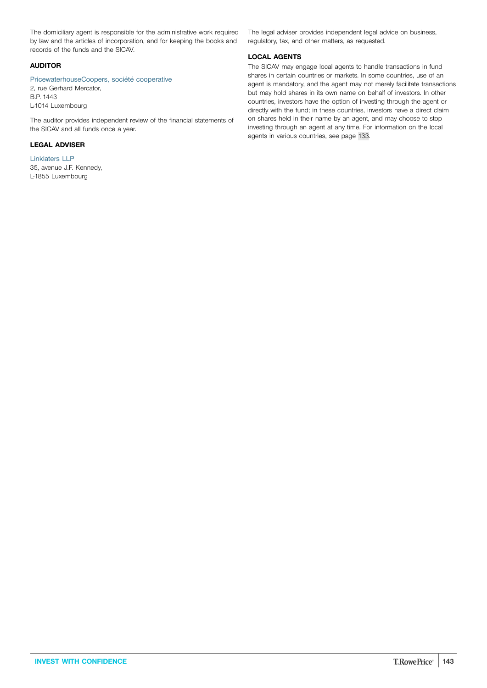The domiciliary agent is responsible for the administrative work required by law and the articles of incorporation, and for keeping the books and records of the funds and the SICAV.

## **AUDITOR**

PricewaterhouseCoopers, société cooperative 2, rue Gerhard Mercator, B.P. 1443 L-1014 Luxembourg

The auditor provides independent review of the financial statements of the SICAV and all funds once a year.

## **LEGAL ADVISER**

Linklaters LLP 35, avenue J.F. Kennedy, L-1855 Luxembourg

The legal adviser provides independent legal advice on business, regulatory, tax, and other matters, as requested.

## **LOCAL AGENTS**

The SICAV may engage local agents to handle transactions in fund shares in certain countries or markets. In some countries, use of an agent is mandatory, and the agent may not merely facilitate transactions but may hold shares in its own name on behalf of investors. In other countries, investors have the option of investing through the agent or directly with the fund; in these countries, investors have a direct claim on shares held in their name by an agent, and may choose to stop investing through an agent at any time. For information on the local agents in various countries, see page [133](#page-132-0).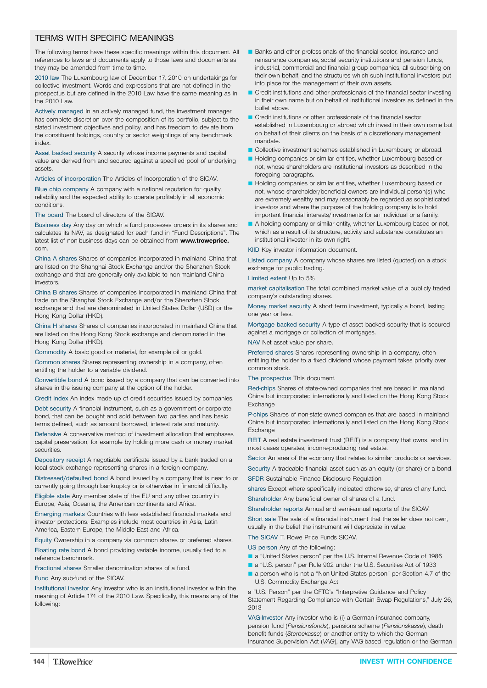## TERMS WITH SPECIFIC MEANINGS

The following terms have these specific meanings within this document. All references to laws and documents apply to those laws and documents as they may be amended from time to time.

2010 law The Luxembourg law of December 17, 2010 on undertakings for collective investment. Words and expressions that are not defined in the prospectus but are defined in the 2010 Law have the same meaning as in the 2010 Law.

Actively managed In an actively managed fund, the investment manager has complete discretion over the composition of its portfolio, subject to the stated investment objectives and policy, and has freedom to deviate from the constituent holdings, country or sector weightings of any benchmark index.

Asset backed security A security whose income payments and capital value are derived from and secured against a specified pool of underlying assets.

Articles of incorporation The Articles of Incorporation of the SICAV.

Blue chip company A company with a national reputation for quality, reliability and the expected ability to operate profitably in all economic conditions.

The board The board of directors of the SICAV.

Business day Any day on which a fund processes orders in its shares and calculates its NAV, as designated for each fund in "Fund Descriptions". The latest list of non-business days can be obtained from **[www.troweprice.](http://www.troweprice)** com.

China A shares Shares of companies incorporated in mainland China that are listed on the Shanghai Stock Exchange and/or the Shenzhen Stock exchange and that are generally only available to non-mainland China investors.

China B shares Shares of companies incorporated in mainland China that trade on the Shanghai Stock Exchange and/or the Shenzhen Stock exchange and that are denominated in United States Dollar (USD) or the Hong Kong Dollar (HKD).

China H shares Shares of companies incorporated in mainland China that are listed on the Hong Kong Stock exchange and denominated in the Hong Kong Dollar (HKD).

Commodity A basic good or material, for example oil or gold.

Common shares Shares representing ownership in a company, often entitling the holder to a variable dividend.

Convertible bond A bond issued by a company that can be converted into shares in the issuing company at the option of the holder.

Credit index An index made up of credit securities issued by companies. Debt security A financial instrument, such as a government or corporate bond, that can be bought and sold between two parties and has basic terms defined, such as amount borrowed, interest rate and maturity.

Defensive A conservative method of investment allocation that emphases capital preservation, for example by holding more cash or money market securities.

Depository receipt A negotiable certificate issued by a bank traded on a local stock exchange representing shares in a foreign company.

Distressed/defaulted bond A bond issued by a company that is near to or currently going through bankruptcy or is otherwise in financial difficulty.

Eligible state Any member state of the EU and any other country in Europe, Asia, Oceania, the American continents and Africa.

Emerging markets Countries with less established financial markets and investor protections. Examples include most countries in Asia, Latin America, Eastern Europe, the Middle East and Africa.

Equity Ownership in a company via common shares or preferred shares. Floating rate bond A bond providing variable income, usually tied to a reference benchmark.

Fractional shares Smaller denomination shares of a fund.

Fund Any sub-fund of the SICAV.

Institutional investor Any investor who is an institutional investor within the meaning of Article 174 of the 2010 Law. Specifically, this means any of the following:

- Banks and other professionals of the financial sector, insurance and reinsurance companies, social security institutions and pension funds, industrial, commercial and financial group companies, all subscribing on their own behalf, and the structures which such institutional investors put into place for the management of their own assets.
- Q Credit institutions and other professionals of the financial sector investing in their own name but on behalf of institutional investors as defined in the bullet above.
- Credit institutions or other professionals of the financial sector established in Luxembourg or abroad which invest in their own name but on behalf of their clients on the basis of a discretionary management mandate.
- Collective investment schemes established in Luxembourg or abroad.
- Holding companies or similar entities, whether Luxembourg based or not, whose shareholders are institutional investors as described in the foregoing paragraphs.
- Holding companies or similar entities, whether Luxembourg based or not, whose shareholder/beneficial owners are individual person(s) who are extremely wealthy and may reasonably be regarded as sophisticated investors and where the purpose of the holding company is to hold important financial interests/investments for an individual or a family.
- A holding company or similar entity, whether Luxembourg based or not, which as a result of its structure, activity and substance constitutes an institutional investor in its own right.

KIID Key investor information document.

Listed company A company whose shares are listed (quoted) on a stock exchange for public trading.

#### Limited extent Up to 5%

market capitalisation The total combined market value of a publicly traded company's outstanding shares.

Money market security A short term investment, typically a bond, lasting one year or less.

Mortgage backed security A type of asset backed security that is secured against a mortgage or collection of mortgages.

NAV Net asset value per share.

Preferred shares Shares representing ownership in a company, often entitling the holder to a fixed dividend whose payment takes priority over common stock.

#### The prospectus This document.

Red-chips Shares of state-owned companies that are based in mainland China but incorporated internationally and listed on the Hong Kong Stock **Exchange** 

P-chips Shares of non-state-owned companies that are based in mainland China but incorporated internationally and listed on the Hong Kong Stock **Exchange** 

REIT A real estate investment trust (REIT) is a company that owns, and in most cases operates, income-producing real estate.

Sector An area of the economy that relates to similar products or services.

Security A tradeable financial asset such as an equity (or share) or a bond. SFDR Sustainable Finance Disclosure Regulation

shares Except where specifically indicated otherwise, shares of any fund. Shareholder Any beneficial owner of shares of a fund.

Shareholder reports Annual and semi-annual reports of the SICAV.

Short sale The sale of a financial instrument that the seller does not own, usually in the belief the instrument will depreciate in value.

The SICAV T. Rowe Price Funds SICAV.

US person Any of the following:

- a "United States person" per the U.S. Internal Revenue Code of 1986
- a "U.S. person" per Rule 902 under the U.S. Securities Act of 1933
- a person who is not a "Non-United States person" per Section 4.7 of the U.S. Commodity Exchange Act

a "U.S. Person" per the CFTC's "Interpretive Guidance and Policy Statement Regarding Compliance with Certain Swap Regulations," July 26, 2013

VAG-Investor Any investor who is (i) a German insurance company, pension fund (*Pensionsfonds*), pensions scheme (*Pensionskasse*), death benefit funds (*Sterbekasse*) or another entity to which the German Insurance Supervision Act (*VAG*), any VAG-based regulation or the German